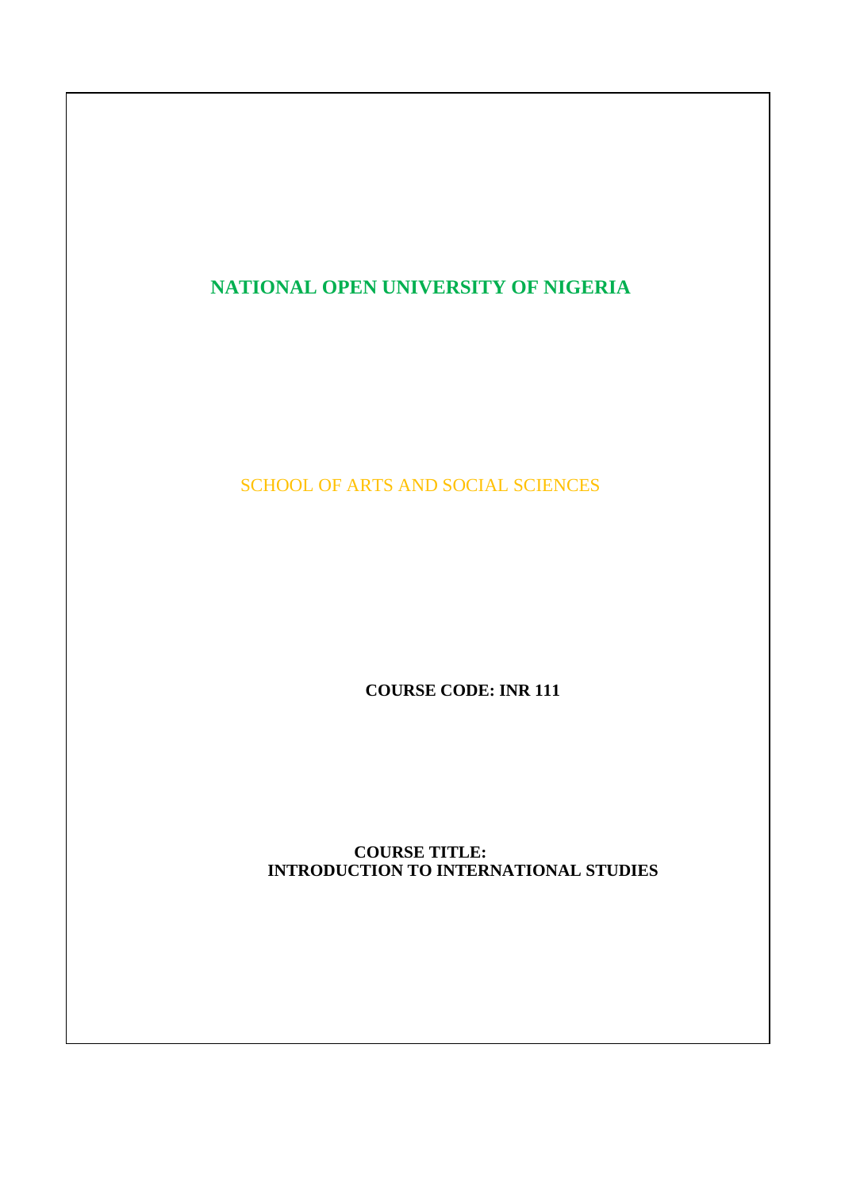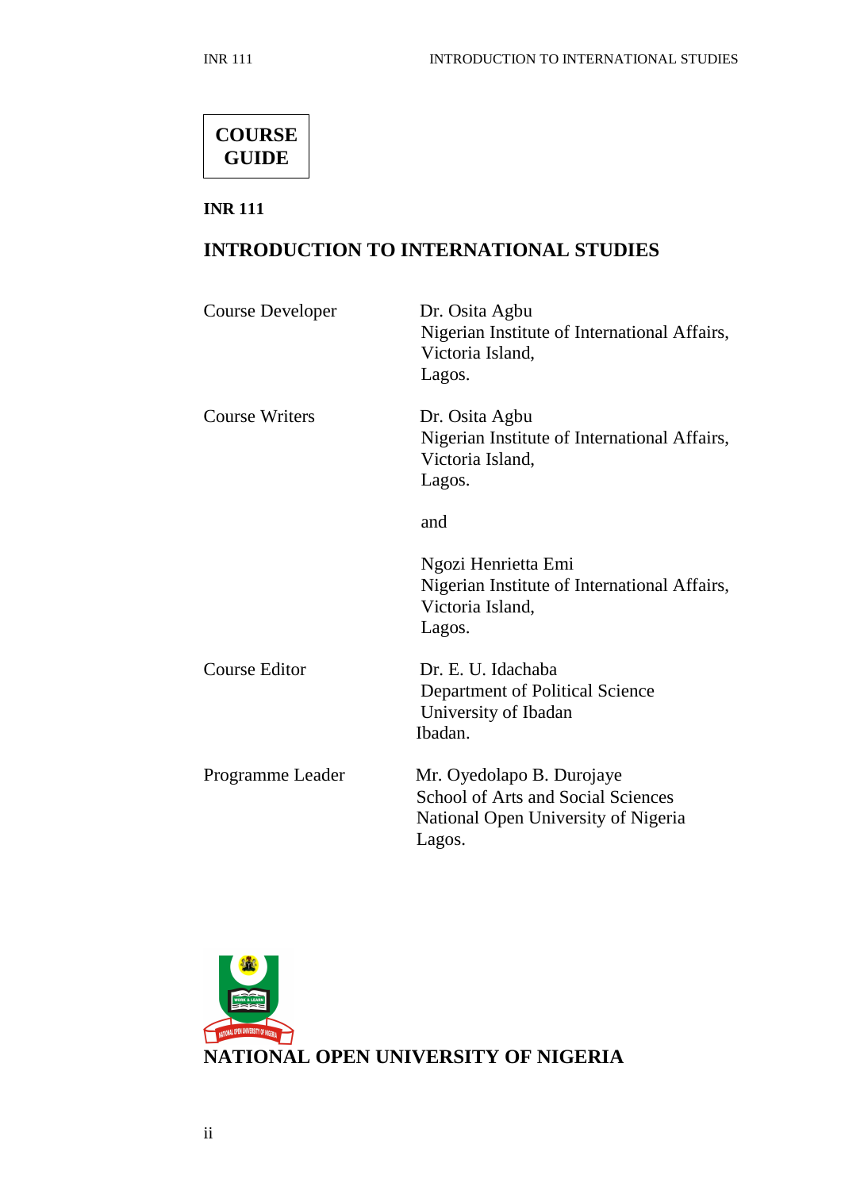

#### **INR 111**

# **INTRODUCTION TO INTERNATIONAL STUDIES**

| Course Developer      | Dr. Osita Agbu<br>Nigerian Institute of International Affairs,<br>Victoria Island,<br>Lagos.                     |
|-----------------------|------------------------------------------------------------------------------------------------------------------|
| <b>Course Writers</b> | Dr. Osita Agbu<br>Nigerian Institute of International Affairs,<br>Victoria Island,<br>Lagos.                     |
|                       | and                                                                                                              |
|                       | Ngozi Henrietta Emi<br>Nigerian Institute of International Affairs,<br>Victoria Island,<br>Lagos.                |
| <b>Course Editor</b>  | Dr. E. U. Idachaba<br>Department of Political Science<br>University of Ibadan<br>Ibadan.                         |
| Programme Leader      | Mr. Oyedolapo B. Durojaye<br>School of Arts and Social Sciences<br>National Open University of Nigeria<br>Lagos. |

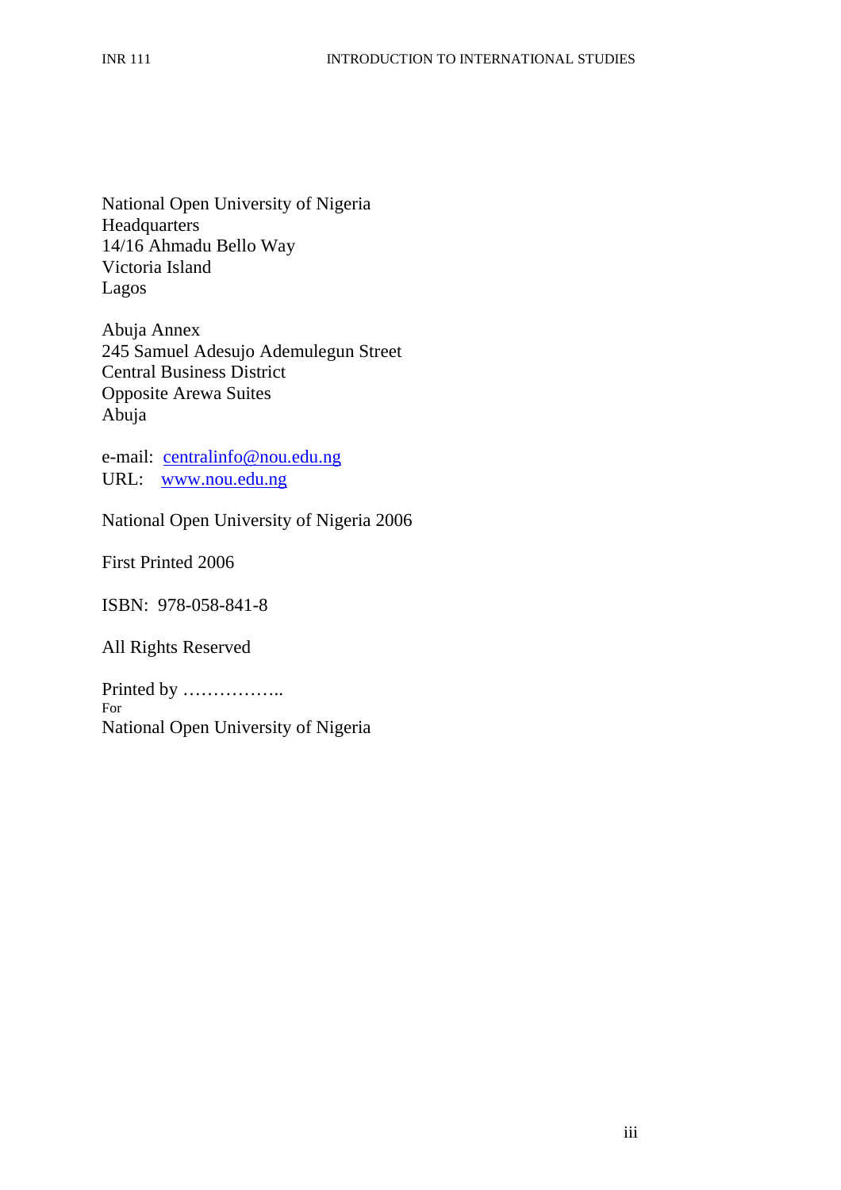National Open University of Nigeria Headquarters 14/16 Ahmadu Bello Way Victoria Island Lagos

Abuja Annex 245 Samuel Adesujo Ademulegun Street Central Business District Opposite Arewa Suites Abuja

e-mail: centralinfo@nou.edu.ng URL: www.nou.edu.ng

National Open University of Nigeria 2006

First Printed 2006

ISBN: 978-058-841-8

All Rights Reserved

Printed by …………….. For National Open University of Nigeria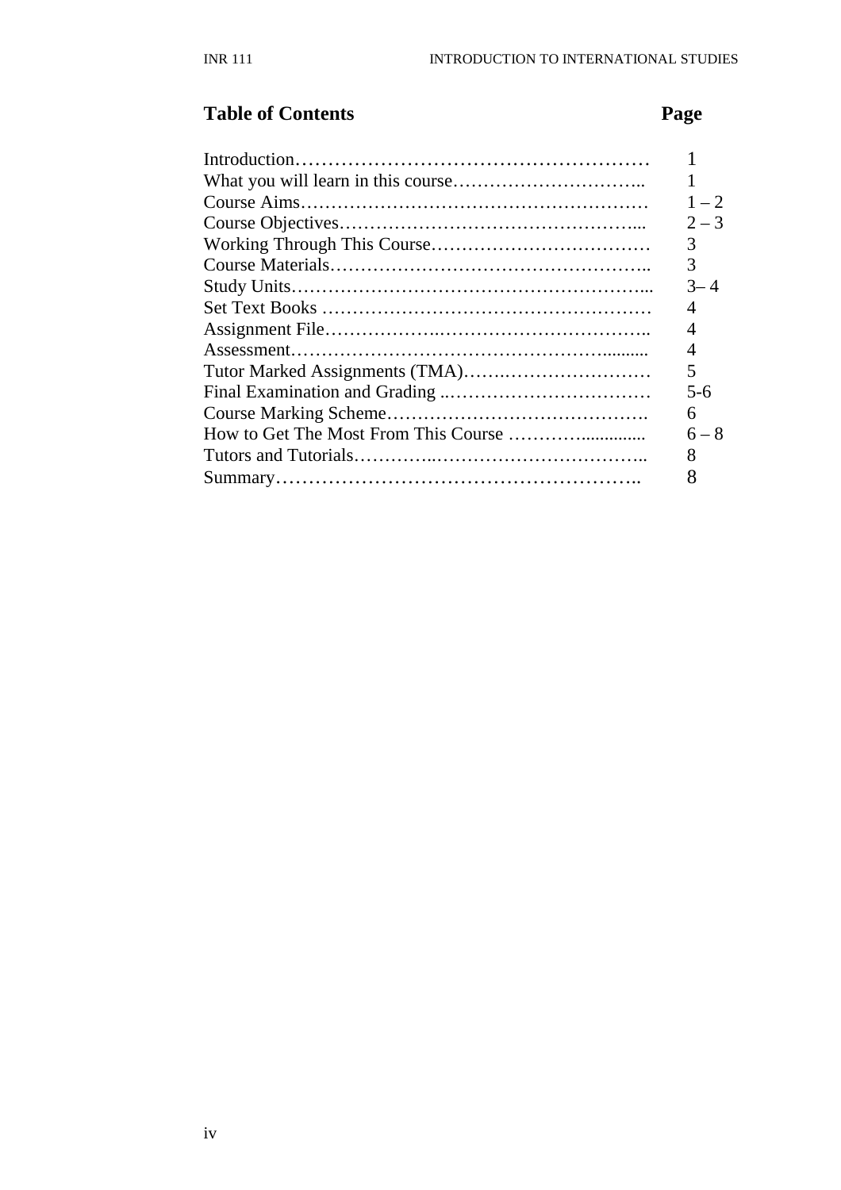# **Table of Contents** Page

| $1 - 2$ |
|---------|
| $2 - 3$ |
| 3       |
| 3       |
| $3 - 4$ |
| 4       |
| 4       |
| 4       |
| 5       |
| $5-6$   |
| 6       |
| $6 - 8$ |
| 8       |
| 8       |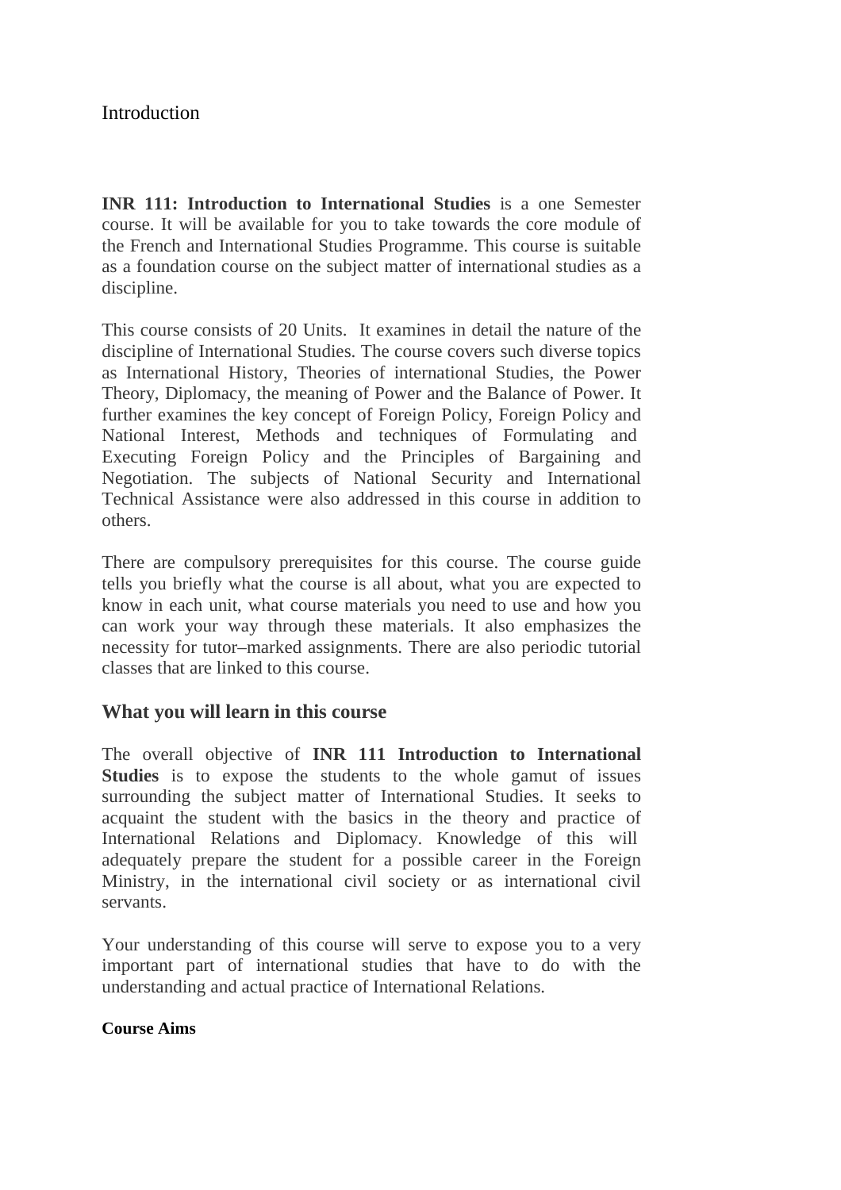#### Introduction

**INR 111: Introduction to International Studies** is a one Semester course. It will be available for you to take towards the core module of the French and International Studies Programme. This course is suitable as a foundation course on the subject matter of international studies as a discipline.

This course consists of 20 Units. It examines in detail the nature of the discipline of International Studies. The course covers such diverse topics as International History, Theories of international Studies, the Power Theory, Diplomacy, the meaning of Power and the Balance of Power. It further examines the key concept of Foreign Policy, Foreign Policy and National Interest, Methods and techniques of Formulating and Executing Foreign Policy and the Principles of Bargaining and Negotiation. The subjects of National Security and International Technical Assistance were also addressed in this course in addition to others.

There are compulsory prerequisites for this course. The course guide tells you briefly what the course is all about, what you are expected to know in each unit, what course materials you need to use and how you can work your way through these materials. It also emphasizes the necessity for tutor–marked assignments. There are also periodic tutorial classes that are linked to this course.

#### **What you will learn in this course**

The overall objective of **INR 111 Introduction to International Studies** is to expose the students to the whole gamut of issues surrounding the subject matter of International Studies. It seeks to acquaint the student with the basics in the theory and practice of International Relations and Diplomacy. Knowledge of this will adequately prepare the student for a possible career in the Foreign Ministry, in the international civil society or as international civil servants.

Your understanding of this course will serve to expose you to a very important part of international studies that have to do with the understanding and actual practice of International Relations.

#### **Course Aims**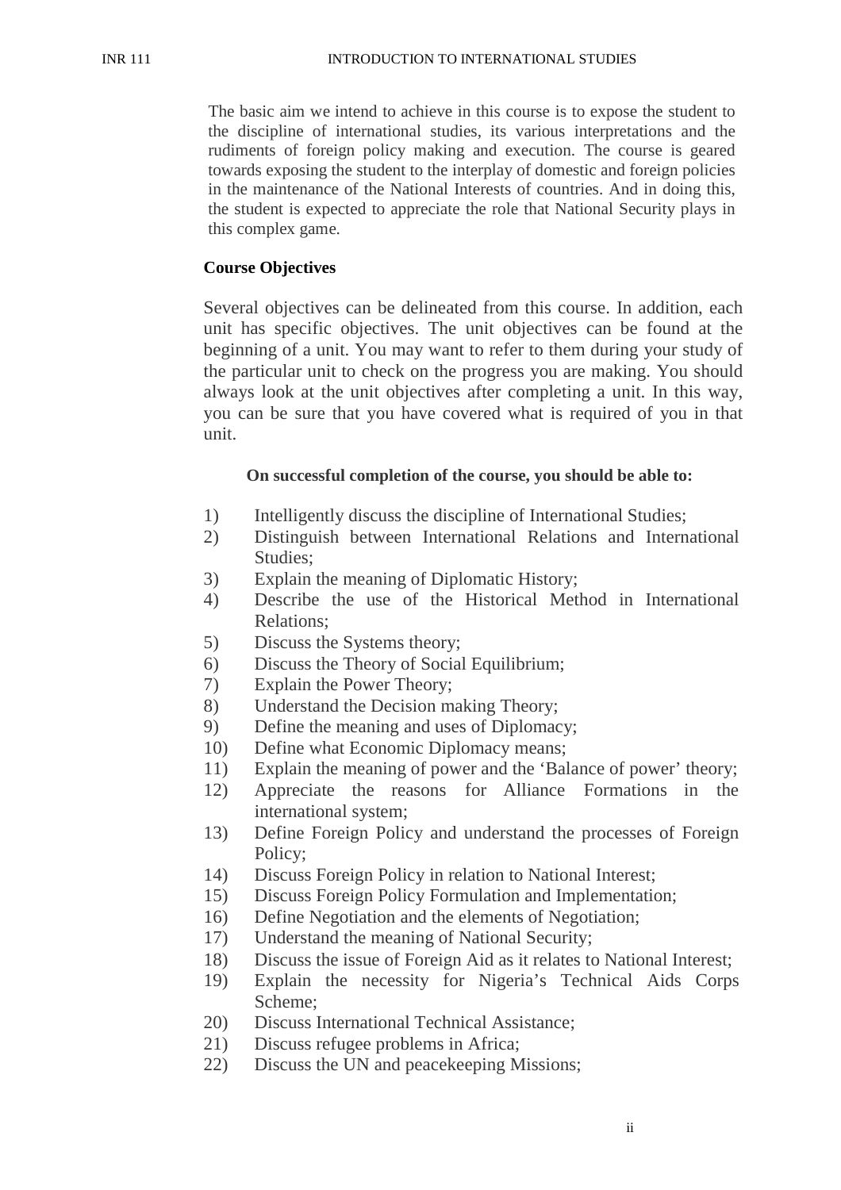The basic aim we intend to achieve in this course is to expose the student to the discipline of international studies, its various interpretations and the rudiments of foreign policy making and execution. The course is geared towards exposing the student to the interplay of domestic and foreign policies in the maintenance of the National Interests of countries. And in doing this, the student is expected to appreciate the role that National Security plays in this complex game.

#### **Course Objectives**

Several objectives can be delineated from this course. In addition, each unit has specific objectives. The unit objectives can be found at the beginning of a unit. You may want to refer to them during your study of the particular unit to check on the progress you are making. You should always look at the unit objectives after completing a unit. In this way, you can be sure that you have covered what is required of you in that unit.

#### **On successful completion of the course, you should be able to:**

- 1) Intelligently discuss the discipline of International Studies;
- 2) Distinguish between International Relations and International Studies;
- 3) Explain the meaning of Diplomatic History;
- 4) Describe the use of the Historical Method in International Relations;
- 5) Discuss the Systems theory;
- 6) Discuss the Theory of Social Equilibrium;
- 7) Explain the Power Theory;
- 8) Understand the Decision making Theory;
- 9) Define the meaning and uses of Diplomacy;
- 10) Define what Economic Diplomacy means;
- 11) Explain the meaning of power and the 'Balance of power' theory;
- 12) Appreciate the reasons for Alliance Formations in the international system;
- 13) Define Foreign Policy and understand the processes of Foreign Policy;
- 14) Discuss Foreign Policy in relation to National Interest;
- 15) Discuss Foreign Policy Formulation and Implementation;
- 16) Define Negotiation and the elements of Negotiation;
- 17) Understand the meaning of National Security;
- 18) Discuss the issue of Foreign Aid as it relates to National Interest;
- 19) Explain the necessity for Nigeria's Technical Aids Corps Scheme;
- 20) Discuss International Technical Assistance;
- 21) Discuss refugee problems in Africa;
- 22) Discuss the UN and peacekeeping Missions;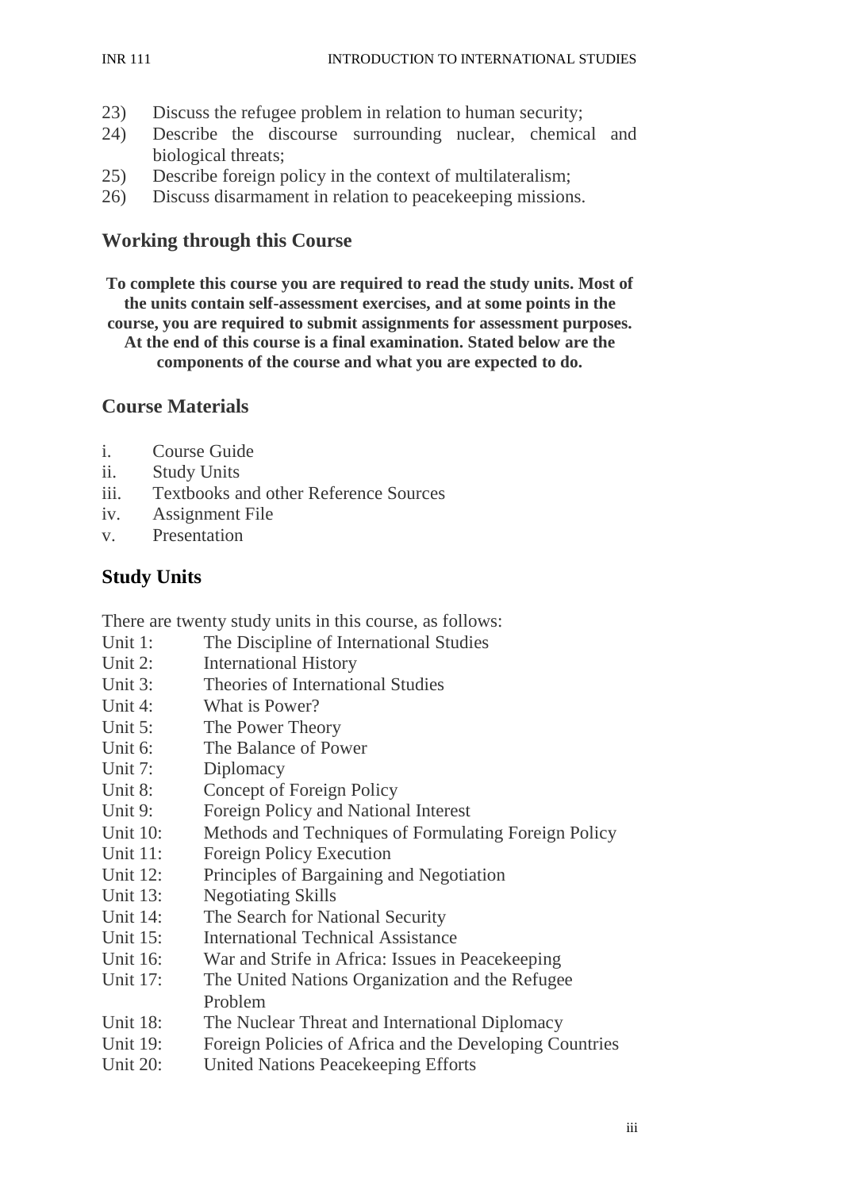- 23) Discuss the refugee problem in relation to human security;
- 24) Describe the discourse surrounding nuclear, chemical and biological threats;
- 25) Describe foreign policy in the context of multilateralism;
- 26) Discuss disarmament in relation to peacekeeping missions.

## **Working through this Course**

**To complete this course you are required to read the study units. Most of the units contain self-assessment exercises, and at some points in the course, you are required to submit assignments for assessment purposes.** 

**At the end of this course is a final examination. Stated below are the components of the course and what you are expected to do.**

## **Course Materials**

- i. Course Guide
- ii. Study Units
- iii. Textbooks and other Reference Sources
- iv. Assignment File
- v. Presentation

# **Study Units**

There are twenty study units in this course, as follows:

- Unit 1: The Discipline of International Studies
- Unit 2: International History
- Unit 3: Theories of International Studies
- Unit 4: What is Power?
- Unit 5: The Power Theory
- Unit 6: The Balance of Power
- Unit 7: Diplomacy
- Unit 8: Concept of Foreign Policy
- Unit 9: Foreign Policy and National Interest
- Unit 10: Methods and Techniques of Formulating Foreign Policy
- Unit 11: Foreign Policy Execution
- Unit 12: Principles of Bargaining and Negotiation
- Unit 13: Negotiating Skills
- Unit 14: The Search for National Security
- Unit 15: International Technical Assistance
- Unit 16: War and Strife in Africa: Issues in Peacekeeping
- Unit 17: The United Nations Organization and the Refugee Problem
- Unit 18: The Nuclear Threat and International Diplomacy
- Unit 19: Foreign Policies of Africa and the Developing Countries
- Unit 20: United Nations Peacekeeping Efforts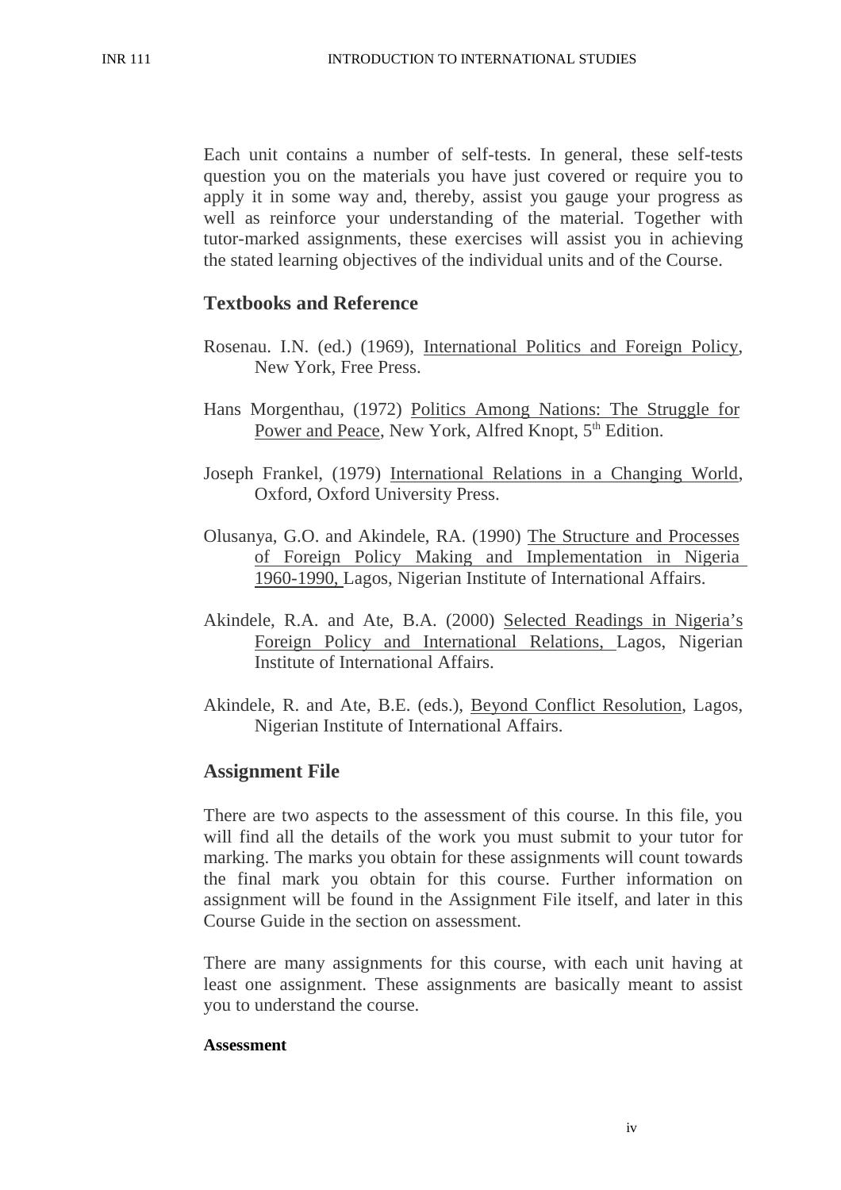Each unit contains a number of self-tests. In general, these self-tests question you on the materials you have just covered or require you to apply it in some way and, thereby, assist you gauge your progress as well as reinforce your understanding of the material. Together with tutor-marked assignments, these exercises will assist you in achieving the stated learning objectives of the individual units and of the Course.

#### **Textbooks and Reference**

- Rosenau. I.N. (ed.) (1969), International Politics and Foreign Policy, New York, Free Press.
- Hans Morgenthau, (1972) Politics Among Nations: The Struggle for Power and Peace, New York, Alfred Knopt, 5<sup>th</sup> Edition.
- Joseph Frankel, (1979) International Relations in a Changing World, Oxford, Oxford University Press.
- Olusanya, G.O. and Akindele, RA. (1990) The Structure and Processes of Foreign Policy Making and Implementation in Nigeria 1960-1990, Lagos, Nigerian Institute of International Affairs.
- Akindele, R.A. and Ate, B.A. (2000) Selected Readings in Nigeria's Foreign Policy and International Relations, Lagos, Nigerian Institute of International Affairs.
- Akindele, R. and Ate, B.E. (eds.), Beyond Conflict Resolution, Lagos, Nigerian Institute of International Affairs.

#### **Assignment File**

There are two aspects to the assessment of this course. In this file, you will find all the details of the work you must submit to your tutor for marking. The marks you obtain for these assignments will count towards the final mark you obtain for this course. Further information on assignment will be found in the Assignment File itself, and later in this Course Guide in the section on assessment.

There are many assignments for this course, with each unit having at least one assignment. These assignments are basically meant to assist you to understand the course.

#### **Assessment**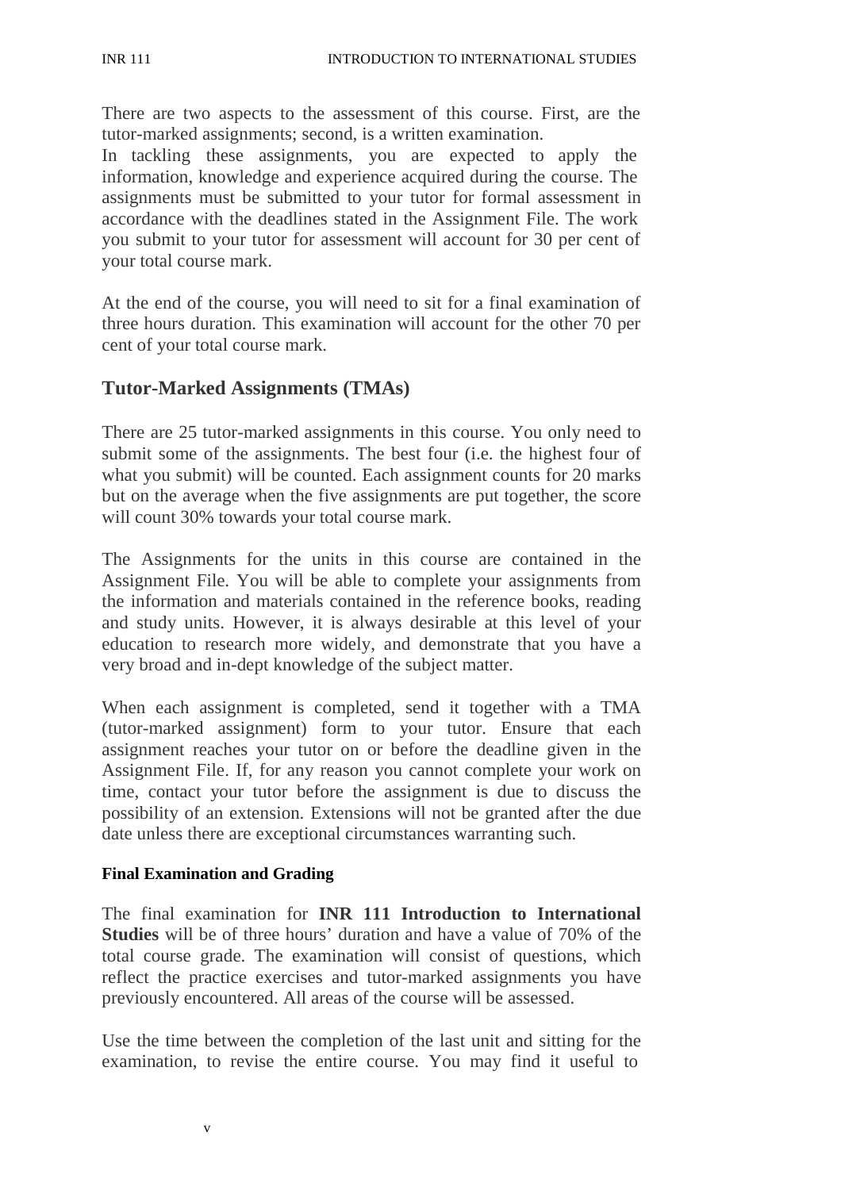There are two aspects to the assessment of this course. First, are the tutor-marked assignments; second, is a written examination.

In tackling these assignments, you are expected to apply the information, knowledge and experience acquired during the course. The assignments must be submitted to your tutor for formal assessment in accordance with the deadlines stated in the Assignment File. The work you submit to your tutor for assessment will account for 30 per cent of your total course mark.

At the end of the course, you will need to sit for a final examination of three hours duration. This examination will account for the other 70 per cent of your total course mark.

# **Tutor-Marked Assignments (TMAs)**

There are 25 tutor-marked assignments in this course. You only need to submit some of the assignments. The best four (i.e. the highest four of what you submit) will be counted. Each assignment counts for 20 marks but on the average when the five assignments are put together, the score will count 30% towards your total course mark.

The Assignments for the units in this course are contained in the Assignment File. You will be able to complete your assignments from the information and materials contained in the reference books, reading and study units. However, it is always desirable at this level of your education to research more widely, and demonstrate that you have a very broad and in-dept knowledge of the subject matter.

When each assignment is completed, send it together with a TMA (tutor-marked assignment) form to your tutor. Ensure that each assignment reaches your tutor on or before the deadline given in the Assignment File. If, for any reason you cannot complete your work on time, contact your tutor before the assignment is due to discuss the possibility of an extension. Extensions will not be granted after the due date unless there are exceptional circumstances warranting such.

#### **Final Examination and Grading**

The final examination for **INR 111 Introduction to International Studies** will be of three hours' duration and have a value of 70% of the total course grade. The examination will consist of questions, which reflect the practice exercises and tutor-marked assignments you have previously encountered. All areas of the course will be assessed.

Use the time between the completion of the last unit and sitting for the examination, to revise the entire course. You may find it useful to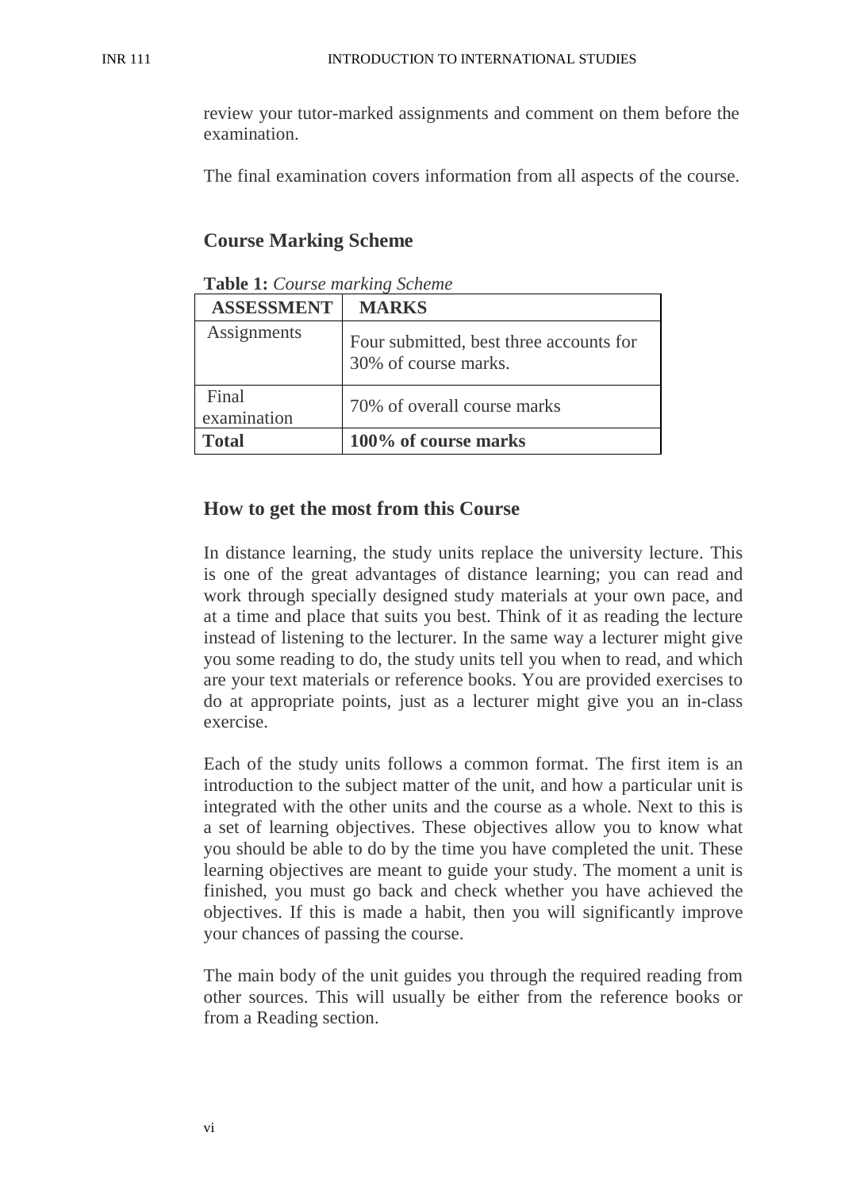review your tutor-marked assignments and comment on them before the examination.

The final examination covers information from all aspects of the course.

## **Course Marking Scheme**

| <b>Table 1:</b> Course marking Scheme |                                                                 |  |
|---------------------------------------|-----------------------------------------------------------------|--|
| <b>ASSESSMENT</b>                     | <b>MARKS</b>                                                    |  |
| Assignments                           | Four submitted, best three accounts for<br>30% of course marks. |  |
| Final<br>examination                  | 70% of overall course marks                                     |  |
| Total                                 | 100% of course marks                                            |  |

**Table 1:** *Course marking Scheme*

#### **How to get the most from this Course**

In distance learning, the study units replace the university lecture. This is one of the great advantages of distance learning; you can read and work through specially designed study materials at your own pace, and at a time and place that suits you best. Think of it as reading the lecture instead of listening to the lecturer. In the same way a lecturer might give you some reading to do, the study units tell you when to read, and which are your text materials or reference books. You are provided exercises to do at appropriate points, just as a lecturer might give you an in-class exercise.

Each of the study units follows a common format. The first item is an introduction to the subject matter of the unit, and how a particular unit is integrated with the other units and the course as a whole. Next to this is a set of learning objectives. These objectives allow you to know what you should be able to do by the time you have completed the unit. These learning objectives are meant to guide your study. The moment a unit is finished, you must go back and check whether you have achieved the objectives. If this is made a habit, then you will significantly improve your chances of passing the course.

The main body of the unit guides you through the required reading from other sources. This will usually be either from the reference books or from a Reading section.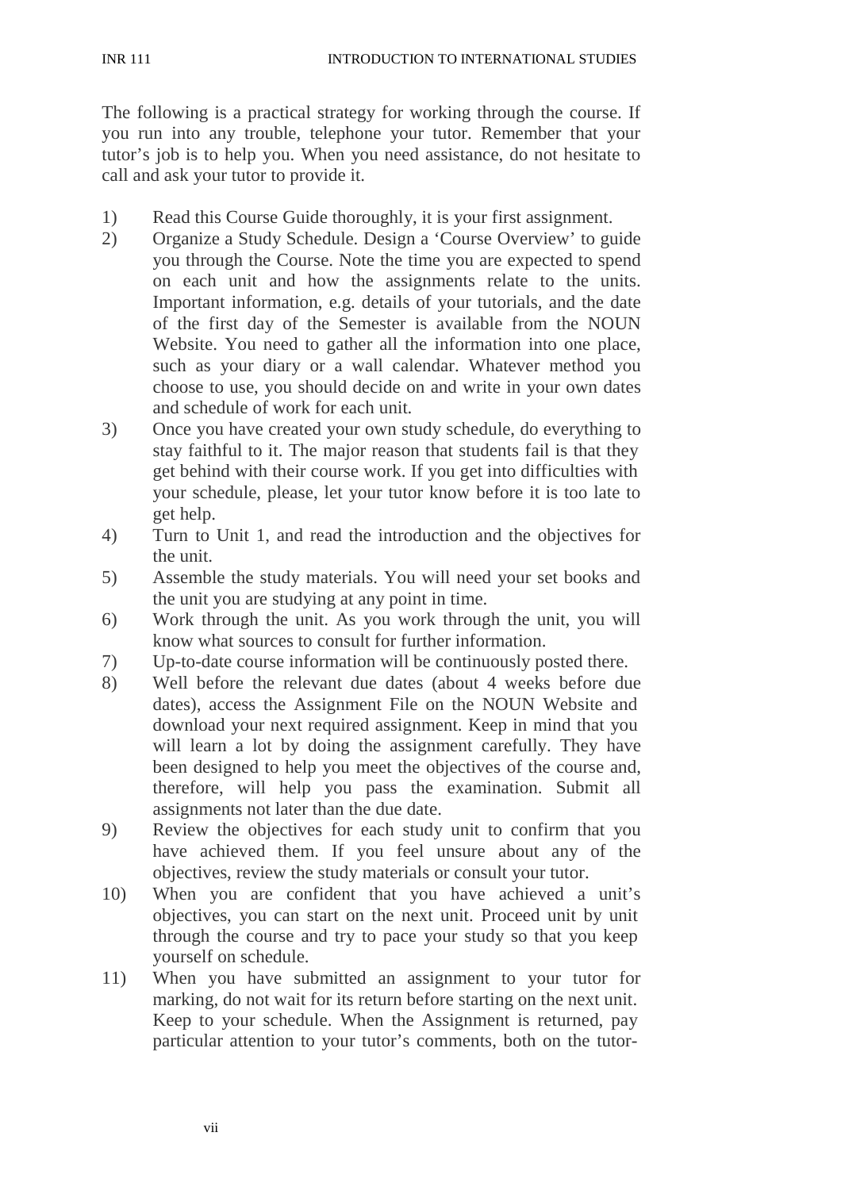The following is a practical strategy for working through the course. If you run into any trouble, telephone your tutor. Remember that your tutor's job is to help you. When you need assistance, do not hesitate to call and ask your tutor to provide it.

- 1) Read this Course Guide thoroughly, it is your first assignment.
- 2) Organize a Study Schedule. Design a 'Course Overview' to guide you through the Course. Note the time you are expected to spend on each unit and how the assignments relate to the units. Important information, e.g. details of your tutorials, and the date of the first day of the Semester is available from the NOUN Website. You need to gather all the information into one place, such as your diary or a wall calendar. Whatever method you choose to use, you should decide on and write in your own dates and schedule of work for each unit.
- 3) Once you have created your own study schedule, do everything to stay faithful to it. The major reason that students fail is that they get behind with their course work. If you get into difficulties with your schedule, please, let your tutor know before it is too late to get help.
- 4) Turn to Unit 1, and read the introduction and the objectives for the unit.
- 5) Assemble the study materials. You will need your set books and the unit you are studying at any point in time.
- 6) Work through the unit. As you work through the unit, you will know what sources to consult for further information.
- 7) Up-to-date course information will be continuously posted there.
- 8) Well before the relevant due dates (about 4 weeks before due dates), access the Assignment File on the NOUN Website and download your next required assignment. Keep in mind that you will learn a lot by doing the assignment carefully. They have been designed to help you meet the objectives of the course and, therefore, will help you pass the examination. Submit all assignments not later than the due date.
- 9) Review the objectives for each study unit to confirm that you have achieved them. If you feel unsure about any of the objectives, review the study materials or consult your tutor.
- 10) When you are confident that you have achieved a unit's objectives, you can start on the next unit. Proceed unit by unit through the course and try to pace your study so that you keep yourself on schedule.
- 11) When you have submitted an assignment to your tutor for marking, do not wait for its return before starting on the next unit. Keep to your schedule. When the Assignment is returned, pay particular attention to your tutor's comments, both on the tutor-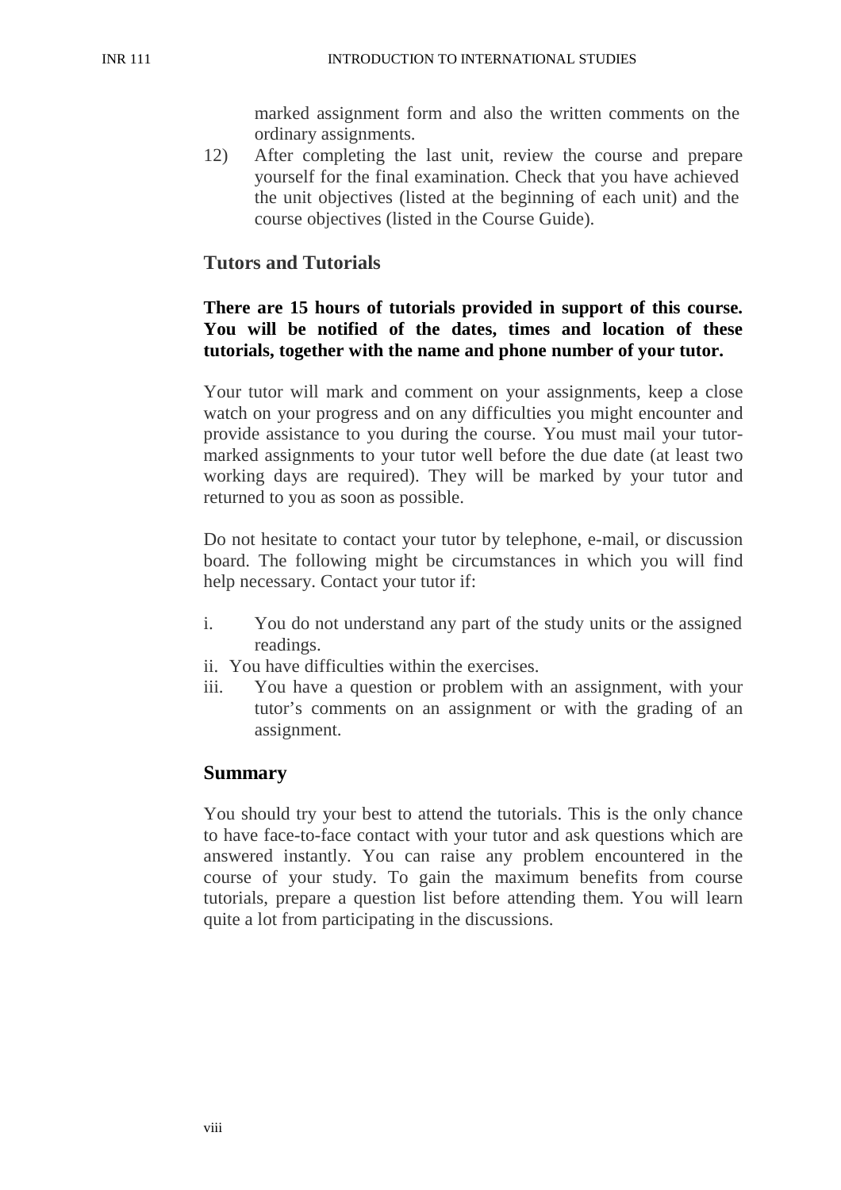marked assignment form and also the written comments on the ordinary assignments.

12) After completing the last unit, review the course and prepare yourself for the final examination. Check that you have achieved the unit objectives (listed at the beginning of each unit) and the course objectives (listed in the Course Guide).

## **Tutors and Tutorials**

#### **There are 15 hours of tutorials provided in support of this course. You will be notified of the dates, times and location of these tutorials, together with the name and phone number of your tutor.**

Your tutor will mark and comment on your assignments, keep a close watch on your progress and on any difficulties you might encounter and provide assistance to you during the course. You must mail your tutormarked assignments to your tutor well before the due date (at least two working days are required). They will be marked by your tutor and returned to you as soon as possible.

Do not hesitate to contact your tutor by telephone, e-mail, or discussion board. The following might be circumstances in which you will find help necessary. Contact your tutor if:

- i. You do not understand any part of the study units or the assigned readings.
- ii. You have difficulties within the exercises.
- iii. You have a question or problem with an assignment, with your tutor's comments on an assignment or with the grading of an assignment.

#### **Summary**

You should try your best to attend the tutorials. This is the only chance to have face-to-face contact with your tutor and ask questions which are answered instantly. You can raise any problem encountered in the course of your study. To gain the maximum benefits from course tutorials, prepare a question list before attending them. You will learn quite a lot from participating in the discussions.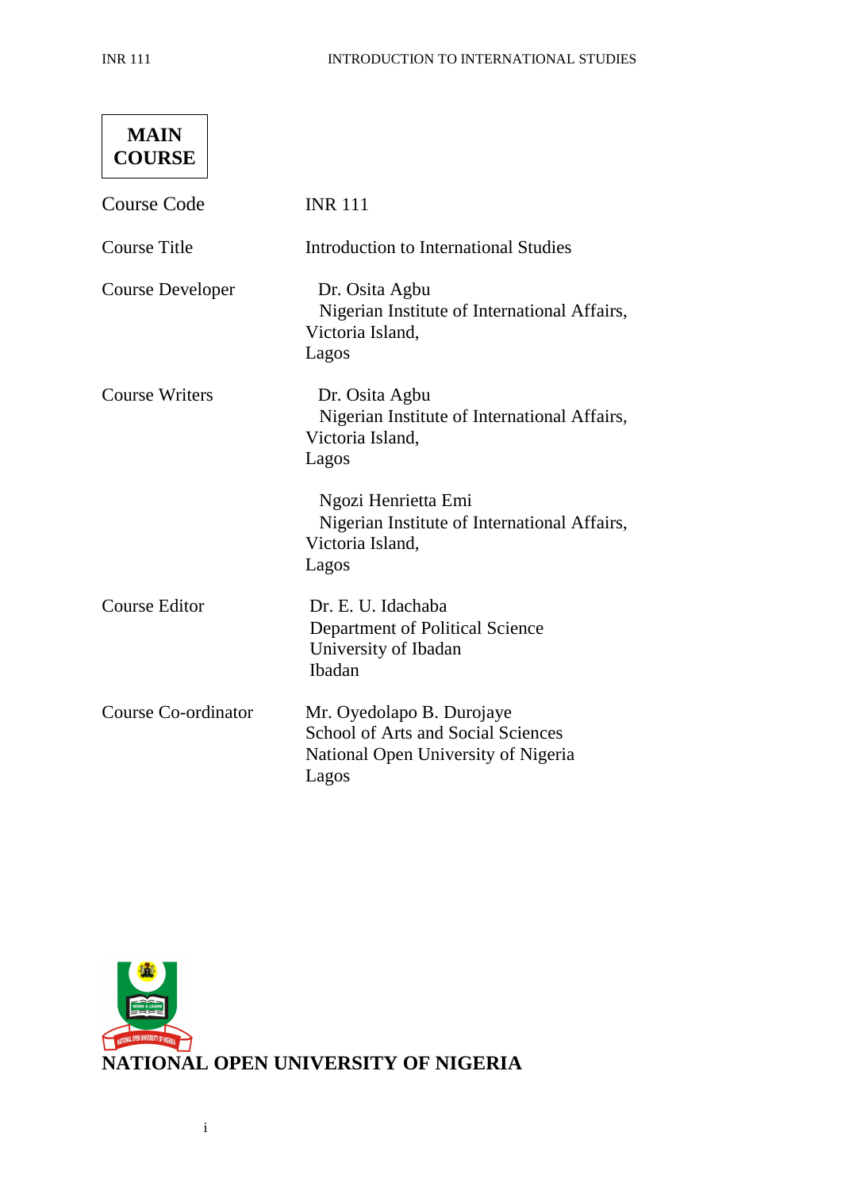$\overline{\phantom{a}}$ 

| <b>MAIN</b><br><b>COURSE</b> |                                                                                                                        |
|------------------------------|------------------------------------------------------------------------------------------------------------------------|
| <b>Course Code</b>           | <b>INR 111</b>                                                                                                         |
| <b>Course Title</b>          | <b>Introduction to International Studies</b>                                                                           |
| Course Developer             | Dr. Osita Agbu<br>Nigerian Institute of International Affairs,<br>Victoria Island,<br>Lagos                            |
| <b>Course Writers</b>        | Dr. Osita Agbu<br>Nigerian Institute of International Affairs,<br>Victoria Island,<br>Lagos                            |
|                              | Ngozi Henrietta Emi<br>Nigerian Institute of International Affairs,<br>Victoria Island,<br>Lagos                       |
| <b>Course Editor</b>         | Dr. E. U. Idachaba<br>Department of Political Science<br>University of Ibadan<br>Ibadan                                |
| Course Co-ordinator          | Mr. Oyedolapo B. Durojaye<br><b>School of Arts and Social Sciences</b><br>National Open University of Nigeria<br>Lagos |

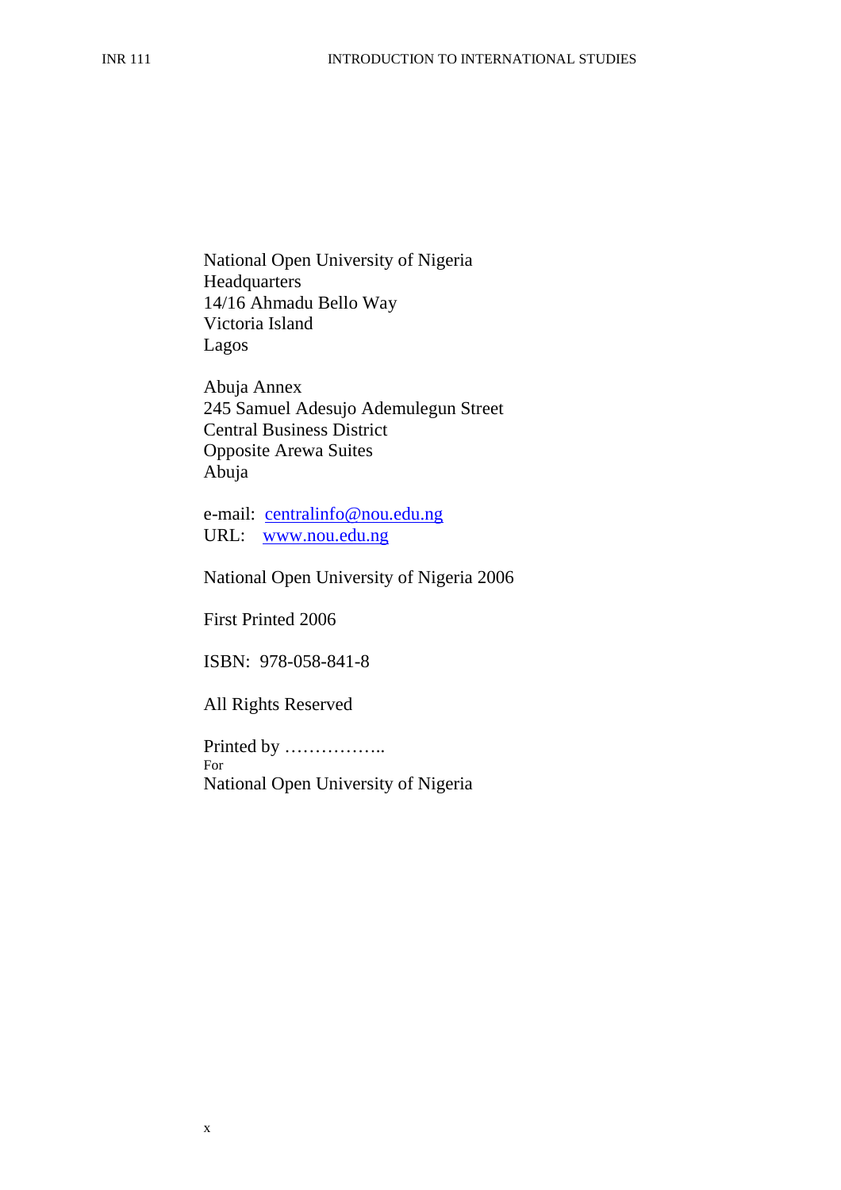National Open University of Nigeria **Headquarters** 14/16 Ahmadu Bello Way Victoria Island Lagos

Abuja Annex 245 Samuel Adesujo Ademulegun Street Central Business District Opposite Arewa Suites Abuja

e-mail: centralinfo@nou.edu.ng URL: www.nou.edu.ng

National Open University of Nigeria 2006

First Printed 2006

ISBN: 978-058-841-8

All Rights Reserved

Printed by …………….. For National Open University of Nigeria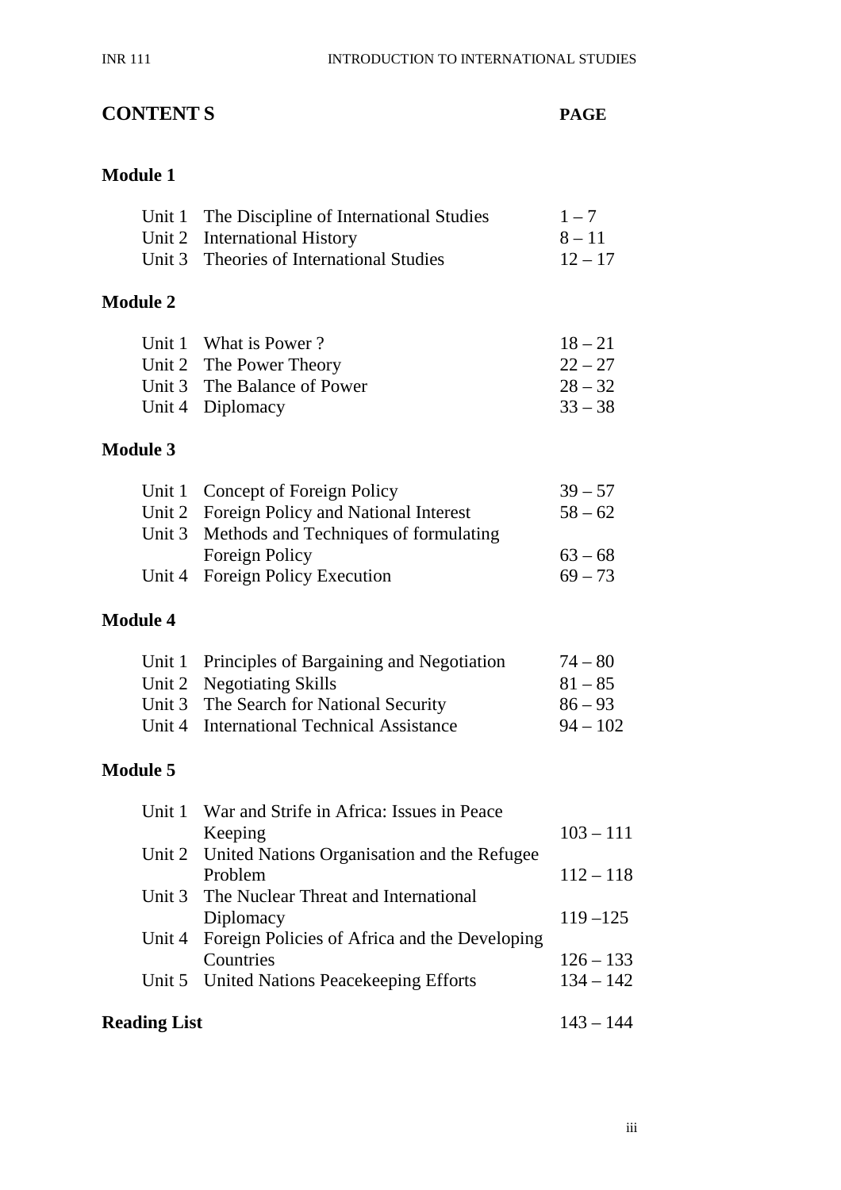# **CONTENT S PAGE**

# **Module 1**

| Unit 1 The Discipline of International Studies | $1 - 7$   |
|------------------------------------------------|-----------|
| Unit 2 International History                   | $8 - 11$  |
| Unit 3 Theories of International Studies       | $12 - 17$ |

## **Module 2**

| Unit 1 What is Power?       | $18 - 21$ |
|-----------------------------|-----------|
| Unit 2 The Power Theory     | $22 - 27$ |
| Unit 3 The Balance of Power | $28 - 32$ |
| Unit 4 Diplomacy            | $33 - 38$ |
|                             |           |

# **Module 3**

| Unit 1 Concept of Foreign Policy             | $39 - 57$ |
|----------------------------------------------|-----------|
| Unit 2 Foreign Policy and National Interest  | $58 - 62$ |
| Unit 3 Methods and Techniques of formulating |           |
| Foreign Policy                               | $63 - 68$ |
| Unit 4 Foreign Policy Execution              | $69 - 73$ |

# **Module 4**

| Unit 1 Principles of Bargaining and Negotiation | $74 - 80$  |
|-------------------------------------------------|------------|
| Unit 2 Negotiating Skills                       | $81 - 85$  |
| Unit 3 The Search for National Security         | $86 - 93$  |
| Unit 4 International Technical Assistance       | $94 - 102$ |

# **Module 5**

| Keeping   | $103 - 111$                                                                                                                                                                                                                                                                        |
|-----------|------------------------------------------------------------------------------------------------------------------------------------------------------------------------------------------------------------------------------------------------------------------------------------|
|           |                                                                                                                                                                                                                                                                                    |
| Problem   | $112 - 118$                                                                                                                                                                                                                                                                        |
|           |                                                                                                                                                                                                                                                                                    |
| Diplomacy | $119 - 125$                                                                                                                                                                                                                                                                        |
|           |                                                                                                                                                                                                                                                                                    |
| Countries | $126 - 133$                                                                                                                                                                                                                                                                        |
|           | $134 - 142$                                                                                                                                                                                                                                                                        |
|           |                                                                                                                                                                                                                                                                                    |
|           | $143 - 144$                                                                                                                                                                                                                                                                        |
|           | Unit 1 War and Strife in Africa: Issues in Peace<br>Unit 2 United Nations Organisation and the Refugee<br>Unit 3 The Nuclear Threat and International<br>Unit 4 Foreign Policies of Africa and the Developing<br>Unit 5 United Nations Peacekeeping Efforts<br><b>Reading List</b> |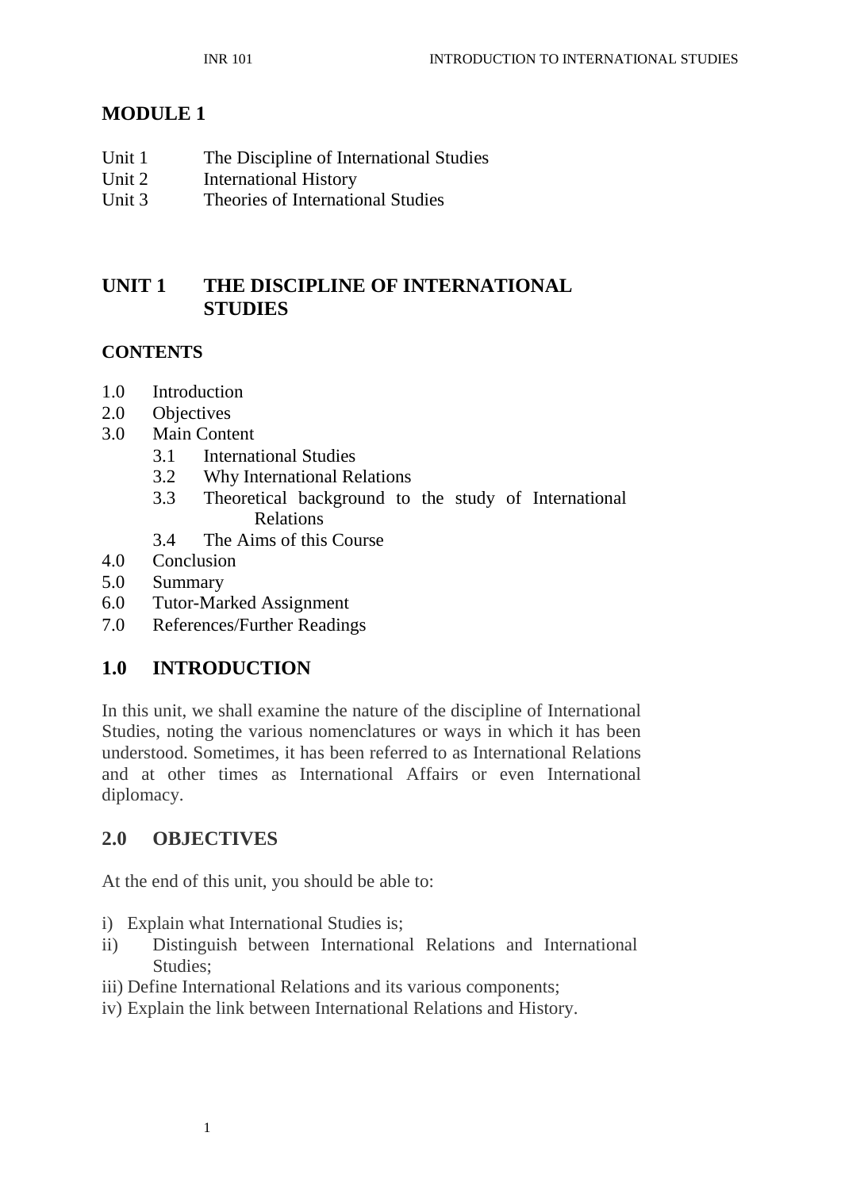# **MODULE 1**

| Unit 1 | The Discipline of International Studies |
|--------|-----------------------------------------|
| Unit 2 | <b>International History</b>            |
|        |                                         |

Unit 3 Theories of International Studies

# **UNIT 1 THE DISCIPLINE OF INTERNATIONAL STUDIES**

#### **CONTENTS**

- 1.0 Introduction
- 2.0 Objectives
- 3.0 Main Content
	- 3.1 International Studies
	- 3.2 Why International Relations
	- 3.3 Theoretical background to the study of International Relations
	- 3.4 The Aims of this Course
- 4.0 Conclusion
- 5.0 Summary
- 6.0 Tutor-Marked Assignment
- 7.0 References/Further Readings

## **1.0 INTRODUCTION**

In this unit, we shall examine the nature of the discipline of International Studies, noting the various nomenclatures or ways in which it has been understood. Sometimes, it has been referred to as International Relations and at other times as International Affairs or even International diplomacy.

## **2.0 OBJECTIVES**

At the end of this unit, you should be able to:

- i) Explain what International Studies is;
- ii) Distinguish between International Relations and International Studies;
- iii) Define International Relations and its various components;
- iv) Explain the link between International Relations and History.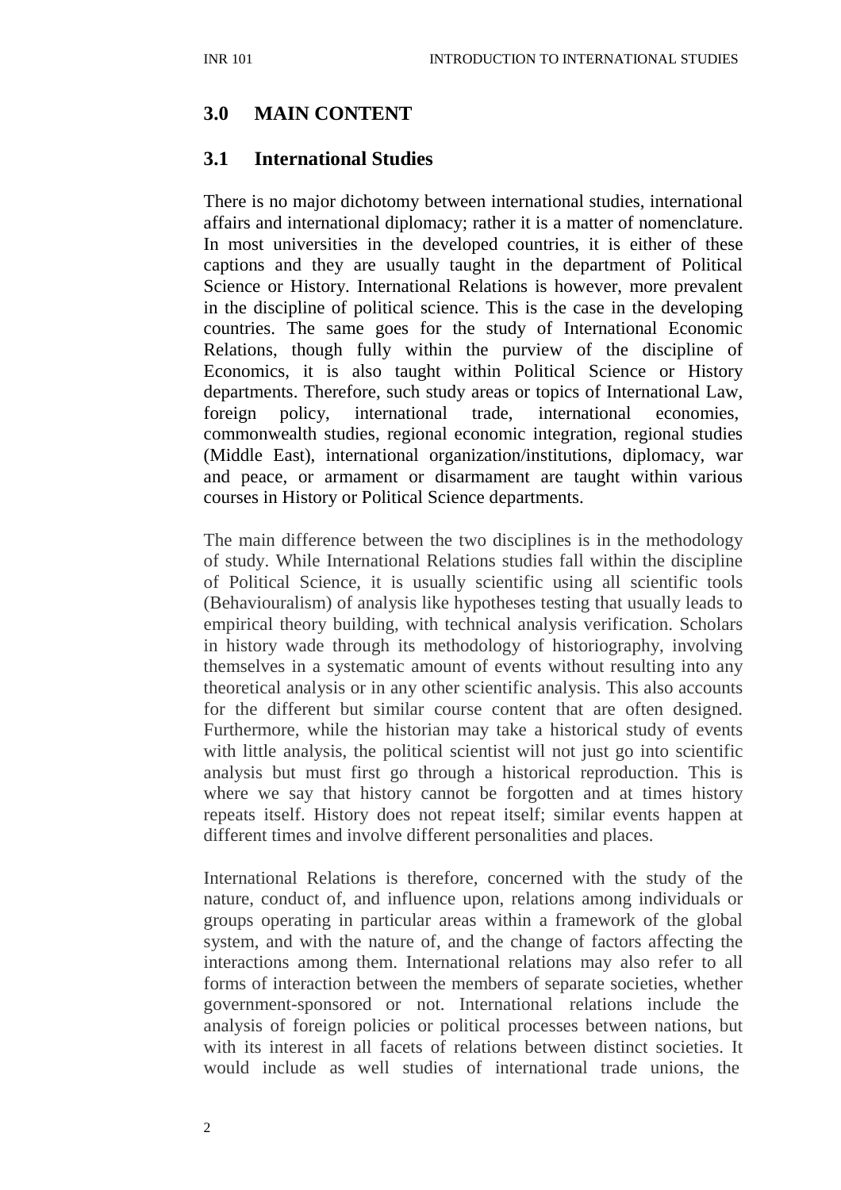#### **3.0 MAIN CONTENT**

#### **3.1 International Studies**

There is no major dichotomy between international studies, international affairs and international diplomacy; rather it is a matter of nomenclature. In most universities in the developed countries, it is either of these captions and they are usually taught in the department of Political Science or History. International Relations is however, more prevalent in the discipline of political science. This is the case in the developing countries. The same goes for the study of International Economic Relations, though fully within the purview of the discipline of Economics, it is also taught within Political Science or History departments. Therefore, such study areas or topics of International Law, foreign policy, international trade, international economies, commonwealth studies, regional economic integration, regional studies (Middle East), international organization/institutions, diplomacy, war and peace, or armament or disarmament are taught within various courses in History or Political Science departments.

The main difference between the two disciplines is in the methodology of study. While International Relations studies fall within the discipline of Political Science, it is usually scientific using all scientific tools (Behaviouralism) of analysis like hypotheses testing that usually leads to empirical theory building, with technical analysis verification. Scholars in history wade through its methodology of historiography, involving themselves in a systematic amount of events without resulting into any theoretical analysis or in any other scientific analysis. This also accounts for the different but similar course content that are often designed. Furthermore, while the historian may take a historical study of events with little analysis, the political scientist will not just go into scientific analysis but must first go through a historical reproduction. This is where we say that history cannot be forgotten and at times history repeats itself. History does not repeat itself; similar events happen at different times and involve different personalities and places.

International Relations is therefore, concerned with the study of the nature, conduct of, and influence upon, relations among individuals or groups operating in particular areas within a framework of the global system, and with the nature of, and the change of factors affecting the interactions among them. International relations may also refer to all forms of interaction between the members of separate societies, whether government-sponsored or not. International relations include the analysis of foreign policies or political processes between nations, but with its interest in all facets of relations between distinct societies. It would include as well studies of international trade unions, the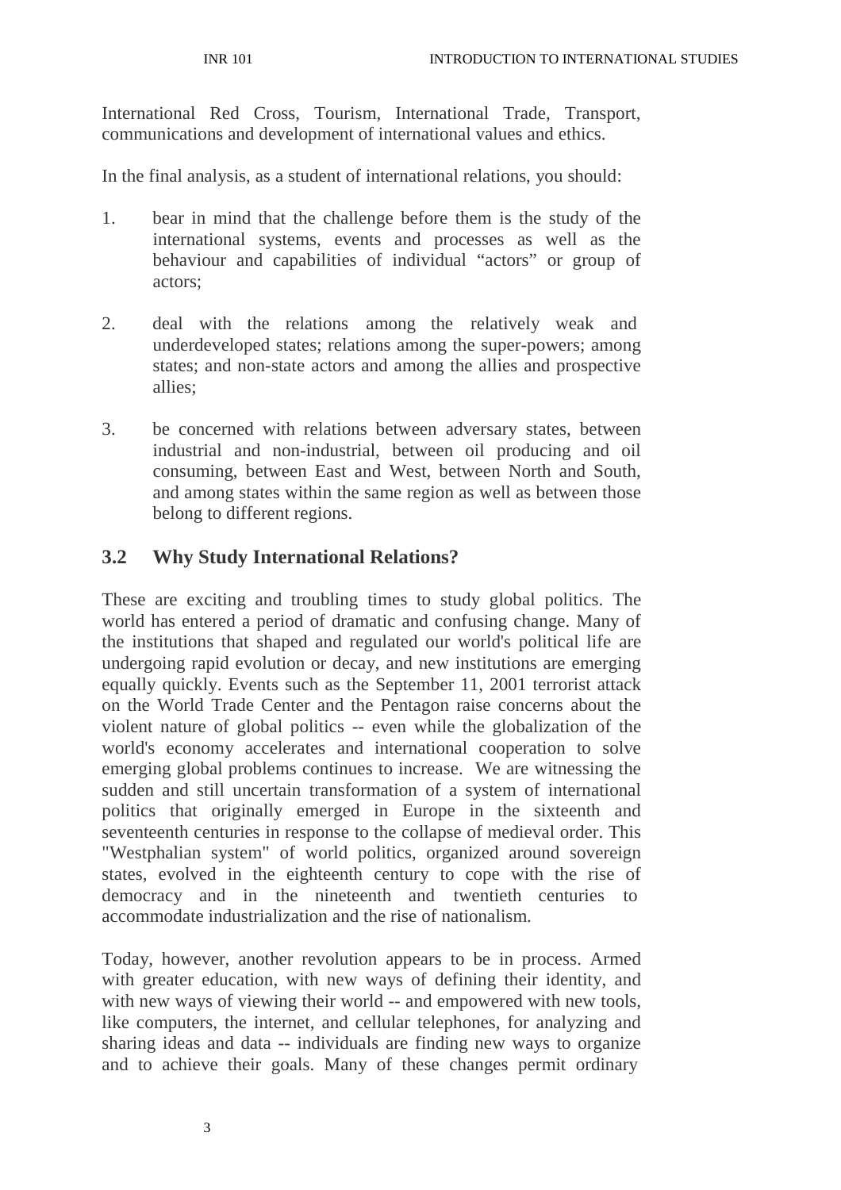International Red Cross, Tourism, International Trade, Transport, communications and development of international values and ethics.

In the final analysis, as a student of international relations, you should:

- 1. bear in mind that the challenge before them is the study of the international systems, events and processes as well as the behaviour and capabilities of individual "actors" or group of actors;
- 2. deal with the relations among the relatively weak and underdeveloped states; relations among the super-powers; among states; and non-state actors and among the allies and prospective allies;
- 3. be concerned with relations between adversary states, between industrial and non-industrial, between oil producing and oil consuming, between East and West, between North and South, and among states within the same region as well as between those belong to different regions.

# **3.2 Why Study International Relations?**

These are exciting and troubling times to study global politics. The world has entered a period of dramatic and confusing change. Many of the institutions that shaped and regulated our world's political life are undergoing rapid evolution or decay, and new institutions are emerging equally quickly. Events such as the September 11, 2001 terrorist attack on the World Trade Center and the Pentagon raise concerns about the violent nature of global politics -- even while the globalization of the world's economy accelerates and international cooperation to solve emerging global problems continues to increase. We are witnessing the sudden and still uncertain transformation of a system of international politics that originally emerged in Europe in the sixteenth and seventeenth centuries in response to the collapse of medieval order. This "Westphalian system" of world politics, organized around sovereign states, evolved in the eighteenth century to cope with the rise of democracy and in the nineteenth and twentieth centuries to accommodate industrialization and the rise of nationalism.

Today, however, another revolution appears to be in process. Armed with greater education, with new ways of defining their identity, and with new ways of viewing their world -- and empowered with new tools, like computers, the internet, and cellular telephones, for analyzing and sharing ideas and data -- individuals are finding new ways to organize and to achieve their goals. Many of these changes permit ordinary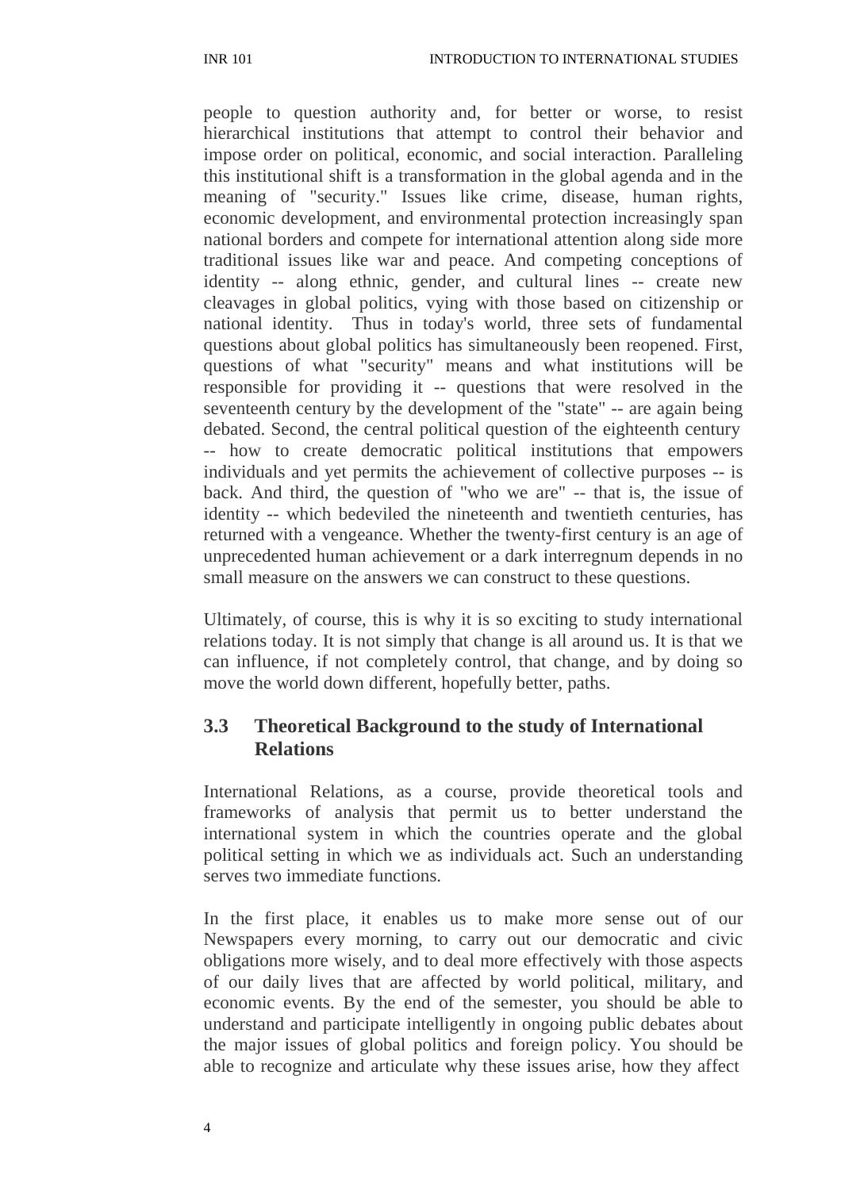people to question authority and, for better or worse, to resist hierarchical institutions that attempt to control their behavior and impose order on political, economic, and social interaction. Paralleling this institutional shift is a transformation in the global agenda and in the meaning of "security." Issues like crime, disease, human rights, economic development, and environmental protection increasingly span national borders and compete for international attention along side more traditional issues like war and peace. And competing conceptions of identity -- along ethnic, gender, and cultural lines -- create new cleavages in global politics, vying with those based on citizenship or national identity. Thus in today's world, three sets of fundamental questions about global politics has simultaneously been reopened. First, questions of what "security" means and what institutions will be responsible for providing it -- questions that were resolved in the seventeenth century by the development of the "state" -- are again being debated. Second, the central political question of the eighteenth century -- how to create democratic political institutions that empowers individuals and yet permits the achievement of collective purposes -- is back. And third, the question of "who we are" -- that is, the issue of identity -- which bedeviled the nineteenth and twentieth centuries, has returned with a vengeance. Whether the twenty-first century is an age of unprecedented human achievement or a dark interregnum depends in no small measure on the answers we can construct to these questions.

Ultimately, of course, this is why it is so exciting to study international relations today. It is not simply that change is all around us. It is that we can influence, if not completely control, that change, and by doing so move the world down different, hopefully better, paths.

# **3.3 Theoretical Background to the study of International Relations**

International Relations, as a course, provide theoretical tools and frameworks of analysis that permit us to better understand the international system in which the countries operate and the global political setting in which we as individuals act. Such an understanding serves two immediate functions.

In the first place, it enables us to make more sense out of our Newspapers every morning, to carry out our democratic and civic obligations more wisely, and to deal more effectively with those aspects of our daily lives that are affected by world political, military, and economic events. By the end of the semester, you should be able to understand and participate intelligently in ongoing public debates about the major issues of global politics and foreign policy. You should be able to recognize and articulate why these issues arise, how they affect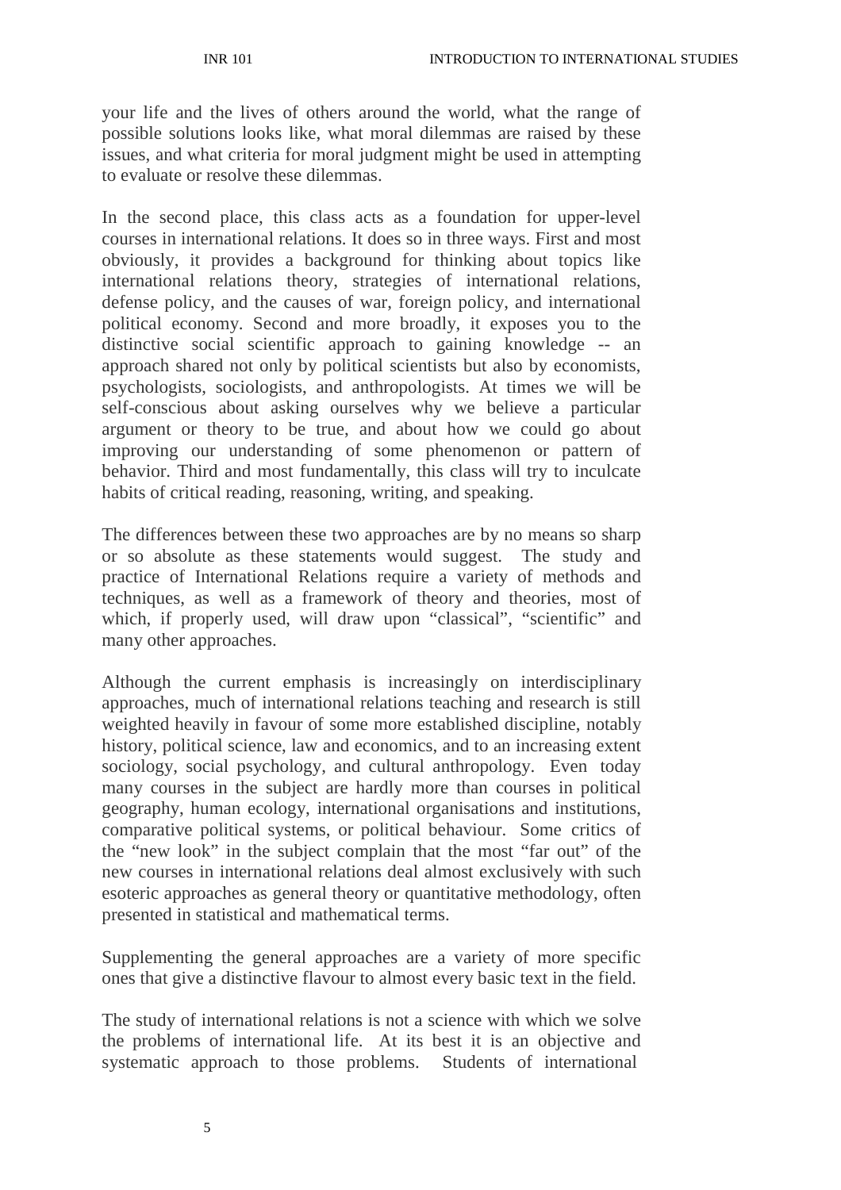your life and the lives of others around the world, what the range of possible solutions looks like, what moral dilemmas are raised by these issues, and what criteria for moral judgment might be used in attempting to evaluate or resolve these dilemmas.

In the second place, this class acts as a foundation for upper-level courses in international relations. It does so in three ways. First and most obviously, it provides a background for thinking about topics like international relations theory, strategies of international relations, defense policy, and the causes of war, foreign policy, and international political economy. Second and more broadly, it exposes you to the distinctive social scientific approach to gaining knowledge -- an approach shared not only by political scientists but also by economists, psychologists, sociologists, and anthropologists. At times we will be self-conscious about asking ourselves why we believe a particular argument or theory to be true, and about how we could go about improving our understanding of some phenomenon or pattern of behavior. Third and most fundamentally, this class will try to inculcate habits of critical reading, reasoning, writing, and speaking.

The differences between these two approaches are by no means so sharp or so absolute as these statements would suggest. The study and practice of International Relations require a variety of methods and techniques, as well as a framework of theory and theories, most of which, if properly used, will draw upon "classical", "scientific" and many other approaches.

Although the current emphasis is increasingly on interdisciplinary approaches, much of international relations teaching and research is still weighted heavily in favour of some more established discipline, notably history, political science, law and economics, and to an increasing extent sociology, social psychology, and cultural anthropology. Even today many courses in the subject are hardly more than courses in political geography, human ecology, international organisations and institutions, comparative political systems, or political behaviour. Some critics of the "new look" in the subject complain that the most "far out" of the new courses in international relations deal almost exclusively with such esoteric approaches as general theory or quantitative methodology, often presented in statistical and mathematical terms.

Supplementing the general approaches are a variety of more specific ones that give a distinctive flavour to almost every basic text in the field.

The study of international relations is not a science with which we solve the problems of international life. At its best it is an objective and systematic approach to those problems. Students of international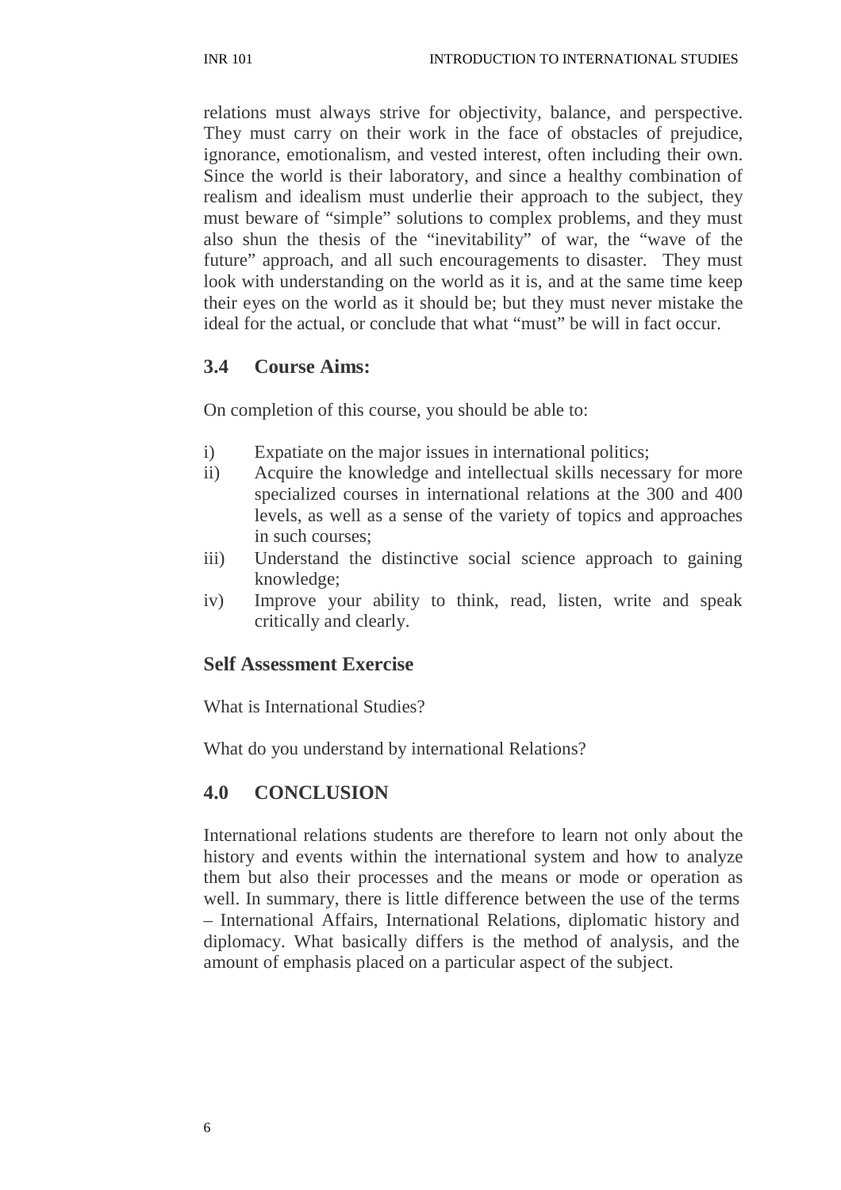relations must always strive for objectivity, balance, and perspective. They must carry on their work in the face of obstacles of prejudice, ignorance, emotionalism, and vested interest, often including their own. Since the world is their laboratory, and since a healthy combination of realism and idealism must underlie their approach to the subject, they must beware of "simple" solutions to complex problems, and they must also shun the thesis of the "inevitability" of war, the "wave of the future" approach, and all such encouragements to disaster. They must look with understanding on the world as it is, and at the same time keep their eyes on the world as it should be; but they must never mistake the ideal for the actual, or conclude that what "must" be will in fact occur.

# **3.4 Course Aims:**

On completion of this course, you should be able to:

- i) Expatiate on the major issues in international politics;
- ii) Acquire the knowledge and intellectual skills necessary for more specialized courses in international relations at the 300 and 400 levels, as well as a sense of the variety of topics and approaches in such courses;
- iii) Understand the distinctive social science approach to gaining knowledge;
- iv) Improve your ability to think, read, listen, write and speak critically and clearly.

## **Self Assessment Exercise**

What is International Studies?

What do you understand by international Relations?

# **4.0 CONCLUSION**

International relations students are therefore to learn not only about the history and events within the international system and how to analyze them but also their processes and the means or mode or operation as well. In summary, there is little difference between the use of the terms – International Affairs, International Relations, diplomatic history and diplomacy. What basically differs is the method of analysis, and the amount of emphasis placed on a particular aspect of the subject.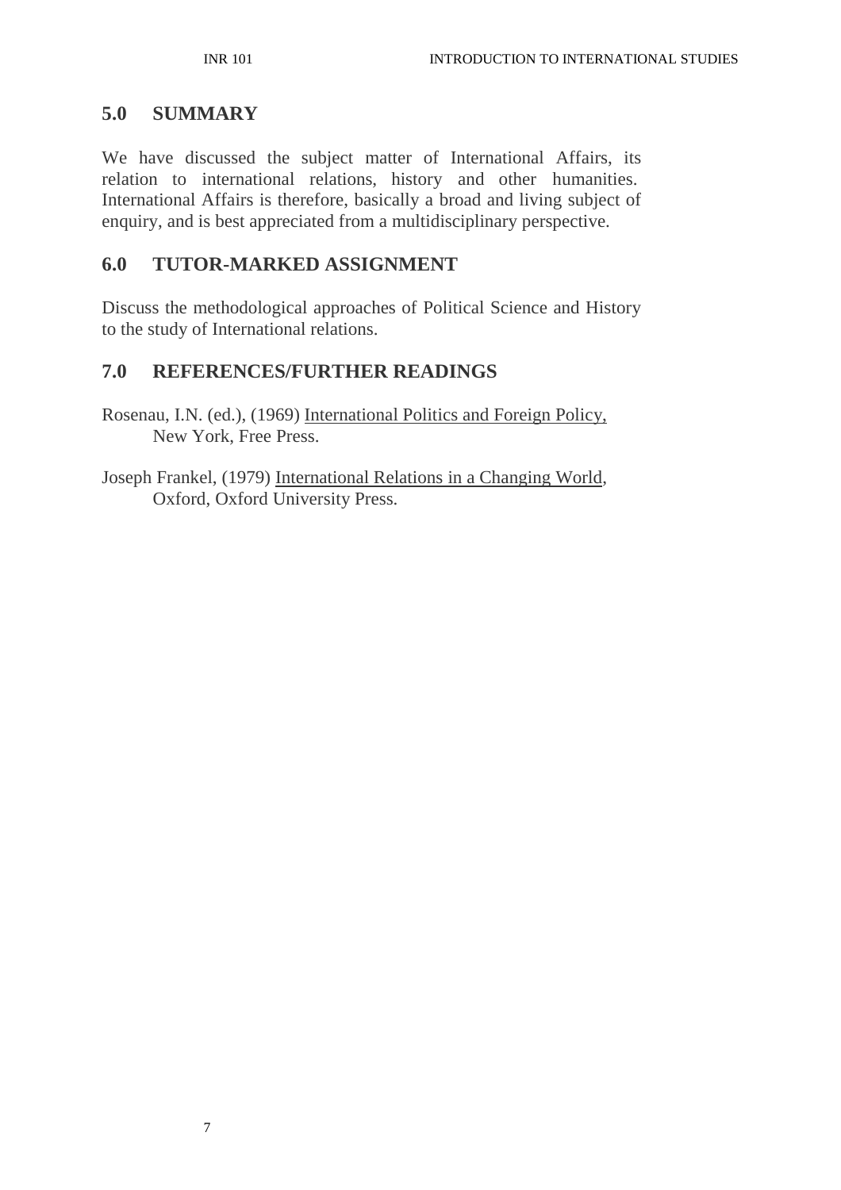#### **5.0 SUMMARY**

We have discussed the subject matter of International Affairs, its relation to international relations, history and other humanities. International Affairs is therefore, basically a broad and living subject of enquiry, and is best appreciated from a multidisciplinary perspective.

## **6.0 TUTOR-MARKED ASSIGNMENT**

Discuss the methodological approaches of Political Science and History to the study of International relations.

## **7.0 REFERENCES/FURTHER READINGS**

- Rosenau, I.N. (ed.), (1969) International Politics and Foreign Policy, New York, Free Press.
- Joseph Frankel, (1979) International Relations in a Changing World, Oxford, Oxford University Press.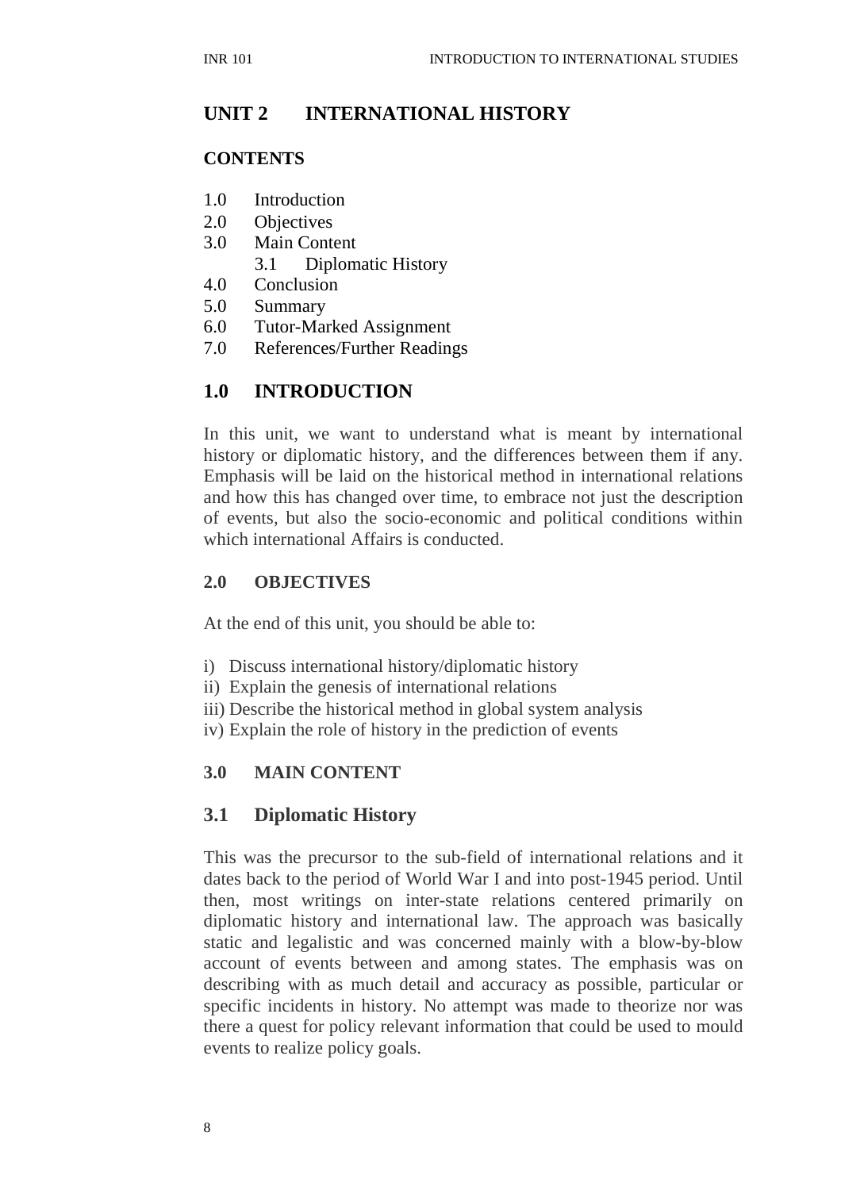#### **UNIT 2 INTERNATIONAL HISTORY**

#### **CONTENTS**

- 1.0 Introduction
- 2.0 Objectives
- 3.0 Main Content
	- 3.1 Diplomatic History
- 4.0 Conclusion
- 5.0 Summary
- 6.0 Tutor-Marked Assignment
- 7.0 References/Further Readings

#### **1.0 INTRODUCTION**

In this unit, we want to understand what is meant by international history or diplomatic history, and the differences between them if any. Emphasis will be laid on the historical method in international relations and how this has changed over time, to embrace not just the description of events, but also the socio-economic and political conditions within which international Affairs is conducted.

#### **2.0 OBJECTIVES**

At the end of this unit, you should be able to:

- i) Discuss international history/diplomatic history
- ii) Explain the genesis of international relations
- iii) Describe the historical method in global system analysis
- iv) Explain the role of history in the prediction of events

#### **3.0 MAIN CONTENT**

#### **3.1 Diplomatic History**

This was the precursor to the sub-field of international relations and it dates back to the period of World War I and into post-1945 period. Until then, most writings on inter-state relations centered primarily on diplomatic history and international law. The approach was basically static and legalistic and was concerned mainly with a blow-by-blow account of events between and among states. The emphasis was on describing with as much detail and accuracy as possible, particular or specific incidents in history. No attempt was made to theorize nor was there a quest for policy relevant information that could be used to mould events to realize policy goals.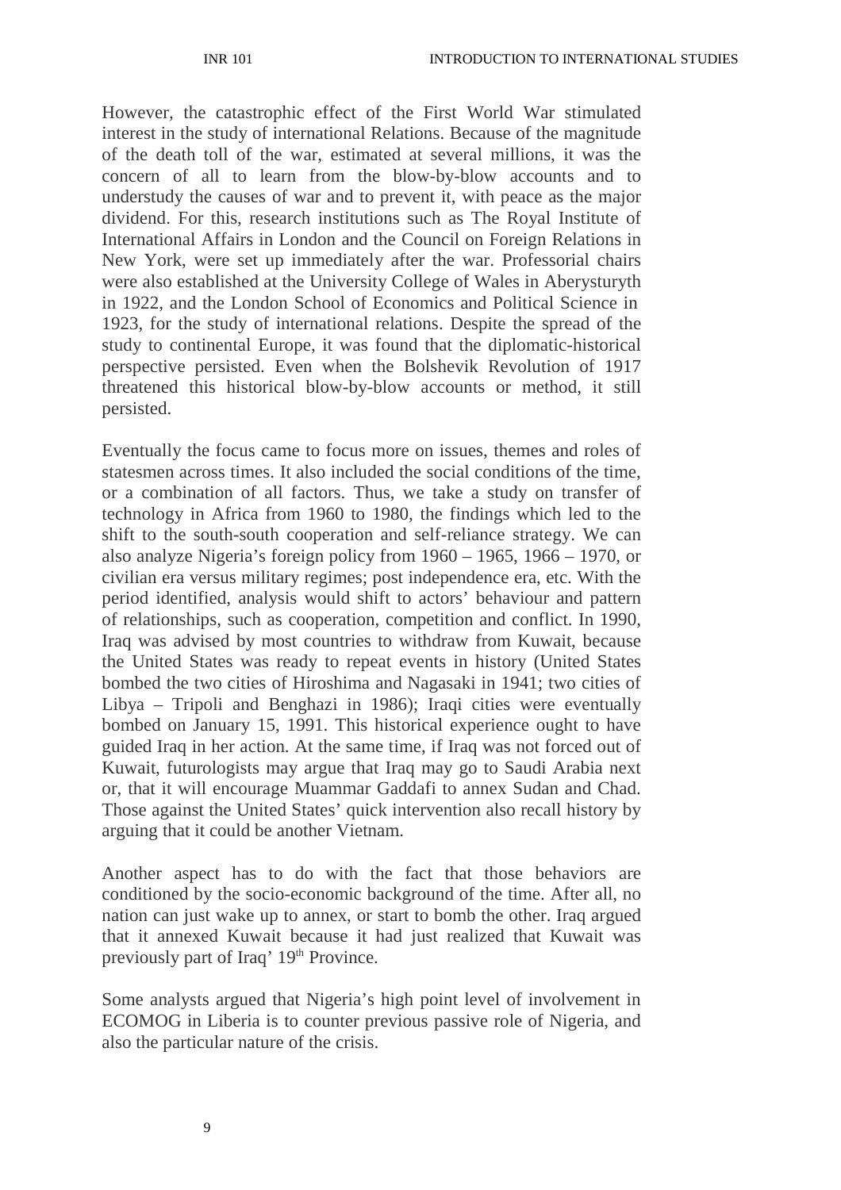However, the catastrophic effect of the First World War stimulated interest in the study of international Relations. Because of the magnitude of the death toll of the war, estimated at several millions, it was the concern of all to learn from the blow-by-blow accounts and to understudy the causes of war and to prevent it, with peace as the major dividend. For this, research institutions such as The Royal Institute of International Affairs in London and the Council on Foreign Relations in New York, were set up immediately after the war. Professorial chairs were also established at the University College of Wales in Aberysturyth in 1922, and the London School of Economics and Political Science in 1923, for the study of international relations. Despite the spread of the study to continental Europe, it was found that the diplomatic-historical perspective persisted. Even when the Bolshevik Revolution of 1917 threatened this historical blow-by-blow accounts or method, it still persisted.

Eventually the focus came to focus more on issues, themes and roles of statesmen across times. It also included the social conditions of the time, or a combination of all factors. Thus, we take a study on transfer of technology in Africa from 1960 to 1980, the findings which led to the shift to the south-south cooperation and self-reliance strategy. We can also analyze Nigeria's foreign policy from 1960 – 1965, 1966 – 1970, or civilian era versus military regimes; post independence era, etc. With the period identified, analysis would shift to actors' behaviour and pattern of relationships, such as cooperation, competition and conflict. In 1990, Iraq was advised by most countries to withdraw from Kuwait, because the United States was ready to repeat events in history (United States bombed the two cities of Hiroshima and Nagasaki in 1941; two cities of Libya – Tripoli and Benghazi in 1986); Iraqi cities were eventually bombed on January 15, 1991. This historical experience ought to have guided Iraq in her action. At the same time, if Iraq was not forced out of Kuwait, futurologists may argue that Iraq may go to Saudi Arabia next or, that it will encourage Muammar Gaddafi to annex Sudan and Chad. Those against the United States' quick intervention also recall history by arguing that it could be another Vietnam.

Another aspect has to do with the fact that those behaviors are conditioned by the socio-economic background of the time. After all, no nation can just wake up to annex, or start to bomb the other. Iraq argued that it annexed Kuwait because it had just realized that Kuwait was previously part of Iraq' 19th Province.

Some analysts argued that Nigeria's high point level of involvement in ECOMOG in Liberia is to counter previous passive role of Nigeria, and also the particular nature of the crisis.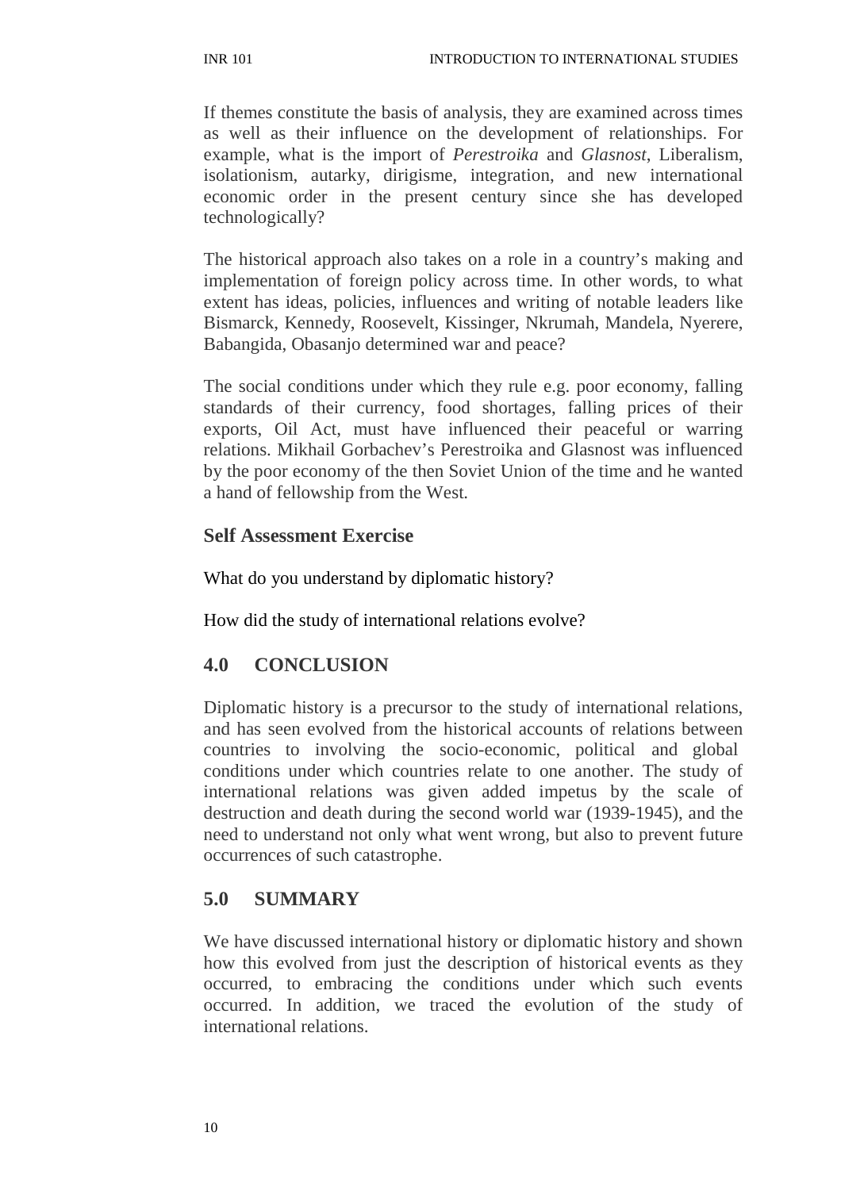If themes constitute the basis of analysis, they are examined across times as well as their influence on the development of relationships. For example, what is the import of *Perestroika* and *Glasnost*, Liberalism, isolationism, autarky, dirigisme, integration, and new international economic order in the present century since she has developed technologically?

The historical approach also takes on a role in a country's making and implementation of foreign policy across time. In other words, to what extent has ideas, policies, influences and writing of notable leaders like Bismarck, Kennedy, Roosevelt, Kissinger, Nkrumah, Mandela, Nyerere, Babangida, Obasanjo determined war and peace?

The social conditions under which they rule e.g. poor economy, falling standards of their currency, food shortages, falling prices of their exports, Oil Act, must have influenced their peaceful or warring relations. Mikhail Gorbachev's Perestroika and Glasnost was influenced by the poor economy of the then Soviet Union of the time and he wanted a hand of fellowship from the West.

#### **Self Assessment Exercise**

What do you understand by diplomatic history?

How did the study of international relations evolve?

## **4.0 CONCLUSION**

Diplomatic history is a precursor to the study of international relations, and has seen evolved from the historical accounts of relations between countries to involving the socio-economic, political and global conditions under which countries relate to one another. The study of international relations was given added impetus by the scale of destruction and death during the second world war (1939-1945), and the need to understand not only what went wrong, but also to prevent future occurrences of such catastrophe.

## **5.0 SUMMARY**

We have discussed international history or diplomatic history and shown how this evolved from just the description of historical events as they occurred, to embracing the conditions under which such events occurred. In addition, we traced the evolution of the study of international relations.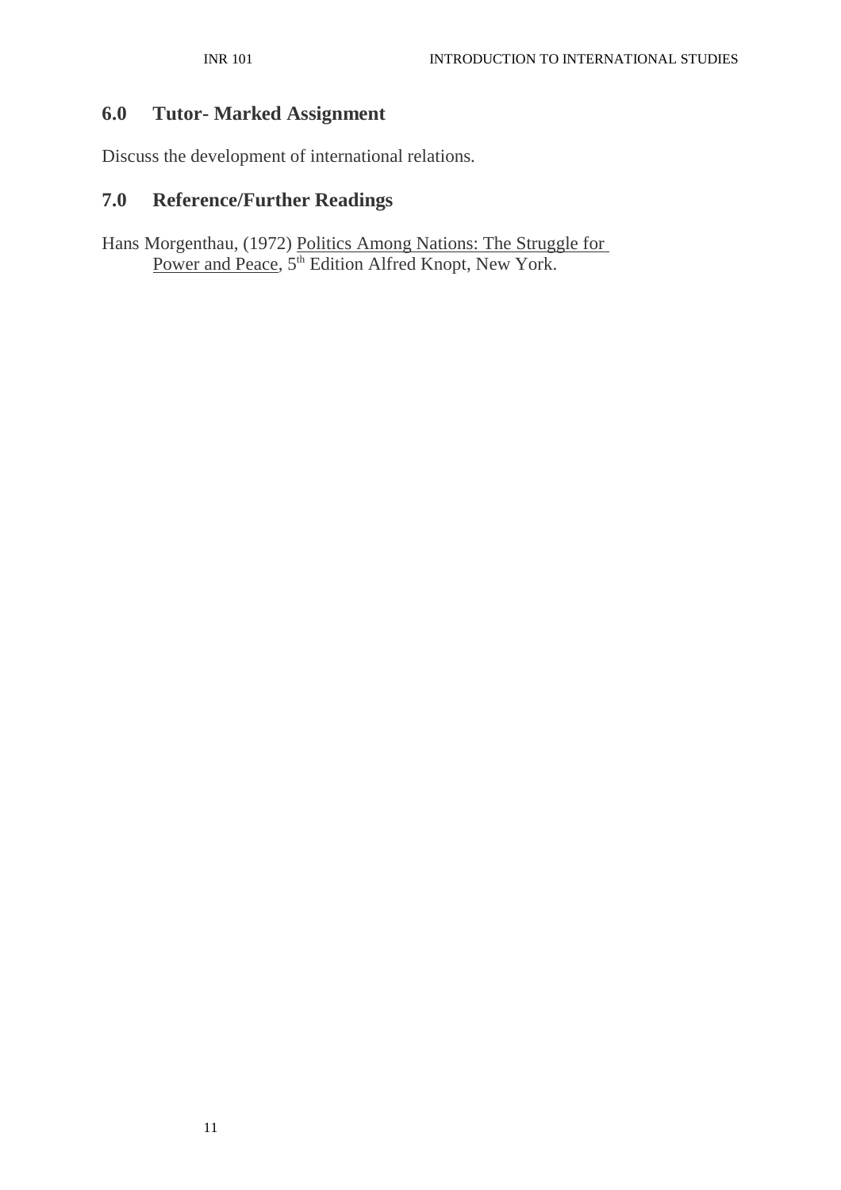# **6.0 Tutor- Marked Assignment**

Discuss the development of international relations.

# **7.0 Reference/Further Readings**

Hans Morgenthau, (1972) Politics Among Nations: The Struggle for Power and Peace, 5<sup>th</sup> Edition Alfred Knopt, New York.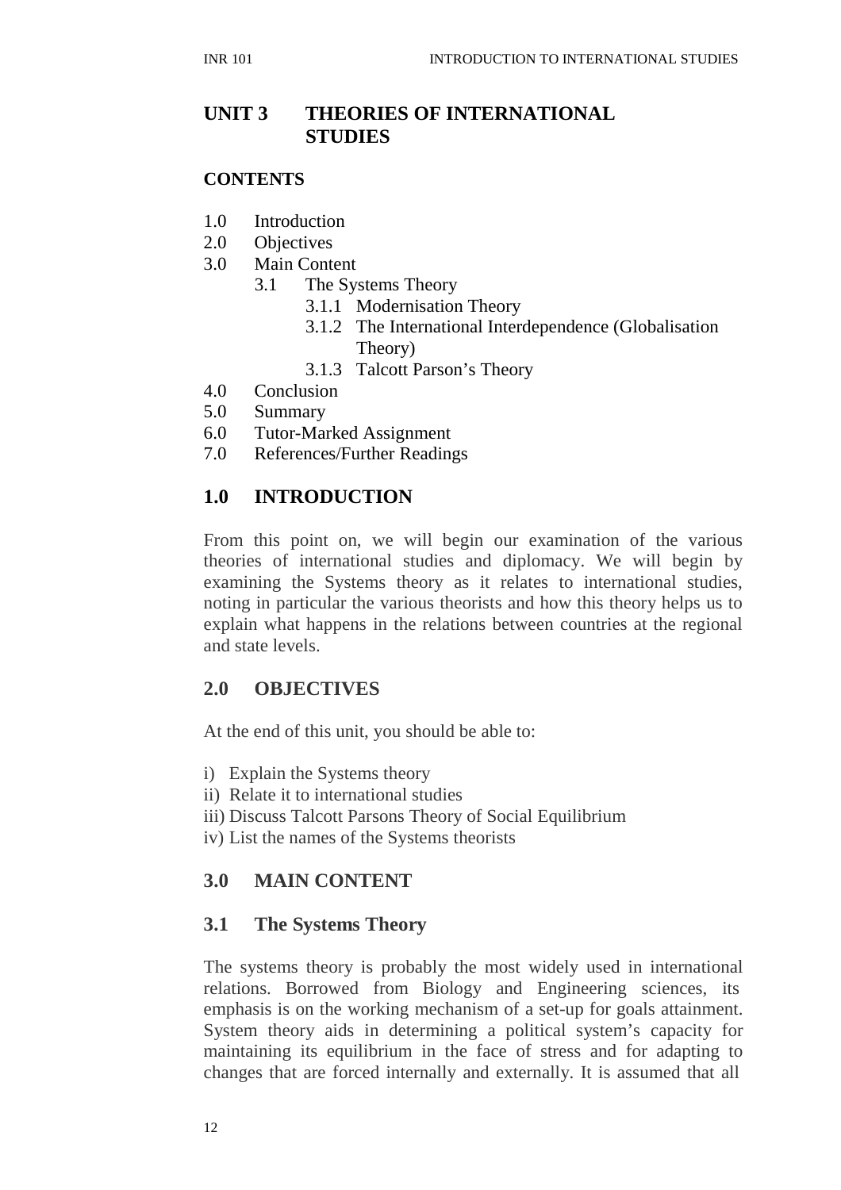## **UNIT 3 THEORIES OF INTERNATIONAL STUDIES**

#### **CONTENTS**

- 1.0 Introduction
- 2.0 Objectives
- 3.0 Main Content
	- 3.1 The Systems Theory
		- 3.1.1 Modernisation Theory
		- 3.1.2 The International Interdependence (Globalisation Theory)
		- 3.1.3 Talcott Parson's Theory
- 4.0 Conclusion
- 5.0 Summary
- 6.0 Tutor-Marked Assignment
- 7.0 References/Further Readings

#### **1.0 INTRODUCTION**

From this point on, we will begin our examination of the various theories of international studies and diplomacy. We will begin by examining the Systems theory as it relates to international studies, noting in particular the various theorists and how this theory helps us to explain what happens in the relations between countries at the regional and state levels.

#### **2.0 OBJECTIVES**

At the end of this unit, you should be able to:

- i) Explain the Systems theory
- ii) Relate it to international studies
- iii) Discuss Talcott Parsons Theory of Social Equilibrium

iv) List the names of the Systems theorists

#### **3.0 MAIN CONTENT**

#### **3.1 The Systems Theory**

The systems theory is probably the most widely used in international relations. Borrowed from Biology and Engineering sciences, its emphasis is on the working mechanism of a set-up for goals attainment. System theory aids in determining a political system's capacity for maintaining its equilibrium in the face of stress and for adapting to changes that are forced internally and externally. It is assumed that all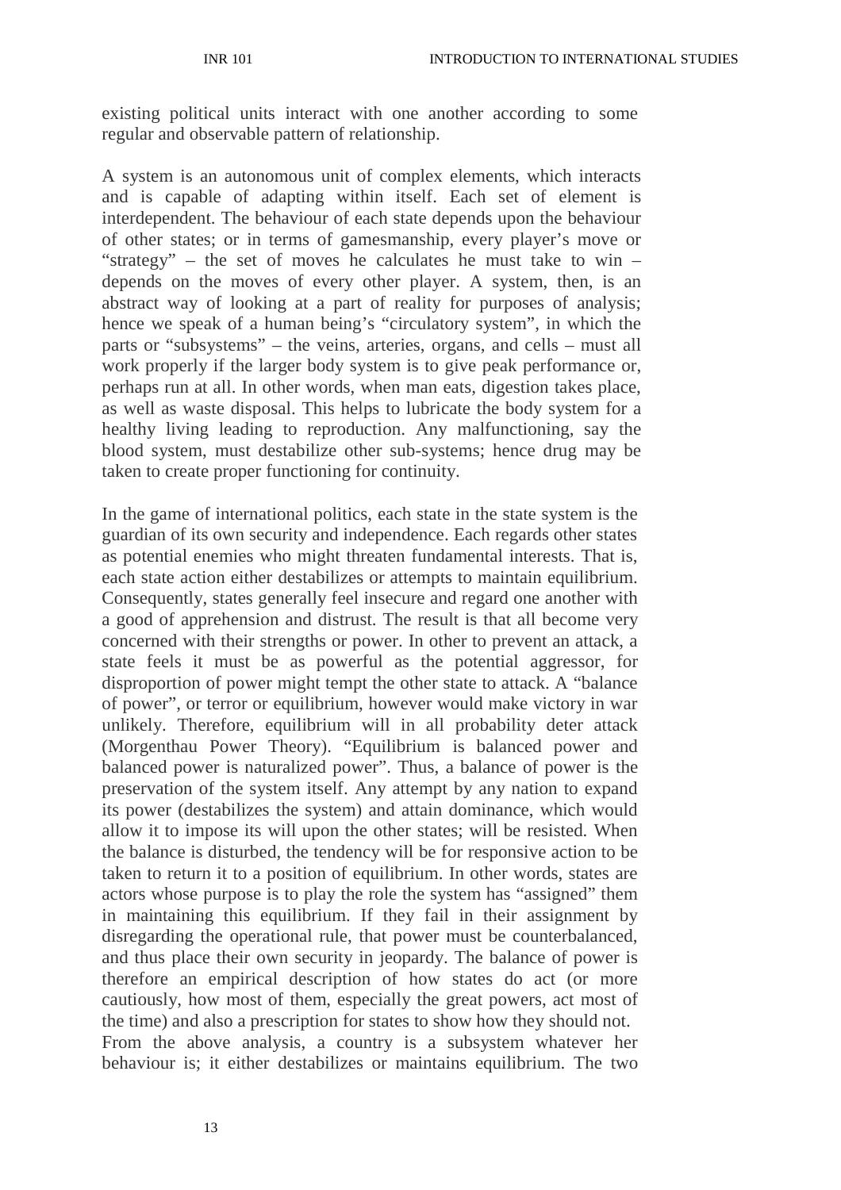existing political units interact with one another according to some regular and observable pattern of relationship.

A system is an autonomous unit of complex elements, which interacts and is capable of adapting within itself. Each set of element is interdependent. The behaviour of each state depends upon the behaviour of other states; or in terms of gamesmanship, every player's move or "strategy" – the set of moves he calculates he must take to win – depends on the moves of every other player. A system, then, is an abstract way of looking at a part of reality for purposes of analysis; hence we speak of a human being's "circulatory system", in which the parts or "subsystems" – the veins, arteries, organs, and cells – must all work properly if the larger body system is to give peak performance or, perhaps run at all. In other words, when man eats, digestion takes place, as well as waste disposal. This helps to lubricate the body system for a healthy living leading to reproduction. Any malfunctioning, say the blood system, must destabilize other sub-systems; hence drug may be taken to create proper functioning for continuity.

In the game of international politics, each state in the state system is the guardian of its own security and independence. Each regards other states as potential enemies who might threaten fundamental interests. That is, each state action either destabilizes or attempts to maintain equilibrium. Consequently, states generally feel insecure and regard one another with a good of apprehension and distrust. The result is that all become very concerned with their strengths or power. In other to prevent an attack, a state feels it must be as powerful as the potential aggressor, for disproportion of power might tempt the other state to attack. A "balance of power", or terror or equilibrium, however would make victory in war unlikely. Therefore, equilibrium will in all probability deter attack (Morgenthau Power Theory). "Equilibrium is balanced power and balanced power is naturalized power". Thus, a balance of power is the preservation of the system itself. Any attempt by any nation to expand its power (destabilizes the system) and attain dominance, which would allow it to impose its will upon the other states; will be resisted. When the balance is disturbed, the tendency will be for responsive action to be taken to return it to a position of equilibrium. In other words, states are actors whose purpose is to play the role the system has "assigned" them in maintaining this equilibrium. If they fail in their assignment by disregarding the operational rule, that power must be counterbalanced, and thus place their own security in jeopardy. The balance of power is therefore an empirical description of how states do act (or more cautiously, how most of them, especially the great powers, act most of the time) and also a prescription for states to show how they should not. From the above analysis, a country is a subsystem whatever her

behaviour is; it either destabilizes or maintains equilibrium. The two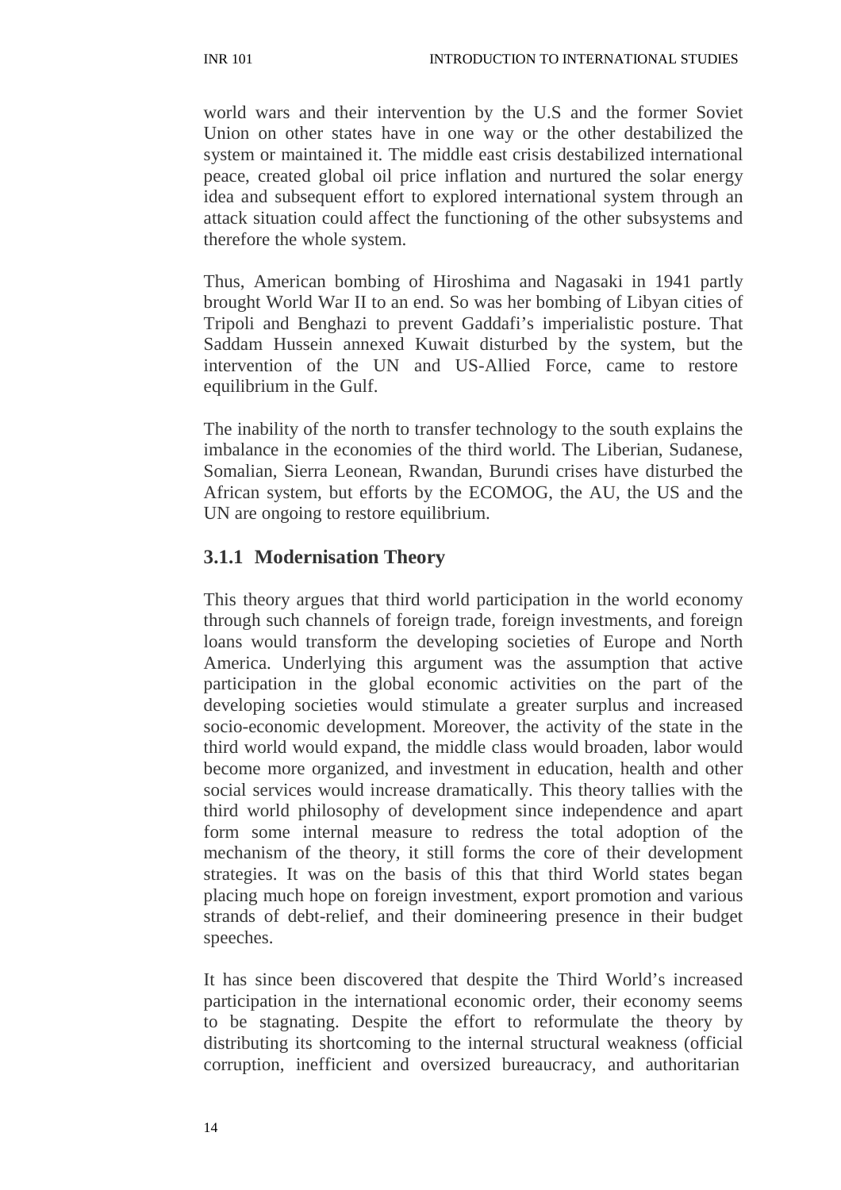world wars and their intervention by the U.S and the former Soviet Union on other states have in one way or the other destabilized the system or maintained it. The middle east crisis destabilized international peace, created global oil price inflation and nurtured the solar energy idea and subsequent effort to explored international system through an attack situation could affect the functioning of the other subsystems and therefore the whole system.

Thus, American bombing of Hiroshima and Nagasaki in 1941 partly brought World War II to an end. So was her bombing of Libyan cities of Tripoli and Benghazi to prevent Gaddafi's imperialistic posture. That Saddam Hussein annexed Kuwait disturbed by the system, but the intervention of the UN and US-Allied Force, came to restore equilibrium in the Gulf.

The inability of the north to transfer technology to the south explains the imbalance in the economies of the third world. The Liberian, Sudanese, Somalian, Sierra Leonean, Rwandan, Burundi crises have disturbed the African system, but efforts by the ECOMOG, the AU, the US and the UN are ongoing to restore equilibrium.

## **3.1.1 Modernisation Theory**

This theory argues that third world participation in the world economy through such channels of foreign trade, foreign investments, and foreign loans would transform the developing societies of Europe and North America. Underlying this argument was the assumption that active participation in the global economic activities on the part of the developing societies would stimulate a greater surplus and increased socio-economic development. Moreover, the activity of the state in the third world would expand, the middle class would broaden, labor would become more organized, and investment in education, health and other social services would increase dramatically. This theory tallies with the third world philosophy of development since independence and apart form some internal measure to redress the total adoption of the mechanism of the theory, it still forms the core of their development strategies. It was on the basis of this that third World states began placing much hope on foreign investment, export promotion and various strands of debt-relief, and their domineering presence in their budget speeches.

It has since been discovered that despite the Third World's increased participation in the international economic order, their economy seems to be stagnating. Despite the effort to reformulate the theory by distributing its shortcoming to the internal structural weakness (official corruption, inefficient and oversized bureaucracy, and authoritarian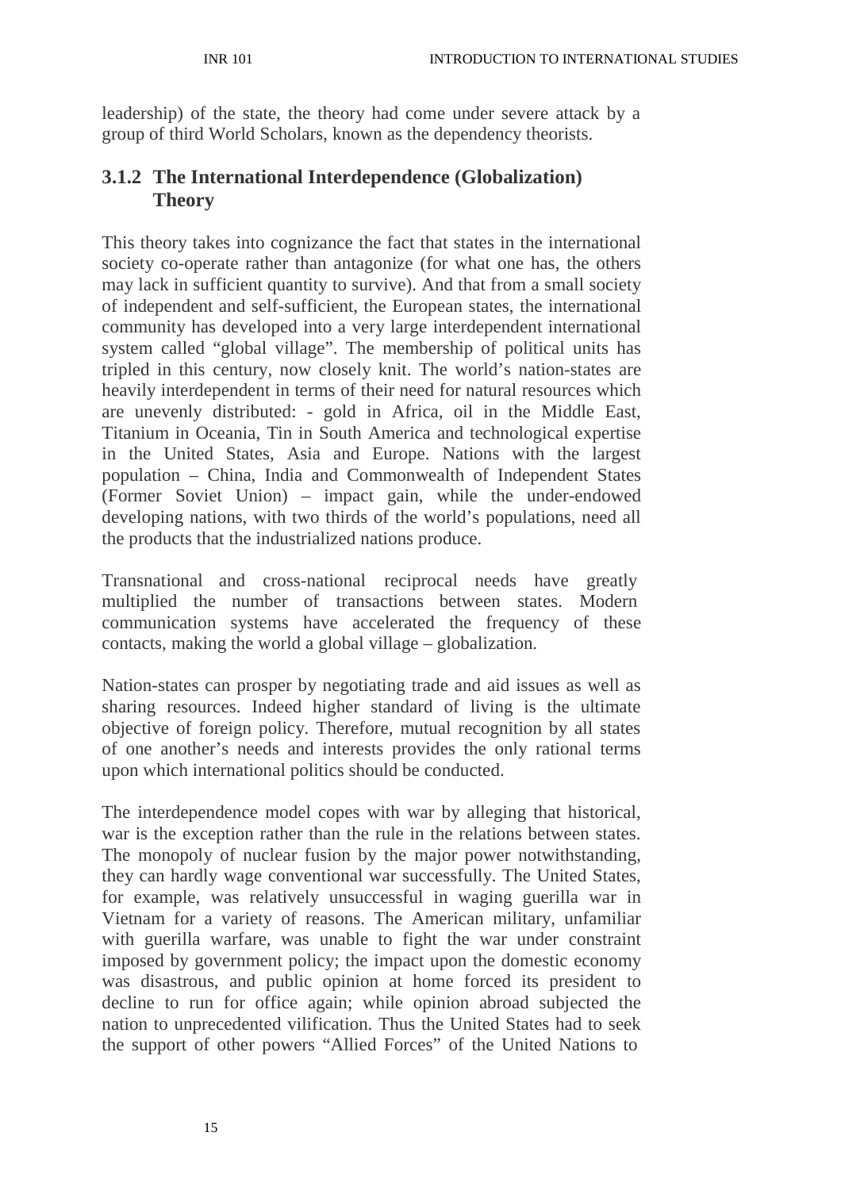leadership) of the state, the theory had come under severe attack by a group of third World Scholars, known as the dependency theorists.

# **3.1.2 The International Interdependence (Globalization) Theory**

This theory takes into cognizance the fact that states in the international society co-operate rather than antagonize (for what one has, the others may lack in sufficient quantity to survive). And that from a small society of independent and self-sufficient, the European states, the international community has developed into a very large interdependent international system called "global village". The membership of political units has tripled in this century, now closely knit. The world's nation-states are heavily interdependent in terms of their need for natural resources which are unevenly distributed: - gold in Africa, oil in the Middle East, Titanium in Oceania, Tin in South America and technological expertise in the United States, Asia and Europe. Nations with the largest population – China, India and Commonwealth of Independent States (Former Soviet Union) – impact gain, while the under-endowed developing nations, with two thirds of the world's populations, need all the products that the industrialized nations produce.

Transnational and cross-national reciprocal needs have greatly multiplied the number of transactions between states. Modern communication systems have accelerated the frequency of these contacts, making the world a global village – globalization.

Nation-states can prosper by negotiating trade and aid issues as well as sharing resources. Indeed higher standard of living is the ultimate objective of foreign policy. Therefore, mutual recognition by all states of one another's needs and interests provides the only rational terms upon which international politics should be conducted.

The interdependence model copes with war by alleging that historical, war is the exception rather than the rule in the relations between states. The monopoly of nuclear fusion by the major power notwithstanding, they can hardly wage conventional war successfully. The United States, for example, was relatively unsuccessful in waging guerilla war in Vietnam for a variety of reasons. The American military, unfamiliar with guerilla warfare, was unable to fight the war under constraint imposed by government policy; the impact upon the domestic economy was disastrous, and public opinion at home forced its president to decline to run for office again; while opinion abroad subjected the nation to unprecedented vilification. Thus the United States had to seek the support of other powers "Allied Forces" of the United Nations to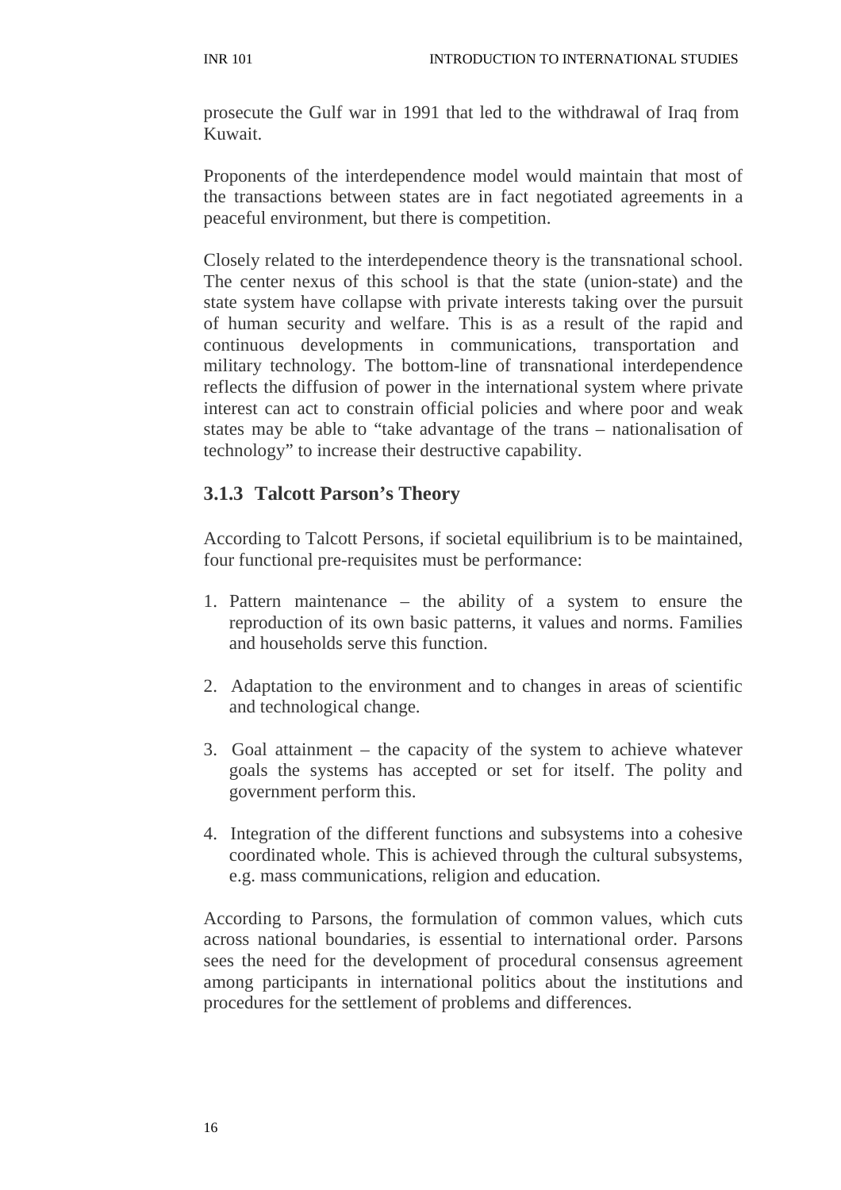prosecute the Gulf war in 1991 that led to the withdrawal of Iraq from Kuwait.

Proponents of the interdependence model would maintain that most of the transactions between states are in fact negotiated agreements in a peaceful environment, but there is competition.

Closely related to the interdependence theory is the transnational school. The center nexus of this school is that the state (union-state) and the state system have collapse with private interests taking over the pursuit of human security and welfare. This is as a result of the rapid and continuous developments in communications, transportation and military technology. The bottom-line of transnational interdependence reflects the diffusion of power in the international system where private interest can act to constrain official policies and where poor and weak states may be able to "take advantage of the trans – nationalisation of technology" to increase their destructive capability.

## **3.1.3 Talcott Parson's Theory**

According to Talcott Persons, if societal equilibrium is to be maintained, four functional pre-requisites must be performance:

- 1. Pattern maintenance the ability of a system to ensure the reproduction of its own basic patterns, it values and norms. Families and households serve this function.
- 2. Adaptation to the environment and to changes in areas of scientific and technological change.
- 3. Goal attainment the capacity of the system to achieve whatever goals the systems has accepted or set for itself. The polity and government perform this.
- 4. Integration of the different functions and subsystems into a cohesive coordinated whole. This is achieved through the cultural subsystems, e.g. mass communications, religion and education.

According to Parsons, the formulation of common values, which cuts across national boundaries, is essential to international order. Parsons sees the need for the development of procedural consensus agreement among participants in international politics about the institutions and procedures for the settlement of problems and differences.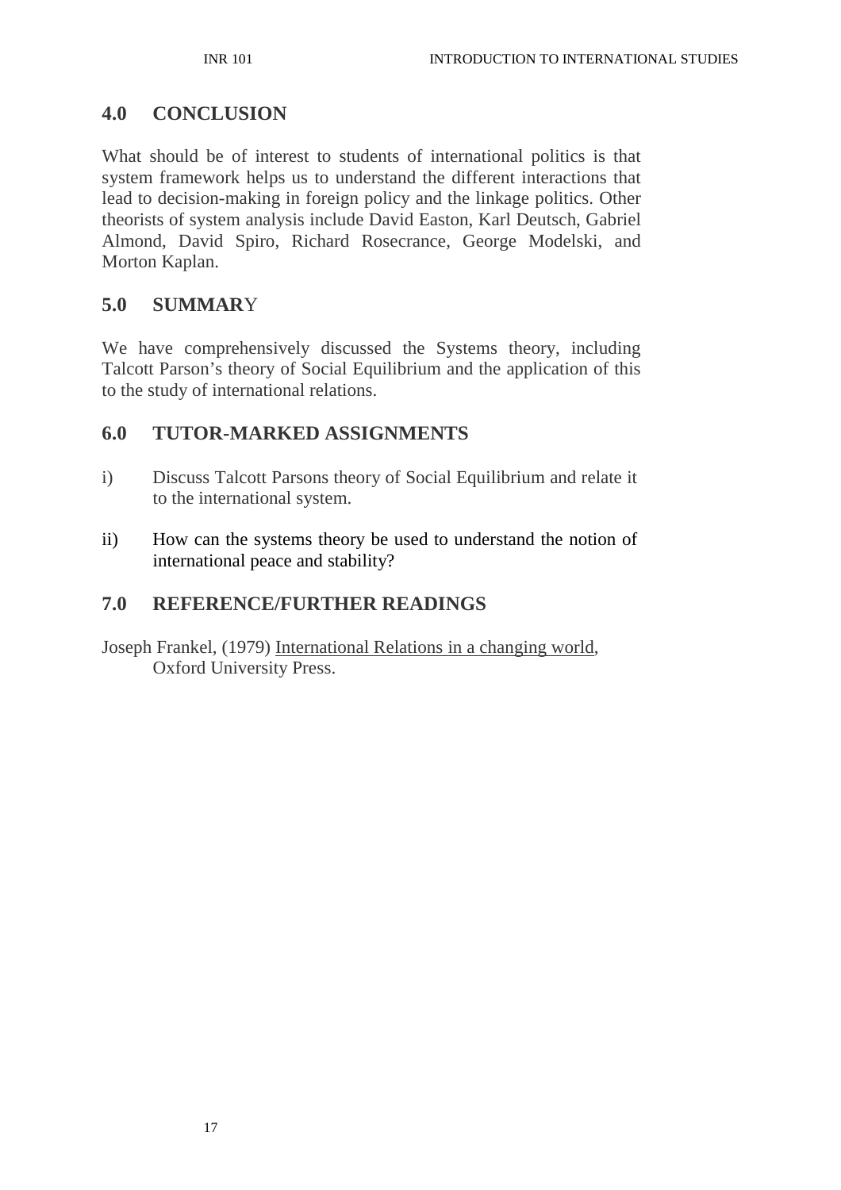#### **4.0 CONCLUSION**

What should be of interest to students of international politics is that system framework helps us to understand the different interactions that lead to decision-making in foreign policy and the linkage politics. Other theorists of system analysis include David Easton, Karl Deutsch, Gabriel Almond, David Spiro, Richard Rosecrance, George Modelski, and Morton Kaplan.

#### **5.0 SUMMAR**Y

We have comprehensively discussed the Systems theory, including Talcott Parson's theory of Social Equilibrium and the application of this to the study of international relations.

#### **6.0 TUTOR-MARKED ASSIGNMENTS**

- i) Discuss Talcott Parsons theory of Social Equilibrium and relate it to the international system.
- ii) How can the systems theory be used to understand the notion of international peace and stability?

## **7.0 REFERENCE/FURTHER READINGS**

Joseph Frankel, (1979) International Relations in a changing world, Oxford University Press.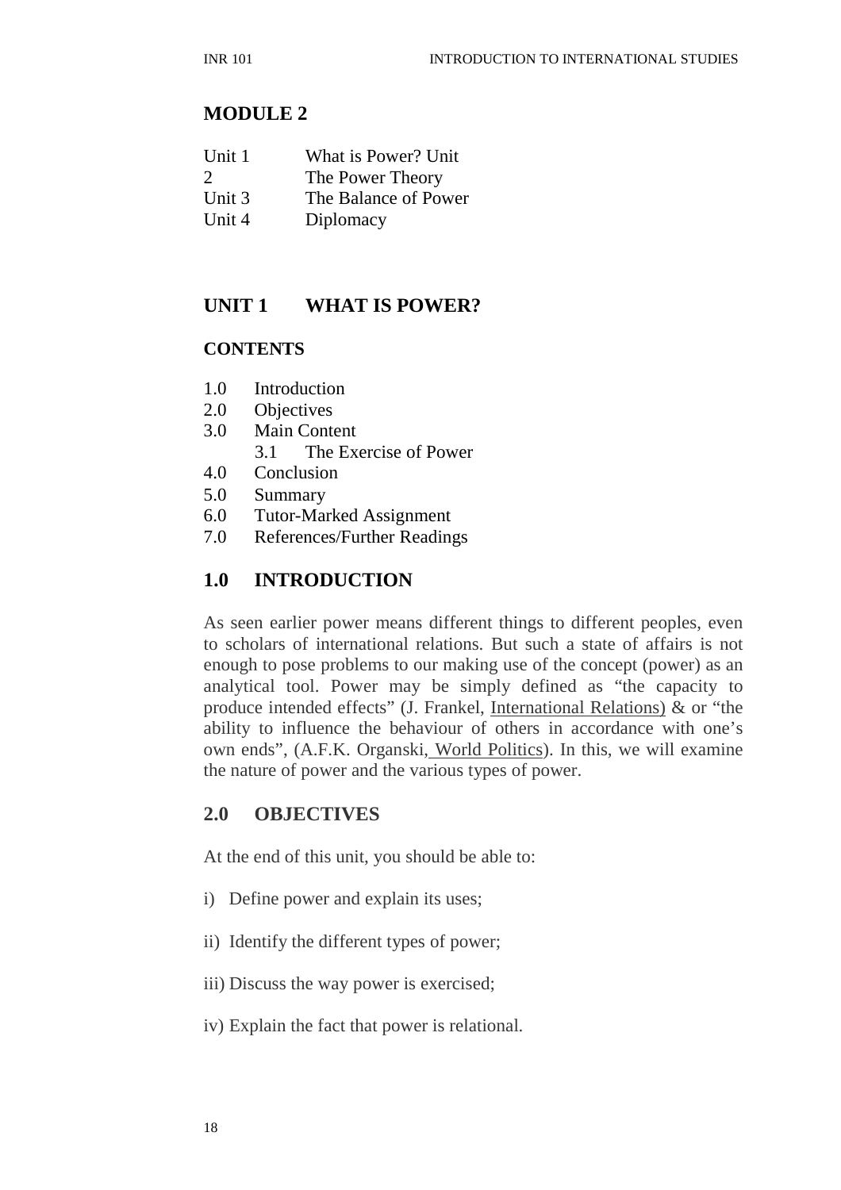#### **MODULE 2**

| Unit 1                      | What is Power? Unit  |
|-----------------------------|----------------------|
| $\mathcal{D}_{\mathcal{L}}$ | The Power Theory     |
| Unit 3                      | The Balance of Power |
| Unit 4                      | Diplomacy            |

#### **UNIT 1 WHAT IS POWER?**

#### **CONTENTS**

- 1.0 Introduction
- 2.0 Objectives
- 3.0 Main Content
	- 3.1 The Exercise of Power
- 4.0 Conclusion
- 5.0 Summary
- 6.0 Tutor-Marked Assignment
- 7.0 References/Further Readings

## **1.0 INTRODUCTION**

As seen earlier power means different things to different peoples, even to scholars of international relations. But such a state of affairs is not enough to pose problems to our making use of the concept (power) as an analytical tool. Power may be simply defined as "the capacity to produce intended effects" (J. Frankel, International Relations) & or "the ability to influence the behaviour of others in accordance with one's own ends", (A.F.K. Organski, World Politics). In this, we will examine the nature of power and the various types of power.

#### **2.0 OBJECTIVES**

At the end of this unit, you should be able to:

- i) Define power and explain its uses;
- ii) Identify the different types of power;
- iii) Discuss the way power is exercised;
- iv) Explain the fact that power is relational.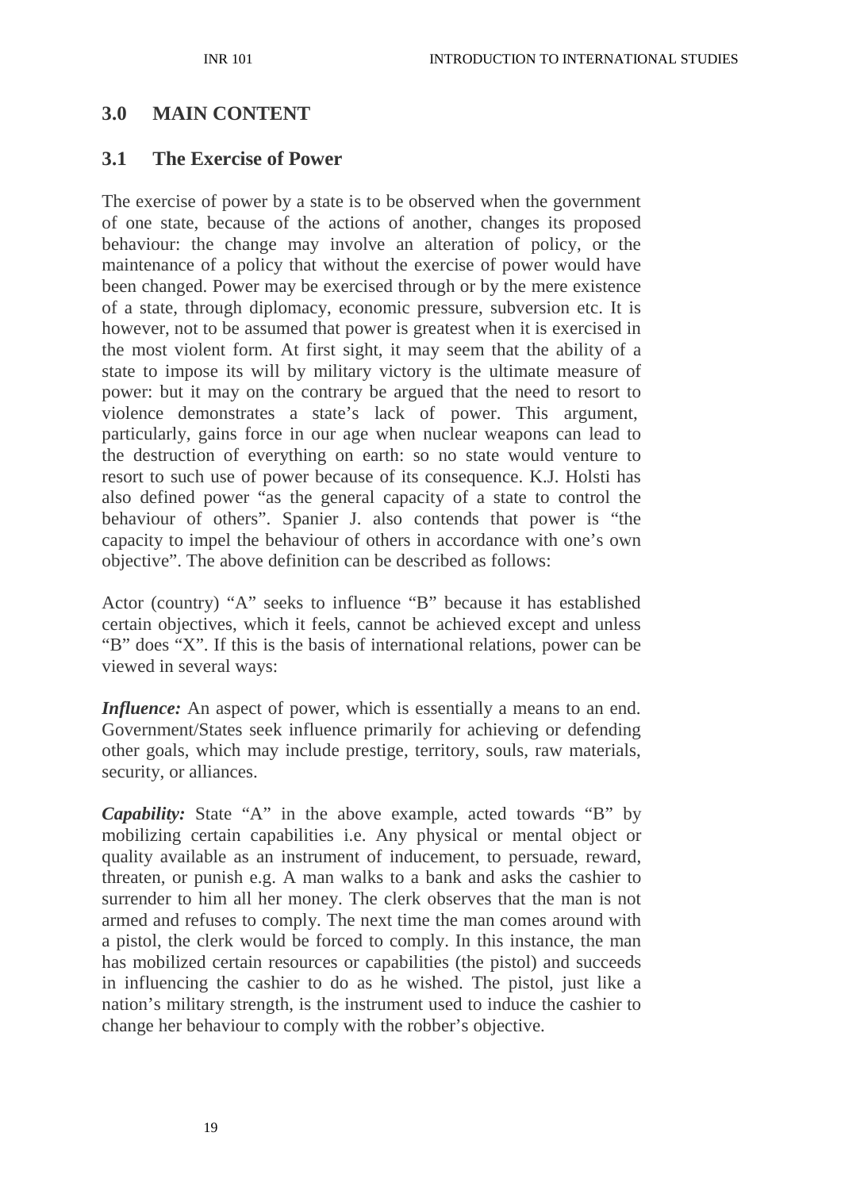#### **3.0 MAIN CONTENT**

#### **3.1 The Exercise of Power**

The exercise of power by a state is to be observed when the government of one state, because of the actions of another, changes its proposed behaviour: the change may involve an alteration of policy, or the maintenance of a policy that without the exercise of power would have been changed. Power may be exercised through or by the mere existence of a state, through diplomacy, economic pressure, subversion etc. It is however, not to be assumed that power is greatest when it is exercised in the most violent form. At first sight, it may seem that the ability of a state to impose its will by military victory is the ultimate measure of power: but it may on the contrary be argued that the need to resort to violence demonstrates a state's lack of power. This argument, particularly, gains force in our age when nuclear weapons can lead to the destruction of everything on earth: so no state would venture to resort to such use of power because of its consequence. K.J. Holsti has also defined power "as the general capacity of a state to control the behaviour of others". Spanier J. also contends that power is "the capacity to impel the behaviour of others in accordance with one's own objective". The above definition can be described as follows:

Actor (country) "A" seeks to influence "B" because it has established certain objectives, which it feels, cannot be achieved except and unless "B" does "X". If this is the basis of international relations, power can be viewed in several ways:

*Influence:* An aspect of power, which is essentially a means to an end. Government/States seek influence primarily for achieving or defending other goals, which may include prestige, territory, souls, raw materials, security, or alliances.

*Capability:* State "A" in the above example, acted towards "B" by mobilizing certain capabilities i.e. Any physical or mental object or quality available as an instrument of inducement, to persuade, reward, threaten, or punish e.g. A man walks to a bank and asks the cashier to surrender to him all her money. The clerk observes that the man is not armed and refuses to comply. The next time the man comes around with a pistol, the clerk would be forced to comply. In this instance, the man has mobilized certain resources or capabilities (the pistol) and succeeds in influencing the cashier to do as he wished. The pistol, just like a nation's military strength, is the instrument used to induce the cashier to change her behaviour to comply with the robber's objective.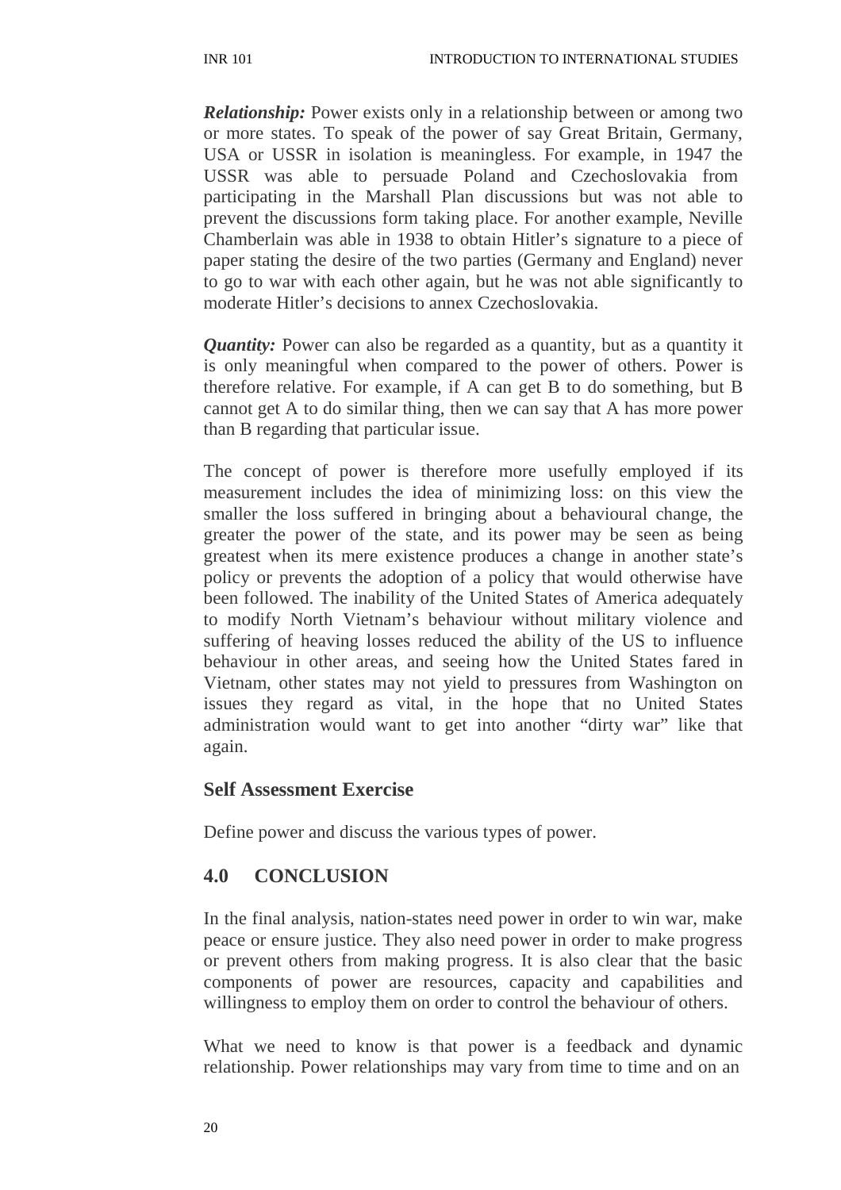*Relationship:* Power exists only in a relationship between or among two or more states. To speak of the power of say Great Britain, Germany, USA or USSR in isolation is meaningless. For example, in 1947 the USSR was able to persuade Poland and Czechoslovakia from participating in the Marshall Plan discussions but was not able to prevent the discussions form taking place. For another example, Neville Chamberlain was able in 1938 to obtain Hitler's signature to a piece of paper stating the desire of the two parties (Germany and England) never to go to war with each other again, but he was not able significantly to moderate Hitler's decisions to annex Czechoslovakia.

*Quantity:* Power can also be regarded as a quantity, but as a quantity it is only meaningful when compared to the power of others. Power is therefore relative. For example, if A can get B to do something, but B cannot get A to do similar thing, then we can say that A has more power than B regarding that particular issue.

The concept of power is therefore more usefully employed if its measurement includes the idea of minimizing loss: on this view the smaller the loss suffered in bringing about a behavioural change, the greater the power of the state, and its power may be seen as being greatest when its mere existence produces a change in another state's policy or prevents the adoption of a policy that would otherwise have been followed. The inability of the United States of America adequately to modify North Vietnam's behaviour without military violence and suffering of heaving losses reduced the ability of the US to influence behaviour in other areas, and seeing how the United States fared in Vietnam, other states may not yield to pressures from Washington on issues they regard as vital, in the hope that no United States administration would want to get into another "dirty war" like that again.

#### **Self Assessment Exercise**

Define power and discuss the various types of power.

#### **4.0 CONCLUSION**

In the final analysis, nation-states need power in order to win war, make peace or ensure justice. They also need power in order to make progress or prevent others from making progress. It is also clear that the basic components of power are resources, capacity and capabilities and willingness to employ them on order to control the behaviour of others.

What we need to know is that power is a feedback and dynamic relationship. Power relationships may vary from time to time and on an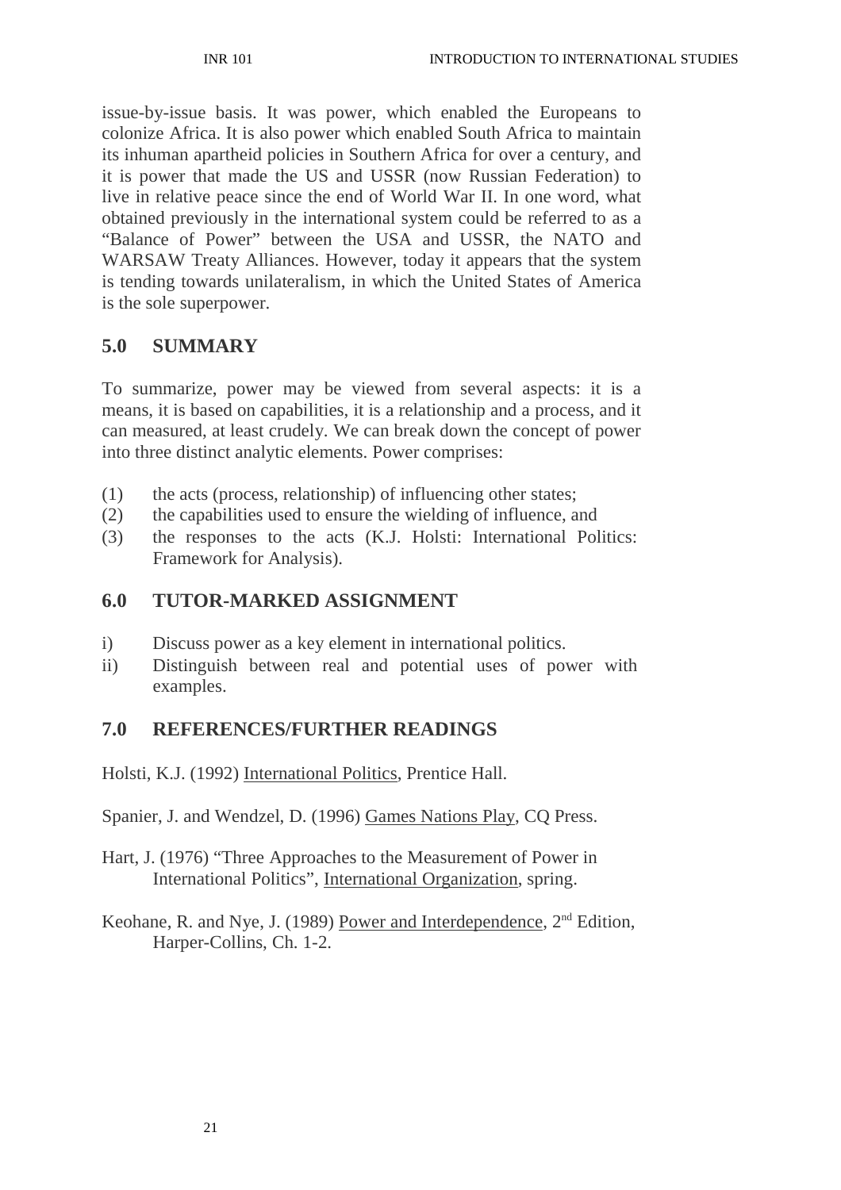issue-by-issue basis. It was power, which enabled the Europeans to colonize Africa. It is also power which enabled South Africa to maintain its inhuman apartheid policies in Southern Africa for over a century, and it is power that made the US and USSR (now Russian Federation) to live in relative peace since the end of World War II. In one word, what obtained previously in the international system could be referred to as a "Balance of Power" between the USA and USSR, the NATO and WARSAW Treaty Alliances. However, today it appears that the system is tending towards unilateralism, in which the United States of America is the sole superpower.

## **5.0 SUMMARY**

To summarize, power may be viewed from several aspects: it is a means, it is based on capabilities, it is a relationship and a process, and it can measured, at least crudely. We can break down the concept of power into three distinct analytic elements. Power comprises:

- (1) the acts (process, relationship) of influencing other states;
- (2) the capabilities used to ensure the wielding of influence, and
- (3) the responses to the acts (K.J. Holsti: International Politics: Framework for Analysis).

## **6.0 TUTOR-MARKED ASSIGNMENT**

- i) Discuss power as a key element in international politics.
- ii) Distinguish between real and potential uses of power with examples.

## **7.0 REFERENCES/FURTHER READINGS**

Holsti, K.J. (1992) International Politics, Prentice Hall.

Spanier, J. and Wendzel, D. (1996) Games Nations Play, CQ Press.

- Hart, J. (1976) "Three Approaches to the Measurement of Power in International Politics", International Organization, spring.
- Keohane, R. and Nye, J. (1989) Power and Interdependence,  $2<sup>nd</sup>$  Edition, Harper-Collins, Ch. 1-2.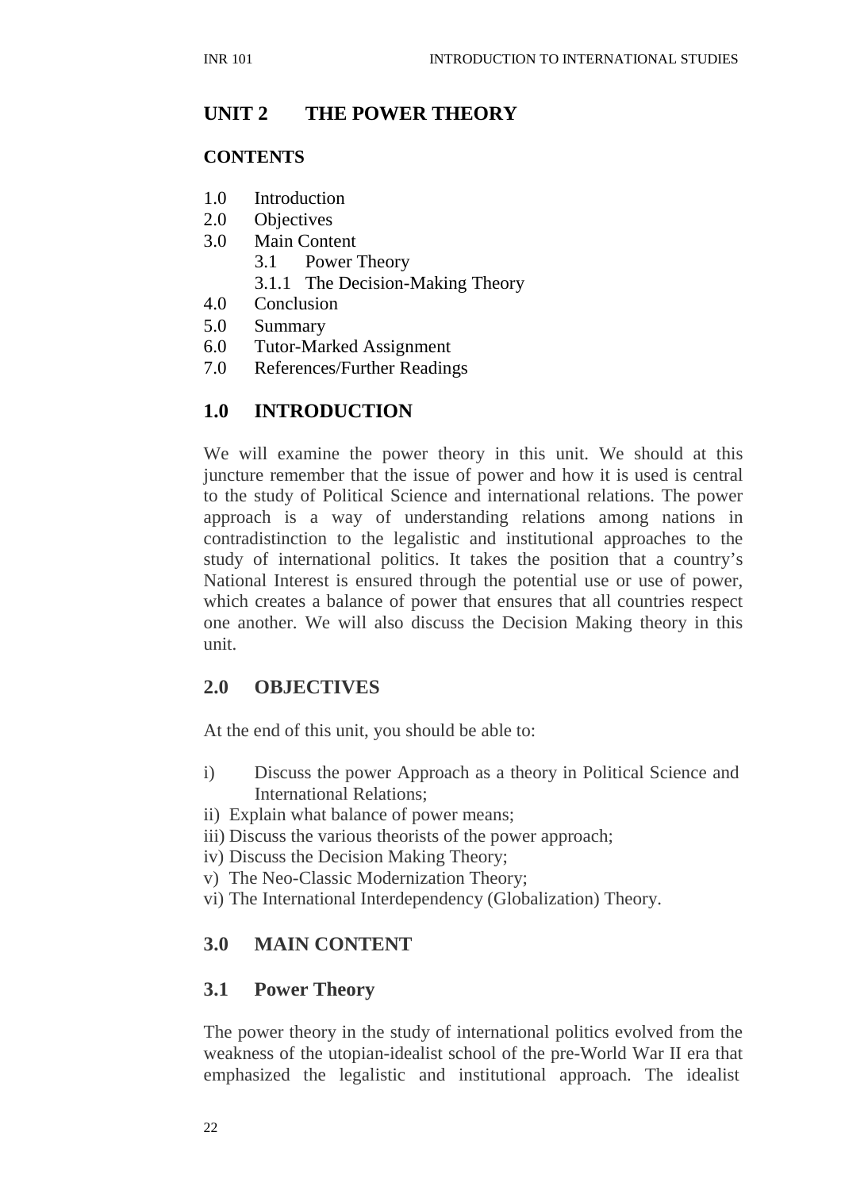## **UNIT 2 THE POWER THEORY**

#### **CONTENTS**

- 1.0 Introduction
- 2.0 Objectives
- 3.0 Main Content
	- 3.1 Power Theory
	- 3.1.1 The Decision-Making Theory
- 4.0 Conclusion
- 5.0 Summary
- 6.0 Tutor-Marked Assignment
- 7.0 References/Further Readings

## **1.0 INTRODUCTION**

We will examine the power theory in this unit. We should at this juncture remember that the issue of power and how it is used is central to the study of Political Science and international relations. The power approach is a way of understanding relations among nations in contradistinction to the legalistic and institutional approaches to the study of international politics. It takes the position that a country's National Interest is ensured through the potential use or use of power, which creates a balance of power that ensures that all countries respect one another. We will also discuss the Decision Making theory in this unit.

#### **2.0 OBJECTIVES**

At the end of this unit, you should be able to:

- i) Discuss the power Approach as a theory in Political Science and International Relations;
- ii) Explain what balance of power means;
- iii) Discuss the various theorists of the power approach;
- iv) Discuss the Decision Making Theory;
- v) The Neo-Classic Modernization Theory;
- vi) The International Interdependency (Globalization) Theory.

## **3.0 MAIN CONTENT**

#### **3.1 Power Theory**

The power theory in the study of international politics evolved from the weakness of the utopian-idealist school of the pre-World War II era that emphasized the legalistic and institutional approach. The idealist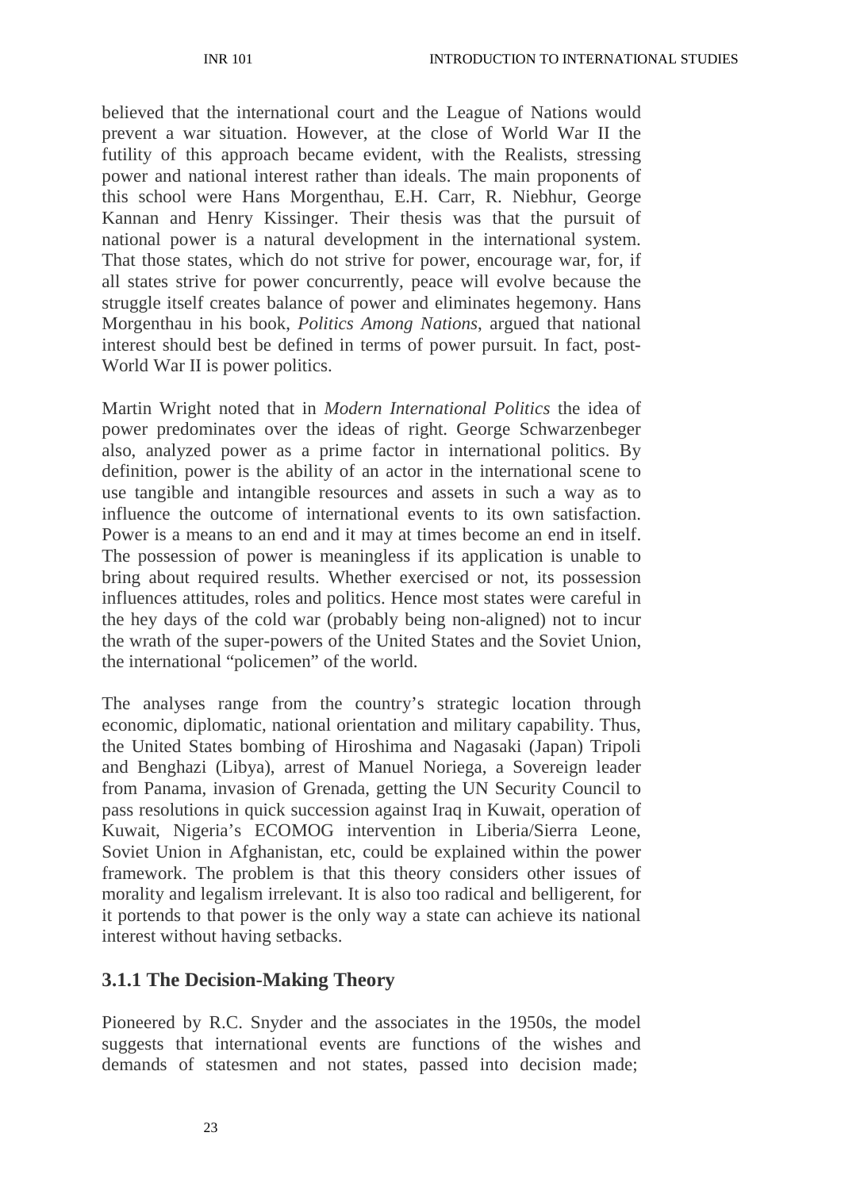believed that the international court and the League of Nations would prevent a war situation. However, at the close of World War II the futility of this approach became evident, with the Realists, stressing power and national interest rather than ideals. The main proponents of this school were Hans Morgenthau, E.H. Carr, R. Niebhur, George Kannan and Henry Kissinger. Their thesis was that the pursuit of national power is a natural development in the international system. That those states, which do not strive for power, encourage war, for, if all states strive for power concurrently, peace will evolve because the struggle itself creates balance of power and eliminates hegemony. Hans Morgenthau in his book, *Politics Among Nations*, argued that national interest should best be defined in terms of power pursuit. In fact, post-World War II is power politics.

Martin Wright noted that in *Modern International Politics* the idea of power predominates over the ideas of right. George Schwarzenbeger also, analyzed power as a prime factor in international politics. By definition, power is the ability of an actor in the international scene to use tangible and intangible resources and assets in such a way as to influence the outcome of international events to its own satisfaction. Power is a means to an end and it may at times become an end in itself. The possession of power is meaningless if its application is unable to bring about required results. Whether exercised or not, its possession influences attitudes, roles and politics. Hence most states were careful in the hey days of the cold war (probably being non-aligned) not to incur the wrath of the super-powers of the United States and the Soviet Union, the international "policemen" of the world.

The analyses range from the country's strategic location through economic, diplomatic, national orientation and military capability. Thus, the United States bombing of Hiroshima and Nagasaki (Japan) Tripoli and Benghazi (Libya), arrest of Manuel Noriega, a Sovereign leader from Panama, invasion of Grenada, getting the UN Security Council to pass resolutions in quick succession against Iraq in Kuwait, operation of Kuwait, Nigeria's ECOMOG intervention in Liberia/Sierra Leone, Soviet Union in Afghanistan, etc, could be explained within the power framework. The problem is that this theory considers other issues of morality and legalism irrelevant. It is also too radical and belligerent, for it portends to that power is the only way a state can achieve its national interest without having setbacks.

## **3.1.1 The Decision-Making Theory**

Pioneered by R.C. Snyder and the associates in the 1950s, the model suggests that international events are functions of the wishes and demands of statesmen and not states, passed into decision made;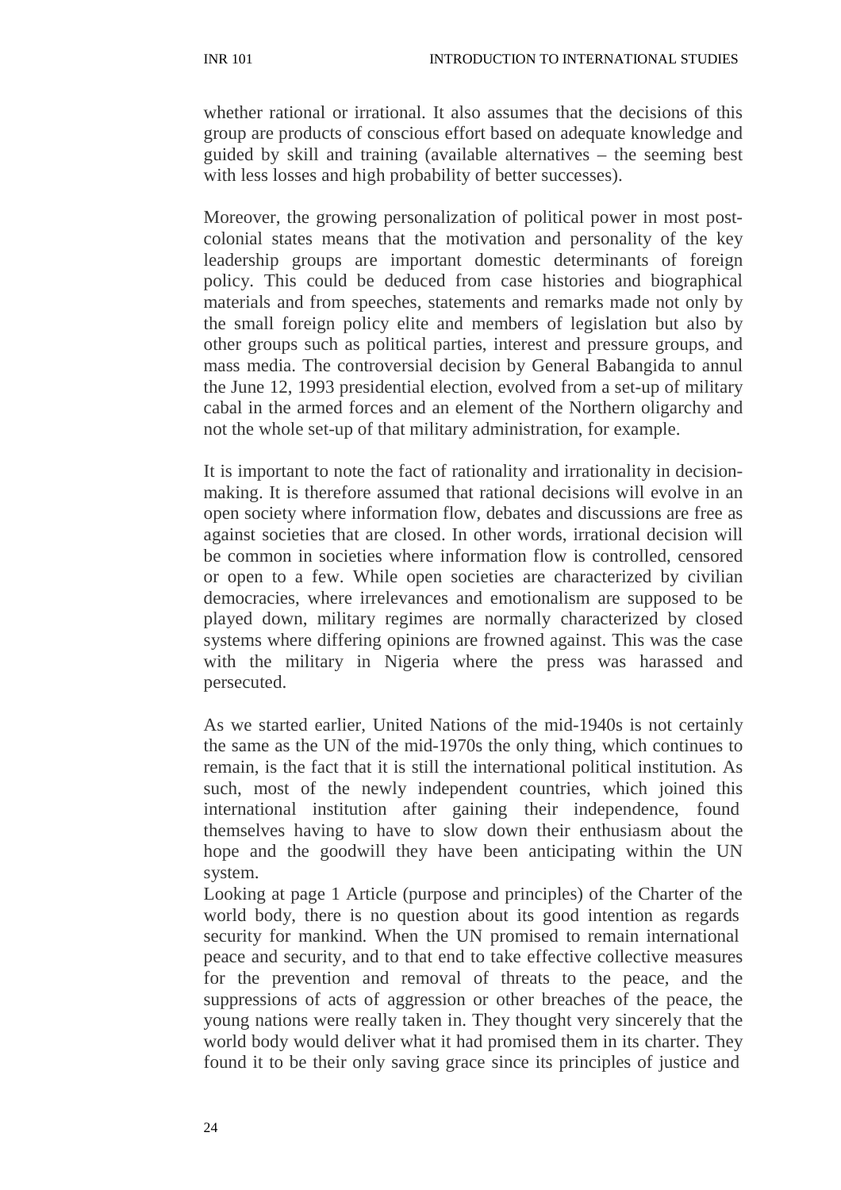whether rational or irrational. It also assumes that the decisions of this group are products of conscious effort based on adequate knowledge and guided by skill and training (available alternatives – the seeming best with less losses and high probability of better successes).

Moreover, the growing personalization of political power in most postcolonial states means that the motivation and personality of the key leadership groups are important domestic determinants of foreign policy. This could be deduced from case histories and biographical materials and from speeches, statements and remarks made not only by the small foreign policy elite and members of legislation but also by other groups such as political parties, interest and pressure groups, and mass media. The controversial decision by General Babangida to annul the June 12, 1993 presidential election, evolved from a set-up of military cabal in the armed forces and an element of the Northern oligarchy and not the whole set-up of that military administration, for example.

It is important to note the fact of rationality and irrationality in decisionmaking. It is therefore assumed that rational decisions will evolve in an open society where information flow, debates and discussions are free as against societies that are closed. In other words, irrational decision will be common in societies where information flow is controlled, censored or open to a few. While open societies are characterized by civilian democracies, where irrelevances and emotionalism are supposed to be played down, military regimes are normally characterized by closed systems where differing opinions are frowned against. This was the case with the military in Nigeria where the press was harassed and persecuted.

As we started earlier, United Nations of the mid-1940s is not certainly the same as the UN of the mid-1970s the only thing, which continues to remain, is the fact that it is still the international political institution. As such, most of the newly independent countries, which joined this international institution after gaining their independence, found themselves having to have to slow down their enthusiasm about the hope and the goodwill they have been anticipating within the UN system.

Looking at page 1 Article (purpose and principles) of the Charter of the world body, there is no question about its good intention as regards security for mankind. When the UN promised to remain international peace and security, and to that end to take effective collective measures for the prevention and removal of threats to the peace, and the suppressions of acts of aggression or other breaches of the peace, the young nations were really taken in. They thought very sincerely that the world body would deliver what it had promised them in its charter. They found it to be their only saving grace since its principles of justice and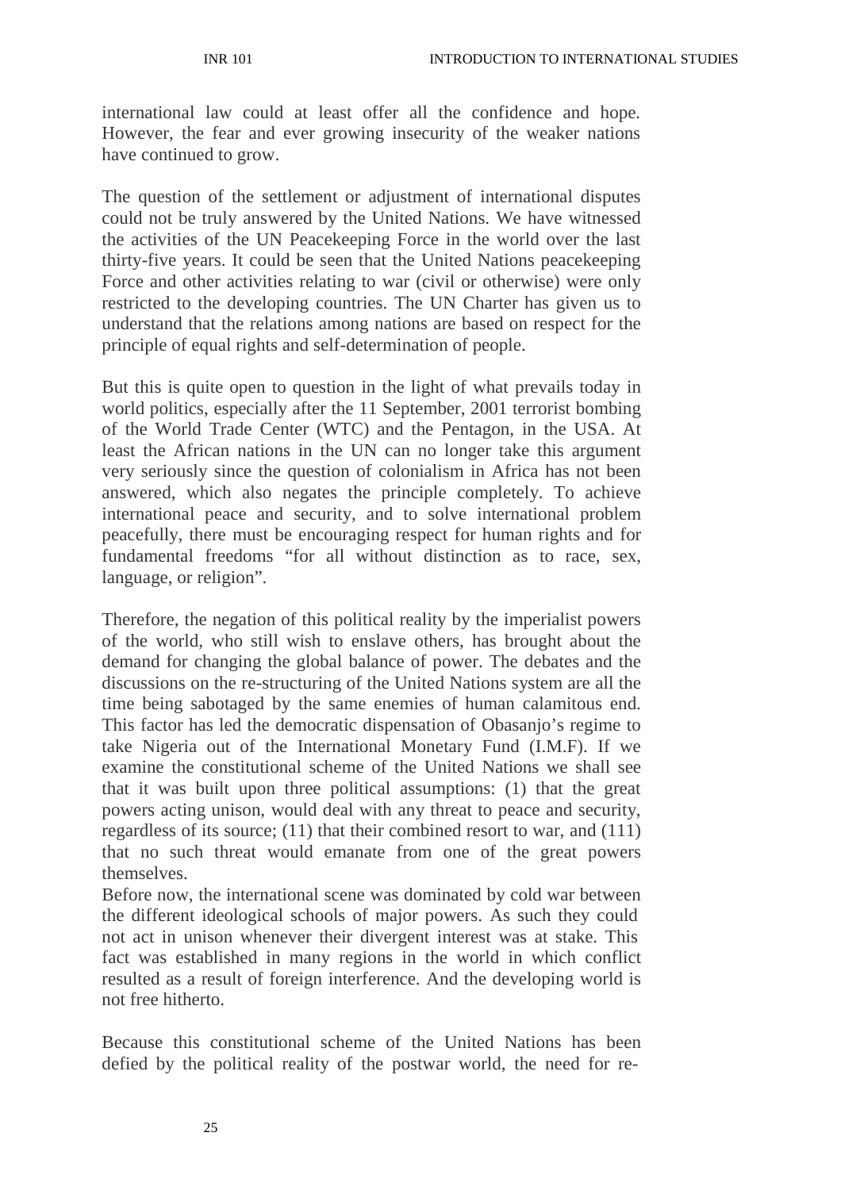international law could at least offer all the confidence and hope. However, the fear and ever growing insecurity of the weaker nations have continued to grow.

The question of the settlement or adjustment of international disputes could not be truly answered by the United Nations. We have witnessed the activities of the UN Peacekeeping Force in the world over the last thirty-five years. It could be seen that the United Nations peacekeeping Force and other activities relating to war (civil or otherwise) were only restricted to the developing countries. The UN Charter has given us to understand that the relations among nations are based on respect for the principle of equal rights and self-determination of people.

But this is quite open to question in the light of what prevails today in world politics, especially after the 11 September, 2001 terrorist bombing of the World Trade Center (WTC) and the Pentagon, in the USA. At least the African nations in the UN can no longer take this argument very seriously since the question of colonialism in Africa has not been answered, which also negates the principle completely. To achieve international peace and security, and to solve international problem peacefully, there must be encouraging respect for human rights and for fundamental freedoms "for all without distinction as to race, sex, language, or religion".

Therefore, the negation of this political reality by the imperialist powers of the world, who still wish to enslave others, has brought about the demand for changing the global balance of power. The debates and the discussions on the re-structuring of the United Nations system are all the time being sabotaged by the same enemies of human calamitous end. This factor has led the democratic dispensation of Obasanjo's regime to take Nigeria out of the International Monetary Fund (I.M.F). If we examine the constitutional scheme of the United Nations we shall see that it was built upon three political assumptions: (1) that the great powers acting unison, would deal with any threat to peace and security, regardless of its source; (11) that their combined resort to war, and (111) that no such threat would emanate from one of the great powers themselves.

Before now, the international scene was dominated by cold war between the different ideological schools of major powers. As such they could not act in unison whenever their divergent interest was at stake. This fact was established in many regions in the world in which conflict resulted as a result of foreign interference. And the developing world is not free hitherto.

Because this constitutional scheme of the United Nations has been defied by the political reality of the postwar world, the need for re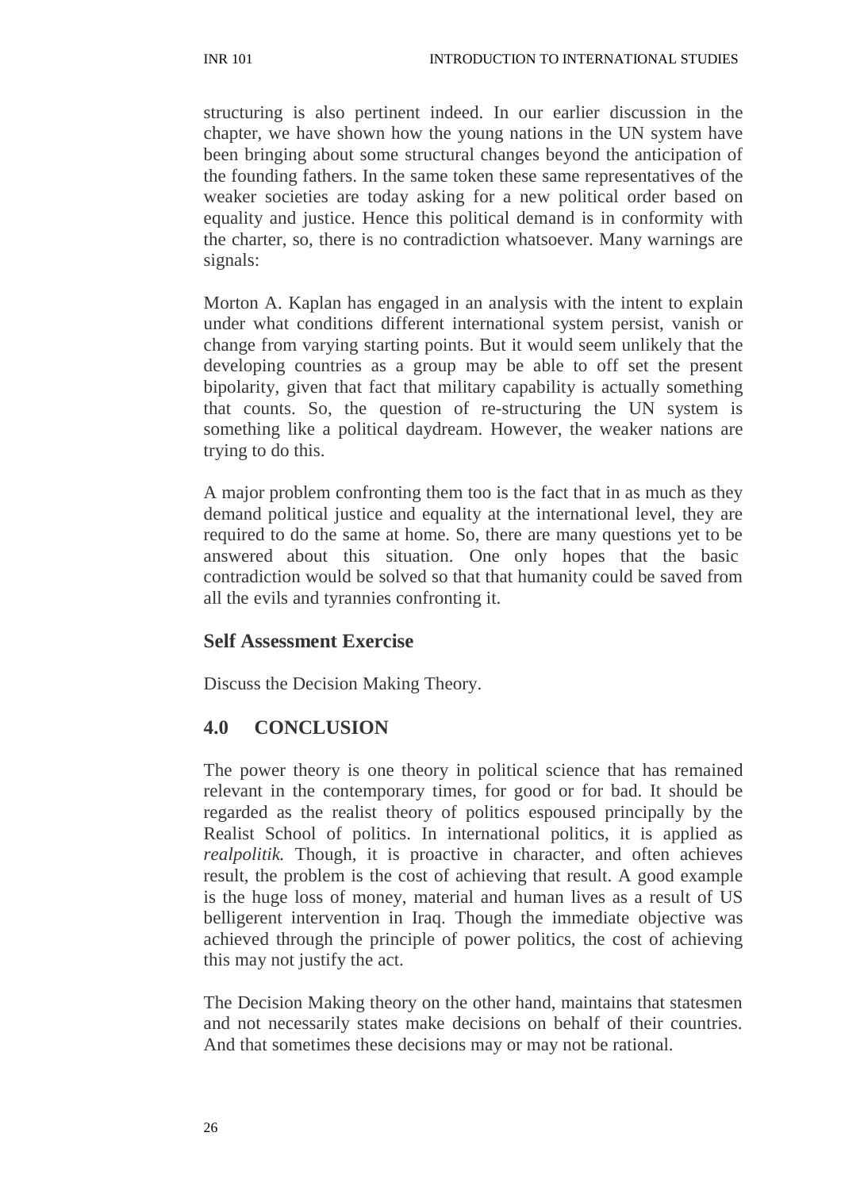structuring is also pertinent indeed. In our earlier discussion in the chapter, we have shown how the young nations in the UN system have been bringing about some structural changes beyond the anticipation of the founding fathers. In the same token these same representatives of the weaker societies are today asking for a new political order based on equality and justice. Hence this political demand is in conformity with the charter, so, there is no contradiction whatsoever. Many warnings are signals:

Morton A. Kaplan has engaged in an analysis with the intent to explain under what conditions different international system persist, vanish or change from varying starting points. But it would seem unlikely that the developing countries as a group may be able to off set the present bipolarity, given that fact that military capability is actually something that counts. So, the question of re-structuring the UN system is something like a political daydream. However, the weaker nations are trying to do this.

A major problem confronting them too is the fact that in as much as they demand political justice and equality at the international level, they are required to do the same at home. So, there are many questions yet to be answered about this situation. One only hopes that the basic contradiction would be solved so that that humanity could be saved from all the evils and tyrannies confronting it.

## **Self Assessment Exercise**

Discuss the Decision Making Theory.

## **4.0 CONCLUSION**

The power theory is one theory in political science that has remained relevant in the contemporary times, for good or for bad. It should be regarded as the realist theory of politics espoused principally by the Realist School of politics. In international politics, it is applied as *realpolitik*. Though, it is proactive in character, and often achieves result, the problem is the cost of achieving that result. A good example is the huge loss of money, material and human lives as a result of US belligerent intervention in Iraq. Though the immediate objective was achieved through the principle of power politics, the cost of achieving this may not justify the act.

The Decision Making theory on the other hand, maintains that statesmen and not necessarily states make decisions on behalf of their countries. And that sometimes these decisions may or may not be rational.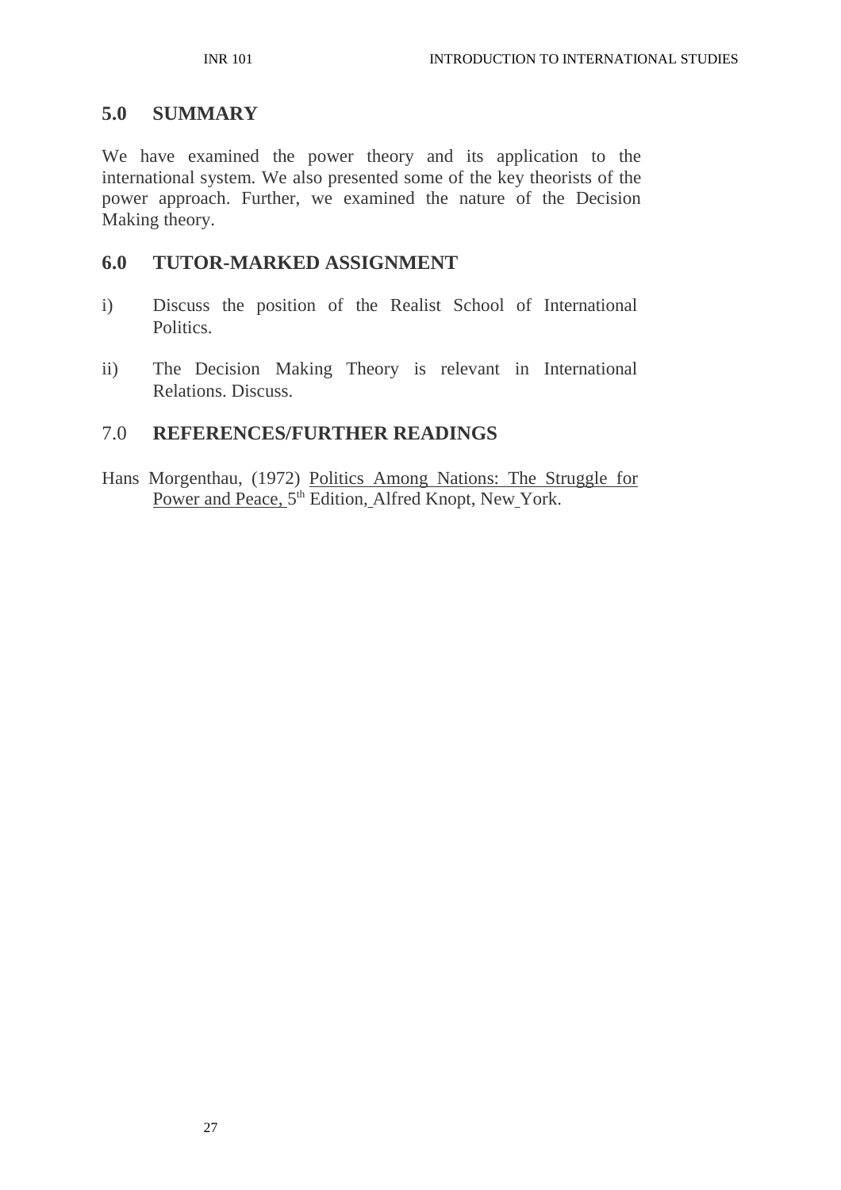## **5.0 SUMMARY**

We have examined the power theory and its application to the international system. We also presented some of the key theorists of the power approach. Further, we examined the nature of the Decision Making theory.

#### **6.0 TUTOR-MARKED ASSIGNMENT**

- i) Discuss the position of the Realist School of International Politics.
- ii) The Decision Making Theory is relevant in International Relations. Discuss.

## 7.0 **REFERENCES/FURTHER READINGS**

Hans Morgenthau, (1972) Politics Among Nations: The Struggle for Power and Peace, 5<sup>th</sup> Edition, Alfred Knopt, New York.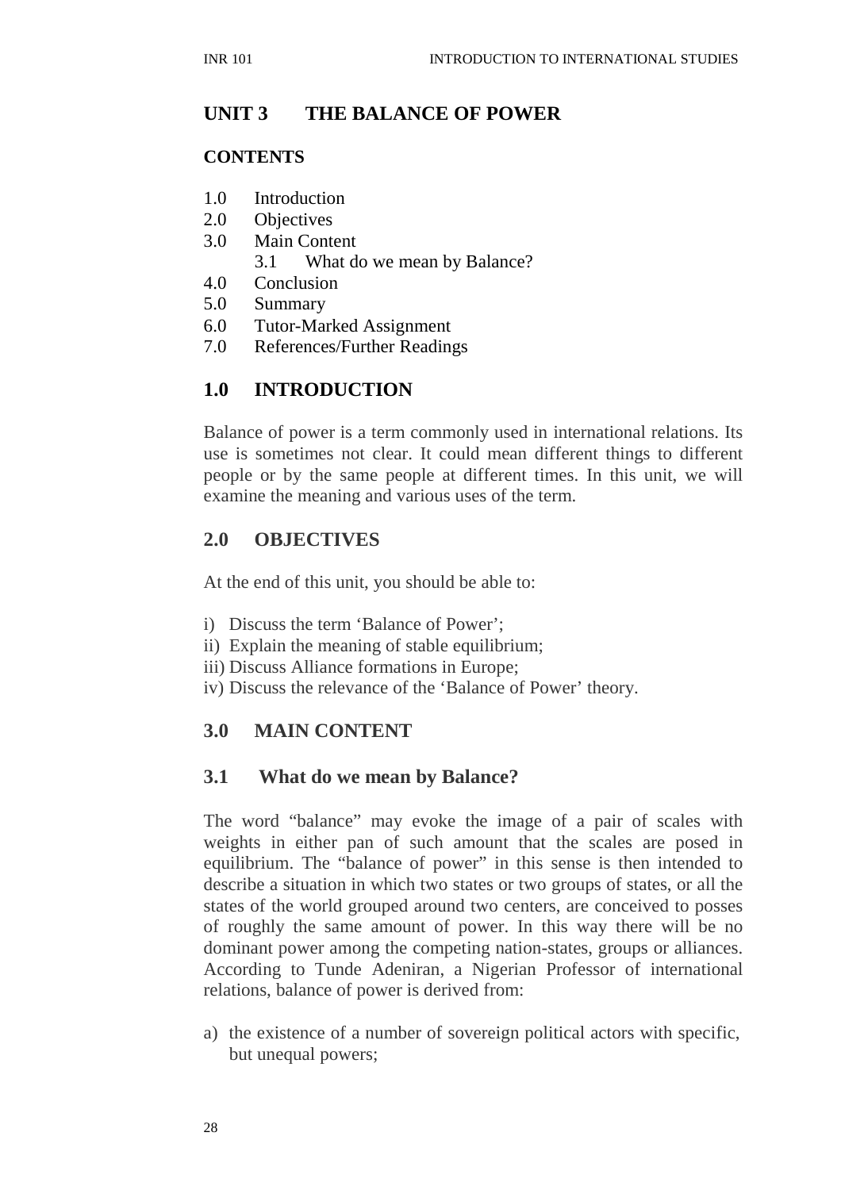## **UNIT 3 THE BALANCE OF POWER**

#### **CONTENTS**

- 1.0 Introduction
- 2.0 Objectives
- 3.0 Main Content
	- 3.1 What do we mean by Balance?
- 4.0 Conclusion
- 5.0 Summary
- 6.0 Tutor-Marked Assignment
- 7.0 References/Further Readings

## **1.0 INTRODUCTION**

Balance of power is a term commonly used in international relations. Its use is sometimes not clear. It could mean different things to different people or by the same people at different times. In this unit, we will examine the meaning and various uses of the term.

## **2.0 OBJECTIVES**

At the end of this unit, you should be able to:

- i) Discuss the term 'Balance of Power';
- ii) Explain the meaning of stable equilibrium;
- iii) Discuss Alliance formations in Europe;
- iv) Discuss the relevance of the 'Balance of Power' theory.

## **3.0 MAIN CONTENT**

#### **3.1 What do we mean by Balance?**

The word "balance" may evoke the image of a pair of scales with weights in either pan of such amount that the scales are posed in equilibrium. The "balance of power" in this sense is then intended to describe a situation in which two states or two groups of states, or all the states of the world grouped around two centers, are conceived to posses of roughly the same amount of power. In this way there will be no dominant power among the competing nation-states, groups or alliances. According to Tunde Adeniran, a Nigerian Professor of international relations, balance of power is derived from:

a) the existence of a number of sovereign political actors with specific, but unequal powers;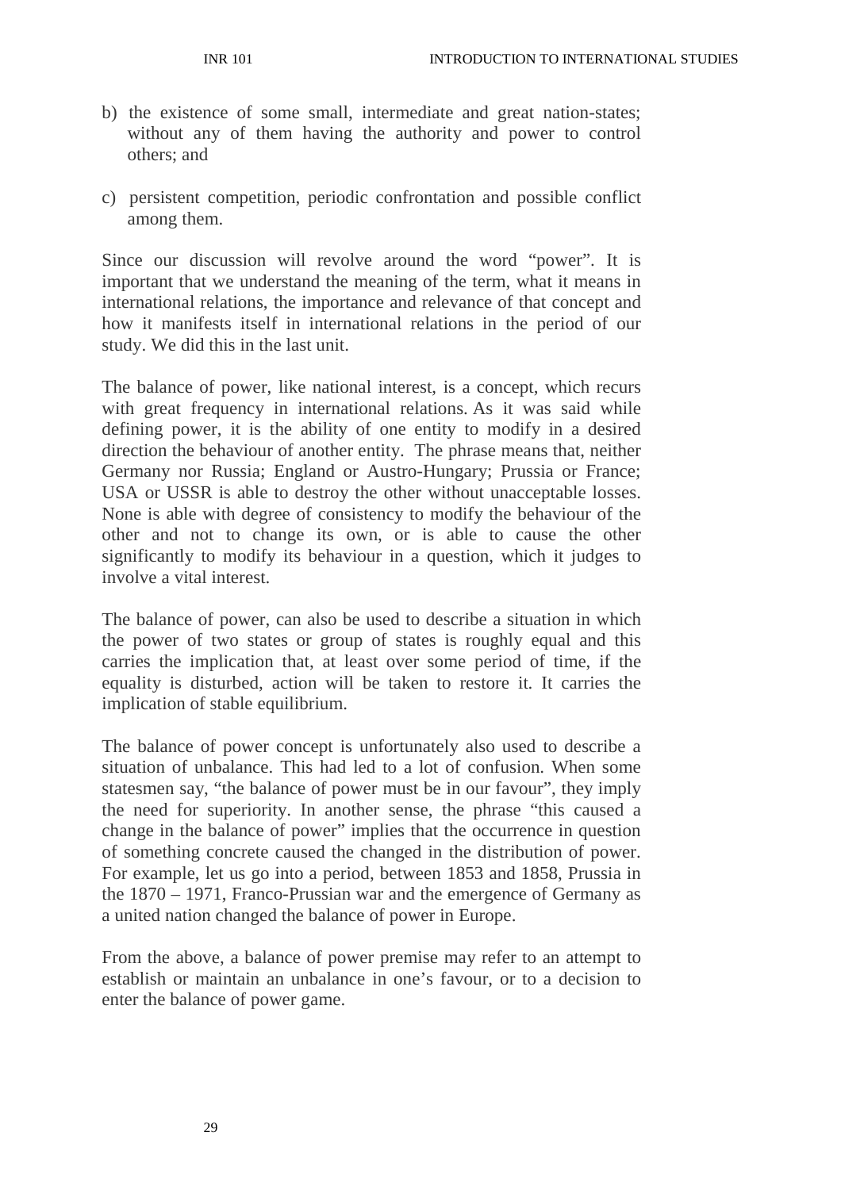- b) the existence of some small, intermediate and great nation-states; without any of them having the authority and power to control others; and
- c) persistent competition, periodic confrontation and possible conflict among them.

Since our discussion will revolve around the word "power". It is important that we understand the meaning of the term, what it means in international relations, the importance and relevance of that concept and how it manifests itself in international relations in the period of our study. We did this in the last unit.

The balance of power, like national interest, is a concept, which recurs with great frequency in international relations. As it was said while defining power, it is the ability of one entity to modify in a desired direction the behaviour of another entity. The phrase means that, neither Germany nor Russia; England or Austro-Hungary; Prussia or France; USA or USSR is able to destroy the other without unacceptable losses. None is able with degree of consistency to modify the behaviour of the other and not to change its own, or is able to cause the other significantly to modify its behaviour in a question, which it judges to involve a vital interest.

The balance of power, can also be used to describe a situation in which the power of two states or group of states is roughly equal and this carries the implication that, at least over some period of time, if the equality is disturbed, action will be taken to restore it. It carries the implication of stable equilibrium.

The balance of power concept is unfortunately also used to describe a situation of unbalance. This had led to a lot of confusion. When some statesmen say, "the balance of power must be in our favour", they imply the need for superiority. In another sense, the phrase "this caused a change in the balance of power" implies that the occurrence in question of something concrete caused the changed in the distribution of power. For example, let us go into a period, between 1853 and 1858, Prussia in the 1870 – 1971, Franco-Prussian war and the emergence of Germany as a united nation changed the balance of power in Europe.

From the above, a balance of power premise may refer to an attempt to establish or maintain an unbalance in one's favour, or to a decision to enter the balance of power game.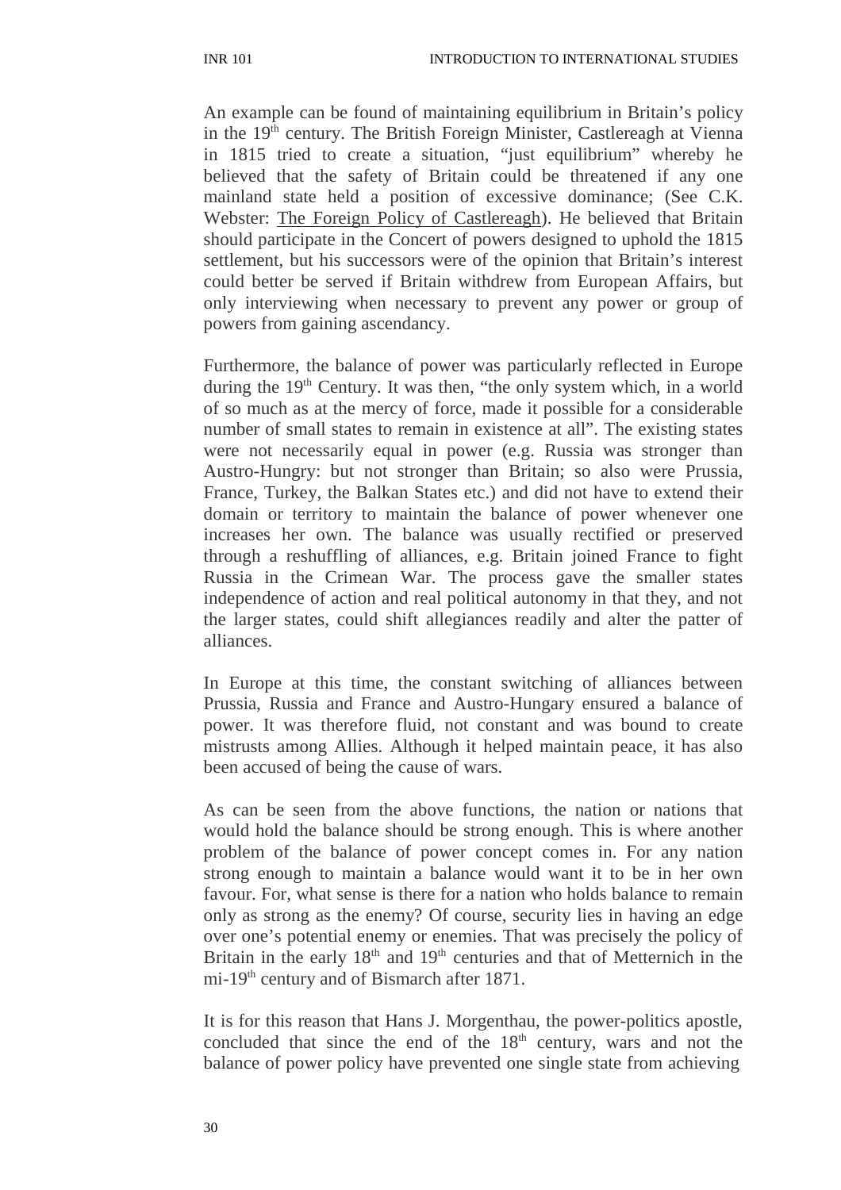An example can be found of maintaining equilibrium in Britain's policy in the 19<sup>th</sup> century. The British Foreign Minister, Castlereagh at Vienna in 1815 tried to create a situation, "just equilibrium" whereby he believed that the safety of Britain could be threatened if any one mainland state held a position of excessive dominance; (See C.K. Webster: The Foreign Policy of Castlereagh). He believed that Britain should participate in the Concert of powers designed to uphold the 1815 settlement, but his successors were of the opinion that Britain's interest could better be served if Britain withdrew from European Affairs, but only interviewing when necessary to prevent any power or group of powers from gaining ascendancy.

Furthermore, the balance of power was particularly reflected in Europe during the 19<sup>th</sup> Century. It was then, "the only system which, in a world of so much as at the mercy of force, made it possible for a considerable number of small states to remain in existence at all". The existing states were not necessarily equal in power (e.g. Russia was stronger than Austro-Hungry: but not stronger than Britain; so also were Prussia, France, Turkey, the Balkan States etc.) and did not have to extend their domain or territory to maintain the balance of power whenever one increases her own. The balance was usually rectified or preserved through a reshuffling of alliances, e.g. Britain joined France to fight Russia in the Crimean War. The process gave the smaller states independence of action and real political autonomy in that they, and not the larger states, could shift allegiances readily and alter the patter of alliances.

In Europe at this time, the constant switching of alliances between Prussia, Russia and France and Austro-Hungary ensured a balance of power. It was therefore fluid, not constant and was bound to create mistrusts among Allies. Although it helped maintain peace, it has also been accused of being the cause of wars.

As can be seen from the above functions, the nation or nations that would hold the balance should be strong enough. This is where another problem of the balance of power concept comes in. For any nation strong enough to maintain a balance would want it to be in her own favour. For, what sense is there for a nation who holds balance to remain only as strong as the enemy? Of course, security lies in having an edge over one's potential enemy or enemies. That was precisely the policy of Britain in the early  $18<sup>th</sup>$  and  $19<sup>th</sup>$  centuries and that of Metternich in the mi-19<sup>th</sup> century and of Bismarch after 1871.

It is for this reason that Hans J. Morgenthau, the power-politics apostle, concluded that since the end of the  $18<sup>th</sup>$  century, wars and not the balance of power policy have prevented one single state from achieving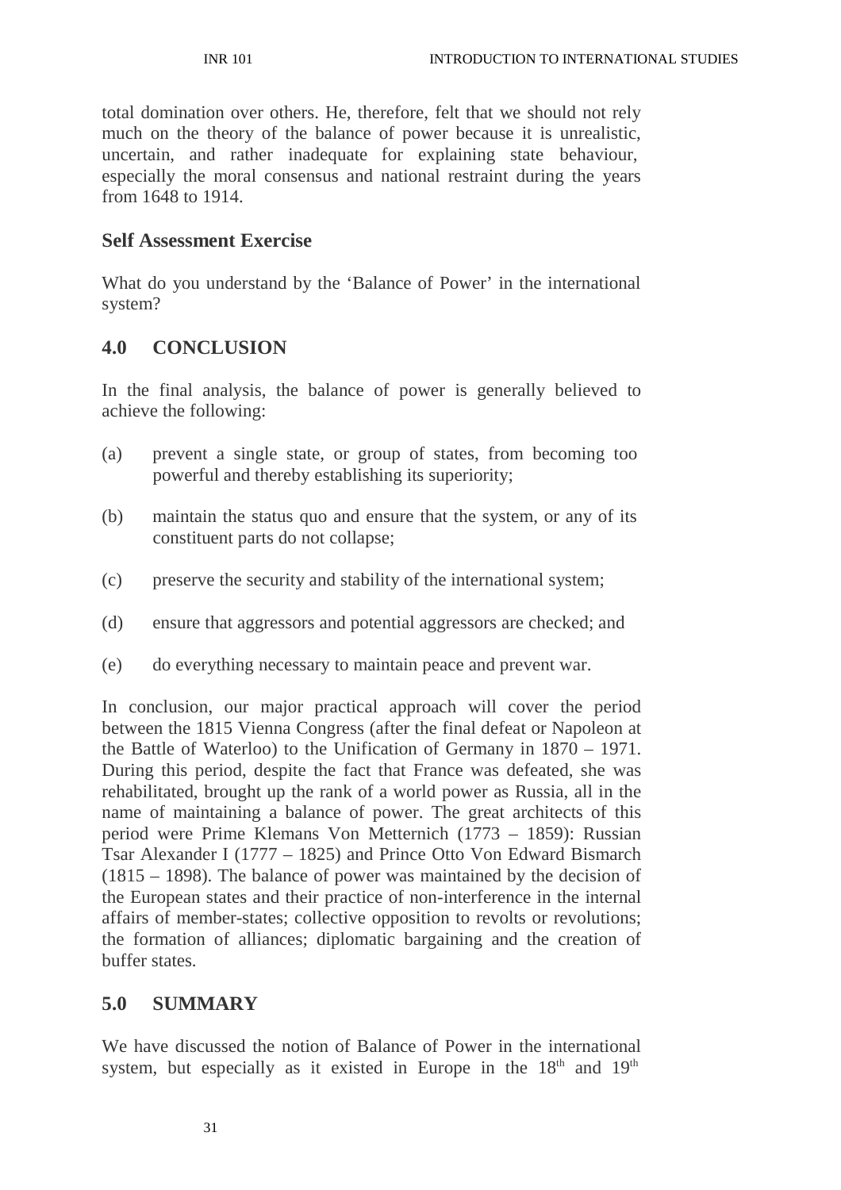total domination over others. He, therefore, felt that we should not rely much on the theory of the balance of power because it is unrealistic, uncertain, and rather inadequate for explaining state behaviour, especially the moral consensus and national restraint during the years from 1648 to 1914.

## **Self Assessment Exercise**

What do you understand by the 'Balance of Power' in the international system?

# **4.0 CONCLUSION**

In the final analysis, the balance of power is generally believed to achieve the following:

- (a) prevent a single state, or group of states, from becoming too powerful and thereby establishing its superiority;
- (b) maintain the status quo and ensure that the system, or any of its constituent parts do not collapse;
- (c) preserve the security and stability of the international system;
- (d) ensure that aggressors and potential aggressors are checked; and
- (e) do everything necessary to maintain peace and prevent war.

In conclusion, our major practical approach will cover the period between the 1815 Vienna Congress (after the final defeat or Napoleon at the Battle of Waterloo) to the Unification of Germany in 1870 – 1971. During this period, despite the fact that France was defeated, she was rehabilitated, brought up the rank of a world power as Russia, all in the name of maintaining a balance of power. The great architects of this period were Prime Klemans Von Metternich (1773 – 1859): Russian Tsar Alexander I (1777 – 1825) and Prince Otto Von Edward Bismarch (1815 – 1898). The balance of power was maintained by the decision of the European states and their practice of non-interference in the internal affairs of member-states; collective opposition to revolts or revolutions; the formation of alliances; diplomatic bargaining and the creation of buffer states.

## **5.0 SUMMARY**

We have discussed the notion of Balance of Power in the international system, but especially as it existed in Europe in the  $18<sup>th</sup>$  and  $19<sup>th</sup>$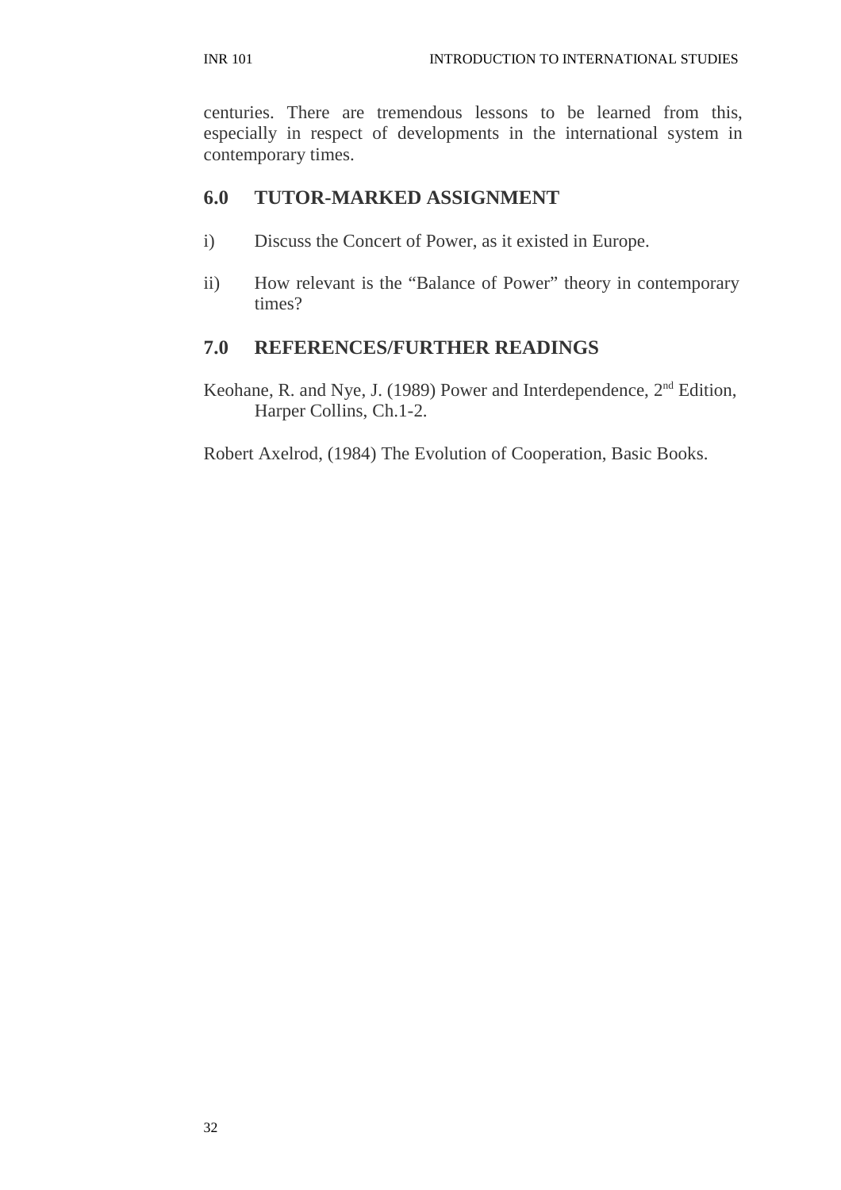centuries. There are tremendous lessons to be learned from this, especially in respect of developments in the international system in contemporary times.

## **6.0 TUTOR-MARKED ASSIGNMENT**

- i) Discuss the Concert of Power, as it existed in Europe.
- ii) How relevant is the "Balance of Power" theory in contemporary times?

# **7.0 REFERENCES/FURTHER READINGS**

Keohane, R. and Nye, J. (1989) Power and Interdependence, 2nd Edition, Harper Collins, Ch.1-2.

Robert Axelrod, (1984) The Evolution of Cooperation, Basic Books.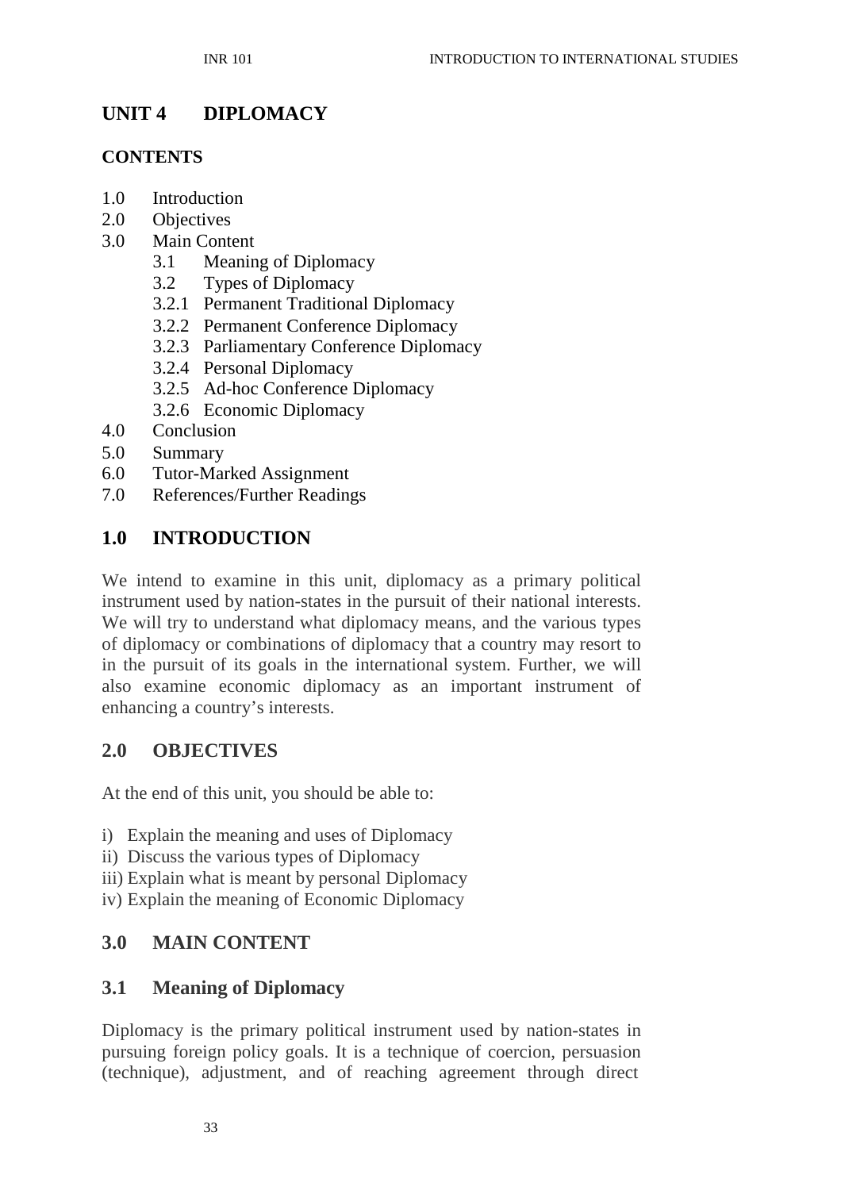# **UNIT 4 DIPLOMACY**

#### **CONTENTS**

- 1.0 Introduction
- 2.0 Objectives
- 3.0 Main Content
	- 3.1 Meaning of Diplomacy
	- 3.2 Types of Diplomacy
	- 3.2.1 Permanent Traditional Diplomacy
	- 3.2.2 Permanent Conference Diplomacy
	- 3.2.3 Parliamentary Conference Diplomacy
	- 3.2.4 Personal Diplomacy
	- 3.2.5 Ad-hoc Conference Diplomacy
	- 3.2.6 Economic Diplomacy
- 4.0 Conclusion
- 5.0 Summary
- 6.0 Tutor-Marked Assignment
- 7.0 References/Further Readings

## **1.0 INTRODUCTION**

We intend to examine in this unit, diplomacy as a primary political instrument used by nation-states in the pursuit of their national interests. We will try to understand what diplomacy means, and the various types of diplomacy or combinations of diplomacy that a country may resort to in the pursuit of its goals in the international system. Further, we will also examine economic diplomacy as an important instrument of enhancing a country's interests.

## **2.0 OBJECTIVES**

At the end of this unit, you should be able to:

- i) Explain the meaning and uses of Diplomacy
- ii) Discuss the various types of Diplomacy
- iii) Explain what is meant by personal Diplomacy
- iv) Explain the meaning of Economic Diplomacy

## **3.0 MAIN CONTENT**

## **3.1 Meaning of Diplomacy**

Diplomacy is the primary political instrument used by nation-states in pursuing foreign policy goals. It is a technique of coercion, persuasion (technique), adjustment, and of reaching agreement through direct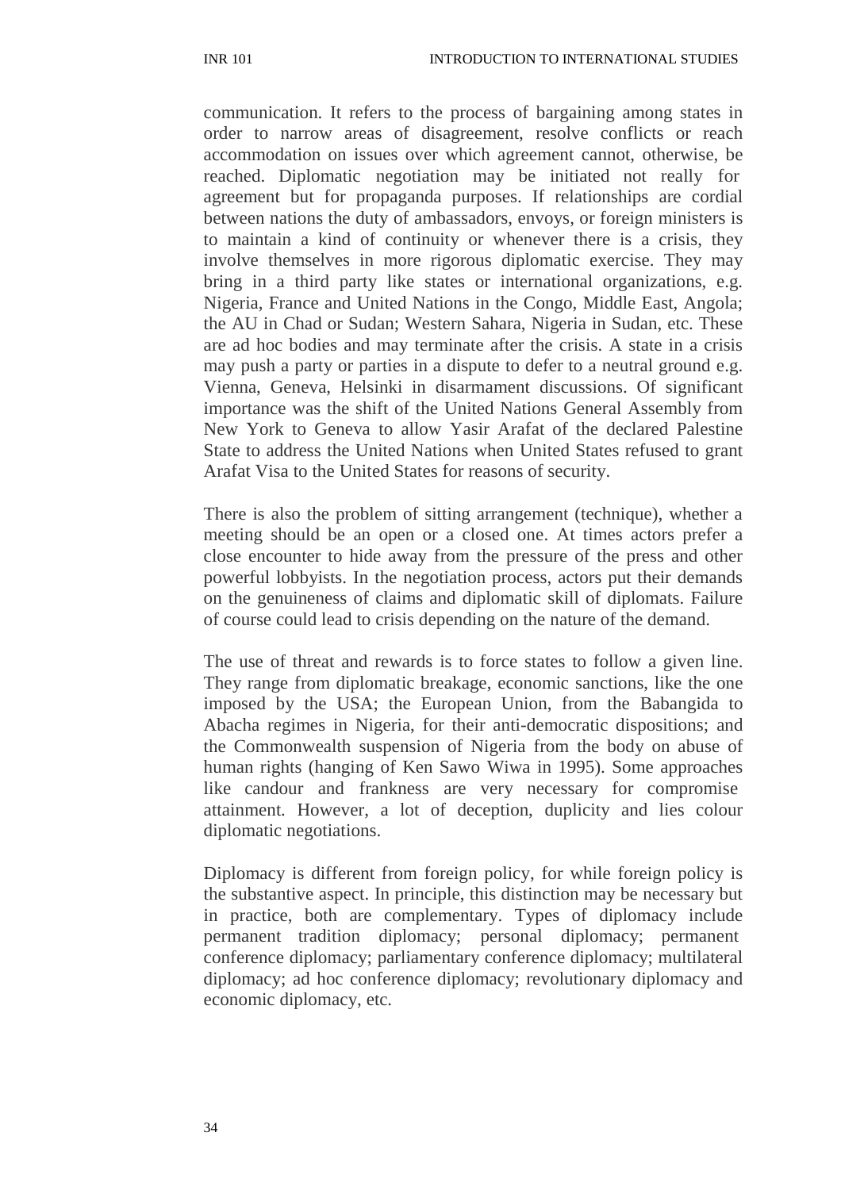communication. It refers to the process of bargaining among states in order to narrow areas of disagreement, resolve conflicts or reach accommodation on issues over which agreement cannot, otherwise, be reached. Diplomatic negotiation may be initiated not really for agreement but for propaganda purposes. If relationships are cordial between nations the duty of ambassadors, envoys, or foreign ministers is to maintain a kind of continuity or whenever there is a crisis, they involve themselves in more rigorous diplomatic exercise. They may bring in a third party like states or international organizations, e.g. Nigeria, France and United Nations in the Congo, Middle East, Angola; the AU in Chad or Sudan; Western Sahara, Nigeria in Sudan, etc. These are ad hoc bodies and may terminate after the crisis. A state in a crisis may push a party or parties in a dispute to defer to a neutral ground e.g. Vienna, Geneva, Helsinki in disarmament discussions. Of significant importance was the shift of the United Nations General Assembly from New York to Geneva to allow Yasir Arafat of the declared Palestine State to address the United Nations when United States refused to grant Arafat Visa to the United States for reasons of security.

There is also the problem of sitting arrangement (technique), whether a meeting should be an open or a closed one. At times actors prefer a close encounter to hide away from the pressure of the press and other powerful lobbyists. In the negotiation process, actors put their demands on the genuineness of claims and diplomatic skill of diplomats. Failure of course could lead to crisis depending on the nature of the demand.

The use of threat and rewards is to force states to follow a given line. They range from diplomatic breakage, economic sanctions, like the one imposed by the USA; the European Union, from the Babangida to Abacha regimes in Nigeria, for their anti-democratic dispositions; and the Commonwealth suspension of Nigeria from the body on abuse of human rights (hanging of Ken Sawo Wiwa in 1995). Some approaches like candour and frankness are very necessary for compromise attainment. However, a lot of deception, duplicity and lies colour diplomatic negotiations.

Diplomacy is different from foreign policy, for while foreign policy is the substantive aspect. In principle, this distinction may be necessary but in practice, both are complementary. Types of diplomacy include permanent tradition diplomacy; personal diplomacy; permanent conference diplomacy; parliamentary conference diplomacy; multilateral diplomacy; ad hoc conference diplomacy; revolutionary diplomacy and economic diplomacy, etc.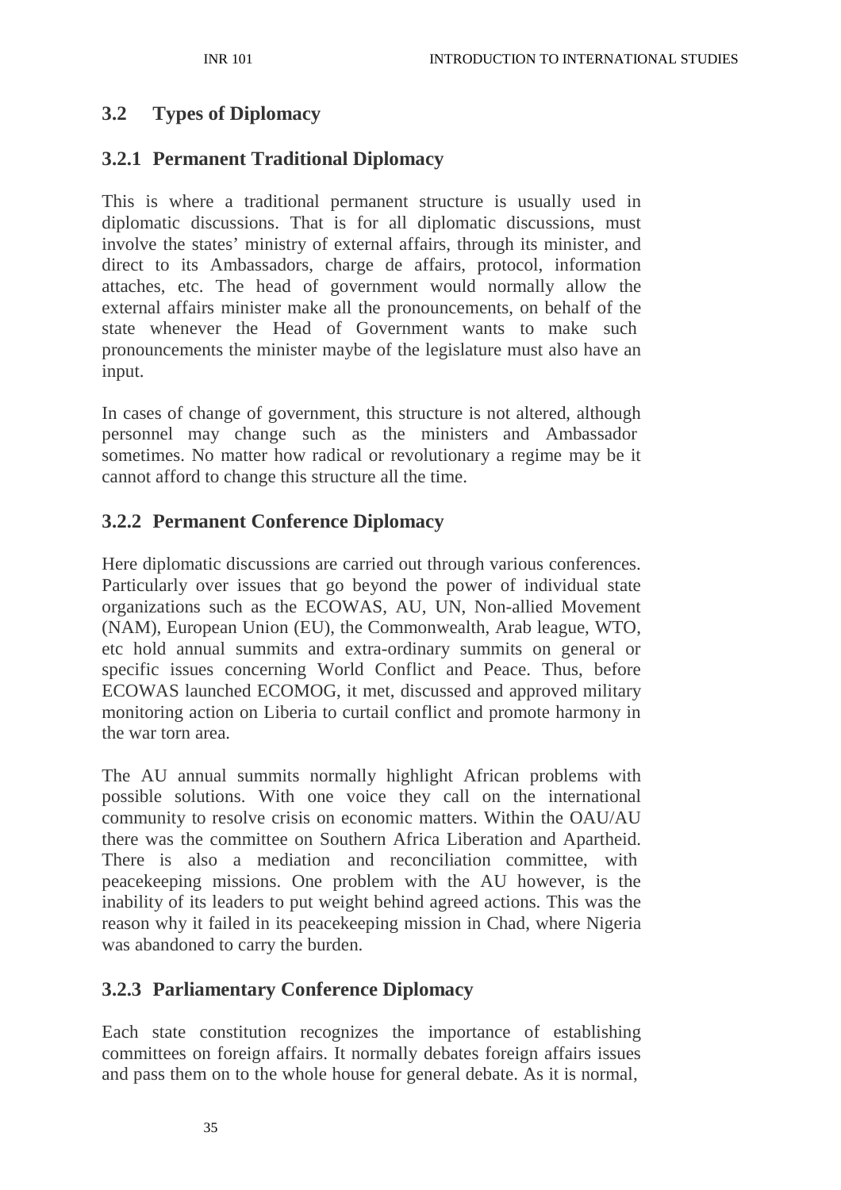## **3.2 Types of Diplomacy**

## **3.2.1 Permanent Traditional Diplomacy**

This is where a traditional permanent structure is usually used in diplomatic discussions. That is for all diplomatic discussions, must involve the states' ministry of external affairs, through its minister, and direct to its Ambassadors, charge de affairs, protocol, information attaches, etc. The head of government would normally allow the external affairs minister make all the pronouncements, on behalf of the state whenever the Head of Government wants to make such pronouncements the minister maybe of the legislature must also have an input.

In cases of change of government, this structure is not altered, although personnel may change such as the ministers and Ambassador sometimes. No matter how radical or revolutionary a regime may be it cannot afford to change this structure all the time.

## **3.2.2 Permanent Conference Diplomacy**

Here diplomatic discussions are carried out through various conferences. Particularly over issues that go beyond the power of individual state organizations such as the ECOWAS, AU, UN, Non-allied Movement (NAM), European Union (EU), the Commonwealth, Arab league, WTO, etc hold annual summits and extra-ordinary summits on general or specific issues concerning World Conflict and Peace. Thus, before ECOWAS launched ECOMOG, it met, discussed and approved military monitoring action on Liberia to curtail conflict and promote harmony in the war torn area.

The AU annual summits normally highlight African problems with possible solutions. With one voice they call on the international community to resolve crisis on economic matters. Within the OAU/AU there was the committee on Southern Africa Liberation and Apartheid. There is also a mediation and reconciliation committee, with peacekeeping missions. One problem with the AU however, is the inability of its leaders to put weight behind agreed actions. This was the reason why it failed in its peacekeeping mission in Chad, where Nigeria was abandoned to carry the burden.

## **3.2.3 Parliamentary Conference Diplomacy**

Each state constitution recognizes the importance of establishing committees on foreign affairs. It normally debates foreign affairs issues and pass them on to the whole house for general debate. As it is normal,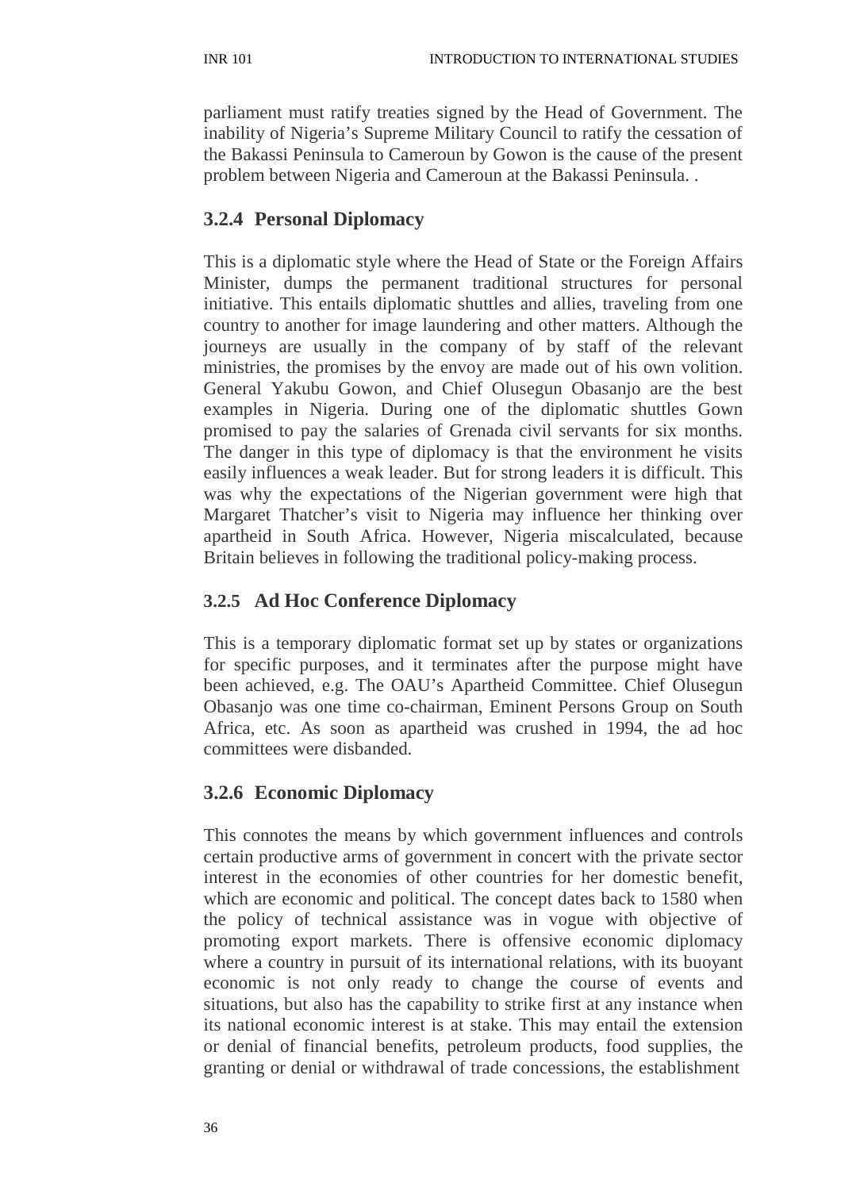parliament must ratify treaties signed by the Head of Government. The inability of Nigeria's Supreme Military Council to ratify the cessation of the Bakassi Peninsula to Cameroun by Gowon is the cause of the present problem between Nigeria and Cameroun at the Bakassi Peninsula. .

## **3.2.4 Personal Diplomacy**

This is a diplomatic style where the Head of State or the Foreign Affairs Minister, dumps the permanent traditional structures for personal initiative. This entails diplomatic shuttles and allies, traveling from one country to another for image laundering and other matters. Although the journeys are usually in the company of by staff of the relevant ministries, the promises by the envoy are made out of his own volition. General Yakubu Gowon, and Chief Olusegun Obasanjo are the best examples in Nigeria. During one of the diplomatic shuttles Gown promised to pay the salaries of Grenada civil servants for six months. The danger in this type of diplomacy is that the environment he visits easily influences a weak leader. But for strong leaders it is difficult. This was why the expectations of the Nigerian government were high that Margaret Thatcher's visit to Nigeria may influence her thinking over apartheid in South Africa. However, Nigeria miscalculated, because Britain believes in following the traditional policy-making process.

## **3.2.5 Ad Hoc Conference Diplomacy**

This is a temporary diplomatic format set up by states or organizations for specific purposes, and it terminates after the purpose might have been achieved, e.g. The OAU's Apartheid Committee. Chief Olusegun Obasanjo was one time co-chairman, Eminent Persons Group on South Africa, etc. As soon as apartheid was crushed in 1994, the ad hoc committees were disbanded.

## **3.2.6 Economic Diplomacy**

This connotes the means by which government influences and controls certain productive arms of government in concert with the private sector interest in the economies of other countries for her domestic benefit, which are economic and political. The concept dates back to 1580 when the policy of technical assistance was in vogue with objective of promoting export markets. There is offensive economic diplomacy where a country in pursuit of its international relations, with its buoyant economic is not only ready to change the course of events and situations, but also has the capability to strike first at any instance when its national economic interest is at stake. This may entail the extension or denial of financial benefits, petroleum products, food supplies, the granting or denial or withdrawal of trade concessions, the establishment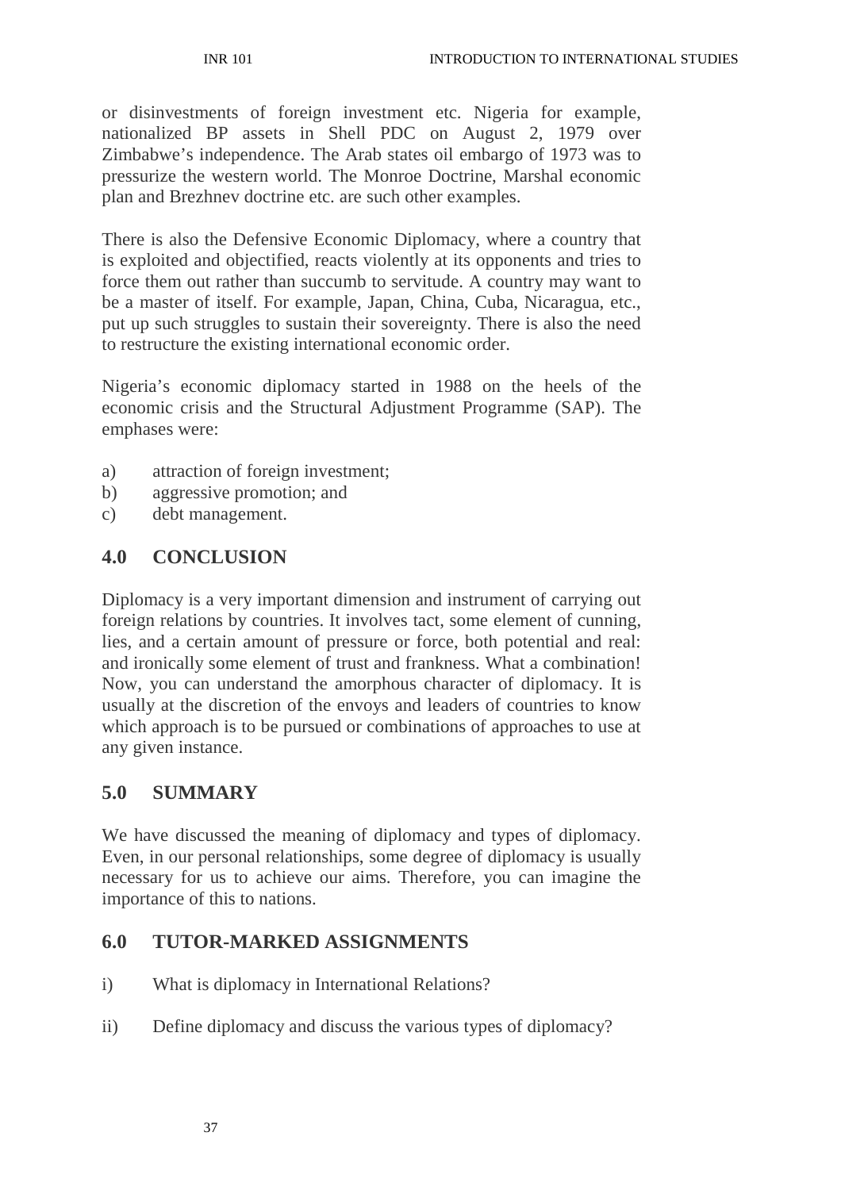or disinvestments of foreign investment etc. Nigeria for example, nationalized BP assets in Shell PDC on August 2, 1979 over Zimbabwe's independence. The Arab states oil embargo of 1973 was to pressurize the western world. The Monroe Doctrine, Marshal economic plan and Brezhnev doctrine etc. are such other examples.

There is also the Defensive Economic Diplomacy, where a country that is exploited and objectified, reacts violently at its opponents and tries to force them out rather than succumb to servitude. A country may want to be a master of itself. For example, Japan, China, Cuba, Nicaragua, etc., put up such struggles to sustain their sovereignty. There is also the need to restructure the existing international economic order.

Nigeria's economic diplomacy started in 1988 on the heels of the economic crisis and the Structural Adjustment Programme (SAP). The emphases were:

- a) attraction of foreign investment;
- b) aggressive promotion; and
- c) debt management.

## **4.0 CONCLUSION**

Diplomacy is a very important dimension and instrument of carrying out foreign relations by countries. It involves tact, some element of cunning, lies, and a certain amount of pressure or force, both potential and real: and ironically some element of trust and frankness. What a combination! Now, you can understand the amorphous character of diplomacy. It is usually at the discretion of the envoys and leaders of countries to know which approach is to be pursued or combinations of approaches to use at any given instance.

## **5.0 SUMMARY**

We have discussed the meaning of diplomacy and types of diplomacy. Even, in our personal relationships, some degree of diplomacy is usually necessary for us to achieve our aims. Therefore, you can imagine the importance of this to nations.

## **6.0 TUTOR-MARKED ASSIGNMENTS**

- i) What is diplomacy in International Relations?
- ii) Define diplomacy and discuss the various types of diplomacy?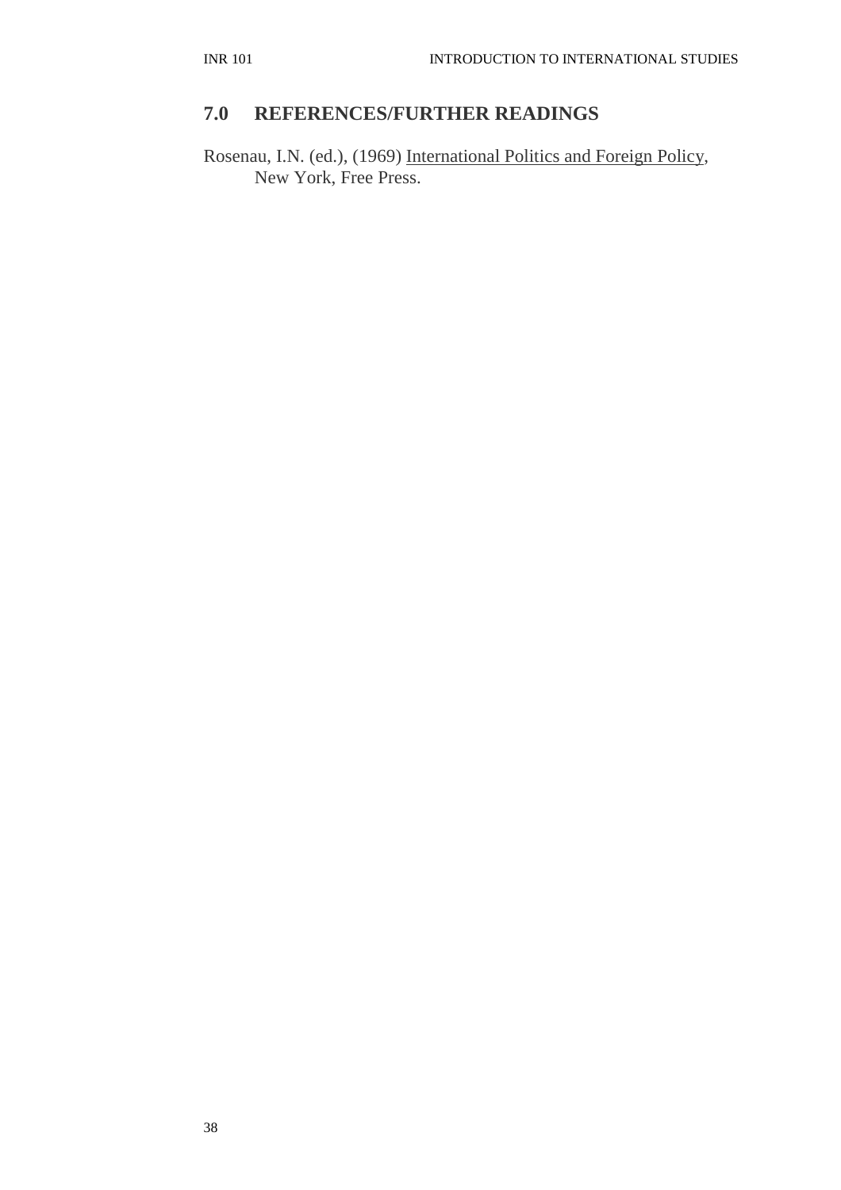## **7.0 REFERENCES/FURTHER READINGS**

Rosenau, I.N. (ed.), (1969) International Politics and Foreign Policy, New York, Free Press.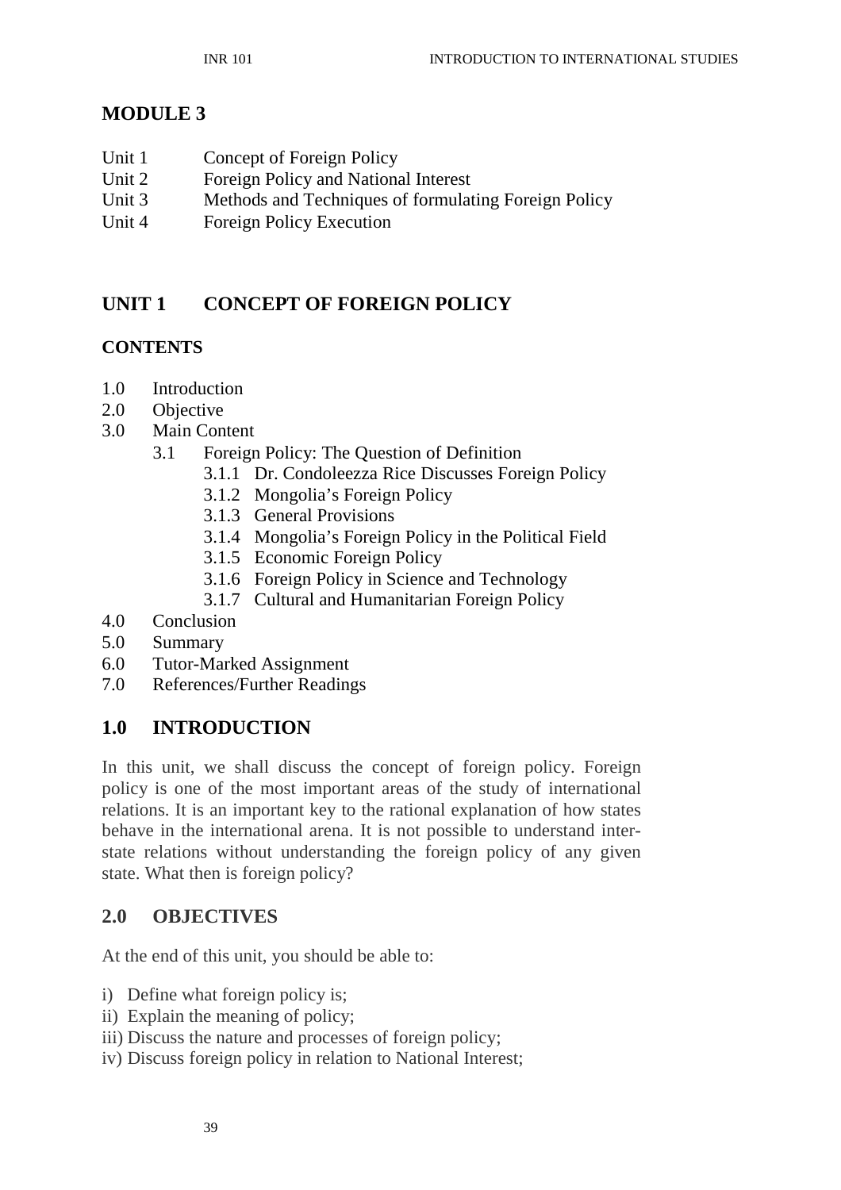## **MODULE 3**

- Unit 1 Concept of Foreign Policy
- Unit 2 Foreign Policy and National Interest
- Unit 3 Methods and Techniques of formulating Foreign Policy
- Unit 4 Foreign Policy Execution

# **UNIT 1 CONCEPT OF FOREIGN POLICY**

## **CONTENTS**

- 1.0 Introduction
- 2.0 Objective
- 3.0 Main Content
	- 3.1 Foreign Policy: The Question of Definition
		- 3.1.1 Dr. Condoleezza Rice Discusses Foreign Policy
		- 3.1.2 Mongolia's Foreign Policy
		- 3.1.3 General Provisions
		- 3.1.4 Mongolia's Foreign Policy in the Political Field
		- 3.1.5 Economic Foreign Policy
		- 3.1.6 Foreign Policy in Science and Technology
		- 3.1.7 Cultural and Humanitarian Foreign Policy
- 4.0 Conclusion
- 5.0 Summary
- 6.0 Tutor-Marked Assignment
- 7.0 References/Further Readings

## **1.0 INTRODUCTION**

In this unit, we shall discuss the concept of foreign policy. Foreign policy is one of the most important areas of the study of international relations. It is an important key to the rational explanation of how states behave in the international arena. It is not possible to understand interstate relations without understanding the foreign policy of any given state. What then is foreign policy?

## **2.0 OBJECTIVES**

At the end of this unit, you should be able to:

- i) Define what foreign policy is;
- ii) Explain the meaning of policy;
- iii) Discuss the nature and processes of foreign policy;
- iv) Discuss foreign policy in relation to National Interest;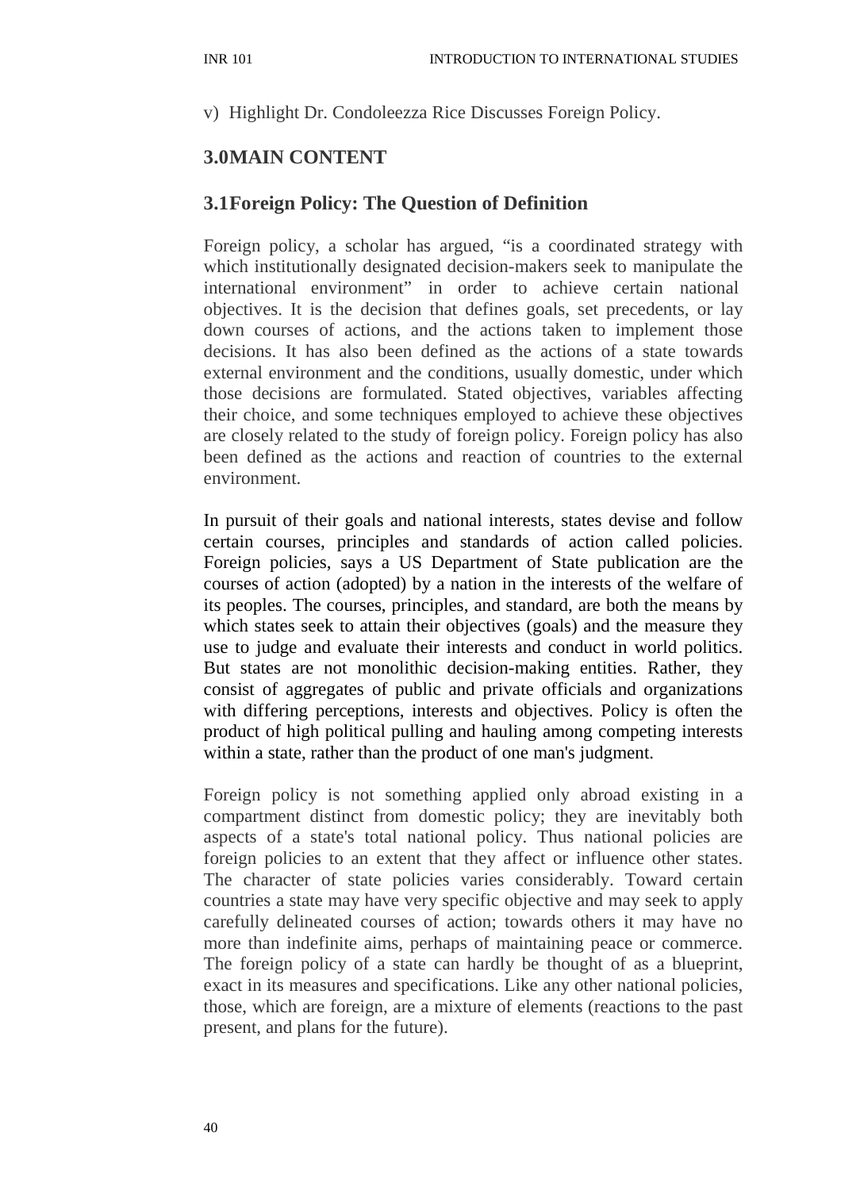v) Highlight Dr. Condoleezza Rice Discusses Foreign Policy.

#### **3.0MAIN CONTENT**

#### **3.1Foreign Policy: The Question of Definition**

Foreign policy, a scholar has argued, "is a coordinated strategy with which institutionally designated decision-makers seek to manipulate the international environment" in order to achieve certain national objectives. It is the decision that defines goals, set precedents, or lay down courses of actions, and the actions taken to implement those decisions. It has also been defined as the actions of a state towards external environment and the conditions, usually domestic, under which those decisions are formulated. Stated objectives, variables affecting their choice, and some techniques employed to achieve these objectives are closely related to the study of foreign policy. Foreign policy has also been defined as the actions and reaction of countries to the external environment.

In pursuit of their goals and national interests, states devise and follow certain courses, principles and standards of action called policies. Foreign policies, says a US Department of State publication are the courses of action (adopted) by a nation in the interests of the welfare of its peoples. The courses, principles, and standard, are both the means by which states seek to attain their objectives (goals) and the measure they use to judge and evaluate their interests and conduct in world politics. But states are not monolithic decision-making entities. Rather, they consist of aggregates of public and private officials and organizations with differing perceptions, interests and objectives. Policy is often the product of high political pulling and hauling among competing interests within a state, rather than the product of one man's judgment.

Foreign policy is not something applied only abroad existing in a compartment distinct from domestic policy; they are inevitably both aspects of a state's total national policy. Thus national policies are foreign policies to an extent that they affect or influence other states. The character of state policies varies considerably. Toward certain countries a state may have very specific objective and may seek to apply carefully delineated courses of action; towards others it may have no more than indefinite aims, perhaps of maintaining peace or commerce. The foreign policy of a state can hardly be thought of as a blueprint, exact in its measures and specifications. Like any other national policies, those, which are foreign, are a mixture of elements (reactions to the past present, and plans for the future).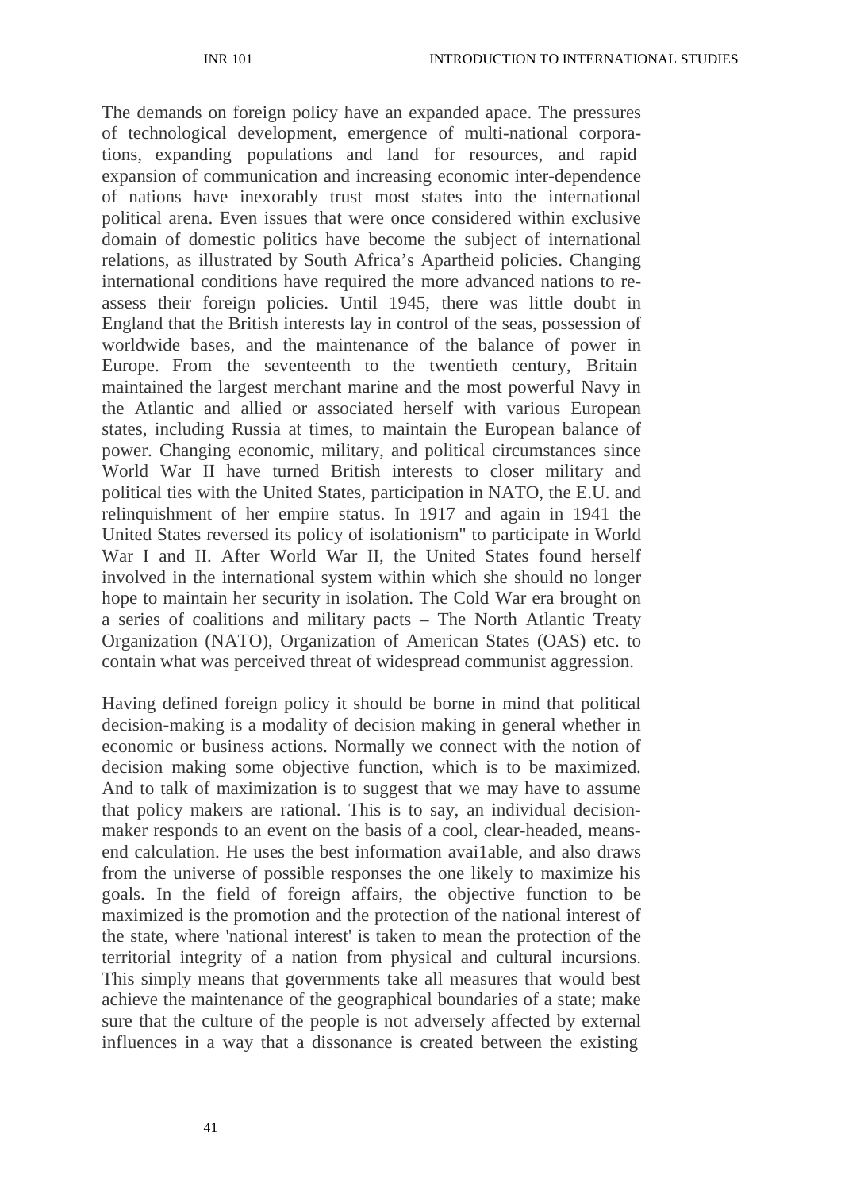The demands on foreign policy have an expanded apace. The pressures of technological development, emergence of multi-national corporations, expanding populations and land for resources, and rapid expansion of communication and increasing economic inter-dependence of nations have inexorably trust most states into the international political arena. Even issues that were once considered within exclusive domain of domestic politics have become the subject of international relations, as illustrated by South Africa's Apartheid policies. Changing international conditions have required the more advanced nations to reassess their foreign policies. Until 1945, there was little doubt in England that the British interests lay in control of the seas, possession of worldwide bases, and the maintenance of the balance of power in Europe. From the seventeenth to the twentieth century, Britain maintained the largest merchant marine and the most powerful Navy in the Atlantic and allied or associated herself with various European states, including Russia at times, to maintain the European balance of power. Changing economic, military, and political circumstances since World War II have turned British interests to closer military and political ties with the United States, participation in NATO, the E.U. and relinquishment of her empire status. In 1917 and again in 1941 the United States reversed its policy of isolationism" to participate in World War I and II. After World War II, the United States found herself involved in the international system within which she should no longer hope to maintain her security in isolation. The Cold War era brought on a series of coalitions and military pacts – The North Atlantic Treaty Organization (NATO), Organization of American States (OAS) etc. to contain what was perceived threat of widespread communist aggression.

Having defined foreign policy it should be borne in mind that political decision-making is a modality of decision making in general whether in economic or business actions. Normally we connect with the notion of decision making some objective function, which is to be maximized. And to talk of maximization is to suggest that we may have to assume that policy makers are rational. This is to say, an individual decisionmaker responds to an event on the basis of a cool, clear-headed, meansend calculation. He uses the best information avai1able, and also draws from the universe of possible responses the one likely to maximize his goals. In the field of foreign affairs, the objective function to be maximized is the promotion and the protection of the national interest of the state, where 'national interest' is taken to mean the protection of the territorial integrity of a nation from physical and cultural incursions. This simply means that governments take all measures that would best achieve the maintenance of the geographical boundaries of a state; make sure that the culture of the people is not adversely affected by external influences in a way that a dissonance is created between the existing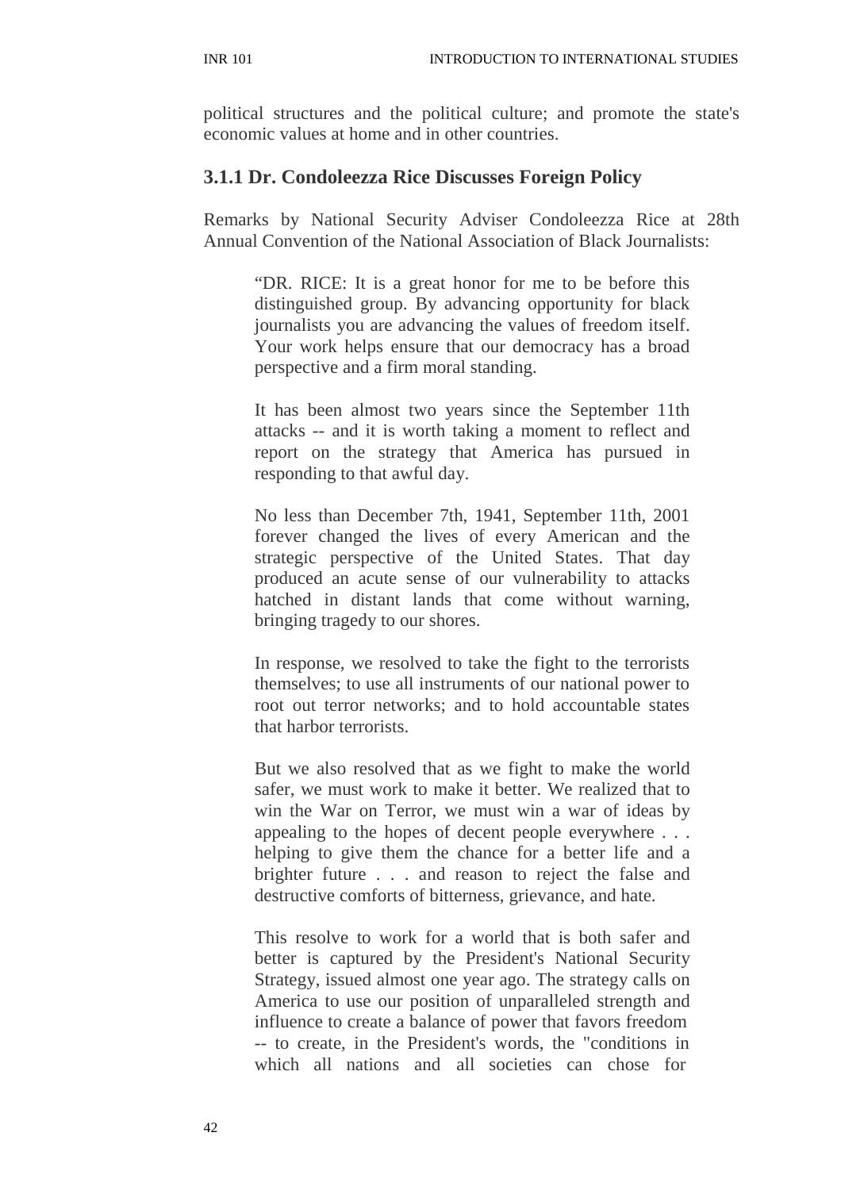political structures and the political culture; and promote the state's economic values at home and in other countries.

## **3.1.1 Dr. Condoleezza Rice Discusses Foreign Policy**

Remarks by National Security Adviser Condoleezza Rice at 28th Annual Convention of the National Association of Black Journalists:

"DR. RICE: It is a great honor for me to be before this distinguished group. By advancing opportunity for black journalists you are advancing the values of freedom itself. Your work helps ensure that our democracy has a broad perspective and a firm moral standing.

It has been almost two years since the September 11th attacks -- and it is worth taking a moment to reflect and report on the strategy that America has pursued in responding to that awful day.

No less than December 7th, 1941, September 11th, 2001 forever changed the lives of every American and the strategic perspective of the United States. That day produced an acute sense of our vulnerability to attacks hatched in distant lands that come without warning, bringing tragedy to our shores.

In response, we resolved to take the fight to the terrorists themselves; to use all instruments of our national power to root out terror networks; and to hold accountable states that harbor terrorists.

But we also resolved that as we fight to make the world safer, we must work to make it better. We realized that to win the War on Terror, we must win a war of ideas by appealing to the hopes of decent people everywhere . . . helping to give them the chance for a better life and a brighter future . . . and reason to reject the false and destructive comforts of bitterness, grievance, and hate.

This resolve to work for a world that is both safer and better is captured by the President's National Security Strategy, issued almost one year ago. The strategy calls on America to use our position of unparalleled strength and influence to create a balance of power that favors freedom -- to create, in the President's words, the "conditions in which all nations and all societies can chose for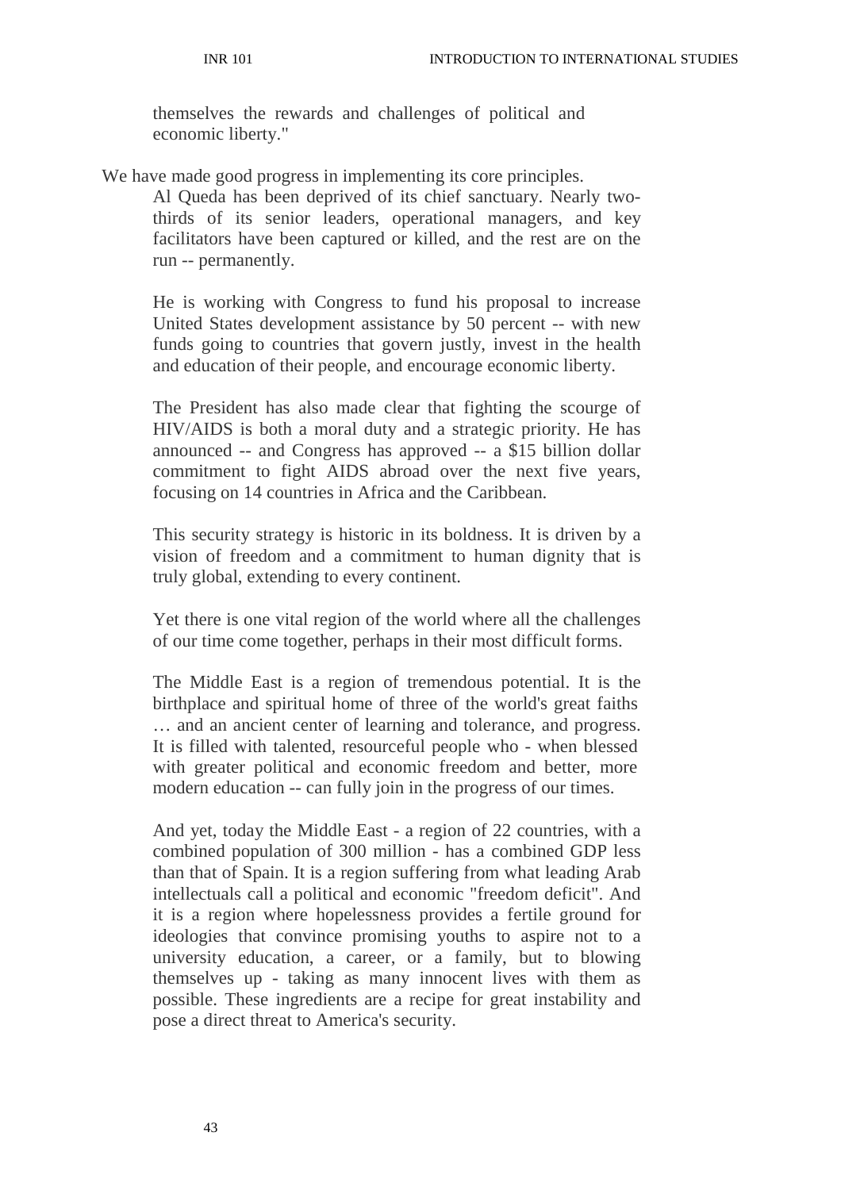themselves the rewards and challenges of political and economic liberty."

We have made good progress in implementing its core principles.

Al Queda has been deprived of its chief sanctuary. Nearly twothirds of its senior leaders, operational managers, and key facilitators have been captured or killed, and the rest are on the run -- permanently.

He is working with Congress to fund his proposal to increase United States development assistance by 50 percent -- with new funds going to countries that govern justly, invest in the health and education of their people, and encourage economic liberty.

The President has also made clear that fighting the scourge of HIV/AIDS is both a moral duty and a strategic priority. He has announced -- and Congress has approved -- a \$15 billion dollar commitment to fight AIDS abroad over the next five years, focusing on 14 countries in Africa and the Caribbean.

This security strategy is historic in its boldness. It is driven by a vision of freedom and a commitment to human dignity that is truly global, extending to every continent.

Yet there is one vital region of the world where all the challenges of our time come together, perhaps in their most difficult forms.

The Middle East is a region of tremendous potential. It is the birthplace and spiritual home of three of the world's great faiths … and an ancient center of learning and tolerance, and progress. It is filled with talented, resourceful people who - when blessed with greater political and economic freedom and better, more modern education -- can fully join in the progress of our times.

And yet, today the Middle East - a region of 22 countries, with a combined population of 300 million - has a combined GDP less than that of Spain. It is a region suffering from what leading Arab intellectuals call a political and economic "freedom deficit". And it is a region where hopelessness provides a fertile ground for ideologies that convince promising youths to aspire not to a university education, a career, or a family, but to blowing themselves up - taking as many innocent lives with them as possible. These ingredients are a recipe for great instability and pose a direct threat to America's security.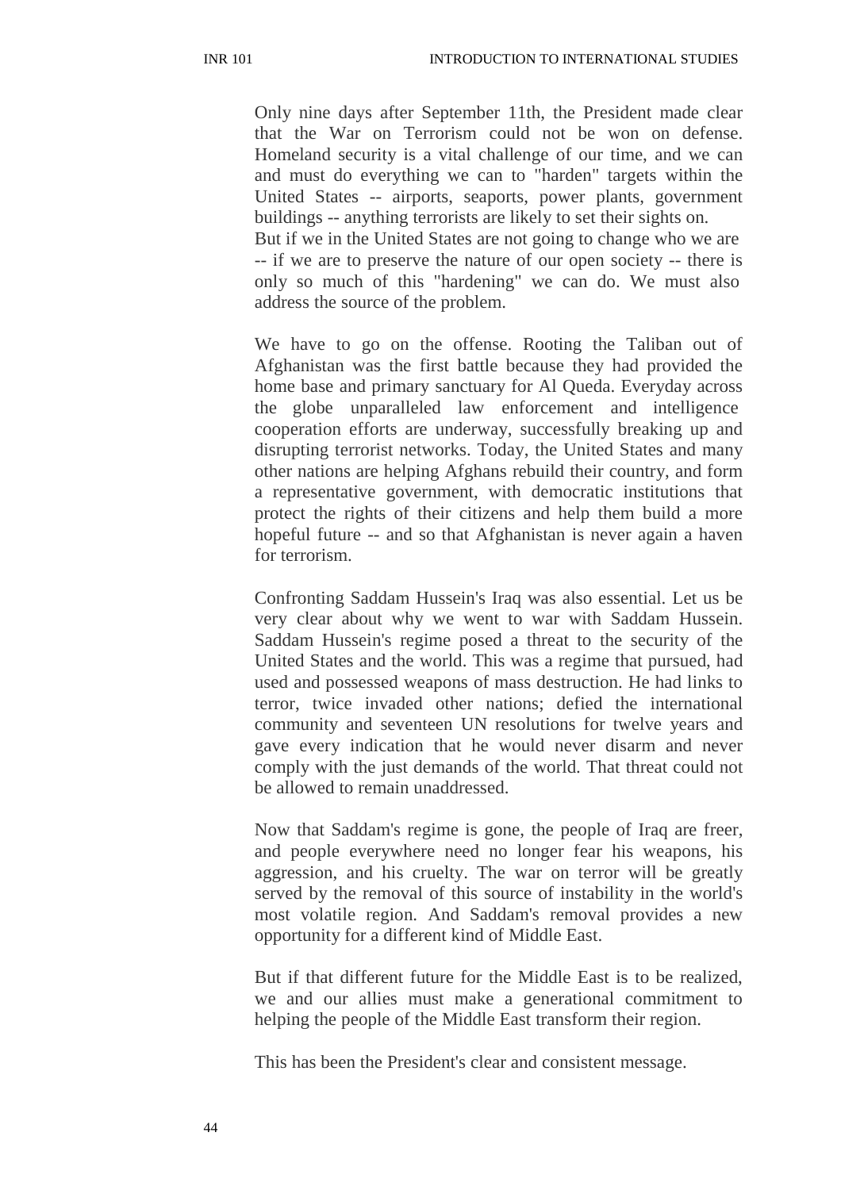Only nine days after September 11th, the President made clear that the War on Terrorism could not be won on defense. Homeland security is a vital challenge of our time, and we can and must do everything we can to "harden" targets within the United States -- airports, seaports, power plants, government buildings -- anything terrorists are likely to set their sights on.

But if we in the United States are not going to change who we are -- if we are to preserve the nature of our open society -- there is only so much of this "hardening" we can do. We must also address the source of the problem.

We have to go on the offense. Rooting the Taliban out of Afghanistan was the first battle because they had provided the home base and primary sanctuary for Al Queda. Everyday across the globe unparalleled law enforcement and intelligence cooperation efforts are underway, successfully breaking up and disrupting terrorist networks. Today, the United States and many other nations are helping Afghans rebuild their country, and form a representative government, with democratic institutions that protect the rights of their citizens and help them build a more hopeful future -- and so that Afghanistan is never again a haven for terrorism.

Confronting Saddam Hussein's Iraq was also essential. Let us be very clear about why we went to war with Saddam Hussein. Saddam Hussein's regime posed a threat to the security of the United States and the world. This was a regime that pursued, had used and possessed weapons of mass destruction. He had links to terror, twice invaded other nations; defied the international community and seventeen UN resolutions for twelve years and gave every indication that he would never disarm and never comply with the just demands of the world. That threat could not be allowed to remain unaddressed.

Now that Saddam's regime is gone, the people of Iraq are freer, and people everywhere need no longer fear his weapons, his aggression, and his cruelty. The war on terror will be greatly served by the removal of this source of instability in the world's most volatile region. And Saddam's removal provides a new opportunity for a different kind of Middle East.

But if that different future for the Middle East is to be realized, we and our allies must make a generational commitment to helping the people of the Middle East transform their region.

This has been the President's clear and consistent message.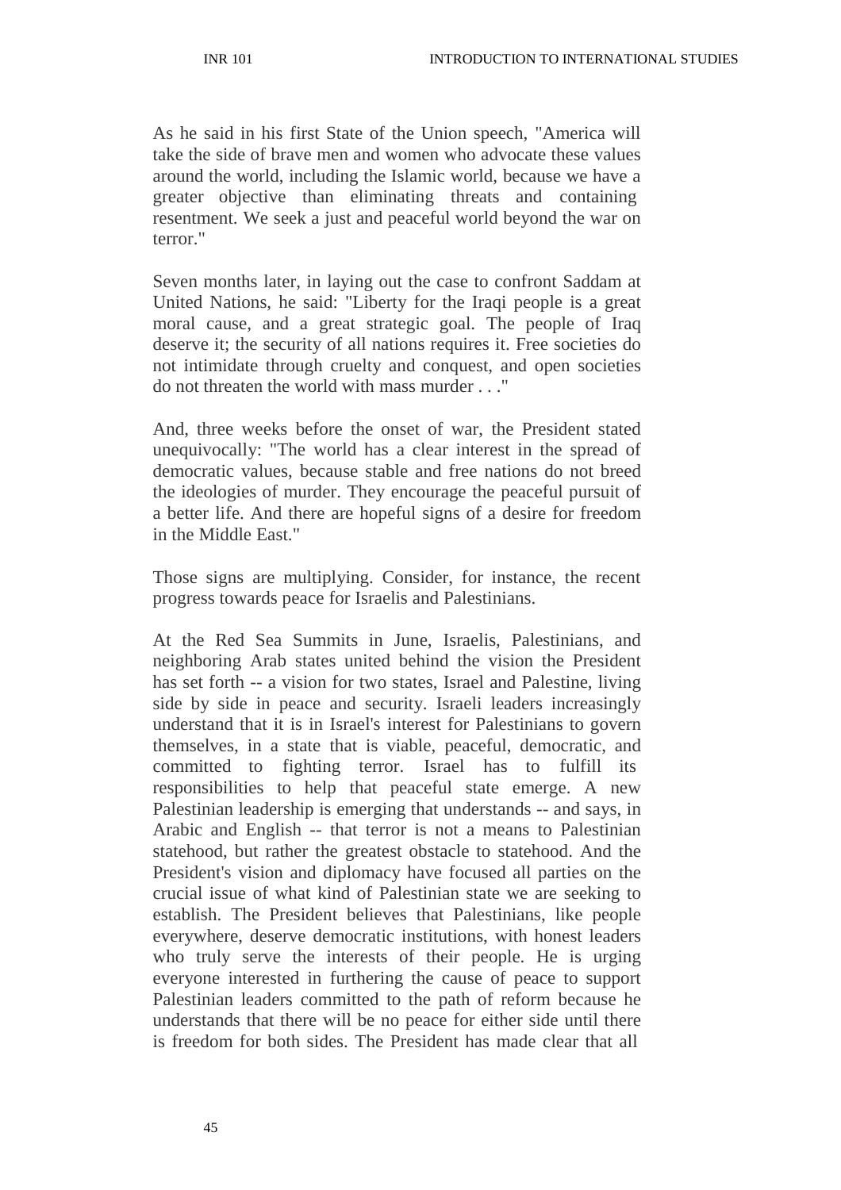As he said in his first State of the Union speech, "America will take the side of brave men and women who advocate these values around the world, including the Islamic world, because we have a greater objective than eliminating threats and containing resentment. We seek a just and peaceful world beyond the war on terror."

Seven months later, in laying out the case to confront Saddam at United Nations, he said: "Liberty for the Iraqi people is a great moral cause, and a great strategic goal. The people of Iraq deserve it; the security of all nations requires it. Free societies do not intimidate through cruelty and conquest, and open societies do not threaten the world with mass murder . . ."

And, three weeks before the onset of war, the President stated unequivocally: "The world has a clear interest in the spread of democratic values, because stable and free nations do not breed the ideologies of murder. They encourage the peaceful pursuit of a better life. And there are hopeful signs of a desire for freedom in the Middle East."

Those signs are multiplying. Consider, for instance, the recent progress towards peace for Israelis and Palestinians.

At the Red Sea Summits in June, Israelis, Palestinians, and neighboring Arab states united behind the vision the President has set forth -- a vision for two states, Israel and Palestine, living side by side in peace and security. Israeli leaders increasingly understand that it is in Israel's interest for Palestinians to govern themselves, in a state that is viable, peaceful, democratic, and committed to fighting terror. Israel has to fulfill its responsibilities to help that peaceful state emerge. A new Palestinian leadership is emerging that understands -- and says, in Arabic and English -- that terror is not a means to Palestinian statehood, but rather the greatest obstacle to statehood. And the President's vision and diplomacy have focused all parties on the crucial issue of what kind of Palestinian state we are seeking to establish. The President believes that Palestinians, like people everywhere, deserve democratic institutions, with honest leaders who truly serve the interests of their people. He is urging everyone interested in furthering the cause of peace to support Palestinian leaders committed to the path of reform because he understands that there will be no peace for either side until there is freedom for both sides. The President has made clear that all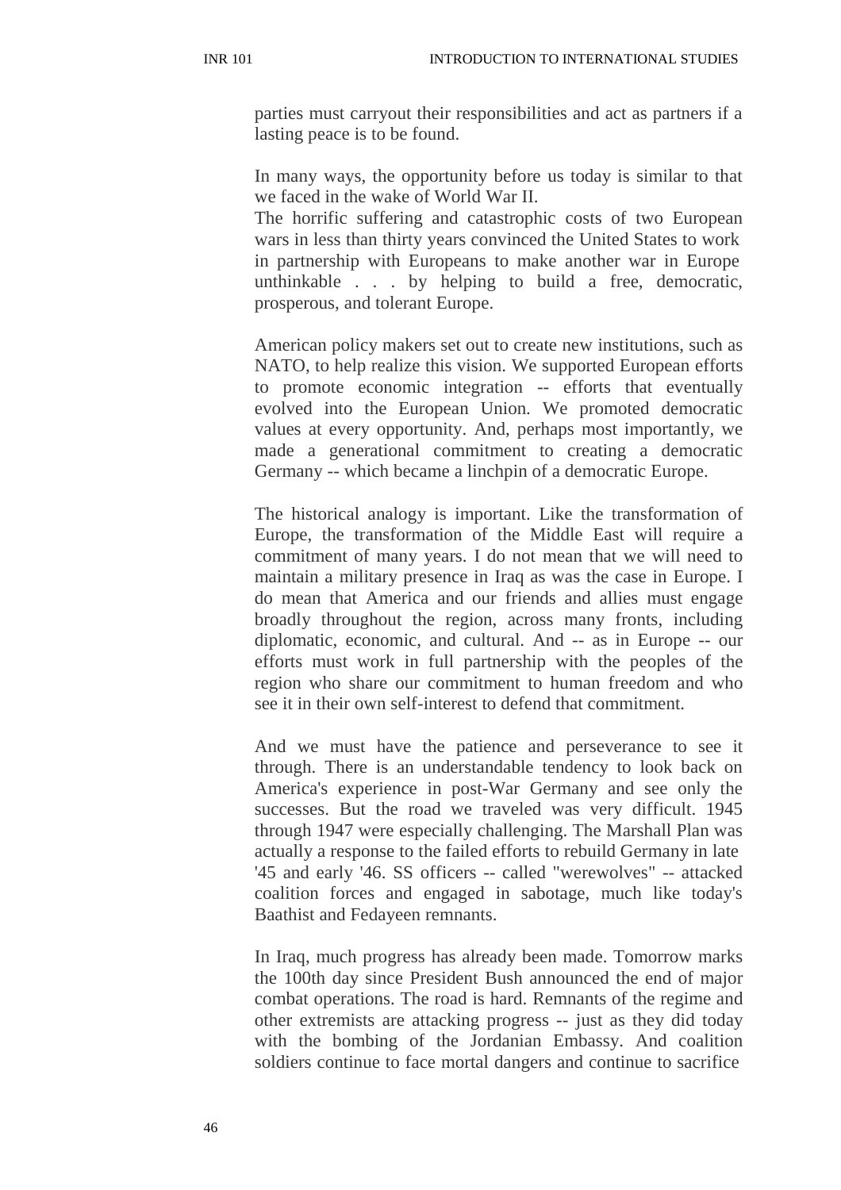parties must carryout their responsibilities and act as partners if a lasting peace is to be found.

In many ways, the opportunity before us today is similar to that we faced in the wake of World War II.

The horrific suffering and catastrophic costs of two European wars in less than thirty years convinced the United States to work in partnership with Europeans to make another war in Europe unthinkable . . . by helping to build a free, democratic, prosperous, and tolerant Europe.

American policy makers set out to create new institutions, such as NATO, to help realize this vision. We supported European efforts to promote economic integration -- efforts that eventually evolved into the European Union. We promoted democratic values at every opportunity. And, perhaps most importantly, we made a generational commitment to creating a democratic Germany -- which became a linchpin of a democratic Europe.

The historical analogy is important. Like the transformation of Europe, the transformation of the Middle East will require a commitment of many years. I do not mean that we will need to maintain a military presence in Iraq as was the case in Europe. I do mean that America and our friends and allies must engage broadly throughout the region, across many fronts, including diplomatic, economic, and cultural. And -- as in Europe -- our efforts must work in full partnership with the peoples of the region who share our commitment to human freedom and who see it in their own self-interest to defend that commitment.

And we must have the patience and perseverance to see it through. There is an understandable tendency to look back on America's experience in post-War Germany and see only the successes. But the road we traveled was very difficult. 1945 through 1947 were especially challenging. The Marshall Plan was actually a response to the failed efforts to rebuild Germany in late '45 and early '46. SS officers -- called "werewolves" -- attacked coalition forces and engaged in sabotage, much like today's Baathist and Fedayeen remnants.

In Iraq, much progress has already been made. Tomorrow marks the 100th day since President Bush announced the end of major combat operations. The road is hard. Remnants of the regime and other extremists are attacking progress -- just as they did today with the bombing of the Jordanian Embassy. And coalition soldiers continue to face mortal dangers and continue to sacrifice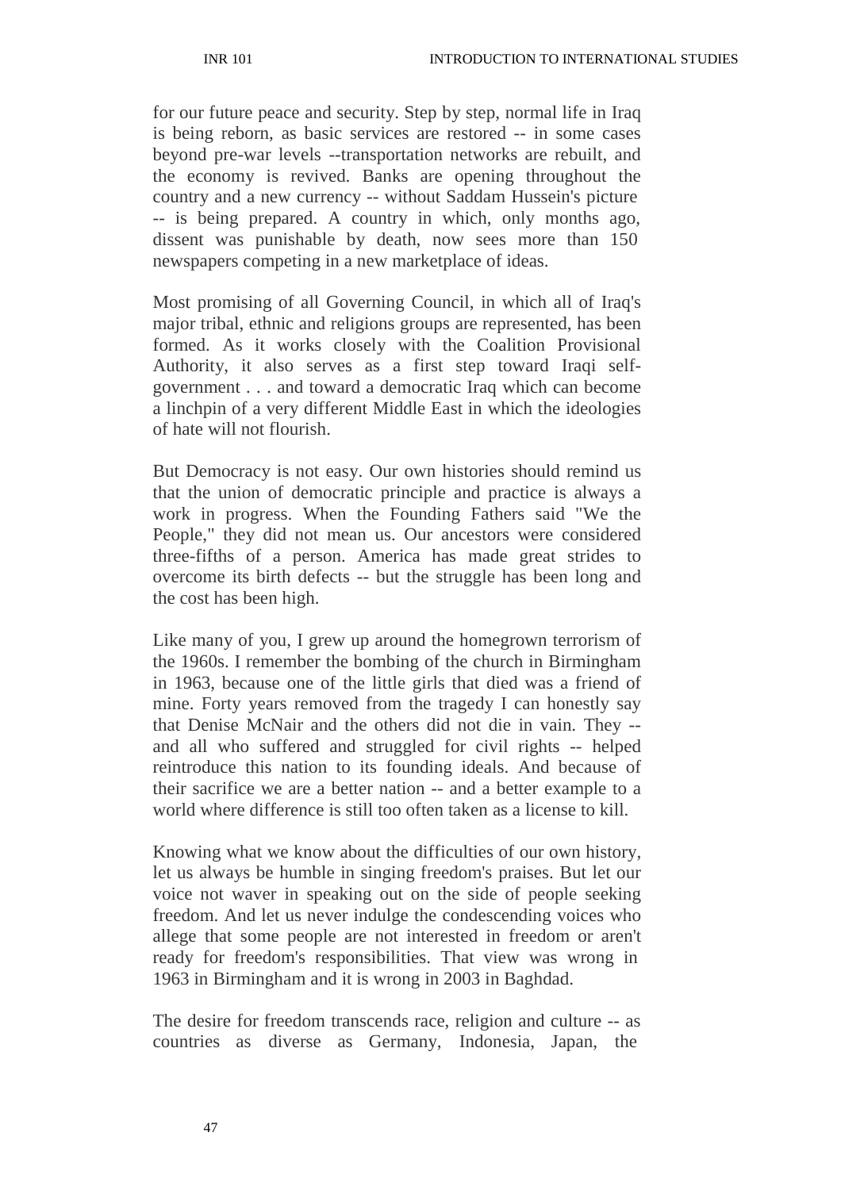for our future peace and security. Step by step, normal life in Iraq is being reborn, as basic services are restored -- in some cases beyond pre-war levels --transportation networks are rebuilt, and the economy is revived. Banks are opening throughout the country and a new currency -- without Saddam Hussein's picture -- is being prepared. A country in which, only months ago, dissent was punishable by death, now sees more than 150 newspapers competing in a new marketplace of ideas.

Most promising of all Governing Council, in which all of Iraq's major tribal, ethnic and religions groups are represented, has been formed. As it works closely with the Coalition Provisional Authority, it also serves as a first step toward Iraqi selfgovernment . . . and toward a democratic Iraq which can become a linchpin of a very different Middle East in which the ideologies of hate will not flourish.

But Democracy is not easy. Our own histories should remind us that the union of democratic principle and practice is always a work in progress. When the Founding Fathers said "We the People," they did not mean us. Our ancestors were considered three-fifths of a person. America has made great strides to overcome its birth defects -- but the struggle has been long and the cost has been high.

Like many of you, I grew up around the homegrown terrorism of the 1960s. I remember the bombing of the church in Birmingham in 1963, because one of the little girls that died was a friend of mine. Forty years removed from the tragedy I can honestly say that Denise McNair and the others did not die in vain. They - and all who suffered and struggled for civil rights -- helped reintroduce this nation to its founding ideals. And because of their sacrifice we are a better nation -- and a better example to a world where difference is still too often taken as a license to kill.

Knowing what we know about the difficulties of our own history, let us always be humble in singing freedom's praises. But let our voice not waver in speaking out on the side of people seeking freedom. And let us never indulge the condescending voices who allege that some people are not interested in freedom or aren't ready for freedom's responsibilities. That view was wrong in 1963 in Birmingham and it is wrong in 2003 in Baghdad.

The desire for freedom transcends race, religion and culture -- as countries as diverse as Germany, Indonesia, Japan, the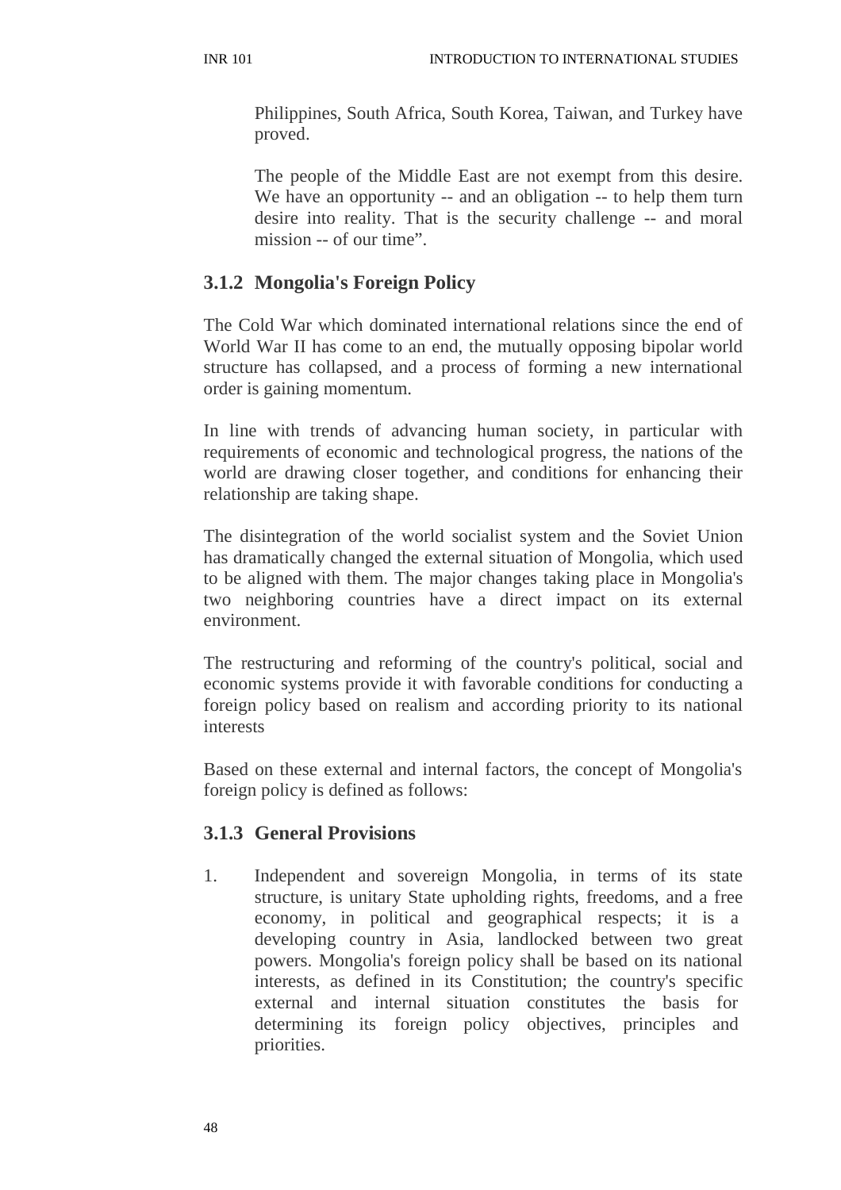Philippines, South Africa, South Korea, Taiwan, and Turkey have proved.

The people of the Middle East are not exempt from this desire. We have an opportunity -- and an obligation -- to help them turn desire into reality. That is the security challenge -- and moral mission -- of our time".

## **3.1.2 Mongolia's Foreign Policy**

The Cold War which dominated international relations since the end of World War II has come to an end, the mutually opposing bipolar world structure has collapsed, and a process of forming a new international order is gaining momentum.

In line with trends of advancing human society, in particular with requirements of economic and technological progress, the nations of the world are drawing closer together, and conditions for enhancing their relationship are taking shape.

The disintegration of the world socialist system and the Soviet Union has dramatically changed the external situation of Mongolia, which used to be aligned with them. The major changes taking place in Mongolia's two neighboring countries have a direct impact on its external environment.

The restructuring and reforming of the country's political, social and economic systems provide it with favorable conditions for conducting a foreign policy based on realism and according priority to its national interests

Based on these external and internal factors, the concept of Mongolia's foreign policy is defined as follows:

## **3.1.3 General Provisions**

1. Independent and sovereign Mongolia, in terms of its state structure, is unitary State upholding rights, freedoms, and a free economy, in political and geographical respects; it is a developing country in Asia, landlocked between two great powers. Mongolia's foreign policy shall be based on its national interests, as defined in its Constitution; the country's specific external and internal situation constitutes the basis for determining its foreign policy objectives, principles and priorities.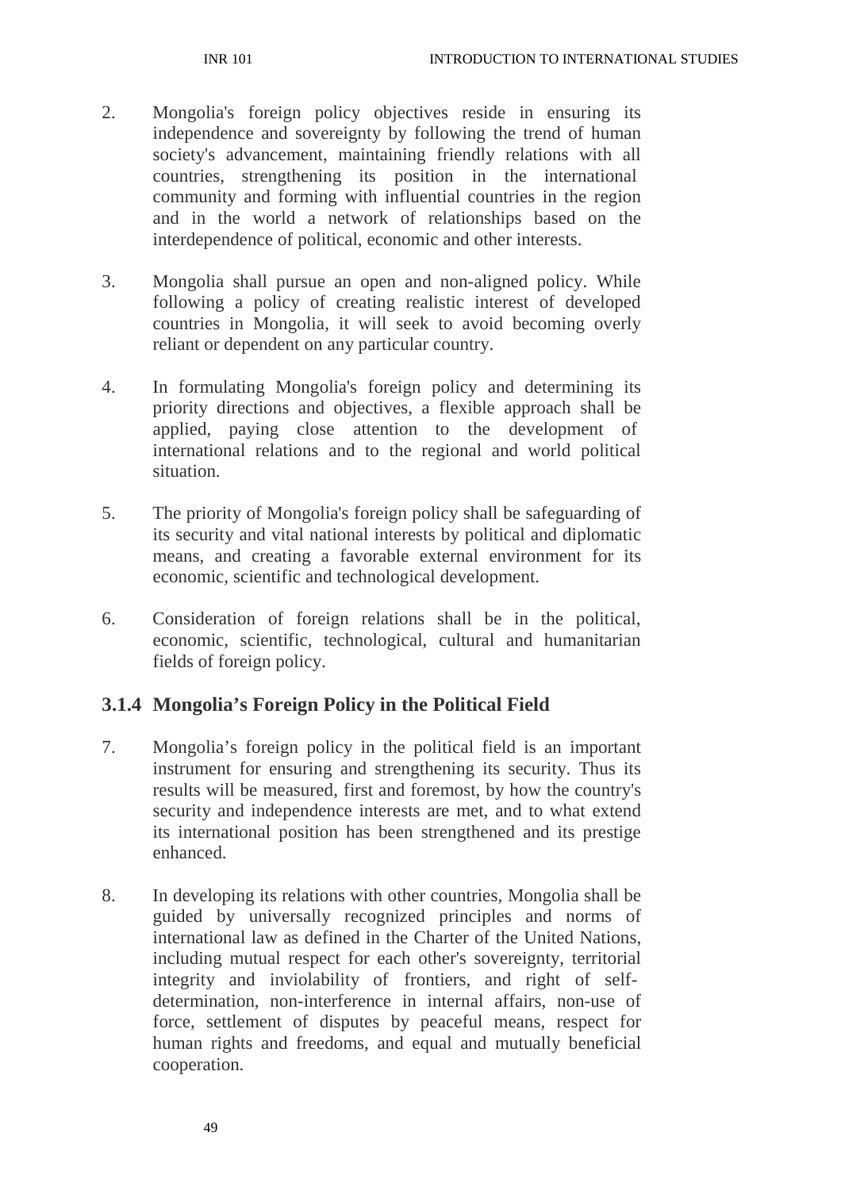- 2. Mongolia's foreign policy objectives reside in ensuring its independence and sovereignty by following the trend of human society's advancement, maintaining friendly relations with all countries, strengthening its position in the international community and forming with influential countries in the region and in the world a network of relationships based on the interdependence of political, economic and other interests.
- 3. Mongolia shall pursue an open and non-aligned policy. While following a policy of creating realistic interest of developed countries in Mongolia, it will seek to avoid becoming overly reliant or dependent on any particular country.
- 4. In formulating Mongolia's foreign policy and determining its priority directions and objectives, a flexible approach shall be applied, paying close attention to the development of international relations and to the regional and world political situation.
- 5. The priority of Mongolia's foreign policy shall be safeguarding of its security and vital national interests by political and diplomatic means, and creating a favorable external environment for its economic, scientific and technological development.
- 6. Consideration of foreign relations shall be in the political, economic, scientific, technological, cultural and humanitarian fields of foreign policy.

# **3.1.4 Mongolia's Foreign Policy in the Political Field**

- 7. Mongolia's foreign policy in the political field is an important instrument for ensuring and strengthening its security. Thus its results will be measured, first and foremost, by how the country's security and independence interests are met, and to what extend its international position has been strengthened and its prestige enhanced.
- 8. In developing its relations with other countries, Mongolia shall be guided by universally recognized principles and norms of international law as defined in the Charter of the United Nations, including mutual respect for each other's sovereignty, territorial integrity and inviolability of frontiers, and right of selfdetermination, non-interference in internal affairs, non-use of force, settlement of disputes by peaceful means, respect for human rights and freedoms, and equal and mutually beneficial cooperation.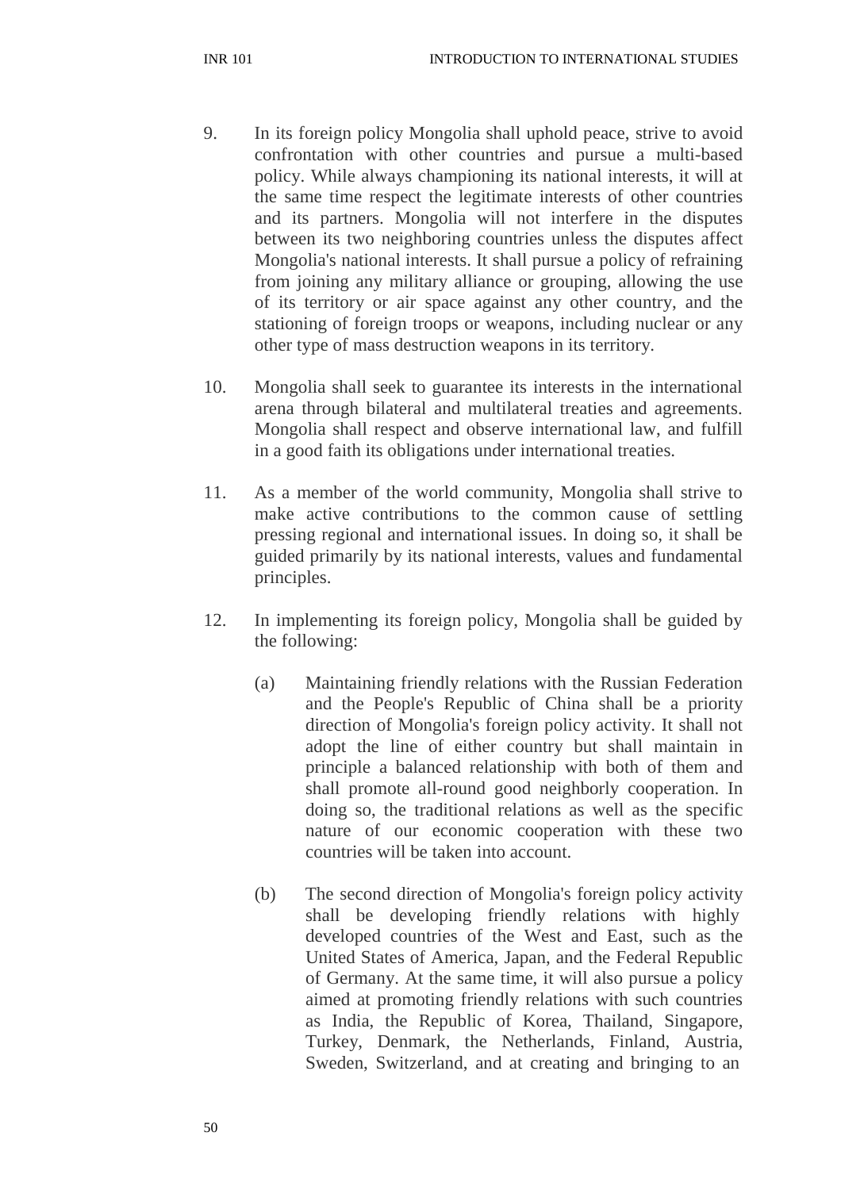- 9. In its foreign policy Mongolia shall uphold peace, strive to avoid confrontation with other countries and pursue a multi-based policy. While always championing its national interests, it will at the same time respect the legitimate interests of other countries and its partners. Mongolia will not interfere in the disputes between its two neighboring countries unless the disputes affect Mongolia's national interests. It shall pursue a policy of refraining from joining any military alliance or grouping, allowing the use of its territory or air space against any other country, and the stationing of foreign troops or weapons, including nuclear or any other type of mass destruction weapons in its territory.
- 10. Mongolia shall seek to guarantee its interests in the international arena through bilateral and multilateral treaties and agreements. Mongolia shall respect and observe international law, and fulfill in a good faith its obligations under international treaties.
- 11. As a member of the world community, Mongolia shall strive to make active contributions to the common cause of settling pressing regional and international issues. In doing so, it shall be guided primarily by its national interests, values and fundamental principles.
- 12. In implementing its foreign policy, Mongolia shall be guided by the following:
	- (a) Maintaining friendly relations with the Russian Federation and the People's Republic of China shall be a priority direction of Mongolia's foreign policy activity. It shall not adopt the line of either country but shall maintain in principle a balanced relationship with both of them and shall promote all-round good neighborly cooperation. In doing so, the traditional relations as well as the specific nature of our economic cooperation with these two countries will be taken into account.
	- (b) The second direction of Mongolia's foreign policy activity shall be developing friendly relations with highly developed countries of the West and East, such as the United States of America, Japan, and the Federal Republic of Germany. At the same time, it will also pursue a policy aimed at promoting friendly relations with such countries as India, the Republic of Korea, Thailand, Singapore, Turkey, Denmark, the Netherlands, Finland, Austria, Sweden, Switzerland, and at creating and bringing to an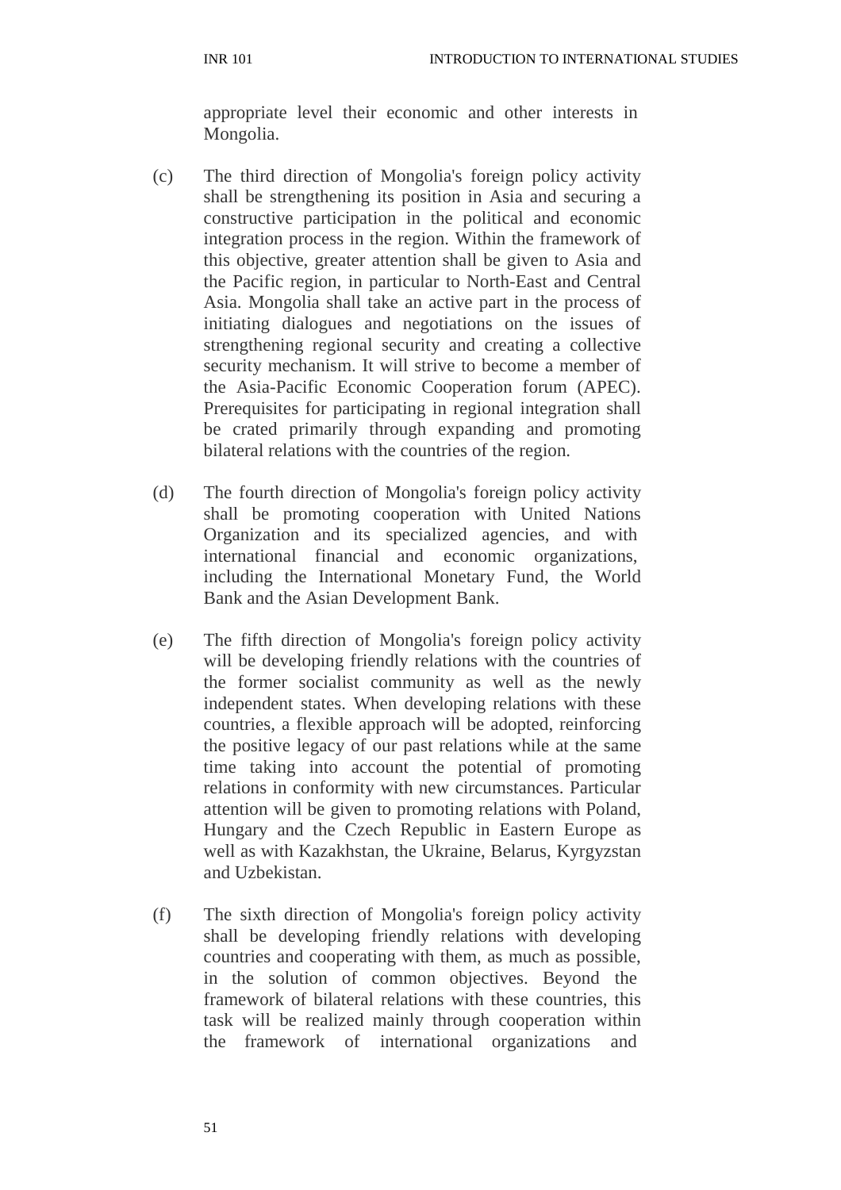appropriate level their economic and other interests in Mongolia.

- (c) The third direction of Mongolia's foreign policy activity shall be strengthening its position in Asia and securing a constructive participation in the political and economic integration process in the region. Within the framework of this objective, greater attention shall be given to Asia and the Pacific region, in particular to North-East and Central Asia. Mongolia shall take an active part in the process of initiating dialogues and negotiations on the issues of strengthening regional security and creating a collective security mechanism. It will strive to become a member of the Asia-Pacific Economic Cooperation forum (APEC). Prerequisites for participating in regional integration shall be crated primarily through expanding and promoting bilateral relations with the countries of the region.
- (d) The fourth direction of Mongolia's foreign policy activity shall be promoting cooperation with United Nations Organization and its specialized agencies, and with international financial and economic organizations, including the International Monetary Fund, the World Bank and the Asian Development Bank.
- (e) The fifth direction of Mongolia's foreign policy activity will be developing friendly relations with the countries of the former socialist community as well as the newly independent states. When developing relations with these countries, a flexible approach will be adopted, reinforcing the positive legacy of our past relations while at the same time taking into account the potential of promoting relations in conformity with new circumstances. Particular attention will be given to promoting relations with Poland, Hungary and the Czech Republic in Eastern Europe as well as with Kazakhstan, the Ukraine, Belarus, Kyrgyzstan and Uzbekistan.
- (f) The sixth direction of Mongolia's foreign policy activity shall be developing friendly relations with developing countries and cooperating with them, as much as possible, in the solution of common objectives. Beyond the framework of bilateral relations with these countries, this task will be realized mainly through cooperation within the framework of international organizations and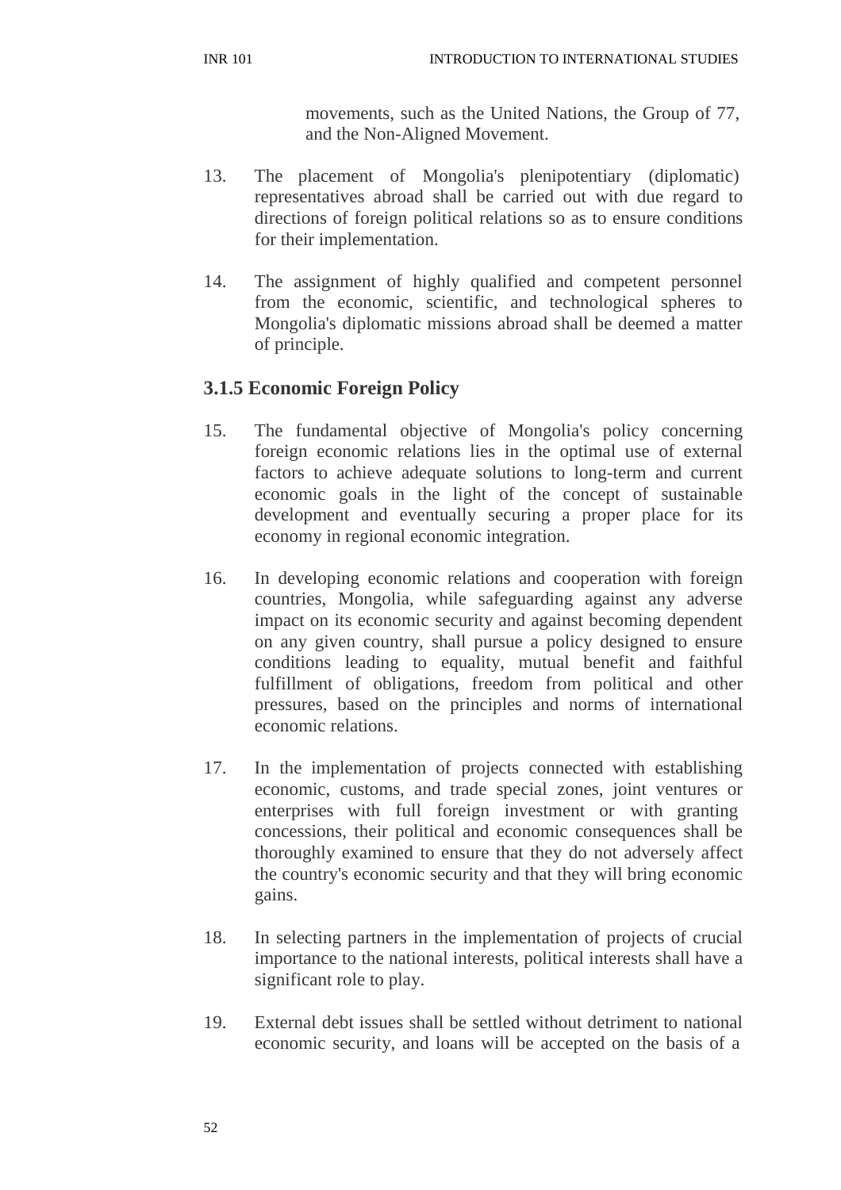movements, such as the United Nations, the Group of 77, and the Non-Aligned Movement.

- 13. The placement of Mongolia's plenipotentiary (diplomatic) representatives abroad shall be carried out with due regard to directions of foreign political relations so as to ensure conditions for their implementation.
- 14. The assignment of highly qualified and competent personnel from the economic, scientific, and technological spheres to Mongolia's diplomatic missions abroad shall be deemed a matter of principle.

# **3.1.5 Economic Foreign Policy**

- 15. The fundamental objective of Mongolia's policy concerning foreign economic relations lies in the optimal use of external factors to achieve adequate solutions to long-term and current economic goals in the light of the concept of sustainable development and eventually securing a proper place for its economy in regional economic integration.
- 16. In developing economic relations and cooperation with foreign countries, Mongolia, while safeguarding against any adverse impact on its economic security and against becoming dependent on any given country, shall pursue a policy designed to ensure conditions leading to equality, mutual benefit and faithful fulfillment of obligations, freedom from political and other pressures, based on the principles and norms of international economic relations.
- 17. In the implementation of projects connected with establishing economic, customs, and trade special zones, joint ventures or enterprises with full foreign investment or with granting concessions, their political and economic consequences shall be thoroughly examined to ensure that they do not adversely affect the country's economic security and that they will bring economic gains.
- 18. In selecting partners in the implementation of projects of crucial importance to the national interests, political interests shall have a significant role to play.
- 19. External debt issues shall be settled without detriment to national economic security, and loans will be accepted on the basis of a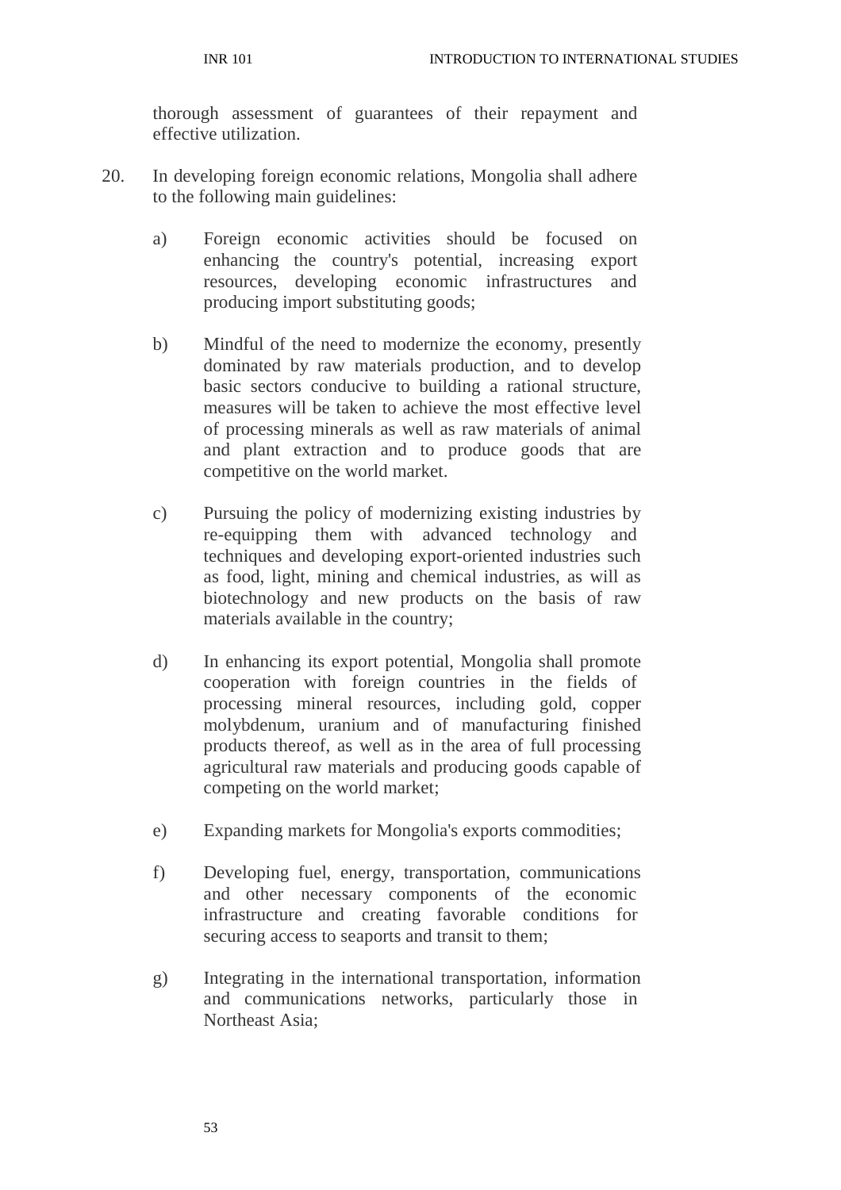thorough assessment of guarantees of their repayment and effective utilization.

- 20. In developing foreign economic relations, Mongolia shall adhere to the following main guidelines:
	- a) Foreign economic activities should be focused on enhancing the country's potential, increasing export resources, developing economic infrastructures and producing import substituting goods;
	- b) Mindful of the need to modernize the economy, presently dominated by raw materials production, and to develop basic sectors conducive to building a rational structure, measures will be taken to achieve the most effective level of processing minerals as well as raw materials of animal and plant extraction and to produce goods that are competitive on the world market.
	- c) Pursuing the policy of modernizing existing industries by re-equipping them with advanced technology and techniques and developing export-oriented industries such as food, light, mining and chemical industries, as will as biotechnology and new products on the basis of raw materials available in the country;
	- d) In enhancing its export potential, Mongolia shall promote cooperation with foreign countries in the fields of processing mineral resources, including gold, copper molybdenum, uranium and of manufacturing finished products thereof, as well as in the area of full processing agricultural raw materials and producing goods capable of competing on the world market;
	- e) Expanding markets for Mongolia's exports commodities;
	- f) Developing fuel, energy, transportation, communications and other necessary components of the economic infrastructure and creating favorable conditions for securing access to seaports and transit to them;
	- g) Integrating in the international transportation, information and communications networks, particularly those in Northeast Asia<sup>.</sup>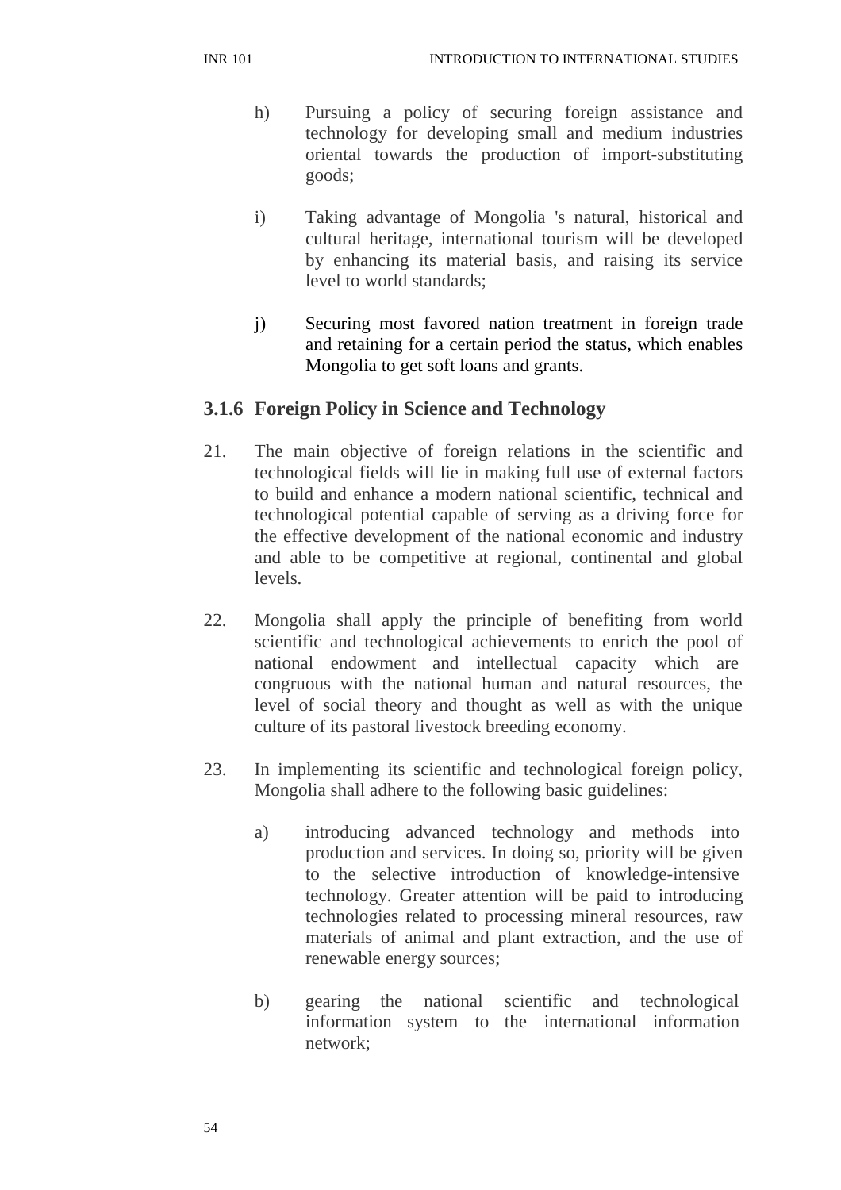- h) Pursuing a policy of securing foreign assistance and technology for developing small and medium industries oriental towards the production of import-substituting goods;
- i) Taking advantage of Mongolia 's natural, historical and cultural heritage, international tourism will be developed by enhancing its material basis, and raising its service level to world standards;
- j) Securing most favored nation treatment in foreign trade and retaining for a certain period the status, which enables Mongolia to get soft loans and grants.

# **3.1.6 Foreign Policy in Science and Technology**

- 21. The main objective of foreign relations in the scientific and technological fields will lie in making full use of external factors to build and enhance a modern national scientific, technical and technological potential capable of serving as a driving force for the effective development of the national economic and industry and able to be competitive at regional, continental and global levels.
- 22. Mongolia shall apply the principle of benefiting from world scientific and technological achievements to enrich the pool of national endowment and intellectual capacity which are congruous with the national human and natural resources, the level of social theory and thought as well as with the unique culture of its pastoral livestock breeding economy.
- 23. In implementing its scientific and technological foreign policy, Mongolia shall adhere to the following basic guidelines:
	- a) introducing advanced technology and methods into production and services. In doing so, priority will be given to the selective introduction of knowledge-intensive technology. Greater attention will be paid to introducing technologies related to processing mineral resources, raw materials of animal and plant extraction, and the use of renewable energy sources;
	- b) gearing the national scientific and technological information system to the international information network;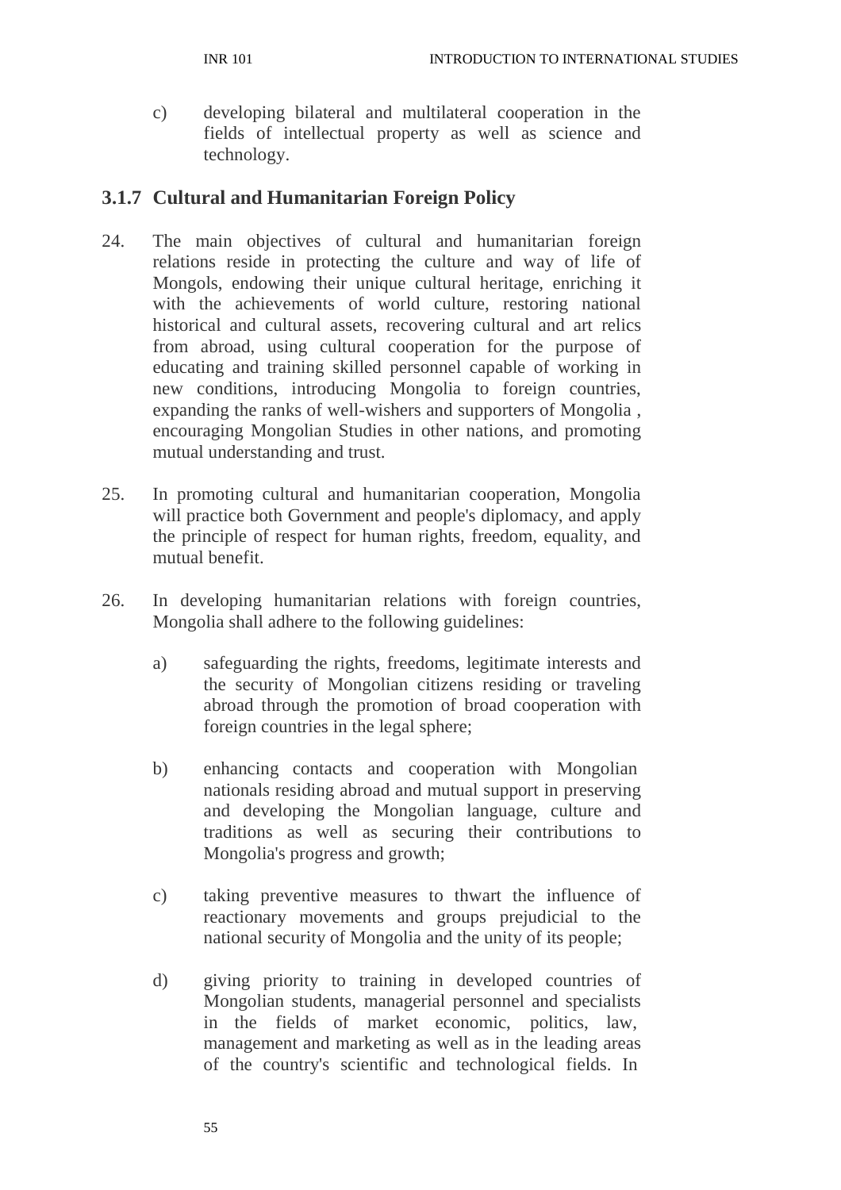c) developing bilateral and multilateral cooperation in the fields of intellectual property as well as science and technology.

## **3.1.7 Cultural and Humanitarian Foreign Policy**

- 24. The main objectives of cultural and humanitarian foreign relations reside in protecting the culture and way of life of Mongols, endowing their unique cultural heritage, enriching it with the achievements of world culture, restoring national historical and cultural assets, recovering cultural and art relics from abroad, using cultural cooperation for the purpose of educating and training skilled personnel capable of working in new conditions, introducing Mongolia to foreign countries, expanding the ranks of well-wishers and supporters of Mongolia , encouraging Mongolian Studies in other nations, and promoting mutual understanding and trust.
- 25. In promoting cultural and humanitarian cooperation, Mongolia will practice both Government and people's diplomacy, and apply the principle of respect for human rights, freedom, equality, and mutual benefit.
- 26. In developing humanitarian relations with foreign countries, Mongolia shall adhere to the following guidelines:
	- a) safeguarding the rights, freedoms, legitimate interests and the security of Mongolian citizens residing or traveling abroad through the promotion of broad cooperation with foreign countries in the legal sphere;
	- b) enhancing contacts and cooperation with Mongolian nationals residing abroad and mutual support in preserving and developing the Mongolian language, culture and traditions as well as securing their contributions to Mongolia's progress and growth;
	- c) taking preventive measures to thwart the influence of reactionary movements and groups prejudicial to the national security of Mongolia and the unity of its people;
	- d) giving priority to training in developed countries of Mongolian students, managerial personnel and specialists in the fields of market economic, politics, law, management and marketing as well as in the leading areas of the country's scientific and technological fields. In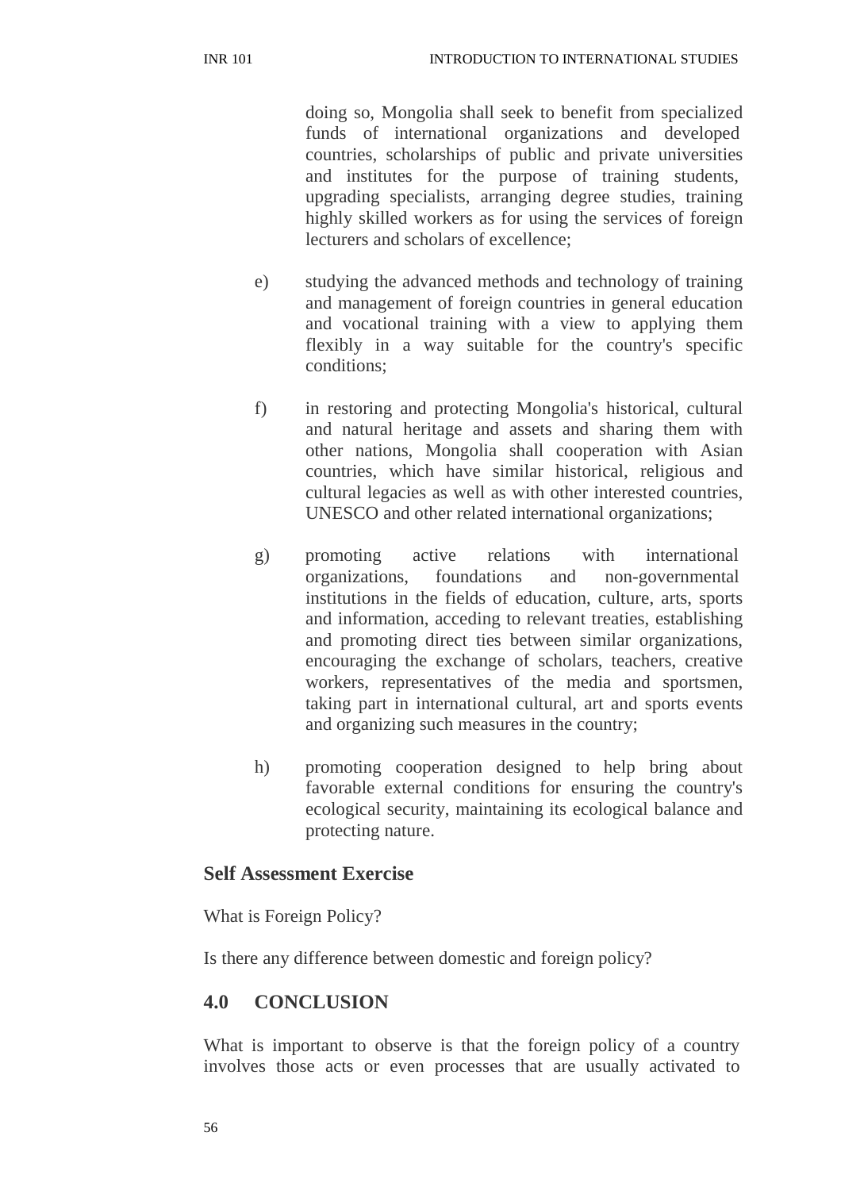doing so, Mongolia shall seek to benefit from specialized funds of international organizations and developed countries, scholarships of public and private universities and institutes for the purpose of training students, upgrading specialists, arranging degree studies, training highly skilled workers as for using the services of foreign lecturers and scholars of excellence;

- e) studying the advanced methods and technology of training and management of foreign countries in general education and vocational training with a view to applying them flexibly in a way suitable for the country's specific conditions;
- f) in restoring and protecting Mongolia's historical, cultural and natural heritage and assets and sharing them with other nations, Mongolia shall cooperation with Asian countries, which have similar historical, religious and cultural legacies as well as with other interested countries, UNESCO and other related international organizations;
- g) promoting active relations with international organizations, foundations and non-governmental institutions in the fields of education, culture, arts, sports and information, acceding to relevant treaties, establishing and promoting direct ties between similar organizations, encouraging the exchange of scholars, teachers, creative workers, representatives of the media and sportsmen, taking part in international cultural, art and sports events and organizing such measures in the country;
- h) promoting cooperation designed to help bring about favorable external conditions for ensuring the country's ecological security, maintaining its ecological balance and protecting nature.

## **Self Assessment Exercise**

What is Foreign Policy?

Is there any difference between domestic and foreign policy?

## **4.0 CONCLUSION**

What is important to observe is that the foreign policy of a country involves those acts or even processes that are usually activated to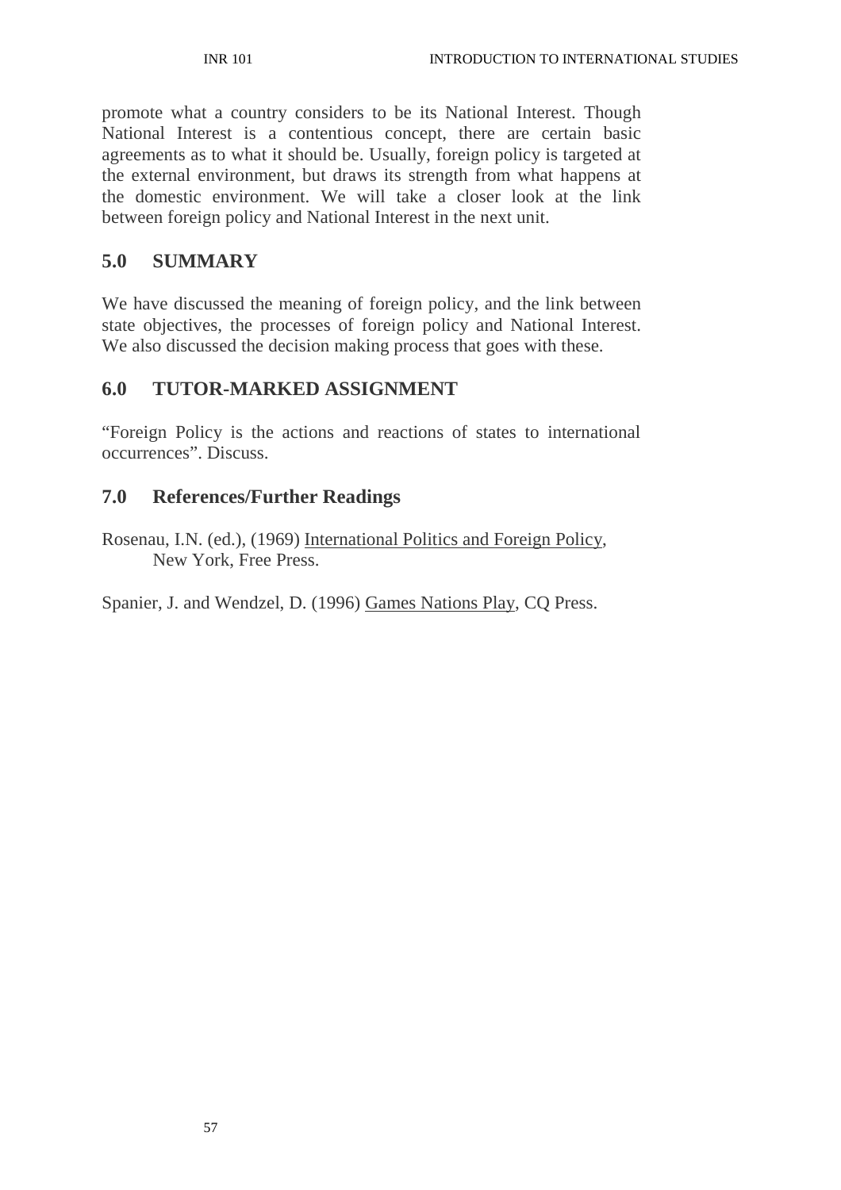promote what a country considers to be its National Interest. Though National Interest is a contentious concept, there are certain basic agreements as to what it should be. Usually, foreign policy is targeted at the external environment, but draws its strength from what happens at the domestic environment. We will take a closer look at the link between foreign policy and National Interest in the next unit.

## **5.0 SUMMARY**

We have discussed the meaning of foreign policy, and the link between state objectives, the processes of foreign policy and National Interest. We also discussed the decision making process that goes with these.

# **6.0 TUTOR-MARKED ASSIGNMENT**

"Foreign Policy is the actions and reactions of states to international occurrences". Discuss.

# **7.0 References/Further Readings**

Rosenau, I.N. (ed.), (1969) International Politics and Foreign Policy, New York, Free Press.

Spanier, J. and Wendzel, D. (1996) Games Nations Play, CQ Press.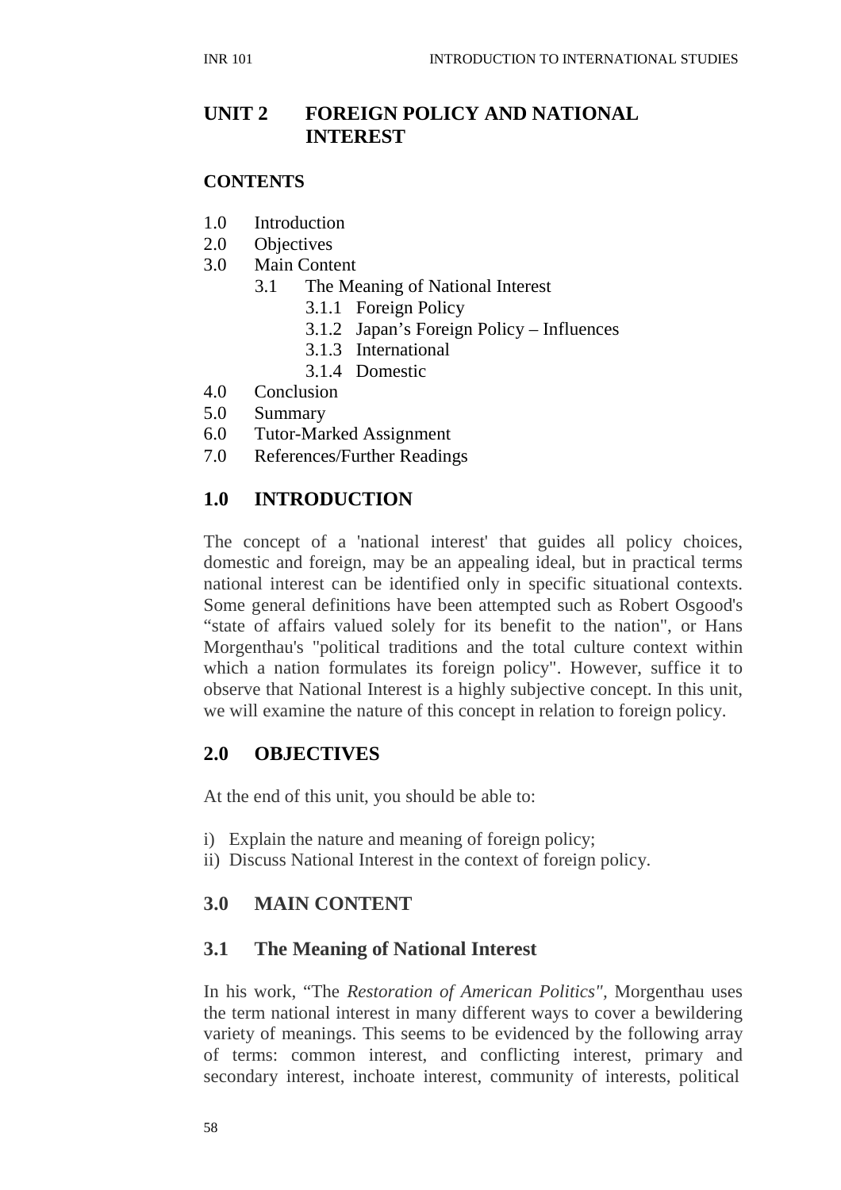### **UNIT 2 FOREIGN POLICY AND NATIONAL INTEREST**

#### **CONTENTS**

- 1.0 Introduction
- 2.0 Objectives
- 3.0 Main Content
	- 3.1 The Meaning of National Interest
		- 3.1.1 Foreign Policy
		- 3.1.2 Japan's Foreign Policy Influences
		- 3.1.3 International
		- 3.1.4 Domestic
- 4.0 Conclusion
- 5.0 Summary
- 6.0 Tutor-Marked Assignment
- 7.0 References/Further Readings

#### **1.0 INTRODUCTION**

The concept of a 'national interest' that guides all policy choices, domestic and foreign, may be an appealing ideal, but in practical terms national interest can be identified only in specific situational contexts. Some general definitions have been attempted such as Robert Osgood's "state of affairs valued solely for its benefit to the nation", or Hans Morgenthau's "political traditions and the total culture context within which a nation formulates its foreign policy". However, suffice it to observe that National Interest is a highly subjective concept. In this unit, we will examine the nature of this concept in relation to foreign policy.

### **2.0 OBJECTIVES**

At the end of this unit, you should be able to:

- i) Explain the nature and meaning of foreign policy;
- ii) Discuss National Interest in the context of foreign policy.

### **3.0 MAIN CONTENT**

#### **3.1 The Meaning of National Interest**

In his work, "The *Restoration of American Politics",* Morgenthau uses the term national interest in many different ways to cover a bewildering variety of meanings. This seems to be evidenced by the following array of terms: common interest, and conflicting interest, primary and secondary interest, inchoate interest, community of interests, political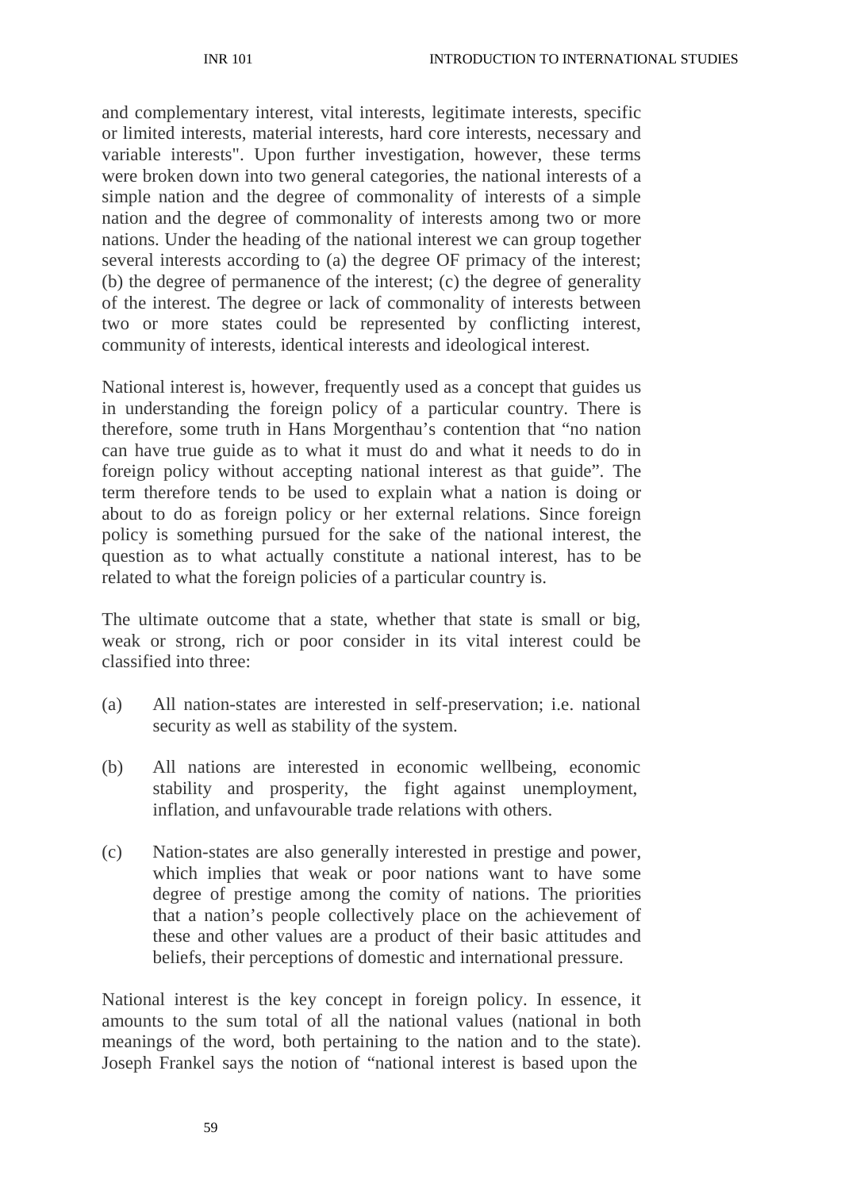and complementary interest, vital interests, legitimate interests, specific or limited interests, material interests, hard core interests, necessary and variable interests". Upon further investigation, however, these terms were broken down into two general categories, the national interests of a simple nation and the degree of commonality of interests of a simple nation and the degree of commonality of interests among two or more nations. Under the heading of the national interest we can group together several interests according to (a) the degree OF primacy of the interest; (b) the degree of permanence of the interest; (c) the degree of generality of the interest. The degree or lack of commonality of interests between two or more states could be represented by conflicting interest, community of interests, identical interests and ideological interest.

National interest is, however, frequently used as a concept that guides us in understanding the foreign policy of a particular country. There is therefore, some truth in Hans Morgenthau's contention that "no nation can have true guide as to what it must do and what it needs to do in foreign policy without accepting national interest as that guide". The term therefore tends to be used to explain what a nation is doing or about to do as foreign policy or her external relations. Since foreign policy is something pursued for the sake of the national interest, the question as to what actually constitute a national interest, has to be related to what the foreign policies of a particular country is.

The ultimate outcome that a state, whether that state is small or big, weak or strong, rich or poor consider in its vital interest could be classified into three:

- (a) All nation-states are interested in self-preservation; i.e. national security as well as stability of the system.
- (b) All nations are interested in economic wellbeing, economic stability and prosperity, the fight against unemployment, inflation, and unfavourable trade relations with others.
- (c) Nation-states are also generally interested in prestige and power, which implies that weak or poor nations want to have some degree of prestige among the comity of nations. The priorities that a nation's people collectively place on the achievement of these and other values are a product of their basic attitudes and beliefs, their perceptions of domestic and international pressure.

National interest is the key concept in foreign policy. In essence, it amounts to the sum total of all the national values (national in both meanings of the word, both pertaining to the nation and to the state). Joseph Frankel says the notion of "national interest is based upon the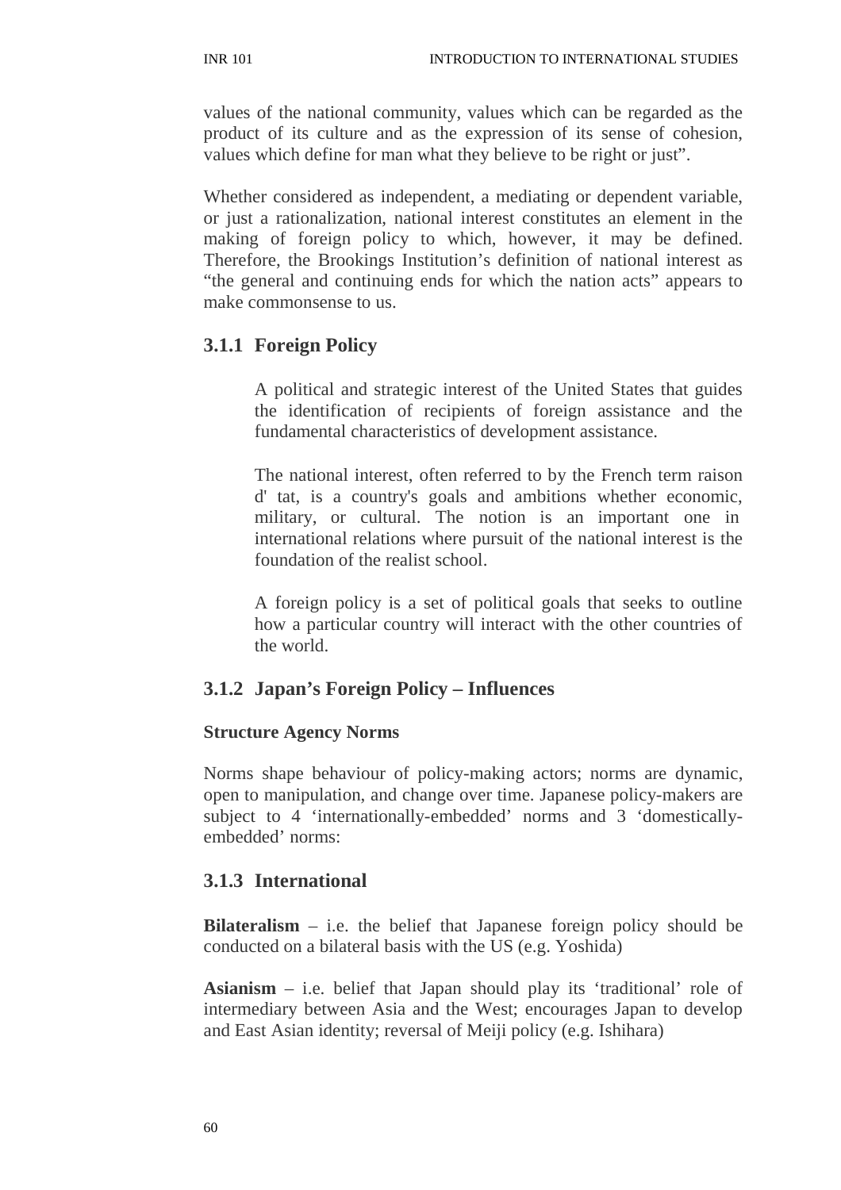values of the national community, values which can be regarded as the product of its culture and as the expression of its sense of cohesion, values which define for man what they believe to be right or just".

Whether considered as independent, a mediating or dependent variable, or just a rationalization, national interest constitutes an element in the making of foreign policy to which, however, it may be defined. Therefore, the Brookings Institution's definition of national interest as "the general and continuing ends for which the nation acts" appears to make commonsense to us.

### **3.1.1 Foreign Policy**

A political and strategic interest of the United States that guides the identification of recipients of foreign assistance and the fundamental characteristics of development assistance.

The national interest, often referred to by the French term raison d' tat, is a country's goals and ambitions whether economic, military, or cultural. The notion is an important one in international relations where pursuit of the national interest is the foundation of the realist school.

A foreign policy is a set of political goals that seeks to outline how a particular country will interact with the other countries of the world.

### **3.1.2 Japan's Foreign Policy – Influences**

#### **Structure Agency Norms**

Norms shape behaviour of policy-making actors; norms are dynamic, open to manipulation, and change over time. Japanese policy-makers are subject to 4 'internationally-embedded' norms and 3 'domesticallyembedded' norms:

### **3.1.3 International**

**Bilateralism** – i.e. the belief that Japanese foreign policy should be conducted on a bilateral basis with the US (e.g. Yoshida)

**Asianism** – i.e. belief that Japan should play its 'traditional' role of intermediary between Asia and the West; encourages Japan to develop and East Asian identity; reversal of Meiji policy (e.g. Ishihara)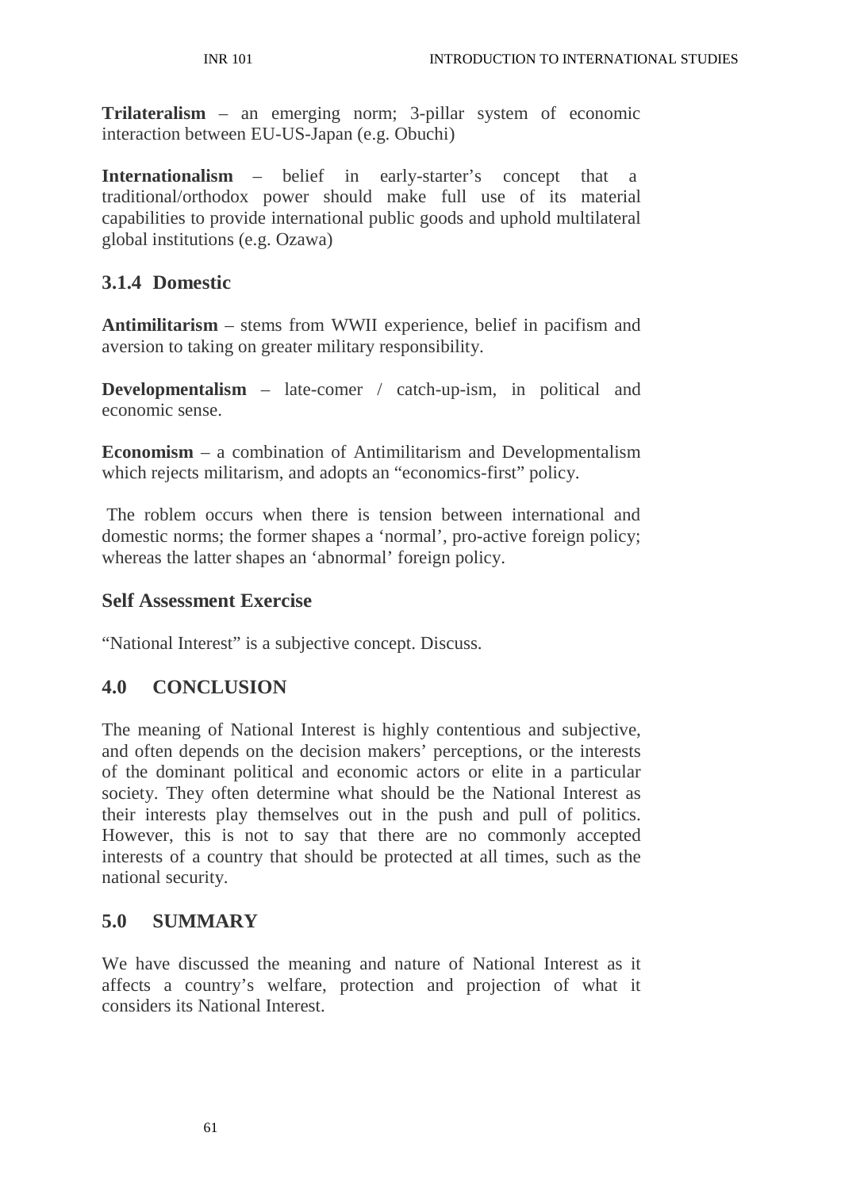**Trilateralism** – an emerging norm; 3-pillar system of economic interaction between EU-US-Japan (e.g. Obuchi)

**Internationalism** – belief in early-starter's concept that a traditional/orthodox power should make full use of its material capabilities to provide international public goods and uphold multilateral global institutions (e.g. Ozawa)

#### **3.1.4 Domestic**

**Antimilitarism** – stems from WWII experience, belief in pacifism and aversion to taking on greater military responsibility.

**Developmentalism** – late-comer / catch-up-ism, in political and economic sense.

**Economism** – a combination of Antimilitarism and Developmentalism which rejects militarism, and adopts an "economics-first" policy.

The roblem occurs when there is tension between international and domestic norms; the former shapes a 'normal', pro-active foreign policy; whereas the latter shapes an 'abnormal' foreign policy.

#### **Self Assessment Exercise**

"National Interest" is a subjective concept. Discuss.

#### **4.0 CONCLUSION**

The meaning of National Interest is highly contentious and subjective, and often depends on the decision makers' perceptions, or the interests of the dominant political and economic actors or elite in a particular society. They often determine what should be the National Interest as their interests play themselves out in the push and pull of politics. However, this is not to say that there are no commonly accepted interests of a country that should be protected at all times, such as the national security.

#### **5.0 SUMMARY**

We have discussed the meaning and nature of National Interest as it affects a country's welfare, protection and projection of what it considers its National Interest.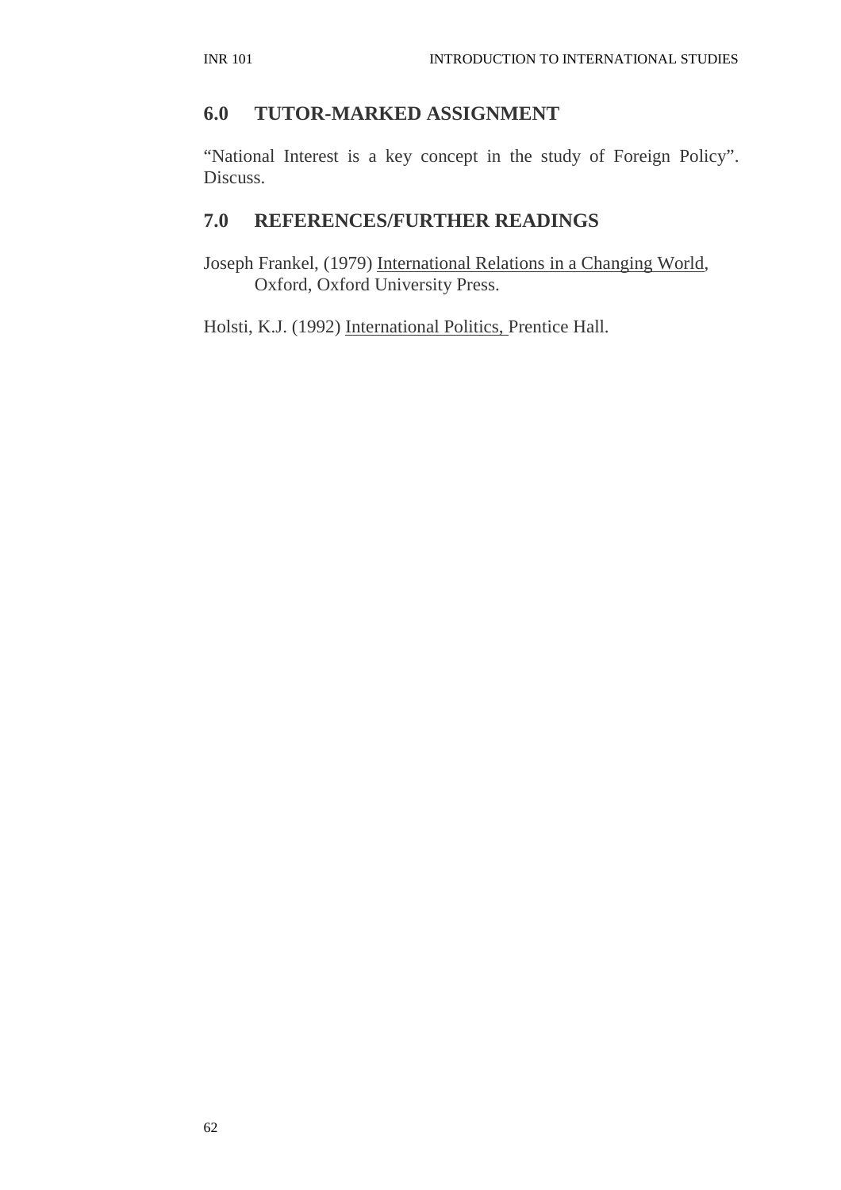### **6.0 TUTOR-MARKED ASSIGNMENT**

"National Interest is a key concept in the study of Foreign Policy". Discuss.

## **7.0 REFERENCES/FURTHER READINGS**

Joseph Frankel, (1979) International Relations in a Changing World, Oxford, Oxford University Press.

Holsti, K.J. (1992) International Politics, Prentice Hall.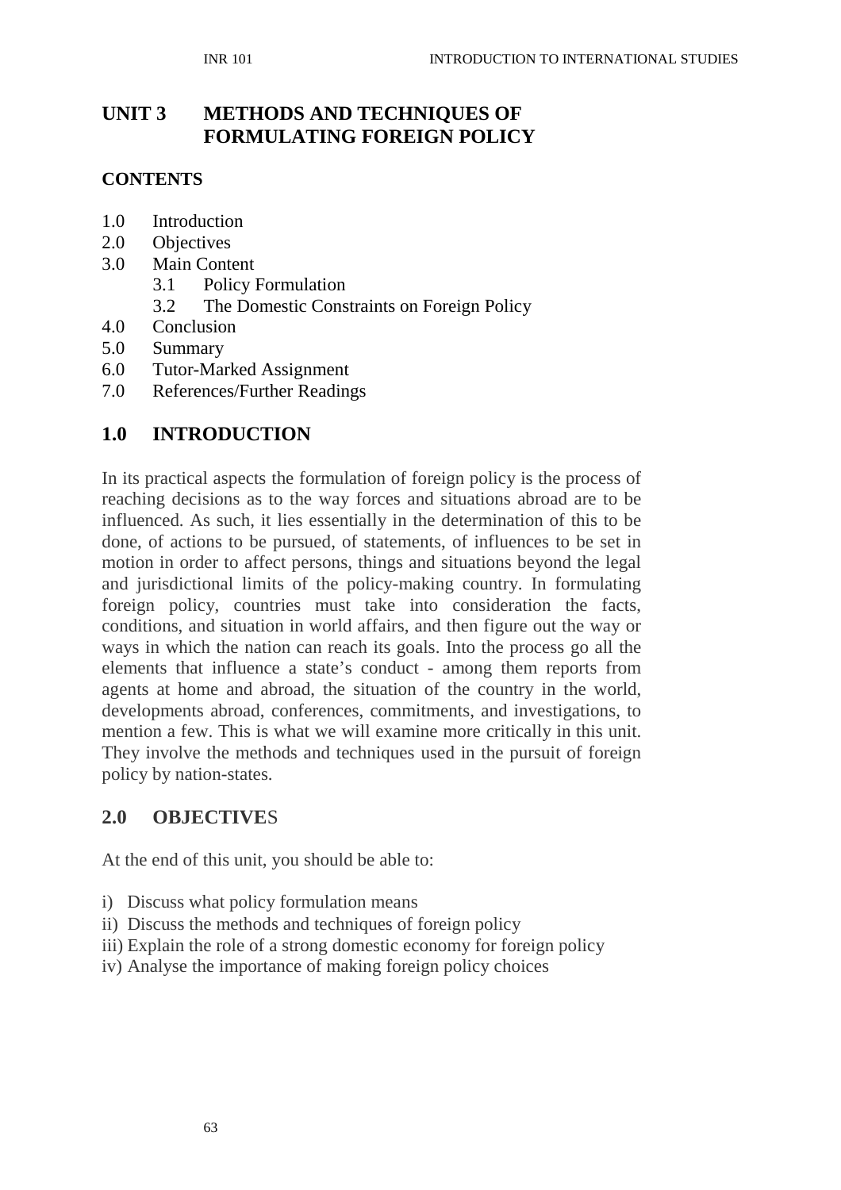## **UNIT 3 METHODS AND TECHNIQUES OF FORMULATING FOREIGN POLICY**

#### **CONTENTS**

- 1.0 Introduction
- 2.0 Objectives
- 3.0 Main Content
	- 3.1 Policy Formulation
	- 3.2 The Domestic Constraints on Foreign Policy
- 4.0 Conclusion
- 5.0 Summary
- 6.0 Tutor-Marked Assignment
- 7.0 References/Further Readings

### **1.0 INTRODUCTION**

In its practical aspects the formulation of foreign policy is the process of reaching decisions as to the way forces and situations abroad are to be influenced. As such, it lies essentially in the determination of this to be done, of actions to be pursued, of statements, of influences to be set in motion in order to affect persons, things and situations beyond the legal and jurisdictional limits of the policy-making country. In formulating foreign policy, countries must take into consideration the facts, conditions, and situation in world affairs, and then figure out the way or ways in which the nation can reach its goals. Into the process go all the elements that influence a state's conduct - among them reports from agents at home and abroad, the situation of the country in the world, developments abroad, conferences, commitments, and investigations, to mention a few. This is what we will examine more critically in this unit. They involve the methods and techniques used in the pursuit of foreign policy by nation-states.

#### **2.0 OBJECTIVE**S

At the end of this unit, you should be able to:

- i) Discuss what policy formulation means
- ii) Discuss the methods and techniques of foreign policy
- iii) Explain the role of a strong domestic economy for foreign policy
- iv) Analyse the importance of making foreign policy choices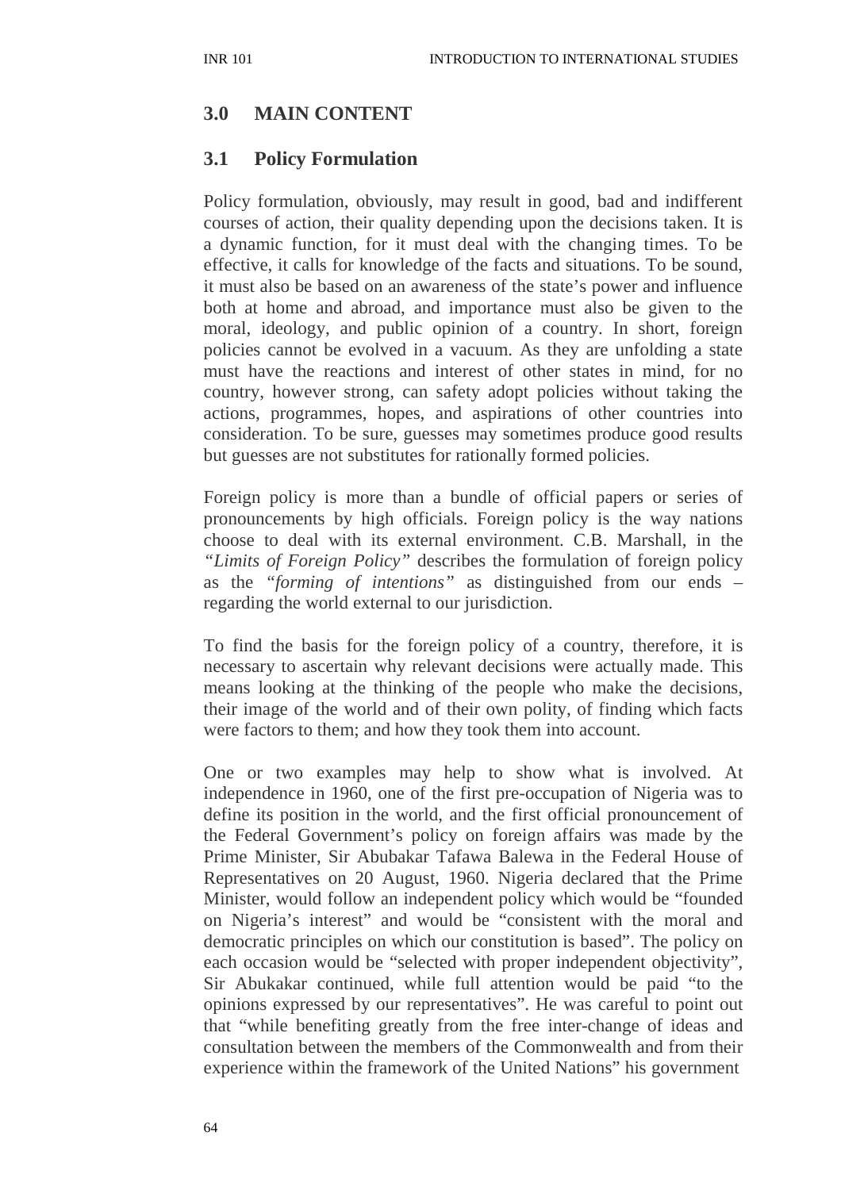## **3.0 MAIN CONTENT**

### **3.1 Policy Formulation**

Policy formulation, obviously, may result in good, bad and indifferent courses of action, their quality depending upon the decisions taken. It is a dynamic function, for it must deal with the changing times. To be effective, it calls for knowledge of the facts and situations. To be sound, it must also be based on an awareness of the state's power and influence both at home and abroad, and importance must also be given to the moral, ideology, and public opinion of a country. In short, foreign policies cannot be evolved in a vacuum. As they are unfolding a state must have the reactions and interest of other states in mind, for no country, however strong, can safety adopt policies without taking the actions, programmes, hopes, and aspirations of other countries into consideration. To be sure, guesses may sometimes produce good results but guesses are not substitutes for rationally formed policies.

Foreign policy is more than a bundle of official papers or series of pronouncements by high officials. Foreign policy is the way nations choose to deal with its external environment. C.B. Marshall, in the *"Limits of Foreign Policy"* describes the formulation of foreign policy as the *"forming of intentions"* as distinguished from our ends – regarding the world external to our jurisdiction.

To find the basis for the foreign policy of a country, therefore, it is necessary to ascertain why relevant decisions were actually made. This means looking at the thinking of the people who make the decisions, their image of the world and of their own polity, of finding which facts were factors to them; and how they took them into account.

One or two examples may help to show what is involved. At independence in 1960, one of the first pre-occupation of Nigeria was to define its position in the world, and the first official pronouncement of the Federal Government's policy on foreign affairs was made by the Prime Minister, Sir Abubakar Tafawa Balewa in the Federal House of Representatives on 20 August, 1960. Nigeria declared that the Prime Minister, would follow an independent policy which would be "founded on Nigeria's interest" and would be "consistent with the moral and democratic principles on which our constitution is based". The policy on each occasion would be "selected with proper independent objectivity", Sir Abukakar continued, while full attention would be paid "to the opinions expressed by our representatives". He was careful to point out that "while benefiting greatly from the free inter-change of ideas and consultation between the members of the Commonwealth and from their experience within the framework of the United Nations" his government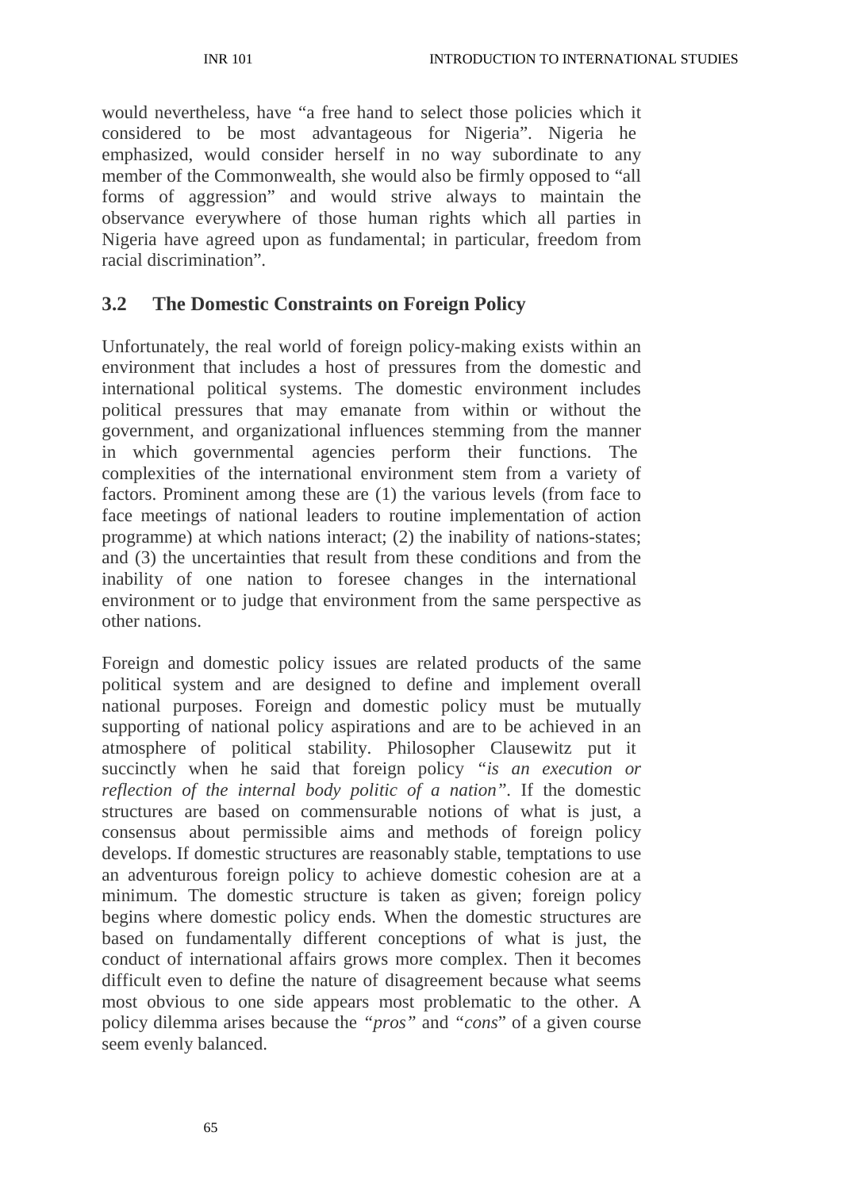would nevertheless, have "a free hand to select those policies which it considered to be most advantageous for Nigeria". Nigeria he emphasized, would consider herself in no way subordinate to any member of the Commonwealth, she would also be firmly opposed to "all forms of aggression" and would strive always to maintain the observance everywhere of those human rights which all parties in Nigeria have agreed upon as fundamental; in particular, freedom from racial discrimination".

## **3.2 The Domestic Constraints on Foreign Policy**

Unfortunately, the real world of foreign policy-making exists within an environment that includes a host of pressures from the domestic and international political systems. The domestic environment includes political pressures that may emanate from within or without the government, and organizational influences stemming from the manner in which governmental agencies perform their functions. The complexities of the international environment stem from a variety of factors. Prominent among these are (1) the various levels (from face to face meetings of national leaders to routine implementation of action programme) at which nations interact; (2) the inability of nations-states; and (3) the uncertainties that result from these conditions and from the inability of one nation to foresee changes in the international environment or to judge that environment from the same perspective as other nations.

Foreign and domestic policy issues are related products of the same political system and are designed to define and implement overall national purposes. Foreign and domestic policy must be mutually supporting of national policy aspirations and are to be achieved in an atmosphere of political stability. Philosopher Clausewitz put it succinctly when he said that foreign policy *"is an execution or reflection of the internal body politic of a nation".* If the domestic structures are based on commensurable notions of what is just, a consensus about permissible aims and methods of foreign policy develops. If domestic structures are reasonably stable, temptations to use an adventurous foreign policy to achieve domestic cohesion are at a minimum. The domestic structure is taken as given; foreign policy begins where domestic policy ends. When the domestic structures are based on fundamentally different conceptions of what is just, the conduct of international affairs grows more complex. Then it becomes difficult even to define the nature of disagreement because what seems most obvious to one side appears most problematic to the other. A policy dilemma arises because the *"pros"* and *"cons*" of a given course seem evenly balanced.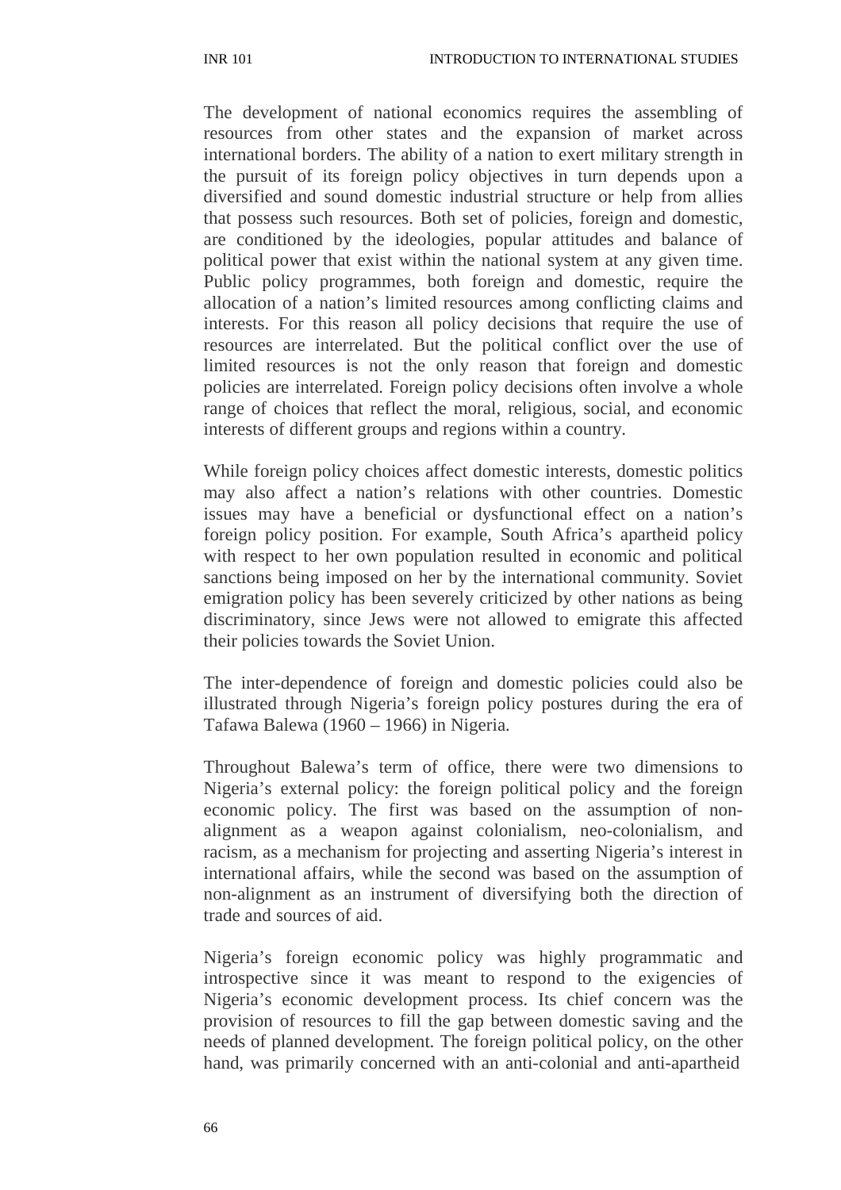The development of national economics requires the assembling of resources from other states and the expansion of market across international borders. The ability of a nation to exert military strength in the pursuit of its foreign policy objectives in turn depends upon a diversified and sound domestic industrial structure or help from allies that possess such resources. Both set of policies, foreign and domestic, are conditioned by the ideologies, popular attitudes and balance of political power that exist within the national system at any given time. Public policy programmes, both foreign and domestic, require the allocation of a nation's limited resources among conflicting claims and interests. For this reason all policy decisions that require the use of resources are interrelated. But the political conflict over the use of limited resources is not the only reason that foreign and domestic policies are interrelated. Foreign policy decisions often involve a whole range of choices that reflect the moral, religious, social, and economic interests of different groups and regions within a country.

While foreign policy choices affect domestic interests, domestic politics may also affect a nation's relations with other countries. Domestic issues may have a beneficial or dysfunctional effect on a nation's foreign policy position. For example, South Africa's apartheid policy with respect to her own population resulted in economic and political sanctions being imposed on her by the international community. Soviet emigration policy has been severely criticized by other nations as being discriminatory, since Jews were not allowed to emigrate this affected their policies towards the Soviet Union.

The inter-dependence of foreign and domestic policies could also be illustrated through Nigeria's foreign policy postures during the era of Tafawa Balewa (1960 – 1966) in Nigeria.

Throughout Balewa's term of office, there were two dimensions to Nigeria's external policy: the foreign political policy and the foreign economic policy. The first was based on the assumption of nonalignment as a weapon against colonialism, neo-colonialism, and racism, as a mechanism for projecting and asserting Nigeria's interest in international affairs, while the second was based on the assumption of non-alignment as an instrument of diversifying both the direction of trade and sources of aid.

Nigeria's foreign economic policy was highly programmatic and introspective since it was meant to respond to the exigencies of Nigeria's economic development process. Its chief concern was the provision of resources to fill the gap between domestic saving and the needs of planned development. The foreign political policy, on the other hand, was primarily concerned with an anti-colonial and anti-apartheid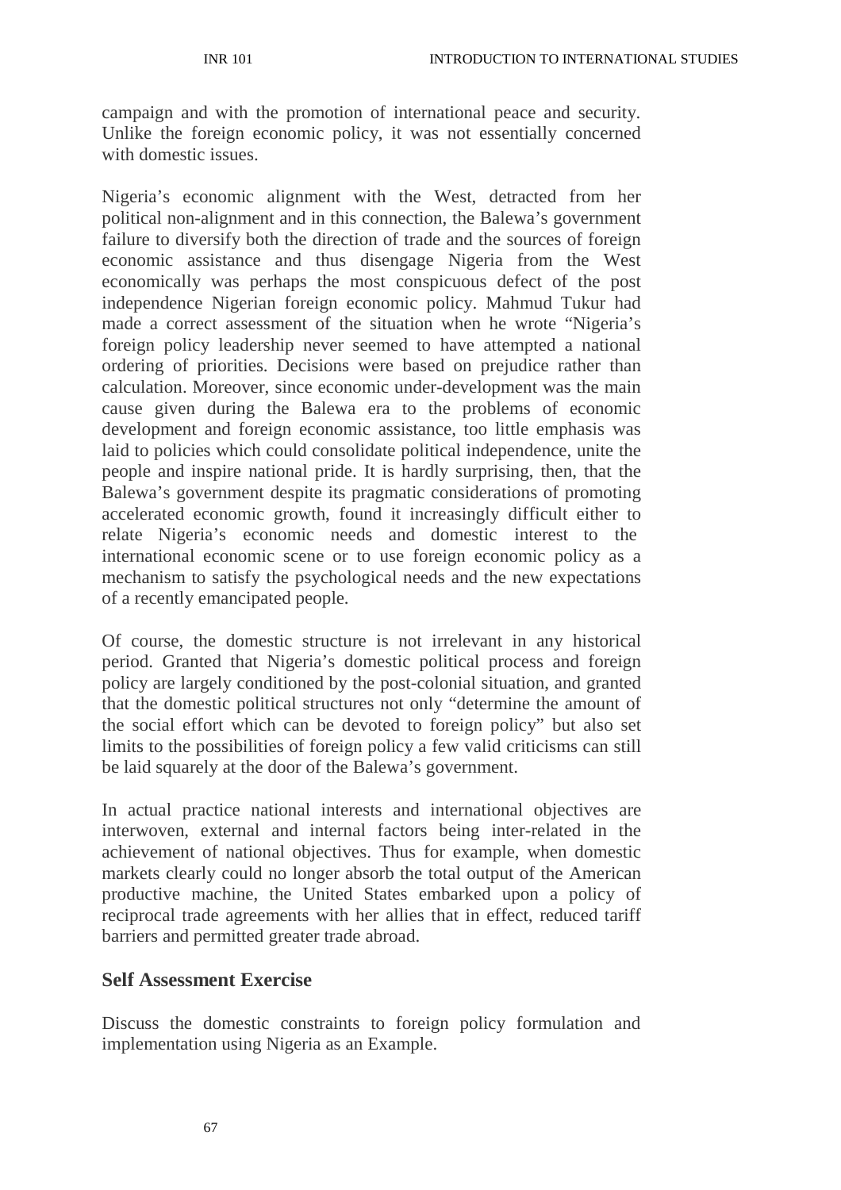campaign and with the promotion of international peace and security. Unlike the foreign economic policy, it was not essentially concerned with domestic issues.

Nigeria's economic alignment with the West, detracted from her political non-alignment and in this connection, the Balewa's government failure to diversify both the direction of trade and the sources of foreign economic assistance and thus disengage Nigeria from the West economically was perhaps the most conspicuous defect of the post independence Nigerian foreign economic policy. Mahmud Tukur had made a correct assessment of the situation when he wrote "Nigeria's foreign policy leadership never seemed to have attempted a national ordering of priorities. Decisions were based on prejudice rather than calculation. Moreover, since economic under-development was the main cause given during the Balewa era to the problems of economic development and foreign economic assistance, too little emphasis was laid to policies which could consolidate political independence, unite the people and inspire national pride. It is hardly surprising, then, that the Balewa's government despite its pragmatic considerations of promoting accelerated economic growth, found it increasingly difficult either to relate Nigeria's economic needs and domestic interest to the international economic scene or to use foreign economic policy as a mechanism to satisfy the psychological needs and the new expectations of a recently emancipated people.

Of course, the domestic structure is not irrelevant in any historical period. Granted that Nigeria's domestic political process and foreign policy are largely conditioned by the post-colonial situation, and granted that the domestic political structures not only "determine the amount of the social effort which can be devoted to foreign policy" but also set limits to the possibilities of foreign policy a few valid criticisms can still be laid squarely at the door of the Balewa's government.

In actual practice national interests and international objectives are interwoven, external and internal factors being inter-related in the achievement of national objectives. Thus for example, when domestic markets clearly could no longer absorb the total output of the American productive machine, the United States embarked upon a policy of reciprocal trade agreements with her allies that in effect, reduced tariff barriers and permitted greater trade abroad.

#### **Self Assessment Exercise**

Discuss the domestic constraints to foreign policy formulation and implementation using Nigeria as an Example.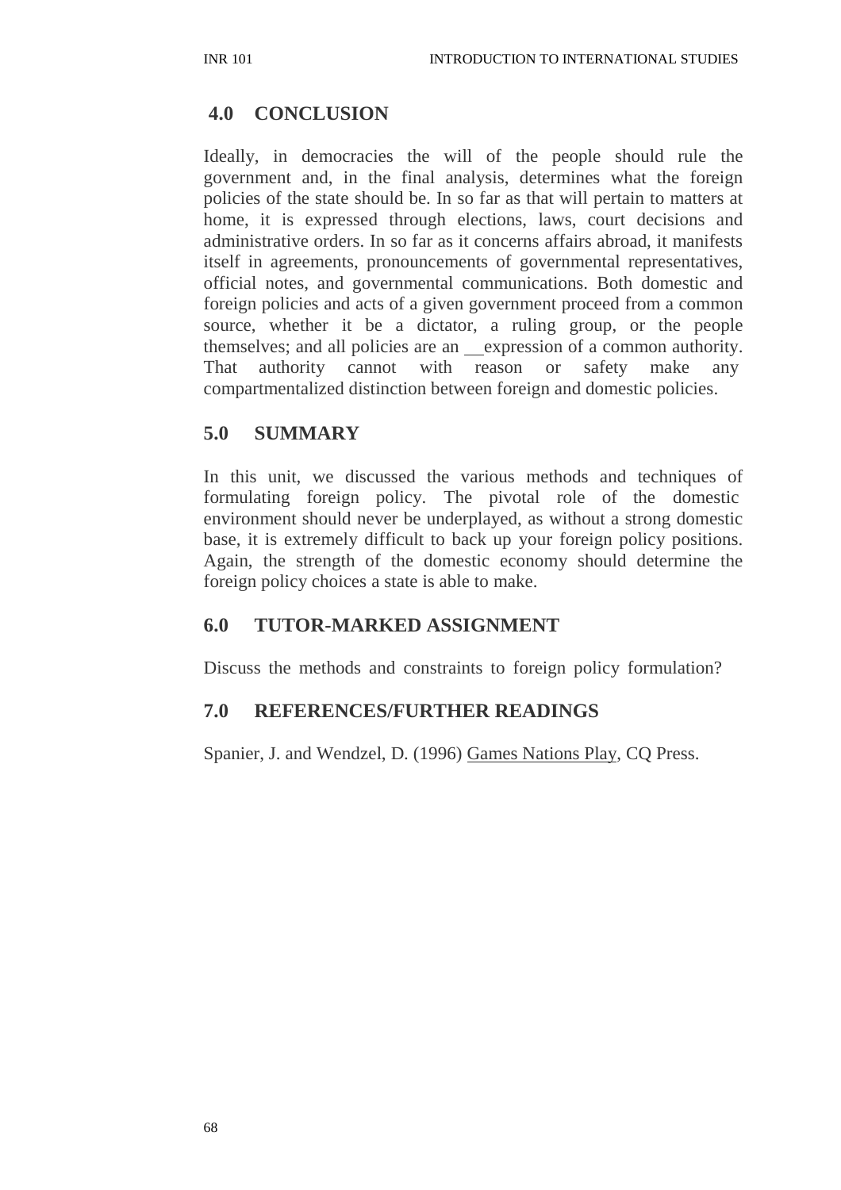## **4.0 CONCLUSION**

Ideally, in democracies the will of the people should rule the government and, in the final analysis, determines what the foreign policies of the state should be. In so far as that will pertain to matters at home, it is expressed through elections, laws, court decisions and administrative orders. In so far as it concerns affairs abroad, it manifests itself in agreements, pronouncements of governmental representatives, official notes, and governmental communications. Both domestic and foreign policies and acts of a given government proceed from a common source, whether it be a dictator, a ruling group, or the people themselves; and all policies are an expression of a common authority. That authority cannot with reason or safety make any compartmentalized distinction between foreign and domestic policies.

### **5.0 SUMMARY**

In this unit, we discussed the various methods and techniques of formulating foreign policy. The pivotal role of the domestic environment should never be underplayed, as without a strong domestic base, it is extremely difficult to back up your foreign policy positions. Again, the strength of the domestic economy should determine the foreign policy choices a state is able to make.

### **6.0 TUTOR-MARKED ASSIGNMENT**

Discuss the methods and constraints to foreign policy formulation?

### **7.0 REFERENCES/FURTHER READINGS**

Spanier, J. and Wendzel, D. (1996) Games Nations Play, CQ Press.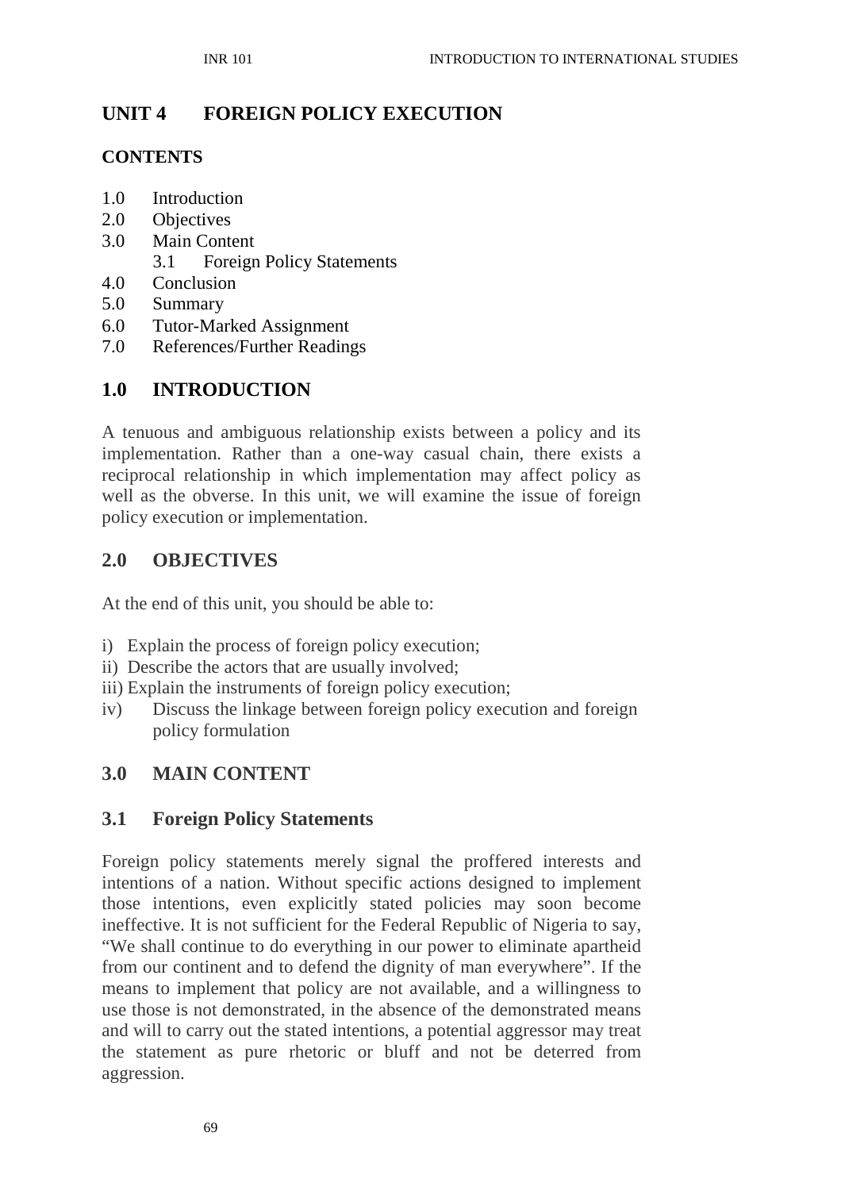# **UNIT 4 FOREIGN POLICY EXECUTION**

#### **CONTENTS**

- 1.0 Introduction
- 2.0 Objectives
- 3.0 Main Content
	- 3.1 Foreign Policy Statements
- 4.0 Conclusion
- 5.0 Summary
- 6.0 Tutor-Marked Assignment
- 7.0 References/Further Readings

## **1.0 INTRODUCTION**

A tenuous and ambiguous relationship exists between a policy and its implementation. Rather than a one-way casual chain, there exists a reciprocal relationship in which implementation may affect policy as well as the obverse. In this unit, we will examine the issue of foreign policy execution or implementation.

### **2.0 OBJECTIVES**

At the end of this unit, you should be able to:

- i) Explain the process of foreign policy execution;
- ii) Describe the actors that are usually involved;
- iii) Explain the instruments of foreign policy execution;
- iv) Discuss the linkage between foreign policy execution and foreign policy formulation

### **3.0 MAIN CONTENT**

### **3.1 Foreign Policy Statements**

Foreign policy statements merely signal the proffered interests and intentions of a nation. Without specific actions designed to implement those intentions, even explicitly stated policies may soon become ineffective. It is not sufficient for the Federal Republic of Nigeria to say, "We shall continue to do everything in our power to eliminate apartheid from our continent and to defend the dignity of man everywhere". If the means to implement that policy are not available, and a willingness to use those is not demonstrated, in the absence of the demonstrated means and will to carry out the stated intentions, a potential aggressor may treat the statement as pure rhetoric or bluff and not be deterred from aggression.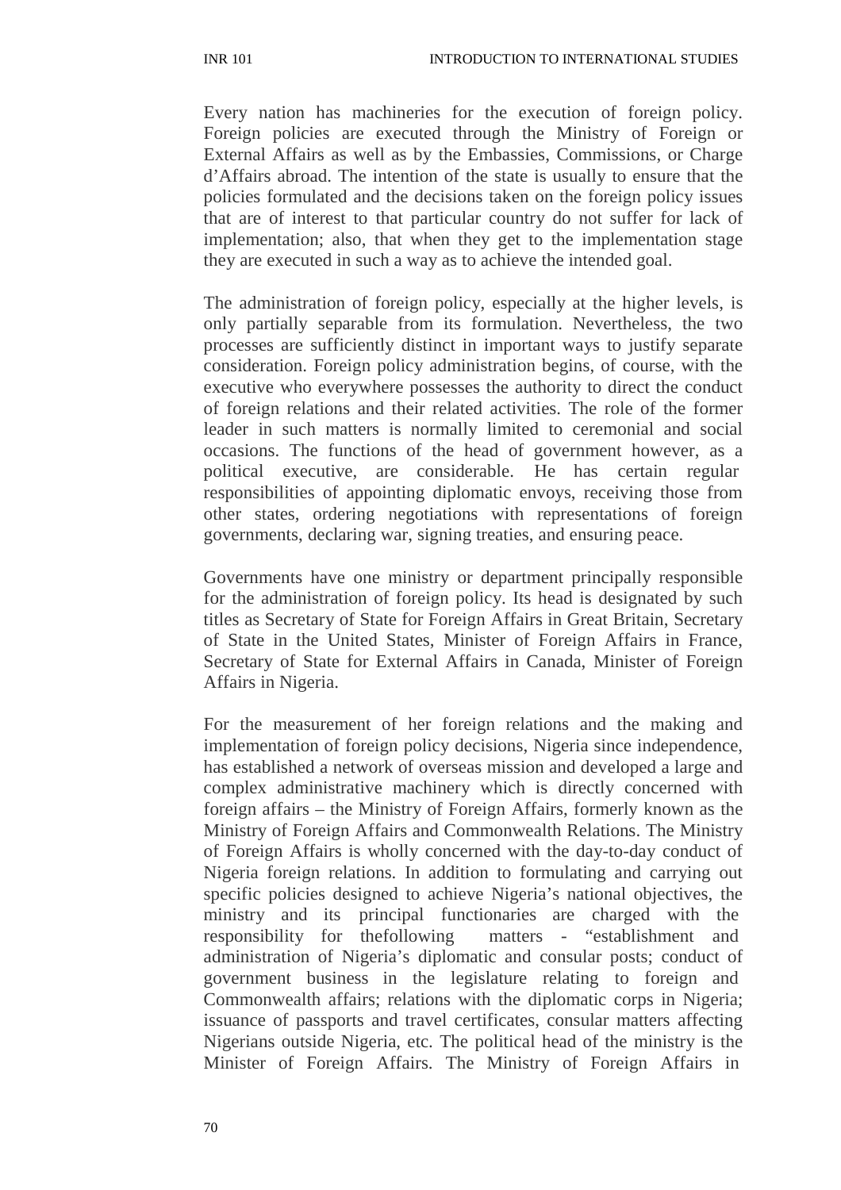Every nation has machineries for the execution of foreign policy. Foreign policies are executed through the Ministry of Foreign or External Affairs as well as by the Embassies, Commissions, or Charge d'Affairs abroad. The intention of the state is usually to ensure that the policies formulated and the decisions taken on the foreign policy issues that are of interest to that particular country do not suffer for lack of implementation; also, that when they get to the implementation stage they are executed in such a way as to achieve the intended goal.

The administration of foreign policy, especially at the higher levels, is only partially separable from its formulation. Nevertheless, the two processes are sufficiently distinct in important ways to justify separate consideration. Foreign policy administration begins, of course, with the executive who everywhere possesses the authority to direct the conduct of foreign relations and their related activities. The role of the former leader in such matters is normally limited to ceremonial and social occasions. The functions of the head of government however, as a political executive, are considerable. He has certain regular responsibilities of appointing diplomatic envoys, receiving those from other states, ordering negotiations with representations of foreign governments, declaring war, signing treaties, and ensuring peace.

Governments have one ministry or department principally responsible for the administration of foreign policy. Its head is designated by such titles as Secretary of State for Foreign Affairs in Great Britain, Secretary of State in the United States, Minister of Foreign Affairs in France, Secretary of State for External Affairs in Canada, Minister of Foreign Affairs in Nigeria.

For the measurement of her foreign relations and the making and implementation of foreign policy decisions, Nigeria since independence, has established a network of overseas mission and developed a large and complex administrative machinery which is directly concerned with foreign affairs – the Ministry of Foreign Affairs, formerly known as the Ministry of Foreign Affairs and Commonwealth Relations. The Ministry of Foreign Affairs is wholly concerned with the day-to-day conduct of Nigeria foreign relations. In addition to formulating and carrying out specific policies designed to achieve Nigeria's national objectives, the ministry and its principal functionaries are charged with the responsibility for the following matters - "establishment and administration of Nigeria's diplomatic and consular posts; conduct of government business in the legislature relating to foreign and Commonwealth affairs; relations with the diplomatic corps in Nigeria; issuance of passports and travel certificates, consular matters affecting Nigerians outside Nigeria, etc. The political head of the ministry is the Minister of Foreign Affairs. The Ministry of Foreign Affairs in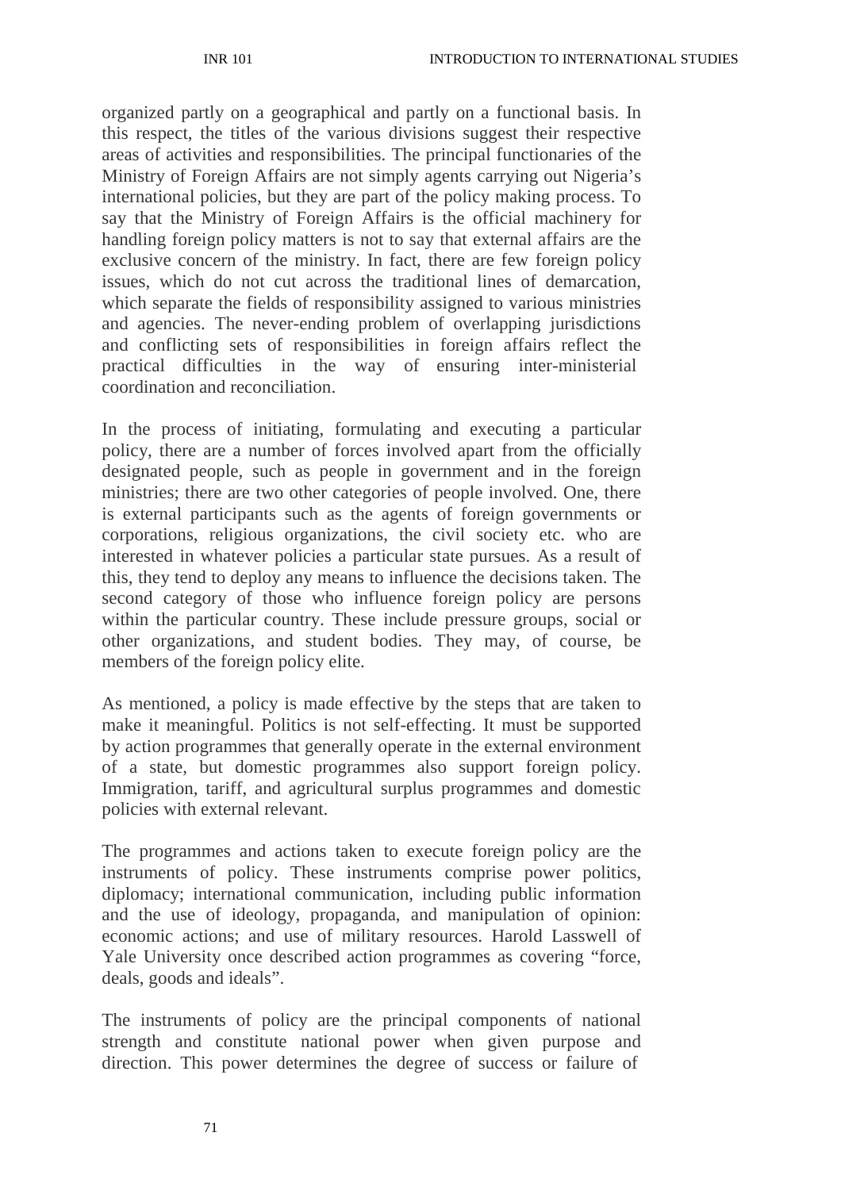organized partly on a geographical and partly on a functional basis. In this respect, the titles of the various divisions suggest their respective areas of activities and responsibilities. The principal functionaries of the Ministry of Foreign Affairs are not simply agents carrying out Nigeria's international policies, but they are part of the policy making process. To say that the Ministry of Foreign Affairs is the official machinery for handling foreign policy matters is not to say that external affairs are the exclusive concern of the ministry. In fact, there are few foreign policy issues, which do not cut across the traditional lines of demarcation, which separate the fields of responsibility assigned to various ministries and agencies. The never-ending problem of overlapping jurisdictions and conflicting sets of responsibilities in foreign affairs reflect the practical difficulties in the way of ensuring inter-ministerial coordination and reconciliation.

In the process of initiating, formulating and executing a particular policy, there are a number of forces involved apart from the officially designated people, such as people in government and in the foreign ministries; there are two other categories of people involved. One, there is external participants such as the agents of foreign governments or corporations, religious organizations, the civil society etc. who are interested in whatever policies a particular state pursues. As a result of this, they tend to deploy any means to influence the decisions taken. The second category of those who influence foreign policy are persons within the particular country. These include pressure groups, social or other organizations, and student bodies. They may, of course, be members of the foreign policy elite.

As mentioned, a policy is made effective by the steps that are taken to make it meaningful. Politics is not self-effecting. It must be supported by action programmes that generally operate in the external environment of a state, but domestic programmes also support foreign policy. Immigration, tariff, and agricultural surplus programmes and domestic policies with external relevant.

The programmes and actions taken to execute foreign policy are the instruments of policy. These instruments comprise power politics, diplomacy; international communication, including public information and the use of ideology, propaganda, and manipulation of opinion: economic actions; and use of military resources. Harold Lasswell of Yale University once described action programmes as covering "force, deals, goods and ideals".

The instruments of policy are the principal components of national strength and constitute national power when given purpose and direction. This power determines the degree of success or failure of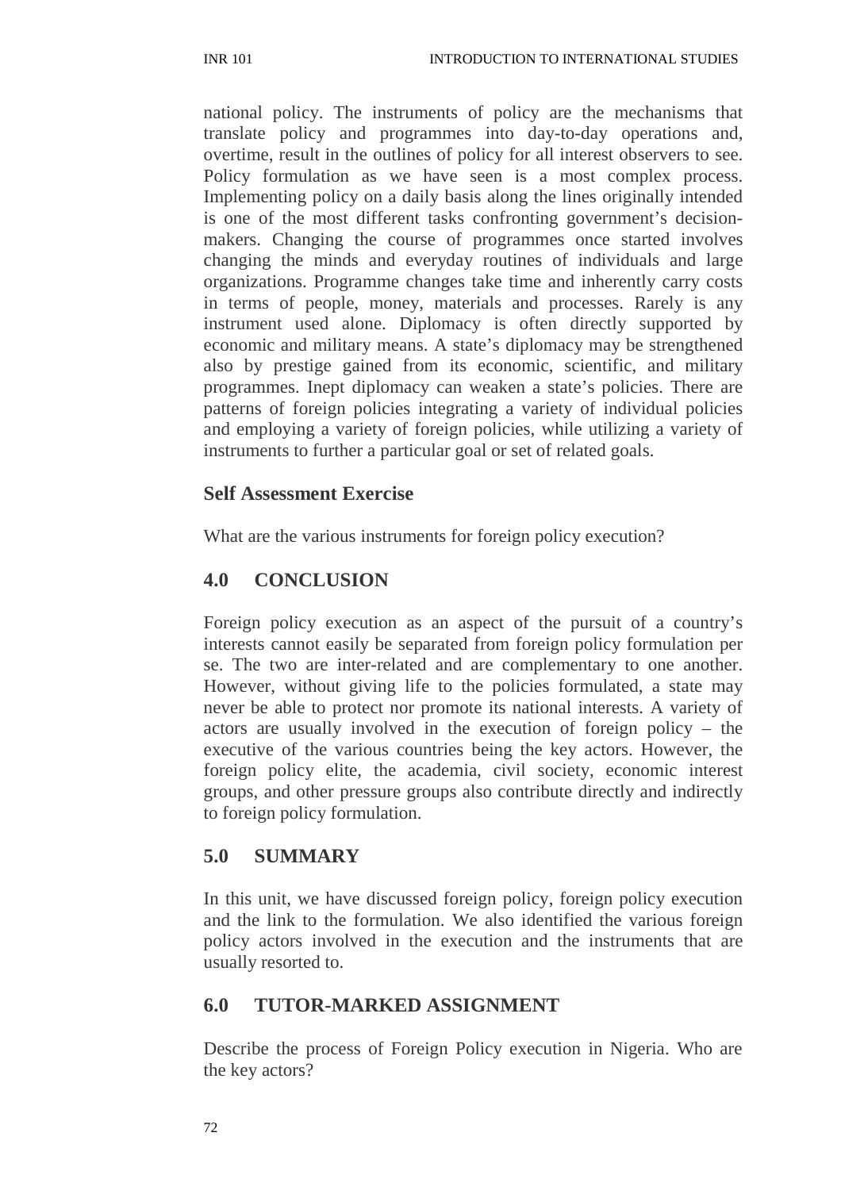national policy. The instruments of policy are the mechanisms that translate policy and programmes into day-to-day operations and, overtime, result in the outlines of policy for all interest observers to see. Policy formulation as we have seen is a most complex process. Implementing policy on a daily basis along the lines originally intended is one of the most different tasks confronting government's decisionmakers. Changing the course of programmes once started involves changing the minds and everyday routines of individuals and large organizations. Programme changes take time and inherently carry costs in terms of people, money, materials and processes. Rarely is any instrument used alone. Diplomacy is often directly supported by economic and military means. A state's diplomacy may be strengthened also by prestige gained from its economic, scientific, and military programmes. Inept diplomacy can weaken a state's policies. There are patterns of foreign policies integrating a variety of individual policies and employing a variety of foreign policies, while utilizing a variety of instruments to further a particular goal or set of related goals.

### **Self Assessment Exercise**

What are the various instruments for foreign policy execution?

## **4.0 CONCLUSION**

Foreign policy execution as an aspect of the pursuit of a country's interests cannot easily be separated from foreign policy formulation per se. The two are inter-related and are complementary to one another. However, without giving life to the policies formulated, a state may never be able to protect nor promote its national interests. A variety of actors are usually involved in the execution of foreign policy – the executive of the various countries being the key actors. However, the foreign policy elite, the academia, civil society, economic interest groups, and other pressure groups also contribute directly and indirectly to foreign policy formulation.

## **5.0 SUMMARY**

In this unit, we have discussed foreign policy, foreign policy execution and the link to the formulation. We also identified the various foreign policy actors involved in the execution and the instruments that are usually resorted to.

## **6.0 TUTOR-MARKED ASSIGNMENT**

Describe the process of Foreign Policy execution in Nigeria. Who are the key actors?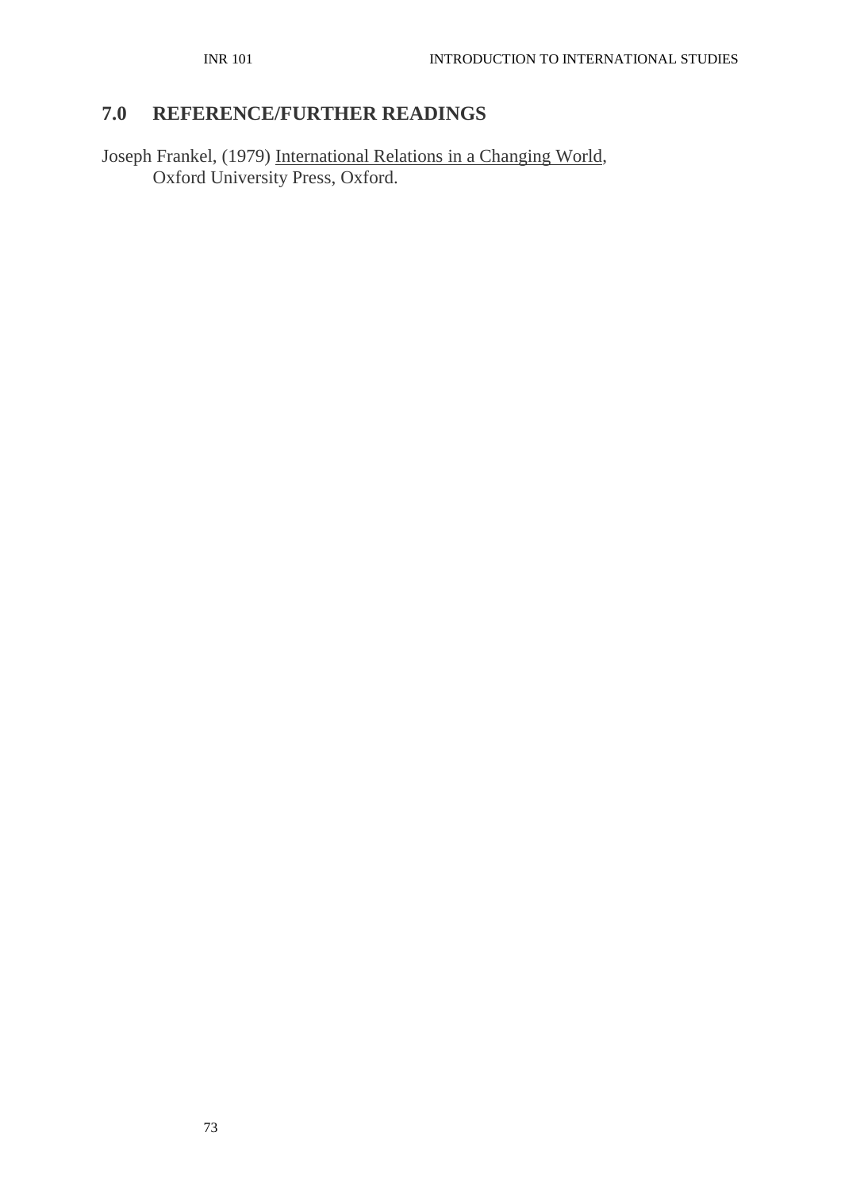# **7.0 REFERENCE/FURTHER READINGS**

Joseph Frankel, (1979) International Relations in a Changing World, Oxford University Press, Oxford.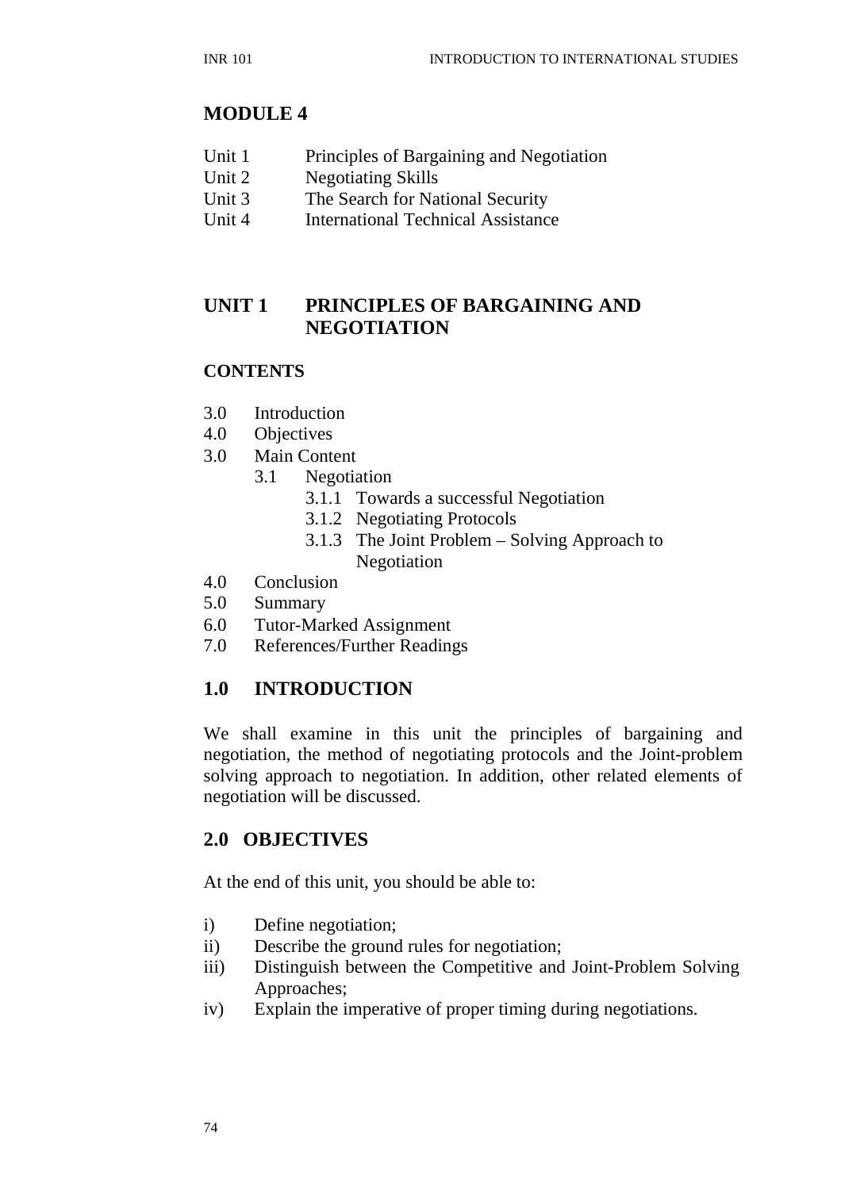## **MODULE 4**

- Unit 1 Principles of Bargaining and Negotiation
- Unit 2 Negotiating Skills
- Unit 3 The Search for National Security
- Unit 4 International Technical Assistance

# **UNIT 1 PRINCIPLES OF BARGAINING AND NEGOTIATION**

### **CONTENTS**

- 3.0 Introduction
- 4.0 Objectives
- 3.0 Main Content
	- 3.1 Negotiation
		- 3.1.1 Towards a successful Negotiation
		- 3.1.2 Negotiating Protocols
		- 3.1.3 The Joint Problem Solving Approach to Negotiation
- 4.0 Conclusion
- 5.0 Summary
- 6.0 Tutor-Marked Assignment
- 7.0 References/Further Readings

## **1.0 INTRODUCTION**

We shall examine in this unit the principles of bargaining and negotiation, the method of negotiating protocols and the Joint-problem solving approach to negotiation. In addition, other related elements of negotiation will be discussed.

## **2.0 OBJECTIVES**

At the end of this unit, you should be able to:

- i) Define negotiation;
- ii) Describe the ground rules for negotiation;
- iii) Distinguish between the Competitive and Joint-Problem Solving Approaches;
- iv) Explain the imperative of proper timing during negotiations.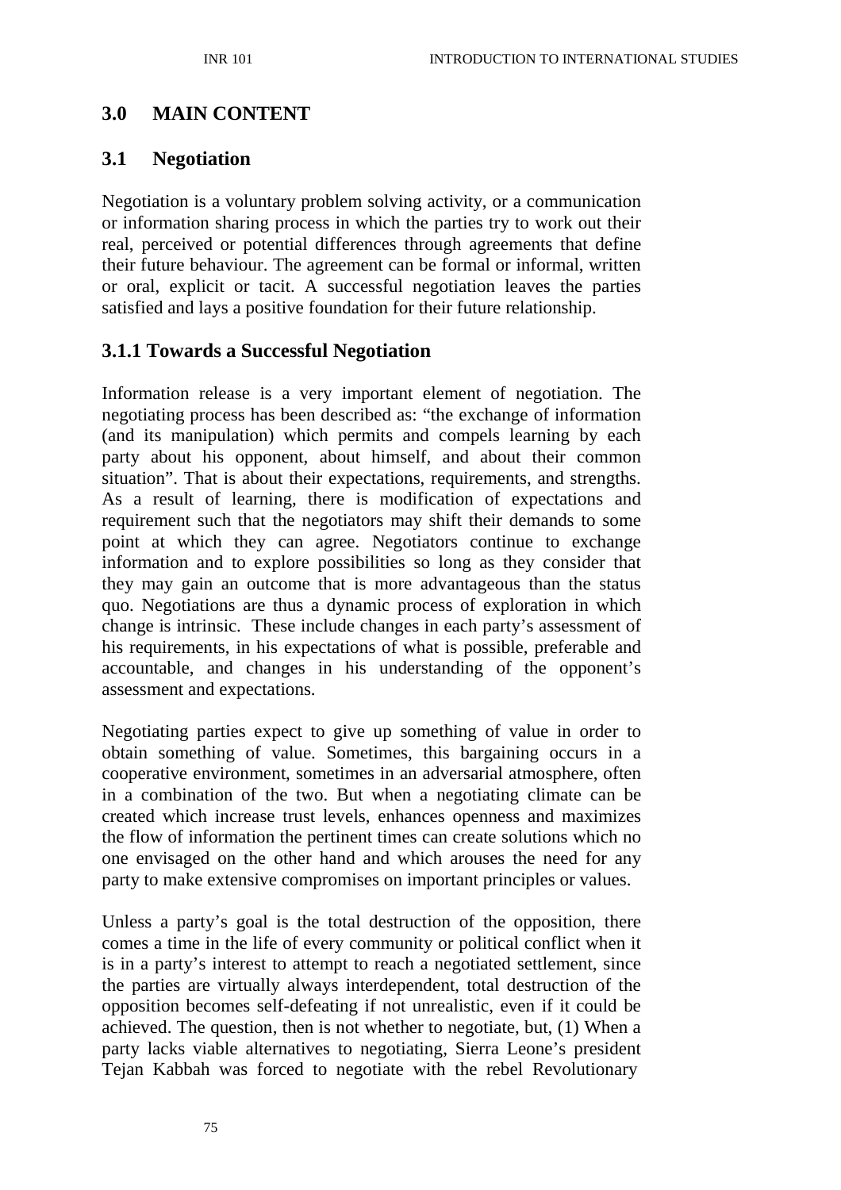## **3.0 MAIN CONTENT**

### **3.1 Negotiation**

Negotiation is a voluntary problem solving activity, or a communication or information sharing process in which the parties try to work out their real, perceived or potential differences through agreements that define their future behaviour. The agreement can be formal or informal, written or oral, explicit or tacit. A successful negotiation leaves the parties satisfied and lays a positive foundation for their future relationship.

## **3.1.1 Towards a Successful Negotiation**

Information release is a very important element of negotiation. The negotiating process has been described as: "the exchange of information (and its manipulation) which permits and compels learning by each party about his opponent, about himself, and about their common situation". That is about their expectations, requirements, and strengths. As a result of learning, there is modification of expectations and requirement such that the negotiators may shift their demands to some point at which they can agree. Negotiators continue to exchange information and to explore possibilities so long as they consider that they may gain an outcome that is more advantageous than the status quo. Negotiations are thus a dynamic process of exploration in which change is intrinsic. These include changes in each party's assessment of his requirements, in his expectations of what is possible, preferable and accountable, and changes in his understanding of the opponent's assessment and expectations.

Negotiating parties expect to give up something of value in order to obtain something of value. Sometimes, this bargaining occurs in a cooperative environment, sometimes in an adversarial atmosphere, often in a combination of the two. But when a negotiating climate can be created which increase trust levels, enhances openness and maximizes the flow of information the pertinent times can create solutions which no one envisaged on the other hand and which arouses the need for any party to make extensive compromises on important principles or values.

Unless a party's goal is the total destruction of the opposition, there comes a time in the life of every community or political conflict when it is in a party's interest to attempt to reach a negotiated settlement, since the parties are virtually always interdependent, total destruction of the opposition becomes self-defeating if not unrealistic, even if it could be achieved. The question, then is not whether to negotiate, but, (1) When a party lacks viable alternatives to negotiating, Sierra Leone's president Tejan Kabbah was forced to negotiate with the rebel Revolutionary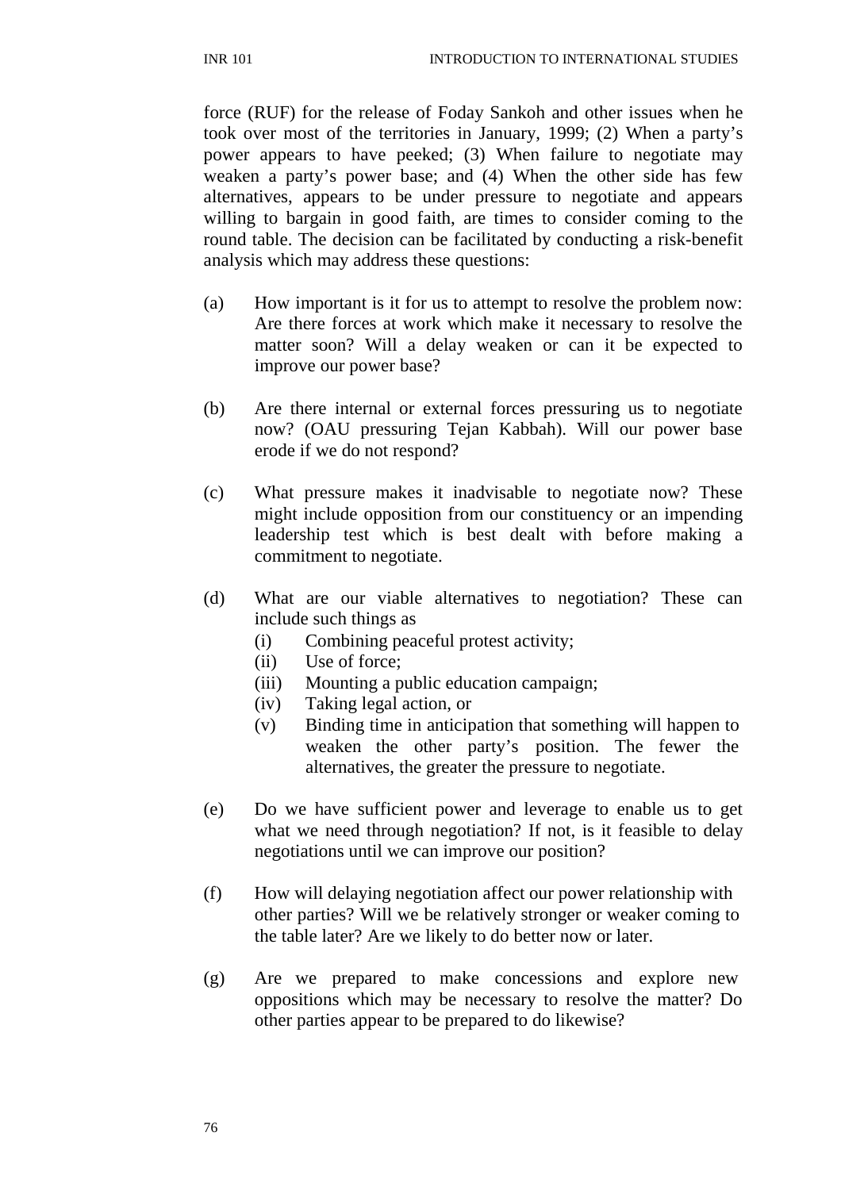force (RUF) for the release of Foday Sankoh and other issues when he took over most of the territories in January, 1999; (2) When a party's power appears to have peeked; (3) When failure to negotiate may weaken a party's power base; and (4) When the other side has few alternatives, appears to be under pressure to negotiate and appears willing to bargain in good faith, are times to consider coming to the round table. The decision can be facilitated by conducting a risk-benefit analysis which may address these questions:

- (a) How important is it for us to attempt to resolve the problem now: Are there forces at work which make it necessary to resolve the matter soon? Will a delay weaken or can it be expected to improve our power base?
- (b) Are there internal or external forces pressuring us to negotiate now? (OAU pressuring Tejan Kabbah). Will our power base erode if we do not respond?
- (c) What pressure makes it inadvisable to negotiate now? These might include opposition from our constituency or an impending leadership test which is best dealt with before making a commitment to negotiate.
- (d) What are our viable alternatives to negotiation? These can include such things as
	- (i) Combining peaceful protest activity;
	- (ii) Use of force;
	- (iii) Mounting a public education campaign;
	- (iv) Taking legal action, or
	- (v) Binding time in anticipation that something will happen to weaken the other party's position. The fewer the alternatives, the greater the pressure to negotiate.
- (e) Do we have sufficient power and leverage to enable us to get what we need through negotiation? If not, is it feasible to delay negotiations until we can improve our position?
- (f) How will delaying negotiation affect our power relationship with other parties? Will we be relatively stronger or weaker coming to the table later? Are we likely to do better now or later.
- (g) Are we prepared to make concessions and explore new oppositions which may be necessary to resolve the matter? Do other parties appear to be prepared to do likewise?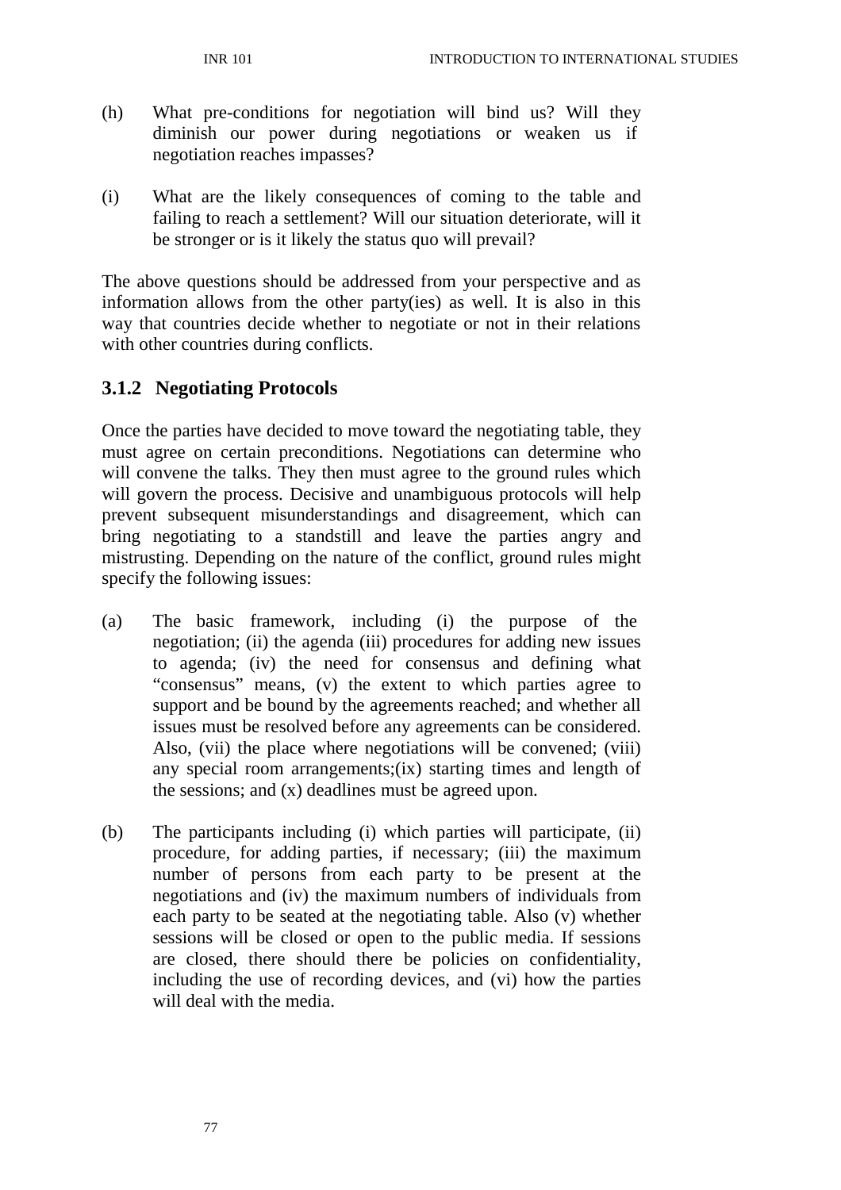- (h) What pre-conditions for negotiation will bind us? Will they diminish our power during negotiations or weaken us if negotiation reaches impasses?
- (i) What are the likely consequences of coming to the table and failing to reach a settlement? Will our situation deteriorate, will it be stronger or is it likely the status quo will prevail?

The above questions should be addressed from your perspective and as information allows from the other party(ies) as well. It is also in this way that countries decide whether to negotiate or not in their relations with other countries during conflicts.

### **3.1.2 Negotiating Protocols**

Once the parties have decided to move toward the negotiating table, they must agree on certain preconditions. Negotiations can determine who will convene the talks. They then must agree to the ground rules which will govern the process. Decisive and unambiguous protocols will help prevent subsequent misunderstandings and disagreement, which can bring negotiating to a standstill and leave the parties angry and mistrusting. Depending on the nature of the conflict, ground rules might specify the following issues:

- (a) The basic framework, including (i) the purpose of the negotiation; (ii) the agenda (iii) procedures for adding new issues to agenda; (iv) the need for consensus and defining what "consensus" means, (v) the extent to which parties agree to support and be bound by the agreements reached; and whether all issues must be resolved before any agreements can be considered. Also, (vii) the place where negotiations will be convened; (viii) any special room arrangements;(ix) starting times and length of the sessions; and (x) deadlines must be agreed upon.
- (b) The participants including (i) which parties will participate, (ii) procedure, for adding parties, if necessary; (iii) the maximum number of persons from each party to be present at the negotiations and (iv) the maximum numbers of individuals from each party to be seated at the negotiating table. Also (v) whether sessions will be closed or open to the public media. If sessions are closed, there should there be policies on confidentiality, including the use of recording devices, and (vi) how the parties will deal with the media.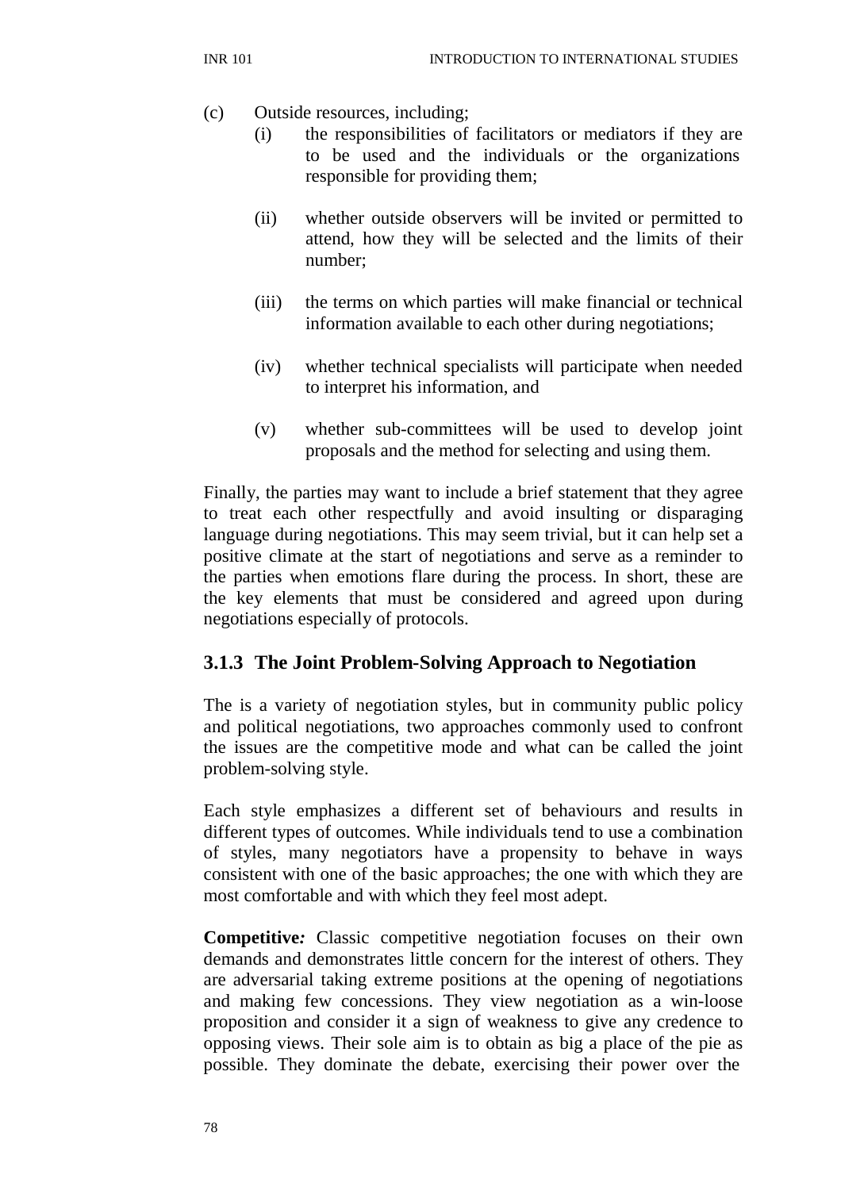- (c) Outside resources, including;
	- (i) the responsibilities of facilitators or mediators if they are to be used and the individuals or the organizations responsible for providing them;
	- (ii) whether outside observers will be invited or permitted to attend, how they will be selected and the limits of their number;
	- (iii) the terms on which parties will make financial or technical information available to each other during negotiations;
	- (iv) whether technical specialists will participate when needed to interpret his information, and
	- (v) whether sub-committees will be used to develop joint proposals and the method for selecting and using them.

Finally, the parties may want to include a brief statement that they agree to treat each other respectfully and avoid insulting or disparaging language during negotiations. This may seem trivial, but it can help set a positive climate at the start of negotiations and serve as a reminder to the parties when emotions flare during the process. In short, these are the key elements that must be considered and agreed upon during negotiations especially of protocols.

### **3.1.3 The Joint Problem-Solving Approach to Negotiation**

The is a variety of negotiation styles, but in community public policy and political negotiations, two approaches commonly used to confront the issues are the competitive mode and what can be called the joint problem-solving style.

Each style emphasizes a different set of behaviours and results in different types of outcomes. While individuals tend to use a combination of styles, many negotiators have a propensity to behave in ways consistent with one of the basic approaches; the one with which they are most comfortable and with which they feel most adept.

**Competitive***:* Classic competitive negotiation focuses on their own demands and demonstrates little concern for the interest of others. They are adversarial taking extreme positions at the opening of negotiations and making few concessions. They view negotiation as a win-loose proposition and consider it a sign of weakness to give any credence to opposing views. Their sole aim is to obtain as big a place of the pie as possible. They dominate the debate, exercising their power over the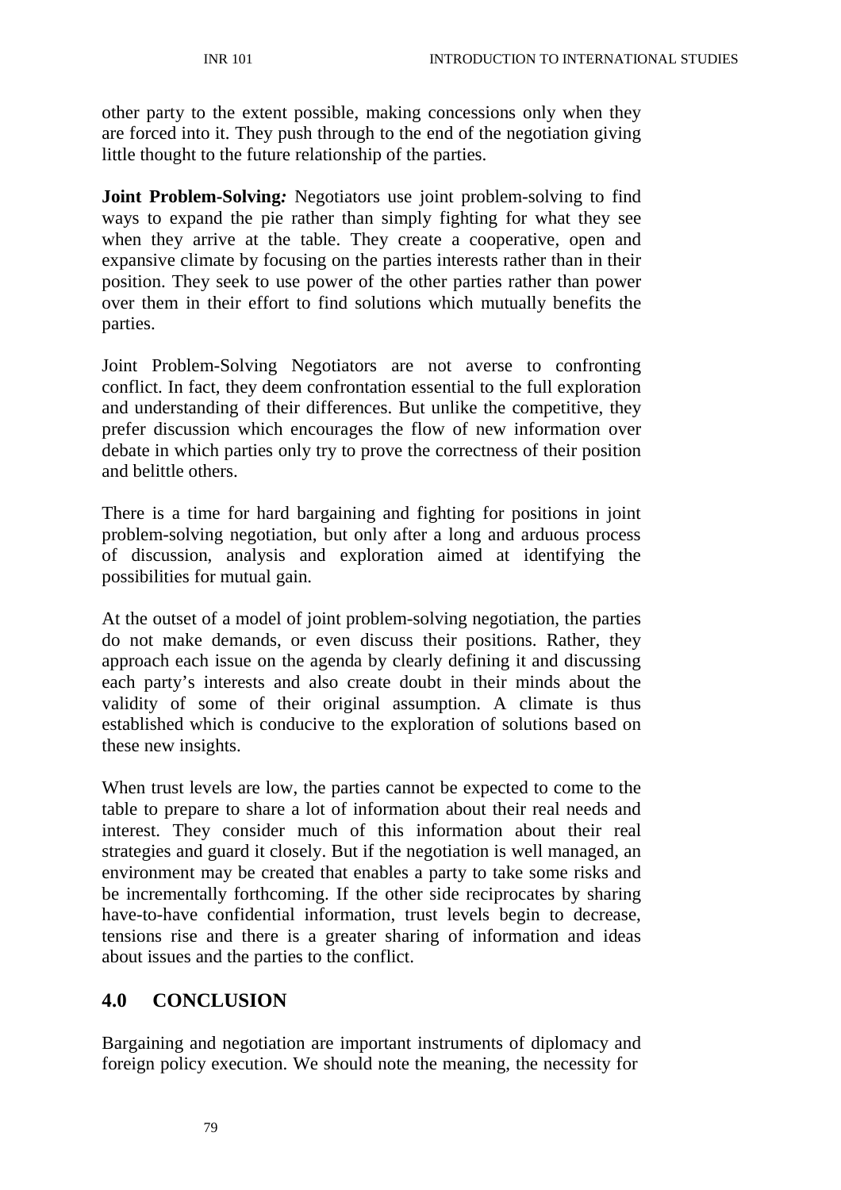other party to the extent possible, making concessions only when they are forced into it. They push through to the end of the negotiation giving little thought to the future relationship of the parties.

**Joint Problem-Solving***:* Negotiators use joint problem-solving to find ways to expand the pie rather than simply fighting for what they see when they arrive at the table. They create a cooperative, open and expansive climate by focusing on the parties interests rather than in their position. They seek to use power of the other parties rather than power over them in their effort to find solutions which mutually benefits the parties.

Joint Problem-Solving Negotiators are not averse to confronting conflict. In fact, they deem confrontation essential to the full exploration and understanding of their differences. But unlike the competitive, they prefer discussion which encourages the flow of new information over debate in which parties only try to prove the correctness of their position and belittle others.

There is a time for hard bargaining and fighting for positions in joint problem-solving negotiation, but only after a long and arduous process of discussion, analysis and exploration aimed at identifying the possibilities for mutual gain.

At the outset of a model of joint problem-solving negotiation, the parties do not make demands, or even discuss their positions. Rather, they approach each issue on the agenda by clearly defining it and discussing each party's interests and also create doubt in their minds about the validity of some of their original assumption. A climate is thus established which is conducive to the exploration of solutions based on these new insights.

When trust levels are low, the parties cannot be expected to come to the table to prepare to share a lot of information about their real needs and interest. They consider much of this information about their real strategies and guard it closely. But if the negotiation is well managed, an environment may be created that enables a party to take some risks and be incrementally forthcoming. If the other side reciprocates by sharing have-to-have confidential information, trust levels begin to decrease, tensions rise and there is a greater sharing of information and ideas about issues and the parties to the conflict.

# **4.0 CONCLUSION**

Bargaining and negotiation are important instruments of diplomacy and foreign policy execution. We should note the meaning, the necessity for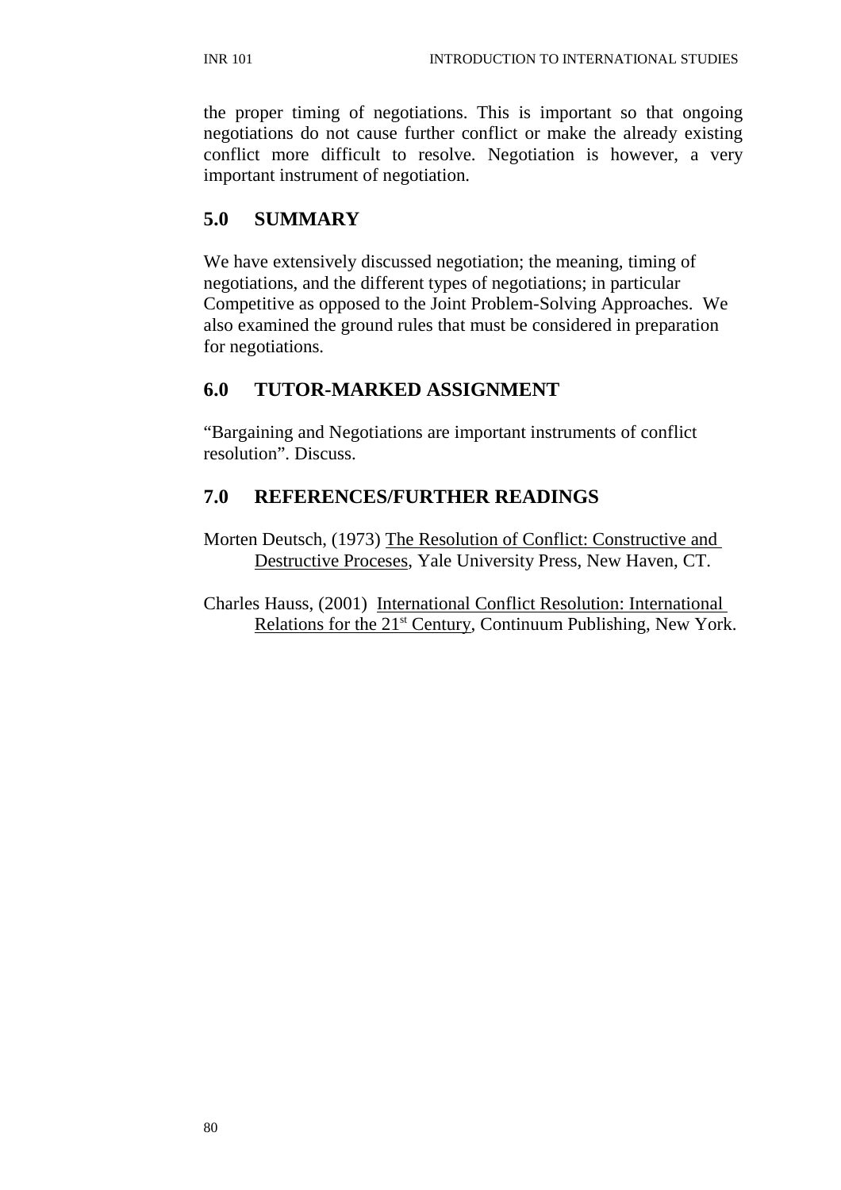the proper timing of negotiations. This is important so that ongoing negotiations do not cause further conflict or make the already existing conflict more difficult to resolve. Negotiation is however, a very important instrument of negotiation.

## **5.0 SUMMARY**

We have extensively discussed negotiation; the meaning, timing of negotiations, and the different types of negotiations; in particular Competitive as opposed to the Joint Problem-Solving Approaches. We also examined the ground rules that must be considered in preparation for negotiations.

# **6.0 TUTOR-MARKED ASSIGNMENT**

"Bargaining and Negotiations are important instruments of conflict resolution". Discuss.

# **7.0 REFERENCES/FURTHER READINGS**

Morten Deutsch, (1973) The Resolution of Conflict: Constructive and Destructive Proceses, Yale University Press, New Haven, CT.

Charles Hauss, (2001) International Conflict Resolution: International Relations for the  $21<sup>st</sup>$  Century, Continuum Publishing, New York.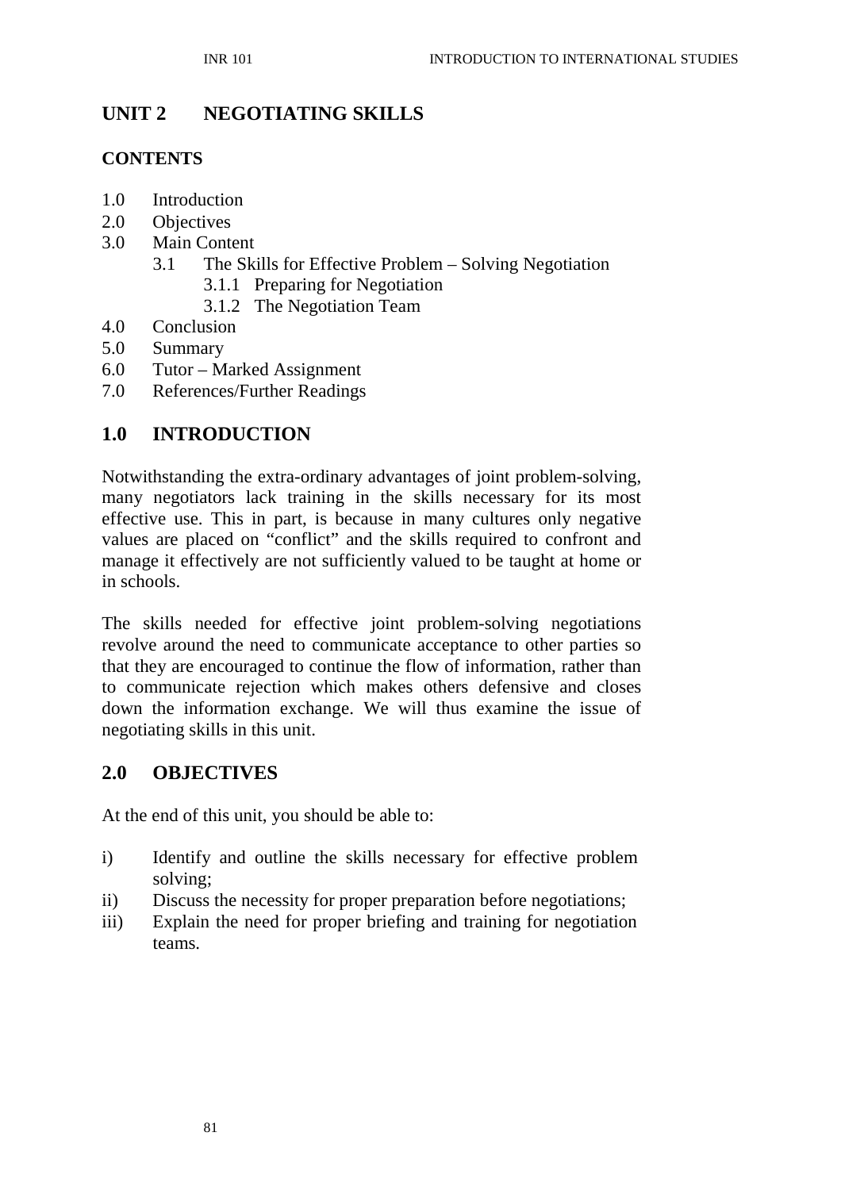## **UNIT 2 NEGOTIATING SKILLS**

#### **CONTENTS**

- 1.0 Introduction
- 2.0 Objectives
- 3.0 Main Content
	- 3.1 The Skills for Effective Problem Solving Negotiation
		- 3.1.1 Preparing for Negotiation
		- 3.1.2 The Negotiation Team
- 4.0 Conclusion
- 5.0 Summary
- 6.0 Tutor Marked Assignment
- 7.0 References/Further Readings

### **1.0 INTRODUCTION**

Notwithstanding the extra-ordinary advantages of joint problem-solving, many negotiators lack training in the skills necessary for its most effective use. This in part, is because in many cultures only negative values are placed on "conflict" and the skills required to confront and manage it effectively are not sufficiently valued to be taught at home or in schools.

The skills needed for effective joint problem-solving negotiations revolve around the need to communicate acceptance to other parties so that they are encouraged to continue the flow of information, rather than to communicate rejection which makes others defensive and closes down the information exchange. We will thus examine the issue of negotiating skills in this unit.

### **2.0 OBJECTIVES**

At the end of this unit, you should be able to:

- i) Identify and outline the skills necessary for effective problem solving;
- ii) Discuss the necessity for proper preparation before negotiations;
- iii) Explain the need for proper briefing and training for negotiation teams.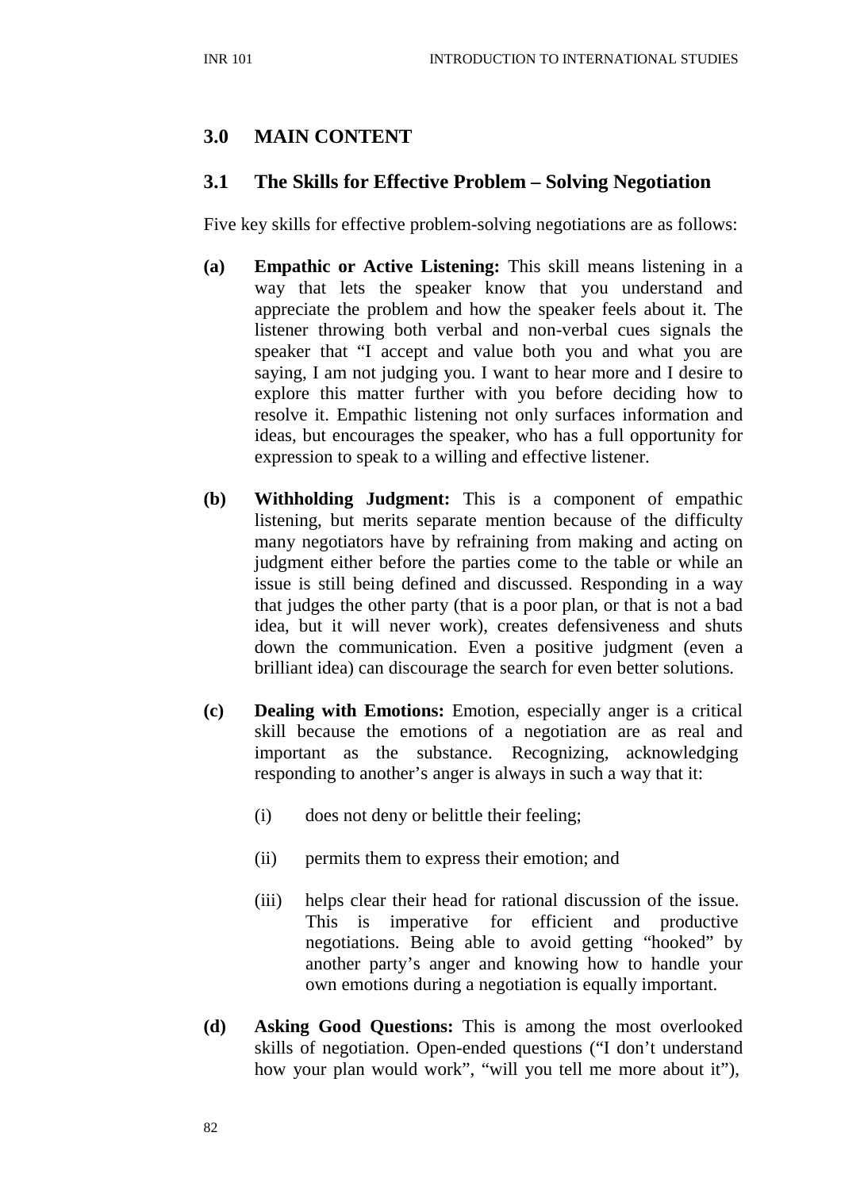# **3.0 MAIN CONTENT**

## **3.1 The Skills for Effective Problem – Solving Negotiation**

Five key skills for effective problem-solving negotiations are as follows:

- **(a) Empathic or Active Listening:** This skill means listening in a way that lets the speaker know that you understand and appreciate the problem and how the speaker feels about it. The listener throwing both verbal and non-verbal cues signals the speaker that "I accept and value both you and what you are saying, I am not judging you. I want to hear more and I desire to explore this matter further with you before deciding how to resolve it. Empathic listening not only surfaces information and ideas, but encourages the speaker, who has a full opportunity for expression to speak to a willing and effective listener.
- **(b) Withholding Judgment:** This is a component of empathic listening, but merits separate mention because of the difficulty many negotiators have by refraining from making and acting on judgment either before the parties come to the table or while an issue is still being defined and discussed. Responding in a way that judges the other party (that is a poor plan, or that is not a bad idea, but it will never work), creates defensiveness and shuts down the communication. Even a positive judgment (even a brilliant idea) can discourage the search for even better solutions.
- **(c) Dealing with Emotions:** Emotion, especially anger is a critical skill because the emotions of a negotiation are as real and important as the substance. Recognizing, acknowledging responding to another's anger is always in such a way that it:
	- (i) does not deny or belittle their feeling;
	- (ii) permits them to express their emotion; and
	- (iii) helps clear their head for rational discussion of the issue. This is imperative for efficient and productive negotiations. Being able to avoid getting "hooked" by another party's anger and knowing how to handle your own emotions during a negotiation is equally important.
- **(d) Asking Good Questions:** This is among the most overlooked skills of negotiation. Open-ended questions ("I don't understand how your plan would work", "will you tell me more about it"),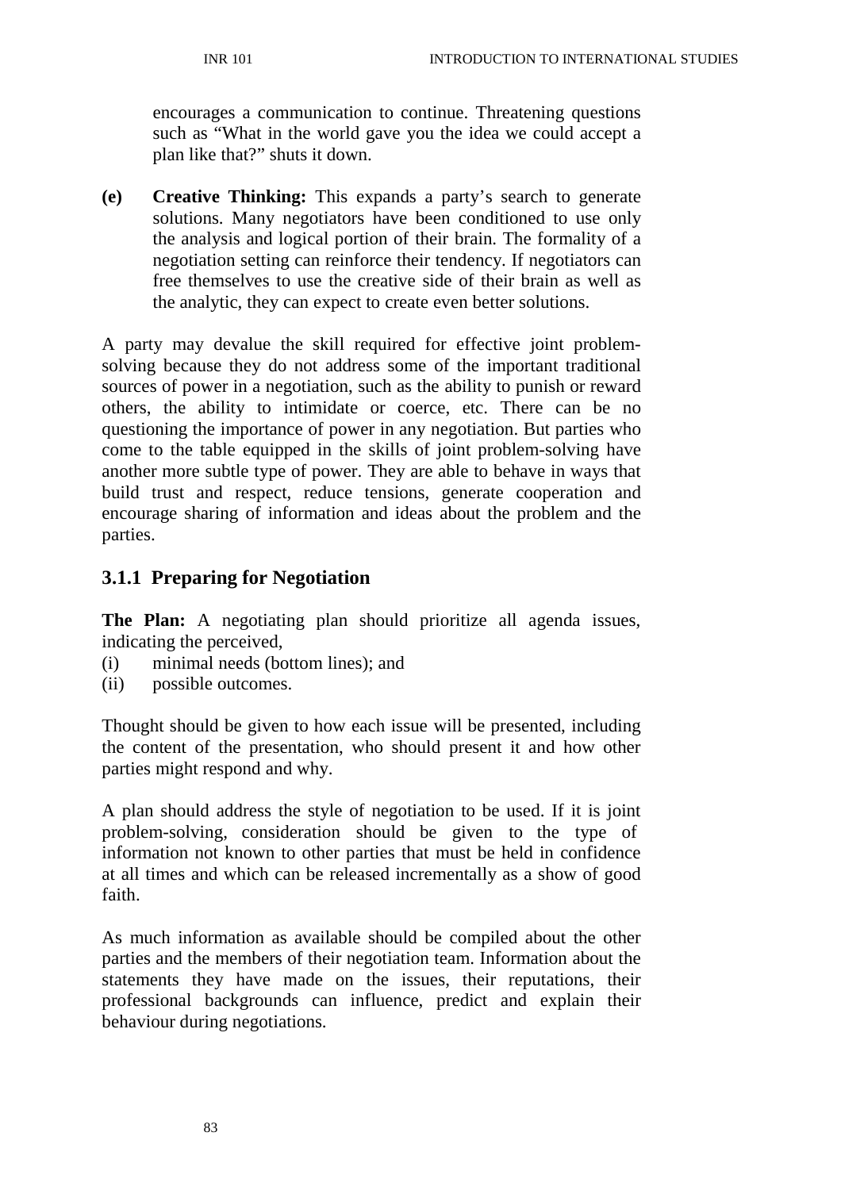encourages a communication to continue. Threatening questions such as "What in the world gave you the idea we could accept a plan like that?" shuts it down.

**(e) Creative Thinking:** This expands a party's search to generate solutions. Many negotiators have been conditioned to use only the analysis and logical portion of their brain. The formality of a negotiation setting can reinforce their tendency. If negotiators can free themselves to use the creative side of their brain as well as the analytic, they can expect to create even better solutions.

A party may devalue the skill required for effective joint problemsolving because they do not address some of the important traditional sources of power in a negotiation, such as the ability to punish or reward others, the ability to intimidate or coerce, etc. There can be no questioning the importance of power in any negotiation. But parties who come to the table equipped in the skills of joint problem-solving have another more subtle type of power. They are able to behave in ways that build trust and respect, reduce tensions, generate cooperation and encourage sharing of information and ideas about the problem and the parties.

# **3.1.1 Preparing for Negotiation**

**The Plan:** A negotiating plan should prioritize all agenda issues, indicating the perceived,

- (i) minimal needs (bottom lines); and
- (ii) possible outcomes.

Thought should be given to how each issue will be presented, including the content of the presentation, who should present it and how other parties might respond and why.

A plan should address the style of negotiation to be used. If it is joint problem-solving, consideration should be given to the type of information not known to other parties that must be held in confidence at all times and which can be released incrementally as a show of good faith.

As much information as available should be compiled about the other parties and the members of their negotiation team. Information about the statements they have made on the issues, their reputations, their professional backgrounds can influence, predict and explain their behaviour during negotiations.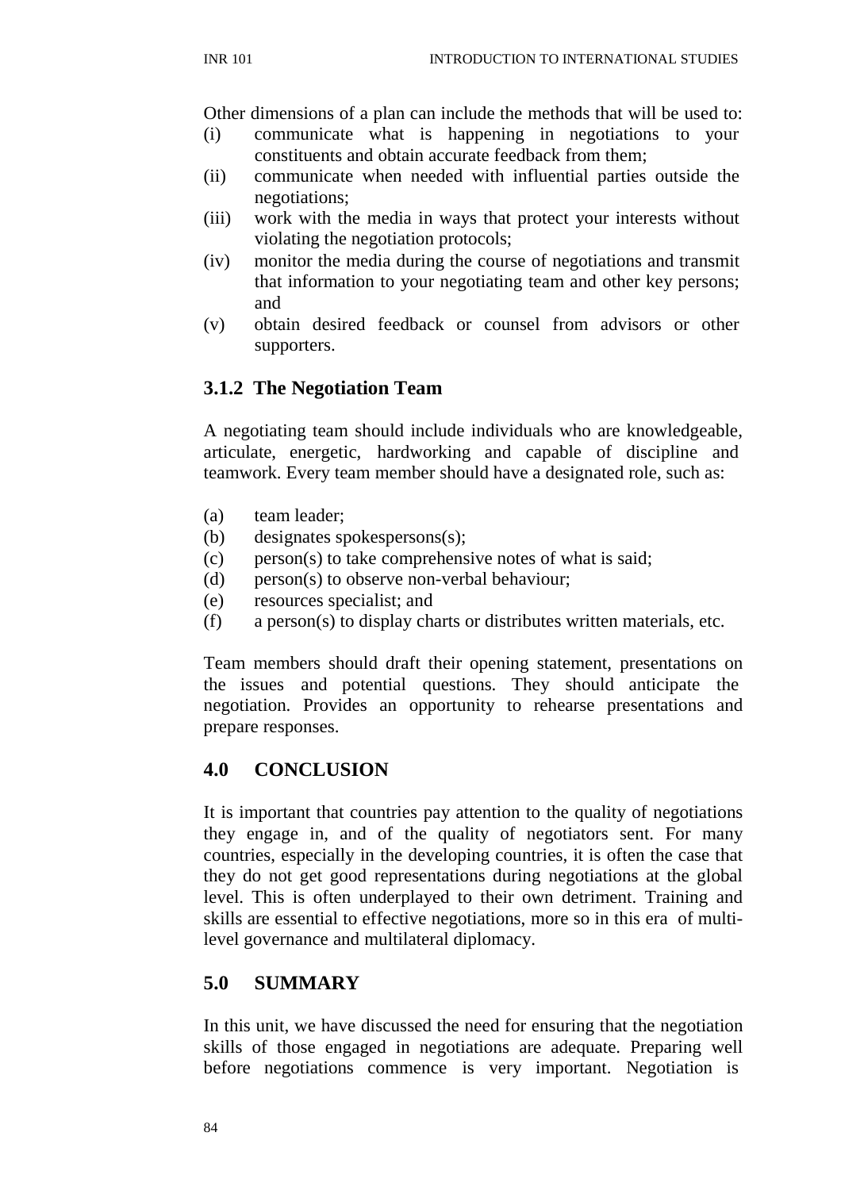Other dimensions of a plan can include the methods that will be used to:

- (i) communicate what is happening in negotiations to your constituents and obtain accurate feedback from them;
- (ii) communicate when needed with influential parties outside the negotiations;
- (iii) work with the media in ways that protect your interests without violating the negotiation protocols;
- (iv) monitor the media during the course of negotiations and transmit that information to your negotiating team and other key persons; and
- (v) obtain desired feedback or counsel from advisors or other supporters.

# **3.1.2 The Negotiation Team**

A negotiating team should include individuals who are knowledgeable, articulate, energetic, hardworking and capable of discipline and teamwork. Every team member should have a designated role, such as:

- (a) team leader;
- (b) designates spokespersons(s);
- (c) person(s) to take comprehensive notes of what is said;
- (d) person(s) to observe non-verbal behaviour;
- (e) resources specialist; and
- (f) a person(s) to display charts or distributes written materials, etc.

Team members should draft their opening statement, presentations on the issues and potential questions. They should anticipate the negotiation. Provides an opportunity to rehearse presentations and prepare responses.

# **4.0 CONCLUSION**

It is important that countries pay attention to the quality of negotiations they engage in, and of the quality of negotiators sent. For many countries, especially in the developing countries, it is often the case that they do not get good representations during negotiations at the global level. This is often underplayed to their own detriment. Training and skills are essential to effective negotiations, more so in this era of multilevel governance and multilateral diplomacy.

# **5.0 SUMMARY**

In this unit, we have discussed the need for ensuring that the negotiation skills of those engaged in negotiations are adequate. Preparing well before negotiations commence is very important. Negotiation is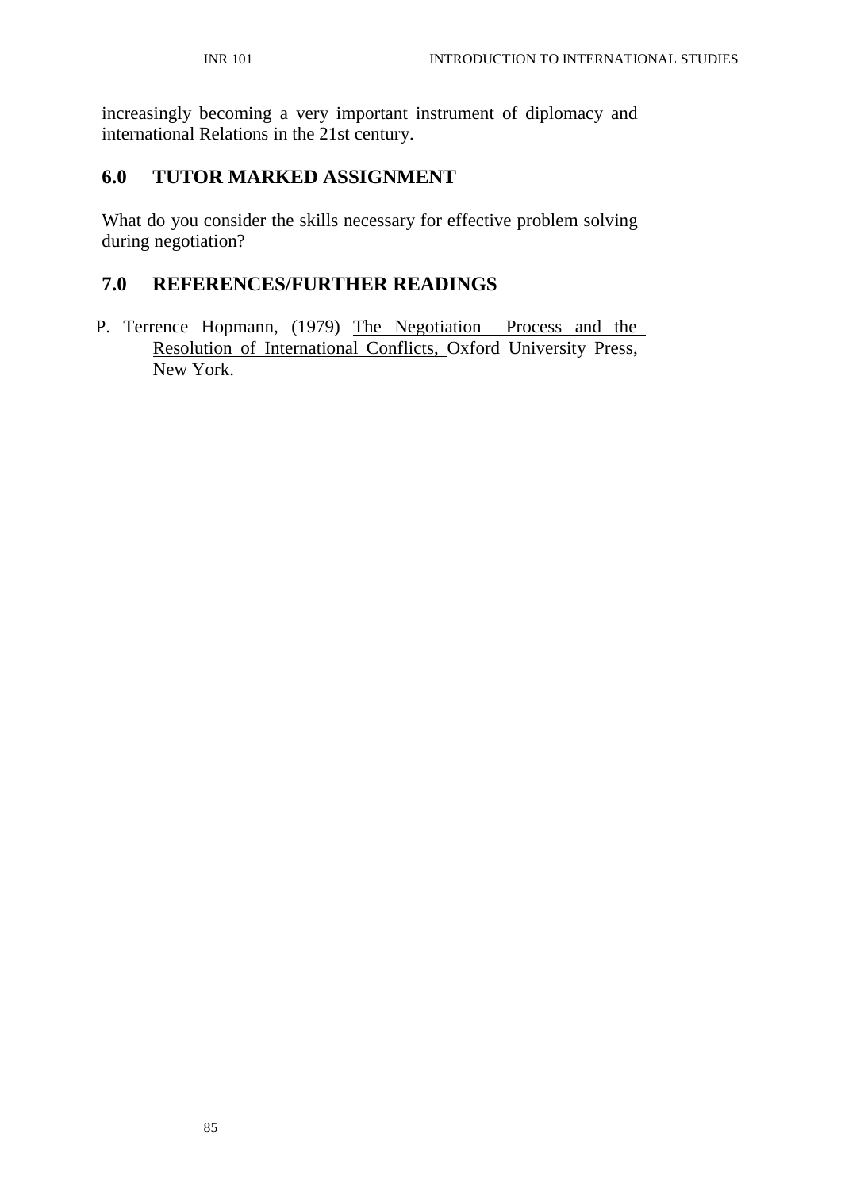increasingly becoming a very important instrument of diplomacy and international Relations in the 21st century.

## **6.0 TUTOR MARKED ASSIGNMENT**

What do you consider the skills necessary for effective problem solving during negotiation?

# **7.0 REFERENCES/FURTHER READINGS**

P. Terrence Hopmann, (1979) The Negotiation Process and the Resolution of International Conflicts, Oxford University Press, New York.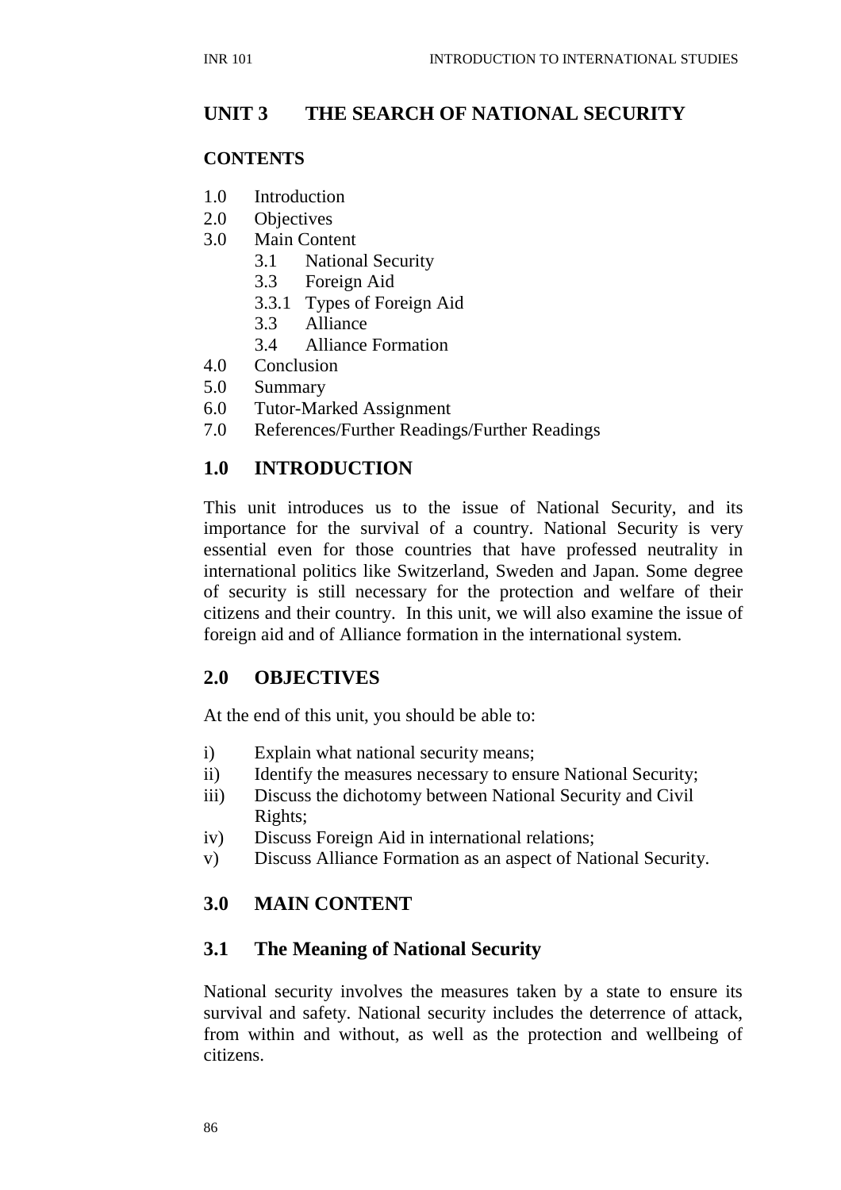## **UNIT 3 THE SEARCH OF NATIONAL SECURITY**

#### **CONTENTS**

- 1.0 Introduction
- 2.0 Objectives
- 3.0 Main Content
	- 3.1 National Security
	- 3.3 Foreign Aid
	- 3.3.1 Types of Foreign Aid
	- 3.3 Alliance
	- 3.4 Alliance Formation
- 4.0 Conclusion
- 5.0 Summary
- 6.0 Tutor-Marked Assignment
- 7.0 References/Further Readings/Further Readings

### **1.0 INTRODUCTION**

This unit introduces us to the issue of National Security, and its importance for the survival of a country. National Security is very essential even for those countries that have professed neutrality in international politics like Switzerland, Sweden and Japan. Some degree of security is still necessary for the protection and welfare of their citizens and their country. In this unit, we will also examine the issue of foreign aid and of Alliance formation in the international system.

### **2.0 OBJECTIVES**

At the end of this unit, you should be able to:

- i) Explain what national security means;
- ii) Identify the measures necessary to ensure National Security;
- iii) Discuss the dichotomy between National Security and Civil Rights;
- iv) Discuss Foreign Aid in international relations;
- v) Discuss Alliance Formation as an aspect of National Security.

## **3.0 MAIN CONTENT**

### **3.1 The Meaning of National Security**

National security involves the measures taken by a state to ensure its survival and safety. National security includes the deterrence of attack, from within and without, as well as the protection and wellbeing of citizens.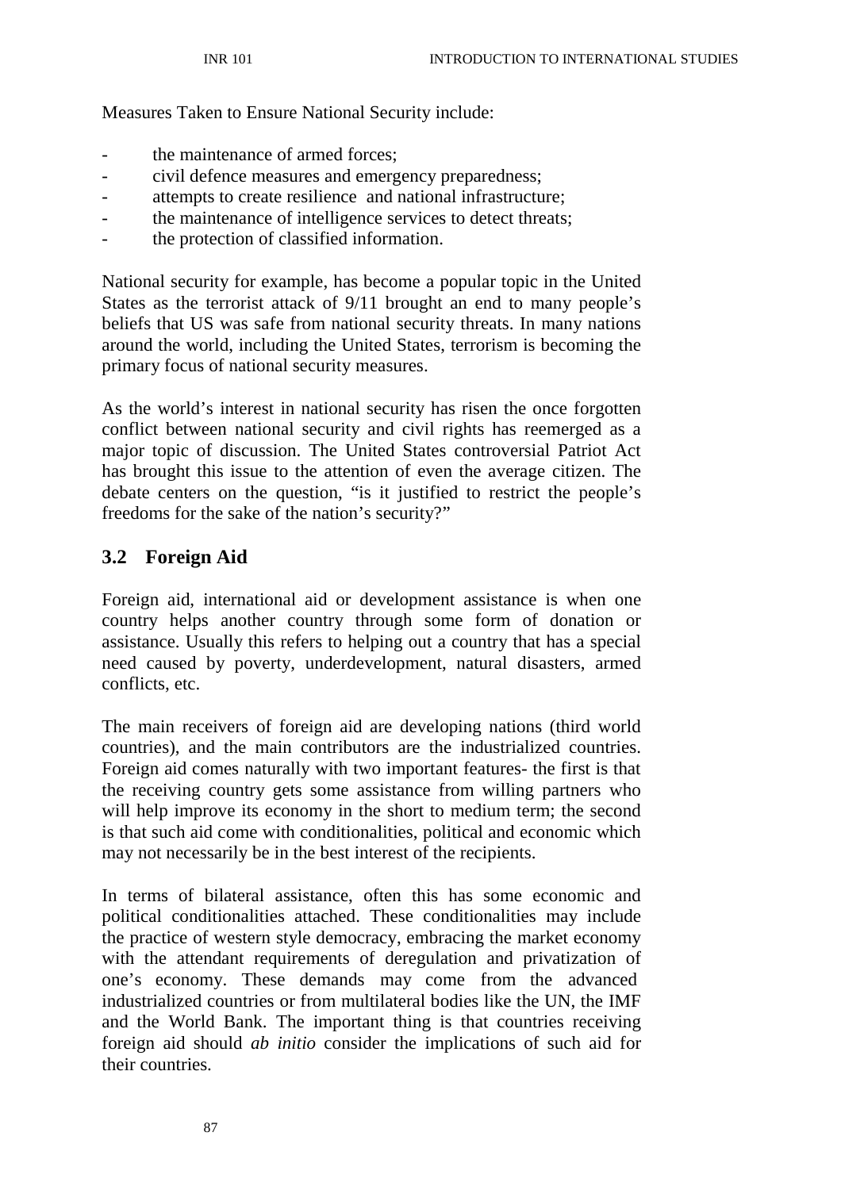Measures Taken to Ensure National Security include:

- the maintenance of armed forces;
- civil defence measures and emergency preparedness;
- attempts to create resilience and national infrastructure;
- the maintenance of intelligence services to detect threats;
- the protection of classified information.

National security for example, has become a popular topic in the United States as the terrorist attack of 9/11 brought an end to many people's beliefs that US was safe from national security threats. In many nations around the world, including the United States, terrorism is becoming the primary focus of national security measures.

As the world's interest in national security has risen the once forgotten conflict between national security and civil rights has reemerged as a major topic of discussion. The United States controversial Patriot Act has brought this issue to the attention of even the average citizen. The debate centers on the question, "is it justified to restrict the people's freedoms for the sake of the nation's security?"

## **3.2 Foreign Aid**

Foreign aid, international aid or development assistance is when one country helps another country through some form of donation or assistance. Usually this refers to helping out a country that has a special need caused by poverty, underdevelopment, natural disasters, armed conflicts, etc.

The main receivers of foreign aid are developing nations (third world countries), and the main contributors are the industrialized countries. Foreign aid comes naturally with two important features- the first is that the receiving country gets some assistance from willing partners who will help improve its economy in the short to medium term; the second is that such aid come with conditionalities, political and economic which may not necessarily be in the best interest of the recipients.

In terms of bilateral assistance, often this has some economic and political conditionalities attached. These conditionalities may include the practice of western style democracy, embracing the market economy with the attendant requirements of deregulation and privatization of one's economy. These demands may come from the advanced industrialized countries or from multilateral bodies like the UN, the IMF and the World Bank. The important thing is that countries receiving foreign aid should *ab initio* consider the implications of such aid for their countries.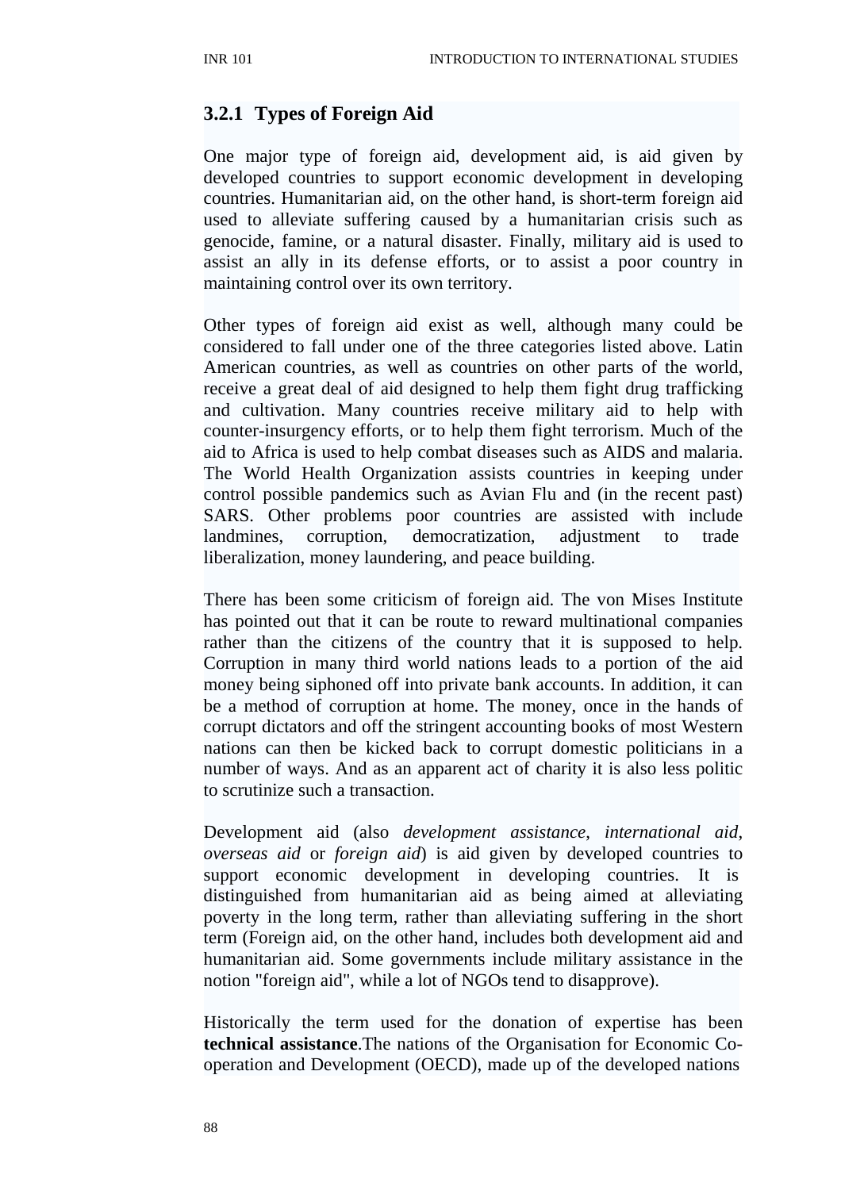### **3.2.1 Types of Foreign Aid**

One major type of foreign aid, development aid, is aid given by developed countries to support economic development in developing countries. Humanitarian aid, on the other hand, is short-term foreign aid used to alleviate suffering caused by a humanitarian crisis such as genocide, famine, or a natural disaster. Finally, military aid is used to assist an ally in its defense efforts, or to assist a poor country in maintaining control over its own territory.

Other types of foreign aid exist as well, although many could be considered to fall under one of the three categories listed above. Latin American countries, as well as countries on other parts of the world, receive a great deal of aid designed to help them fight drug trafficking and cultivation. Many countries receive military aid to help with counter-insurgency efforts, or to help them fight terrorism. Much of the aid to Africa is used to help combat diseases such as AIDS and malaria. The World Health Organization assists countries in keeping under control possible pandemics such as Avian Flu and (in the recent past) SARS. Other problems poor countries are assisted with include landmines, corruption, democratization, adjustment to trade liberalization, money laundering, and peace building.

There has been some criticism of foreign aid. The von Mises Institute has pointed out that it can be route to reward multinational companies rather than the citizens of the country that it is supposed to help. Corruption in many third world nations leads to a portion of the aid money being siphoned off into private bank accounts. In addition, it can be a method of corruption at home. The money, once in the hands of corrupt dictators and off the stringent accounting books of most Western nations can then be kicked back to corrupt domestic politicians in a number of ways. And as an apparent act of charity it is also less politic to scrutinize such a transaction.

Development aid (also *development assistance*, *international aid*, *overseas aid* or *foreign aid*) is aid given by developed countries to support economic development in developing countries. It is distinguished from humanitarian aid as being aimed at alleviating poverty in the long term, rather than alleviating suffering in the short term (Foreign aid, on the other hand, includes both development aid and humanitarian aid. Some governments include military assistance in the notion "foreign aid", while a lot of NGOs tend to disapprove).

Historically the term used for the donation of expertise has been **technical assistance**.The nations of the Organisation for Economic Cooperation and Development (OECD), made up of the developed nations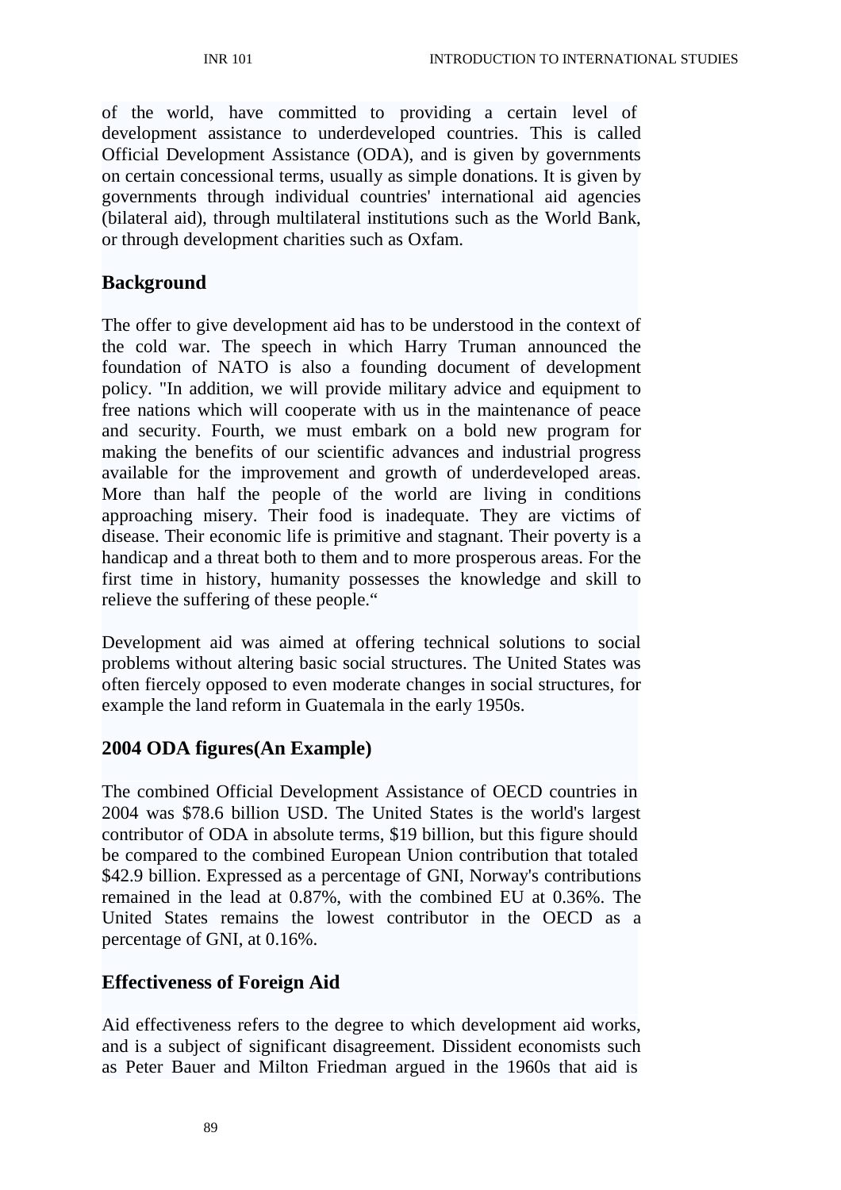of the world, have committed to providing a certain level of development assistance to underdeveloped countries. This is called Official Development Assistance (ODA), and is given by governments on certain concessional terms, usually as simple donations. It is given by governments through individual countries' international aid agencies (bilateral aid), through multilateral institutions such as the World Bank, or through development charities such as Oxfam.

## **Background**

The offer to give development aid has to be understood in the context of the cold war. The speech in which Harry Truman announced the foundation of NATO is also a founding document of development policy. "In addition, we will provide military advice and equipment to free nations which will cooperate with us in the maintenance of peace and security. Fourth, we must embark on a bold new program for making the benefits of our scientific advances and industrial progress available for the improvement and growth of underdeveloped areas. More than half the people of the world are living in conditions approaching misery. Their food is inadequate. They are victims of disease. Their economic life is primitive and stagnant. Their poverty is a handicap and a threat both to them and to more prosperous areas. For the first time in history, humanity possesses the knowledge and skill to relieve the suffering of these people."

Development aid was aimed at offering technical solutions to social problems without altering basic social structures. The United States was often fiercely opposed to even moderate changes in social structures, for example the land reform in Guatemala in the early 1950s.

# **2004 ODA figures(An Example)**

The combined Official Development Assistance of OECD countries in 2004 was \$78.6 billion USD. The United States is the world's largest contributor of ODA in absolute terms, \$19 billion, but this figure should be compared to the combined European Union contribution that totaled \$42.9 billion. Expressed as a percentage of GNI, Norway's contributions remained in the lead at 0.87%, with the combined EU at 0.36%. The United States remains the lowest contributor in the OECD as a percentage of GNI, at 0.16%.

## **Effectiveness of Foreign Aid**

Aid effectiveness refers to the degree to which development aid works, and is a subject of significant disagreement. Dissident economists such as Peter Bauer and Milton Friedman argued in the 1960s that aid is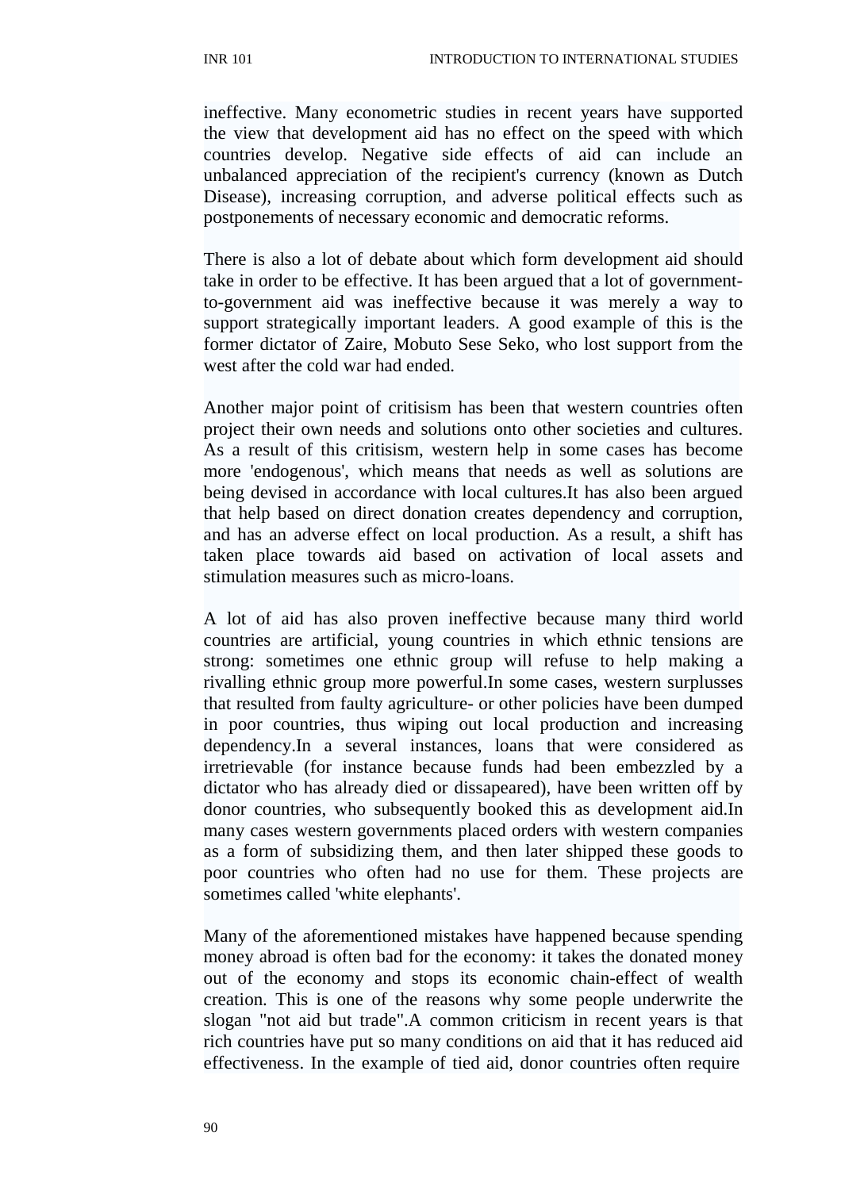ineffective. Many econometric studies in recent years have supported the view that development aid has no effect on the speed with which countries develop. Negative side effects of aid can include an unbalanced appreciation of the recipient's currency (known as Dutch Disease), increasing corruption, and adverse political effects such as postponements of necessary economic and democratic reforms.

There is also a lot of debate about which form development aid should take in order to be effective. It has been argued that a lot of governmentto-government aid was ineffective because it was merely a way to support strategically important leaders. A good example of this is the former dictator of Zaire, Mobuto Sese Seko, who lost support from the west after the cold war had ended.

Another major point of critisism has been that western countries often project their own needs and solutions onto other societies and cultures. As a result of this critisism, western help in some cases has become more 'endogenous', which means that needs as well as solutions are being devised in accordance with local cultures.It has also been argued that help based on direct donation creates dependency and corruption, and has an adverse effect on local production. As a result, a shift has taken place towards aid based on activation of local assets and stimulation measures such as micro-loans.

A lot of aid has also proven ineffective because many third world countries are artificial, young countries in which ethnic tensions are strong: sometimes one ethnic group will refuse to help making a rivalling ethnic group more powerful.In some cases, western surplusses that resulted from faulty agriculture- or other policies have been dumped in poor countries, thus wiping out local production and increasing dependency.In a several instances, loans that were considered as irretrievable (for instance because funds had been embezzled by a dictator who has already died or dissapeared), have been written off by donor countries, who subsequently booked this as development aid.In many cases western governments placed orders with western companies as a form of subsidizing them, and then later shipped these goods to poor countries who often had no use for them. These projects are sometimes called 'white elephants'.

Many of the aforementioned mistakes have happened because spending money abroad is often bad for the economy: it takes the donated money out of the economy and stops its economic chain-effect of wealth creation. This is one of the reasons why some people underwrite the slogan "not aid but trade".A common criticism in recent years is that rich countries have put so many conditions on aid that it has reduced aid effectiveness. In the example of tied aid, donor countries often require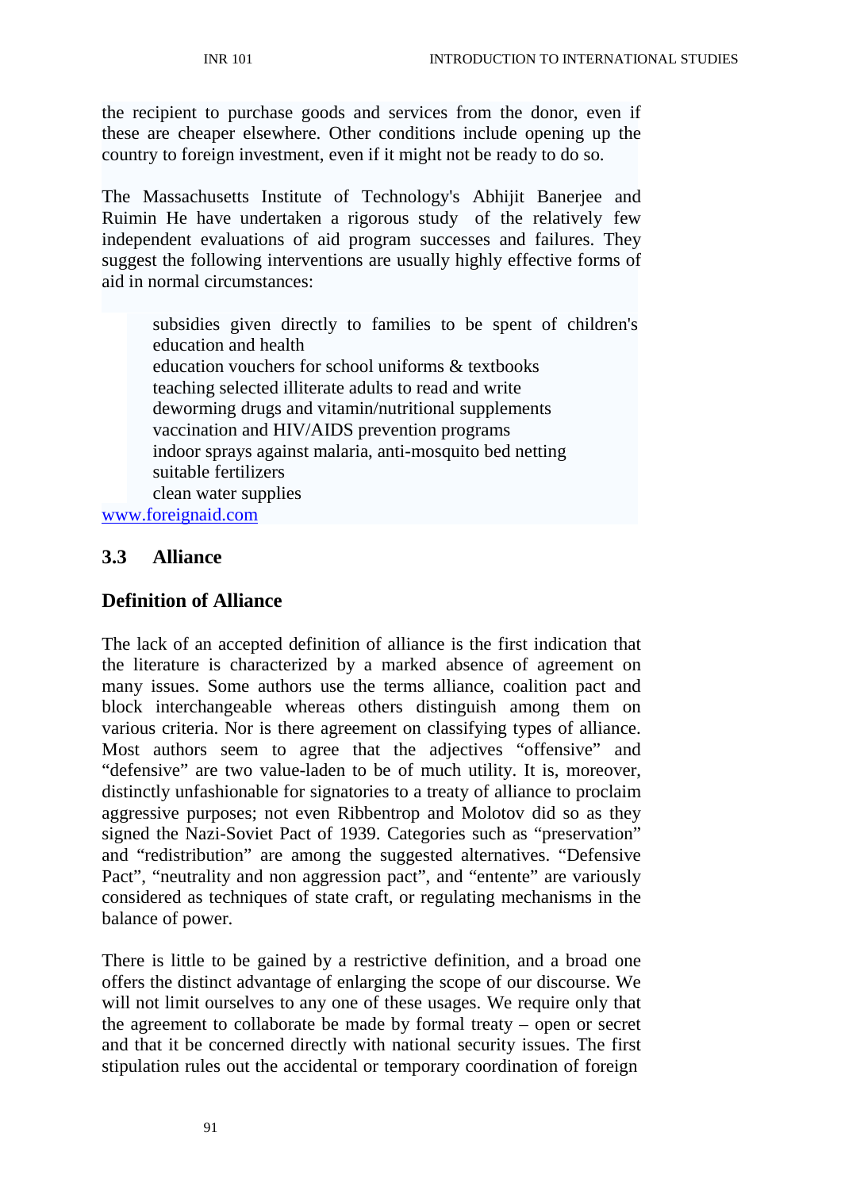the recipient to purchase goods and services from the donor, even if these are cheaper elsewhere. Other conditions include opening up the country to foreign investment, even if it might not be ready to do so.

The Massachusetts Institute of Technology's Abhijit Banerjee and Ruimin He have undertaken a rigorous study of the relatively few independent evaluations of aid program successes and failures. They suggest the following interventions are usually highly effective forms of aid in normal circumstances:

subsidies given directly to families to be spent of children's education and health education vouchers for school uniforms & textbooks teaching selected illiterate adults to read and write deworming drugs and vitamin/nutritional supplements vaccination and HIV/AIDS prevention programs indoor sprays against malaria, anti-mosquito bed netting suitable fertilizers clean water supplies www.foreignaid.com

#### **3.3 Alliance**

#### **Definition of Alliance**

The lack of an accepted definition of alliance is the first indication that the literature is characterized by a marked absence of agreement on many issues. Some authors use the terms alliance, coalition pact and block interchangeable whereas others distinguish among them on various criteria. Nor is there agreement on classifying types of alliance. Most authors seem to agree that the adjectives "offensive" and "defensive" are two value-laden to be of much utility. It is, moreover, distinctly unfashionable for signatories to a treaty of alliance to proclaim aggressive purposes; not even Ribbentrop and Molotov did so as they signed the Nazi-Soviet Pact of 1939. Categories such as "preservation" and "redistribution" are among the suggested alternatives. "Defensive Pact", "neutrality and non aggression pact", and "entente" are variously considered as techniques of state craft, or regulating mechanisms in the balance of power.

There is little to be gained by a restrictive definition, and a broad one offers the distinct advantage of enlarging the scope of our discourse. We will not limit ourselves to any one of these usages. We require only that the agreement to collaborate be made by formal treaty – open or secret and that it be concerned directly with national security issues. The first stipulation rules out the accidental or temporary coordination of foreign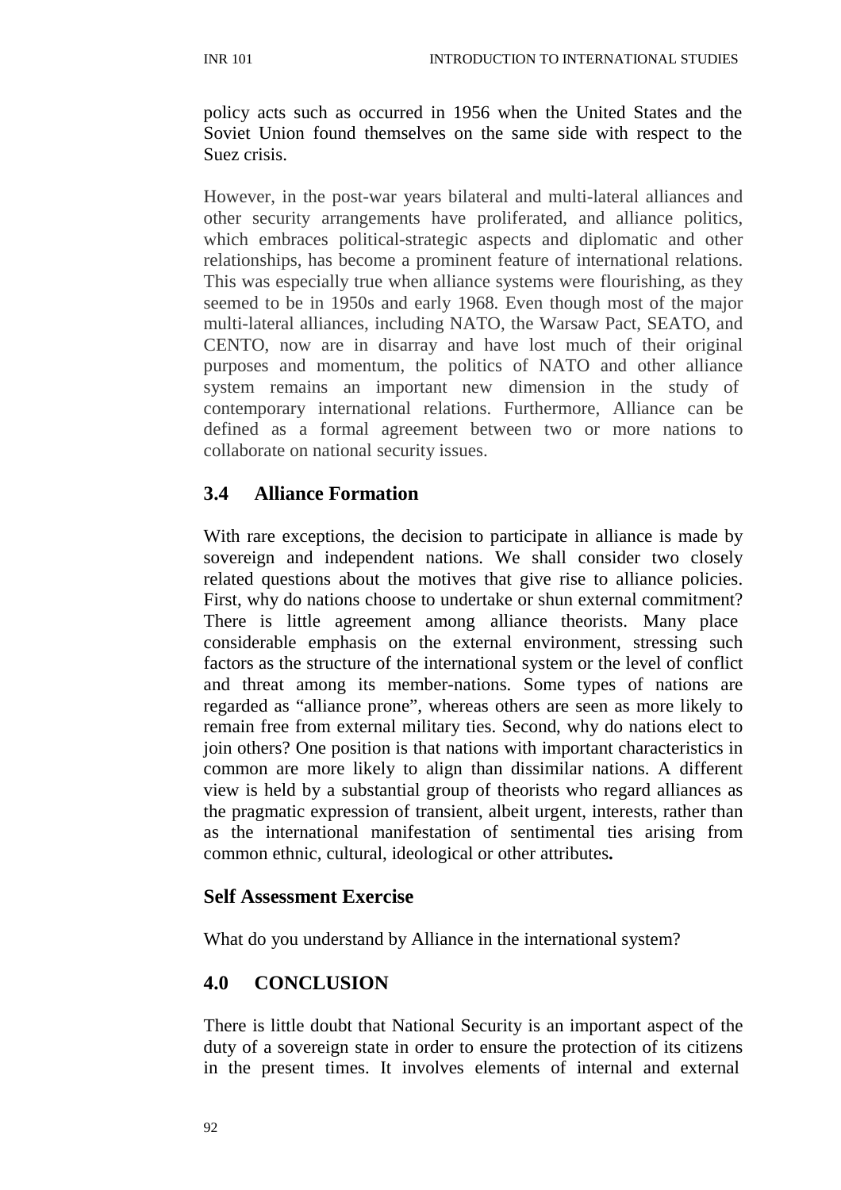policy acts such as occurred in 1956 when the United States and the Soviet Union found themselves on the same side with respect to the Suez crisis.

However, in the post-war years bilateral and multi-lateral alliances and other security arrangements have proliferated, and alliance politics, which embraces political-strategic aspects and diplomatic and other relationships, has become a prominent feature of international relations. This was especially true when alliance systems were flourishing, as they seemed to be in 1950s and early 1968. Even though most of the major multi-lateral alliances, including NATO, the Warsaw Pact, SEATO, and CENTO, now are in disarray and have lost much of their original purposes and momentum, the politics of NATO and other alliance system remains an important new dimension in the study of contemporary international relations. Furthermore, Alliance can be defined as a formal agreement between two or more nations to collaborate on national security issues.

## **3.4 Alliance Formation**

With rare exceptions, the decision to participate in alliance is made by sovereign and independent nations. We shall consider two closely related questions about the motives that give rise to alliance policies. First, why do nations choose to undertake or shun external commitment? There is little agreement among alliance theorists. Many place considerable emphasis on the external environment, stressing such factors as the structure of the international system or the level of conflict and threat among its member-nations. Some types of nations are regarded as "alliance prone", whereas others are seen as more likely to remain free from external military ties. Second, why do nations elect to join others? One position is that nations with important characteristics in common are more likely to align than dissimilar nations. A different view is held by a substantial group of theorists who regard alliances as the pragmatic expression of transient, albeit urgent, interests, rather than as the international manifestation of sentimental ties arising from common ethnic, cultural, ideological or other attributes**.**

### **Self Assessment Exercise**

What do you understand by Alliance in the international system?

# **4.0 CONCLUSION**

There is little doubt that National Security is an important aspect of the duty of a sovereign state in order to ensure the protection of its citizens in the present times. It involves elements of internal and external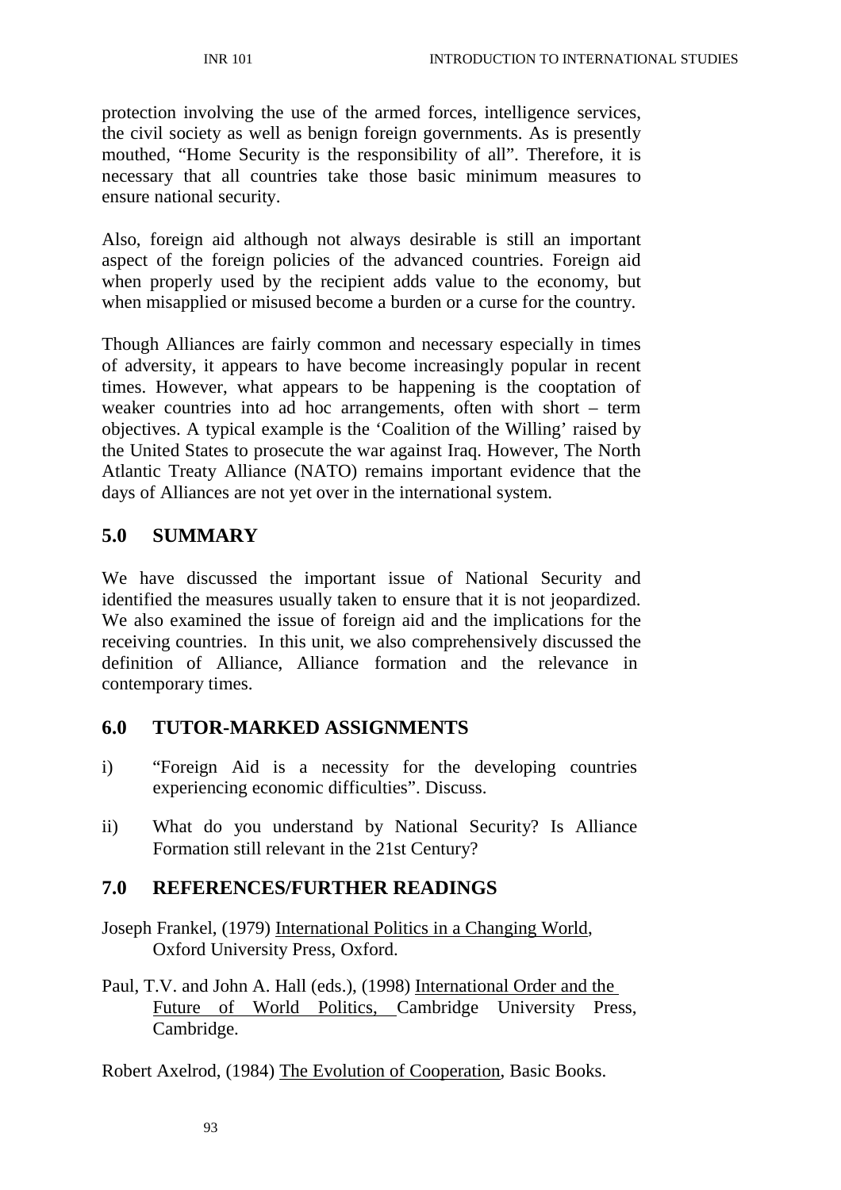protection involving the use of the armed forces, intelligence services, the civil society as well as benign foreign governments. As is presently mouthed, "Home Security is the responsibility of all". Therefore, it is necessary that all countries take those basic minimum measures to ensure national security.

Also, foreign aid although not always desirable is still an important aspect of the foreign policies of the advanced countries. Foreign aid when properly used by the recipient adds value to the economy, but when misapplied or misused become a burden or a curse for the country.

Though Alliances are fairly common and necessary especially in times of adversity, it appears to have become increasingly popular in recent times. However, what appears to be happening is the cooptation of weaker countries into ad hoc arrangements, often with short – term objectives. A typical example is the 'Coalition of the Willing' raised by the United States to prosecute the war against Iraq. However, The North Atlantic Treaty Alliance (NATO) remains important evidence that the days of Alliances are not yet over in the international system.

## **5.0 SUMMARY**

We have discussed the important issue of National Security and identified the measures usually taken to ensure that it is not jeopardized. We also examined the issue of foreign aid and the implications for the receiving countries. In this unit, we also comprehensively discussed the definition of Alliance, Alliance formation and the relevance in contemporary times.

## **6.0 TUTOR-MARKED ASSIGNMENTS**

- i) "Foreign Aid is a necessity for the developing countries experiencing economic difficulties". Discuss.
- ii) What do you understand by National Security? Is Alliance Formation still relevant in the 21st Century?

## **7.0 REFERENCES/FURTHER READINGS**

- Joseph Frankel, (1979) International Politics in a Changing World, Oxford University Press, Oxford.
- Paul, T.V. and John A. Hall (eds.), (1998) International Order and the Future of World Politics, Cambridge University Press, Cambridge.

Robert Axelrod, (1984) The Evolution of Cooperation, Basic Books.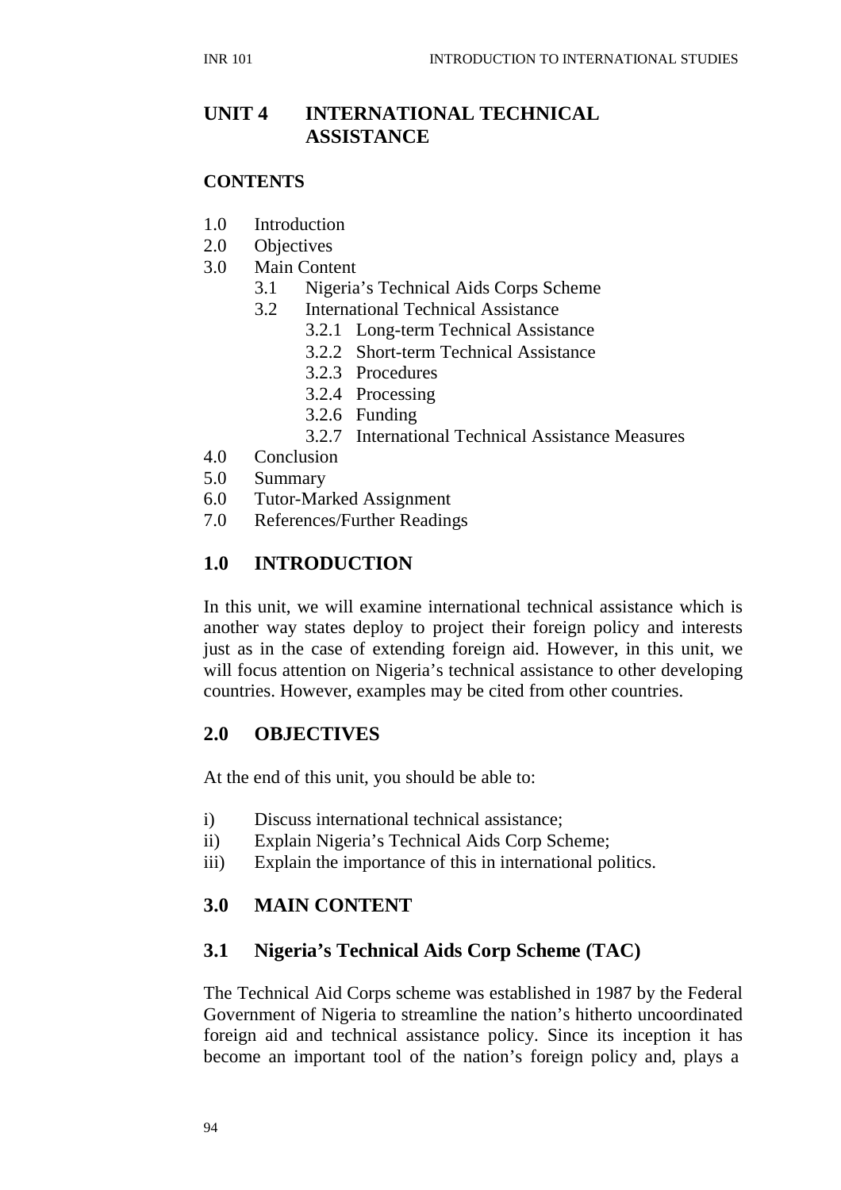## **UNIT 4 INTERNATIONAL TECHNICAL ASSISTANCE**

#### **CONTENTS**

- 1.0 Introduction
- 2.0 Objectives
- 3.0 Main Content
	- 3.1 Nigeria's Technical Aids Corps Scheme
	- 3.2 International Technical Assistance
		- 3.2.1 Long-term Technical Assistance
		- 3.2.2 Short-term Technical Assistance
		- 3.2.3 Procedures
		- 3.2.4 Processing
		- 3.2.6 Funding
		- 3.2.7 International Technical Assistance Measures
- 4.0 Conclusion
- 5.0 Summary
- 6.0 Tutor-Marked Assignment
- 7.0 References/Further Readings

#### **1.0 INTRODUCTION**

In this unit, we will examine international technical assistance which is another way states deploy to project their foreign policy and interests just as in the case of extending foreign aid. However, in this unit, we will focus attention on Nigeria's technical assistance to other developing countries. However, examples may be cited from other countries.

#### **2.0 OBJECTIVES**

At the end of this unit, you should be able to:

- i) Discuss international technical assistance;
- ii) Explain Nigeria's Technical Aids Corp Scheme;
- iii) Explain the importance of this in international politics.

#### **3.0 MAIN CONTENT**

#### **3.1 Nigeria's Technical Aids Corp Scheme (TAC)**

The Technical Aid Corps scheme was established in 1987 by the Federal Government of Nigeria to streamline the nation's hitherto uncoordinated foreign aid and technical assistance policy. Since its inception it has become an important tool of the nation's foreign policy and, plays a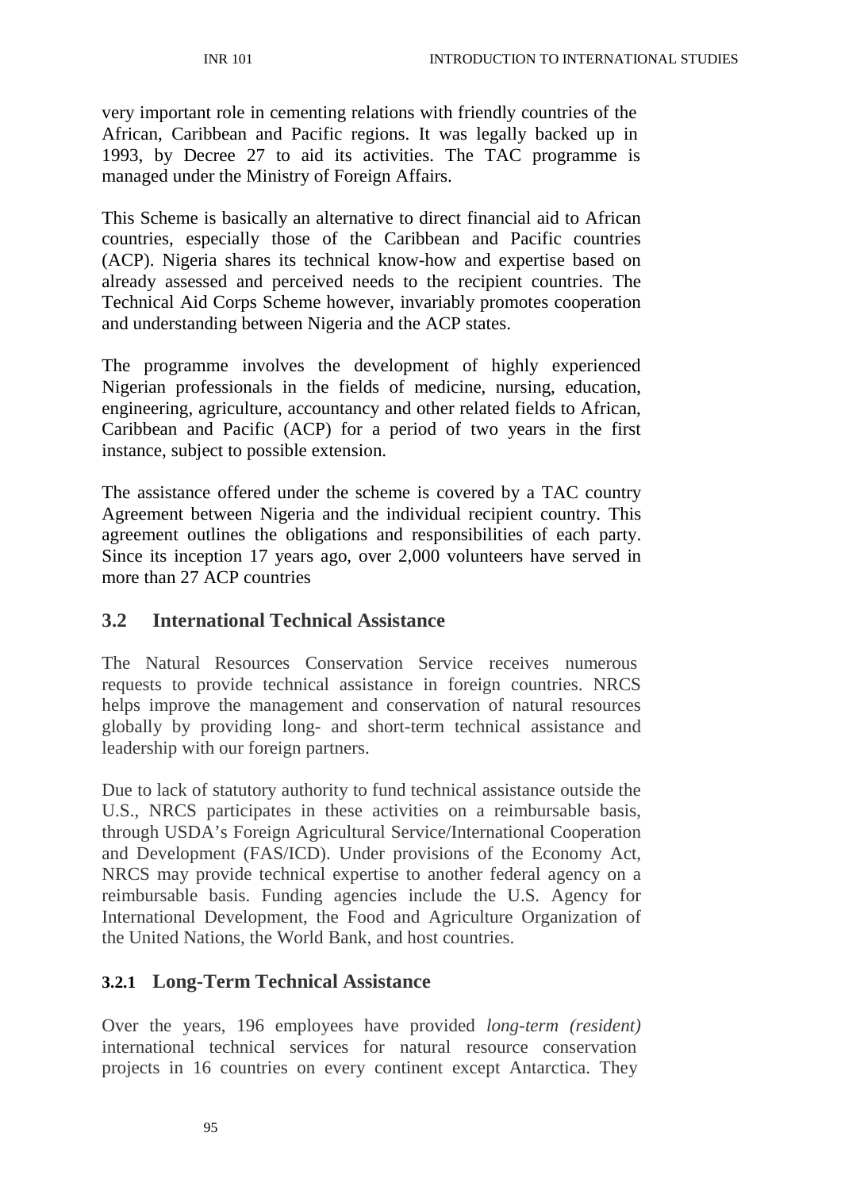very important role in cementing relations with friendly countries of the African, Caribbean and Pacific regions. It was legally backed up in 1993, by Decree 27 to aid its activities. The TAC programme is managed under the Ministry of Foreign Affairs.

This Scheme is basically an alternative to direct financial aid to African countries, especially those of the Caribbean and Pacific countries (ACP). Nigeria shares its technical know-how and expertise based on already assessed and perceived needs to the recipient countries. The Technical Aid Corps Scheme however, invariably promotes cooperation and understanding between Nigeria and the ACP states.

The programme involves the development of highly experienced Nigerian professionals in the fields of medicine, nursing, education, engineering, agriculture, accountancy and other related fields to African, Caribbean and Pacific (ACP) for a period of two years in the first instance, subject to possible extension.

The assistance offered under the scheme is covered by a TAC country Agreement between Nigeria and the individual recipient country. This agreement outlines the obligations and responsibilities of each party. Since its inception 17 years ago, over 2,000 volunteers have served in more than 27 ACP countries

## **3.2 International Technical Assistance**

The Natural Resources Conservation Service receives numerous requests to provide technical assistance in foreign countries. NRCS helps improve the management and conservation of natural resources globally by providing long- and short-term technical assistance and leadership with our foreign partners.

Due to lack of statutory authority to fund technical assistance outside the U.S., NRCS participates in these activities on a reimbursable basis, through USDA's Foreign Agricultural Service/International Cooperation and Development (FAS/ICD). Under provisions of the Economy Act, NRCS may provide technical expertise to another federal agency on a reimbursable basis. Funding agencies include the U.S. Agency for International Development, the Food and Agriculture Organization of the United Nations, the World Bank, and host countries.

## **3.2.1 Long-Term Technical Assistance**

Over the years, 196 employees have provided *long-term (resident)*  international technical services for natural resource conservation projects in 16 countries on every continent except Antarctica. They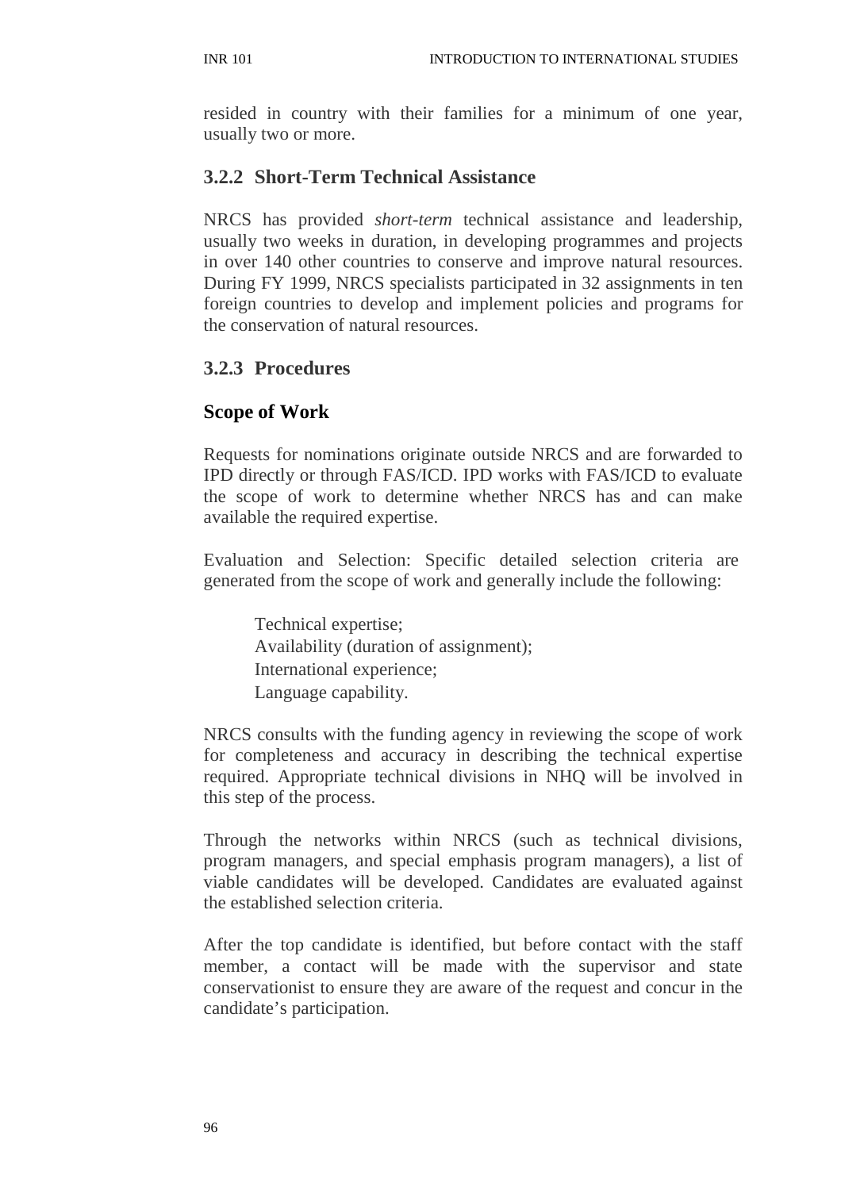resided in country with their families for a minimum of one year, usually two or more.

#### **3.2.2 Short-Term Technical Assistance**

NRCS has provided *short-term* technical assistance and leadership, usually two weeks in duration, in developing programmes and projects in over 140 other countries to conserve and improve natural resources. During FY 1999, NRCS specialists participated in 32 assignments in ten foreign countries to develop and implement policies and programs for the conservation of natural resources.

#### **3.2.3 Procedures**

## **Scope of Work**

Requests for nominations originate outside NRCS and are forwarded to IPD directly or through FAS/ICD. IPD works with FAS/ICD to evaluate the scope of work to determine whether NRCS has and can make available the required expertise.

Evaluation and Selection: Specific detailed selection criteria are generated from the scope of work and generally include the following:

Technical expertise; Availability (duration of assignment); International experience; Language capability.

NRCS consults with the funding agency in reviewing the scope of work for completeness and accuracy in describing the technical expertise required. Appropriate technical divisions in NHQ will be involved in this step of the process.

Through the networks within NRCS (such as technical divisions, program managers, and special emphasis program managers), a list of viable candidates will be developed. Candidates are evaluated against the established selection criteria.

After the top candidate is identified, but before contact with the staff member, a contact will be made with the supervisor and state conservationist to ensure they are aware of the request and concur in the candidate's participation.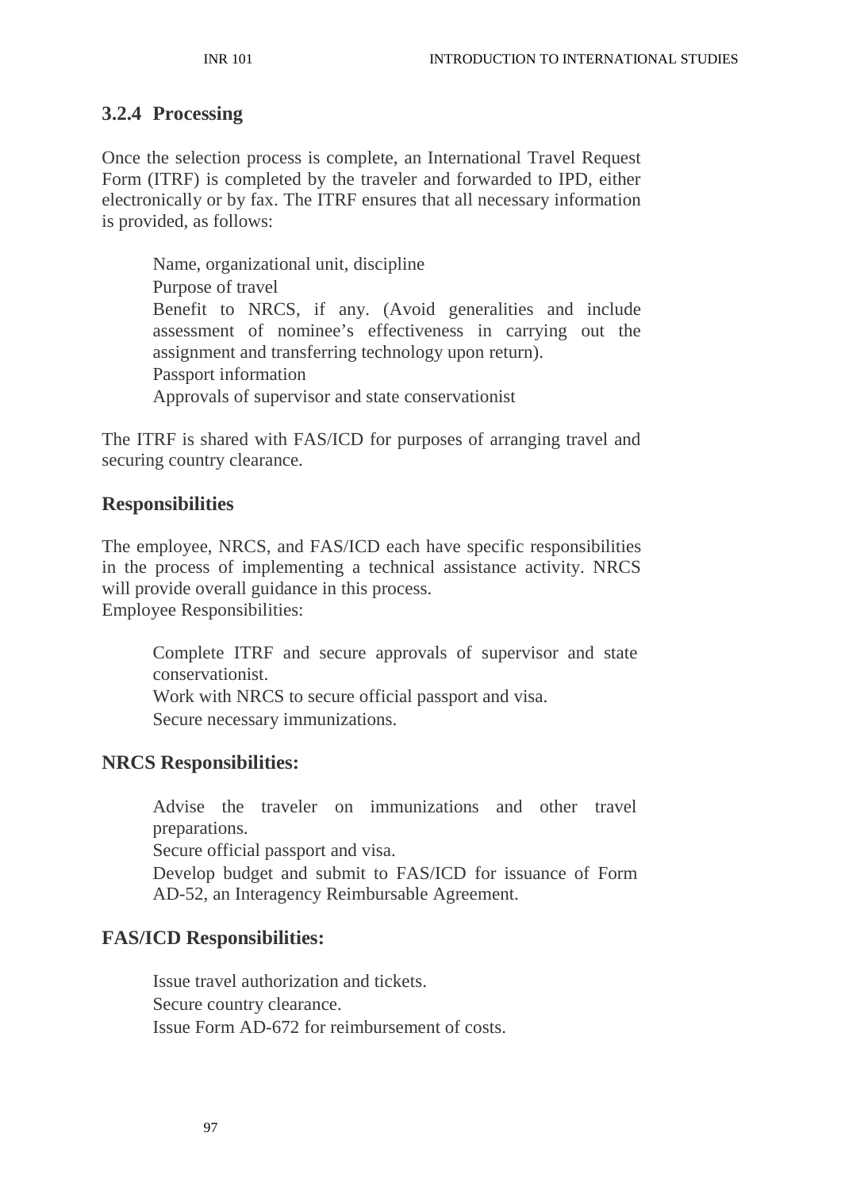#### **3.2.4 Processing**

Once the selection process is complete, an International Travel Request Form (ITRF) is completed by the traveler and forwarded to IPD, either electronically or by fax. The ITRF ensures that all necessary information is provided, as follows:

Name, organizational unit, discipline Purpose of travel Benefit to NRCS, if any. (Avoid generalities and include assessment of nominee's effectiveness in carrying out the assignment and transferring technology upon return). Passport information Approvals of supervisor and state conservationist

The ITRF is shared with FAS/ICD for purposes of arranging travel and securing country clearance.

#### **Responsibilities**

The employee, NRCS, and FAS/ICD each have specific responsibilities in the process of implementing a technical assistance activity. NRCS will provide overall guidance in this process. Employee Responsibilities:

Complete ITRF and secure approvals of supervisor and state conservationist. Work with NRCS to secure official passport and visa. Secure necessary immunizations.

#### **NRCS Responsibilities:**

Advise the traveler on immunizations and other travel preparations.

Secure official passport and visa.

Develop budget and submit to FAS/ICD for issuance of Form AD-52, an Interagency Reimbursable Agreement.

## **FAS/ICD Responsibilities:**

Issue travel authorization and tickets. Secure country clearance. Issue Form AD-672 for reimbursement of costs.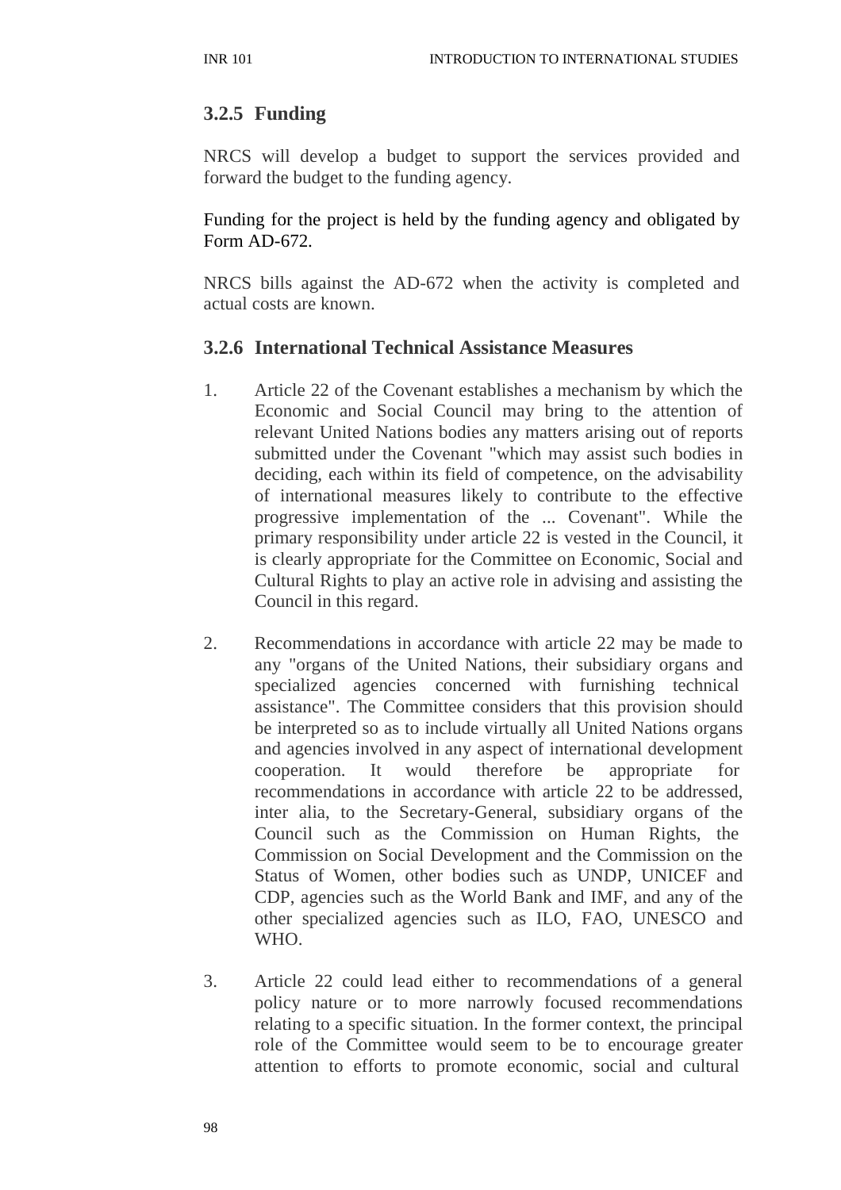## **3.2.5 Funding**

NRCS will develop a budget to support the services provided and forward the budget to the funding agency.

Funding for the project is held by the funding agency and obligated by Form AD-672.

NRCS bills against the AD-672 when the activity is completed and actual costs are known.

#### **3.2.6 International Technical Assistance Measures**

- 1. Article 22 of the Covenant establishes a mechanism by which the Economic and Social Council may bring to the attention of relevant United Nations bodies any matters arising out of reports submitted under the Covenant "which may assist such bodies in deciding, each within its field of competence, on the advisability of international measures likely to contribute to the effective progressive implementation of the ... Covenant". While the primary responsibility under article 22 is vested in the Council, it is clearly appropriate for the Committee on Economic, Social and Cultural Rights to play an active role in advising and assisting the Council in this regard.
- 2. Recommendations in accordance with article 22 may be made to any "organs of the United Nations, their subsidiary organs and specialized agencies concerned with furnishing technical assistance". The Committee considers that this provision should be interpreted so as to include virtually all United Nations organs and agencies involved in any aspect of international development cooperation. It would therefore be appropriate for recommendations in accordance with article 22 to be addressed, inter alia, to the Secretary-General, subsidiary organs of the Council such as the Commission on Human Rights, the Commission on Social Development and the Commission on the Status of Women, other bodies such as UNDP, UNICEF and CDP, agencies such as the World Bank and IMF, and any of the other specialized agencies such as ILO, FAO, UNESCO and WHO.
- 3. Article 22 could lead either to recommendations of a general policy nature or to more narrowly focused recommendations relating to a specific situation. In the former context, the principal role of the Committee would seem to be to encourage greater attention to efforts to promote economic, social and cultural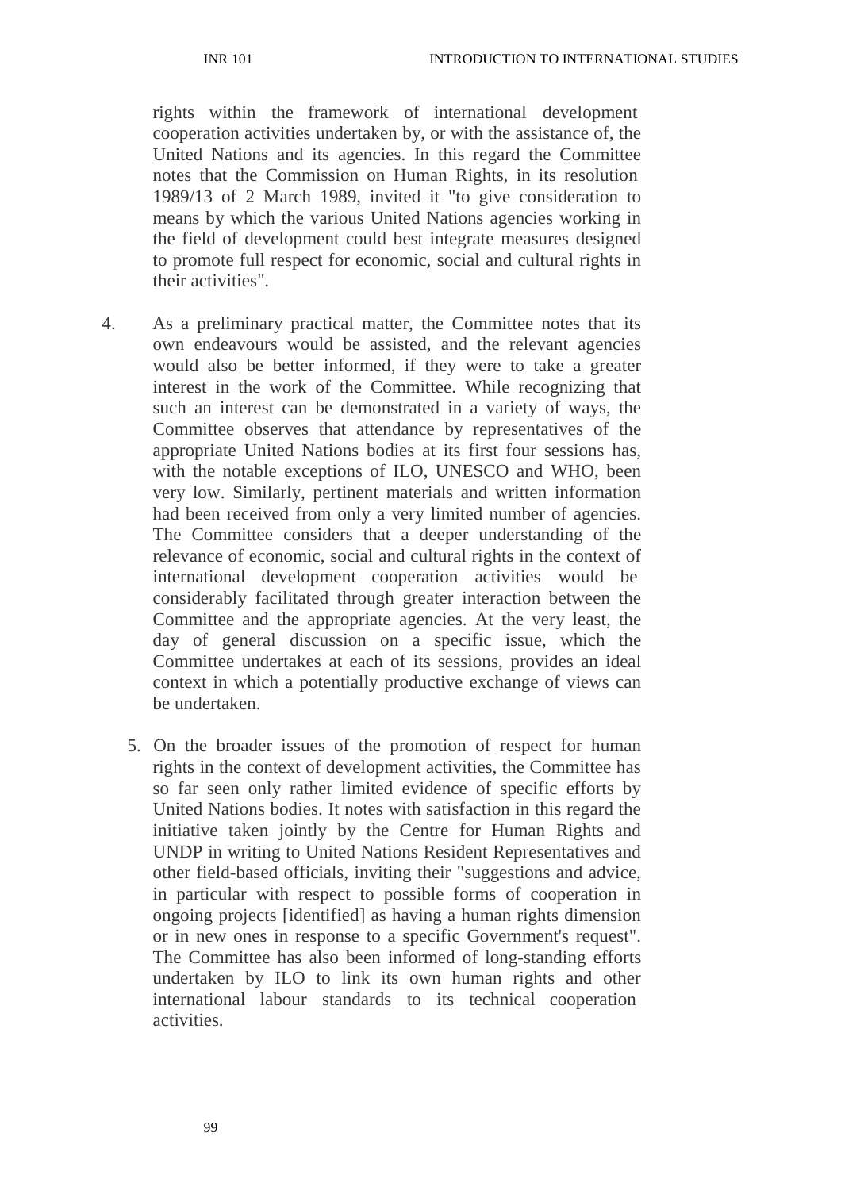rights within the framework of international development cooperation activities undertaken by, or with the assistance of, the United Nations and its agencies. In this regard the Committee notes that the Commission on Human Rights, in its resolution 1989/13 of 2 March 1989, invited it "to give consideration to means by which the various United Nations agencies working in the field of development could best integrate measures designed to promote full respect for economic, social and cultural rights in their activities".

- 4. As a preliminary practical matter, the Committee notes that its own endeavours would be assisted, and the relevant agencies would also be better informed, if they were to take a greater interest in the work of the Committee. While recognizing that such an interest can be demonstrated in a variety of ways, the Committee observes that attendance by representatives of the appropriate United Nations bodies at its first four sessions has, with the notable exceptions of ILO, UNESCO and WHO, been very low. Similarly, pertinent materials and written information had been received from only a very limited number of agencies. The Committee considers that a deeper understanding of the relevance of economic, social and cultural rights in the context of international development cooperation activities would be considerably facilitated through greater interaction between the Committee and the appropriate agencies. At the very least, the day of general discussion on a specific issue, which the Committee undertakes at each of its sessions, provides an ideal context in which a potentially productive exchange of views can be undertaken.
	- 5. On the broader issues of the promotion of respect for human rights in the context of development activities, the Committee has so far seen only rather limited evidence of specific efforts by United Nations bodies. It notes with satisfaction in this regard the initiative taken jointly by the Centre for Human Rights and UNDP in writing to United Nations Resident Representatives and other field-based officials, inviting their "suggestions and advice, in particular with respect to possible forms of cooperation in ongoing projects [identified] as having a human rights dimension or in new ones in response to a specific Government's request". The Committee has also been informed of long-standing efforts undertaken by ILO to link its own human rights and other international labour standards to its technical cooperation activities.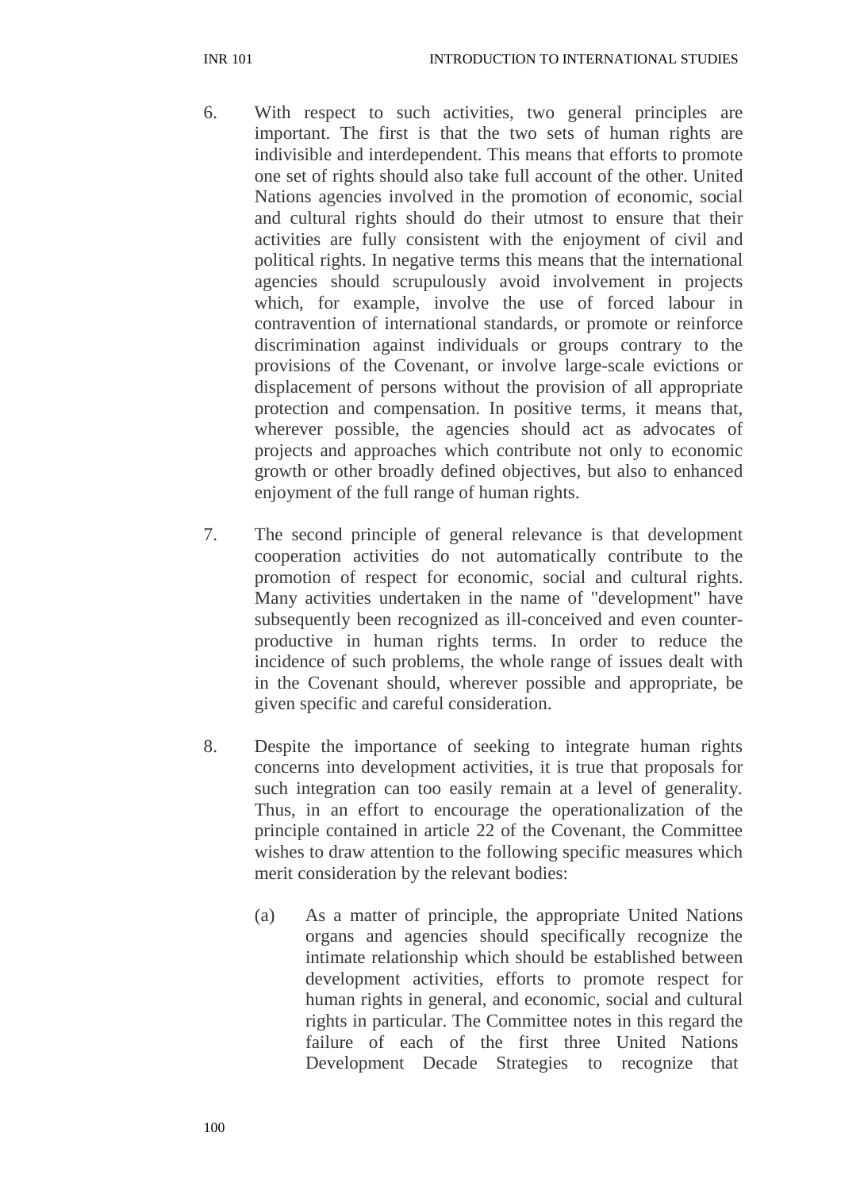- 
- 6. With respect to such activities, two general principles are important. The first is that the two sets of human rights are indivisible and interdependent. This means that efforts to promote one set of rights should also take full account of the other. United Nations agencies involved in the promotion of economic, social and cultural rights should do their utmost to ensure that their activities are fully consistent with the enjoyment of civil and political rights. In negative terms this means that the international agencies should scrupulously avoid involvement in projects which, for example, involve the use of forced labour in contravention of international standards, or promote or reinforce discrimination against individuals or groups contrary to the provisions of the Covenant, or involve large-scale evictions or displacement of persons without the provision of all appropriate protection and compensation. In positive terms, it means that, wherever possible, the agencies should act as advocates of projects and approaches which contribute not only to economic growth or other broadly defined objectives, but also to enhanced enjoyment of the full range of human rights.
- 7. The second principle of general relevance is that development cooperation activities do not automatically contribute to the promotion of respect for economic, social and cultural rights. Many activities undertaken in the name of "development" have subsequently been recognized as ill-conceived and even counterproductive in human rights terms. In order to reduce the incidence of such problems, the whole range of issues dealt with in the Covenant should, wherever possible and appropriate, be given specific and careful consideration.
- 8. Despite the importance of seeking to integrate human rights concerns into development activities, it is true that proposals for such integration can too easily remain at a level of generality. Thus, in an effort to encourage the operationalization of the principle contained in article 22 of the Covenant, the Committee wishes to draw attention to the following specific measures which merit consideration by the relevant bodies:
	- (a) As a matter of principle, the appropriate United Nations organs and agencies should specifically recognize the intimate relationship which should be established between development activities, efforts to promote respect for human rights in general, and economic, social and cultural rights in particular. The Committee notes in this regard the failure of each of the first three United Nations Development Decade Strategies to recognize that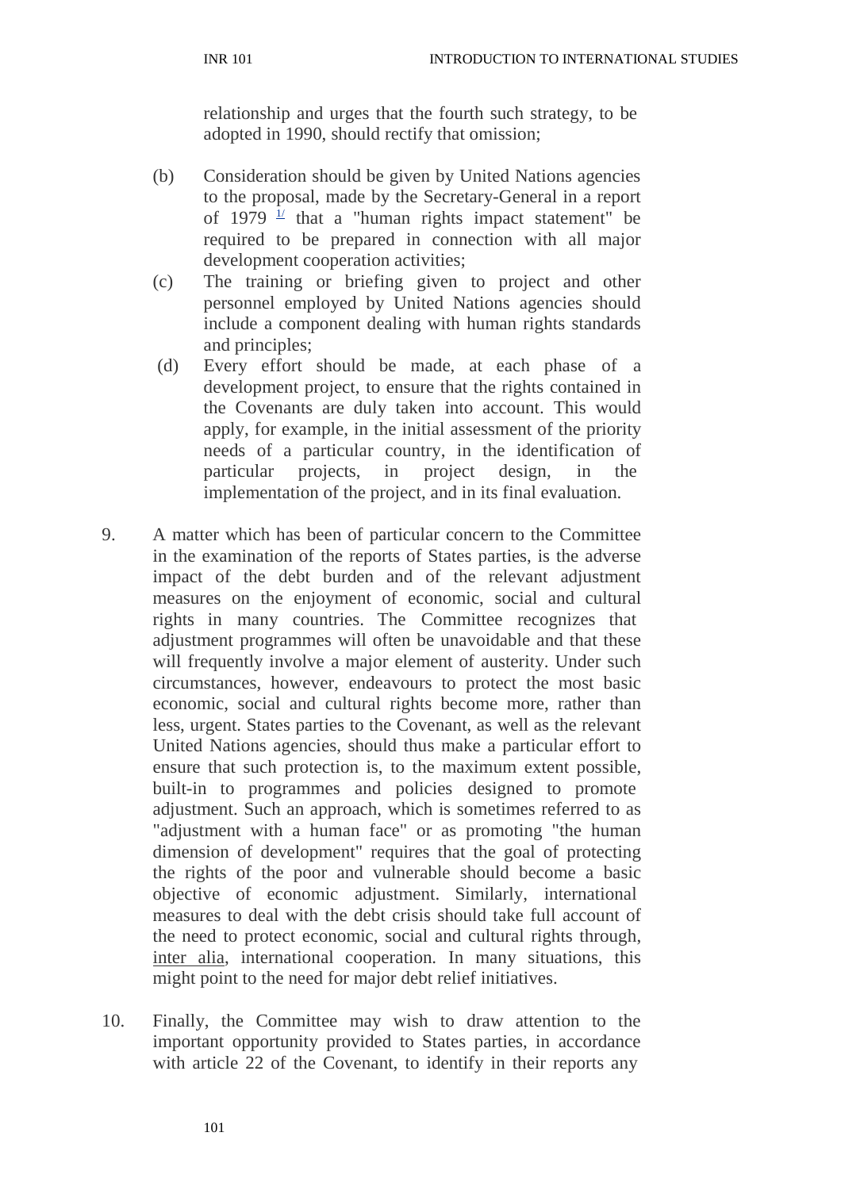relationship and urges that the fourth such strategy, to be adopted in 1990, should rectify that omission;

- (b) Consideration should be given by United Nations agencies to the proposal, made by the Secretary-General in a report of 1979  $\frac{1}{2}$  that a "human rights impact statement" be required to be prepared in connection with all major development cooperation activities;
- (c) The training or briefing given to project and other personnel employed by United Nations agencies should include a component dealing with human rights standards and principles;
- (d) Every effort should be made, at each phase of a development project, to ensure that the rights contained in the Covenants are duly taken into account. This would apply, for example, in the initial assessment of the priority needs of a particular country, in the identification of particular projects, in project design, in the implementation of the project, and in its final evaluation.
- 9. A matter which has been of particular concern to the Committee in the examination of the reports of States parties, is the adverse impact of the debt burden and of the relevant adjustment measures on the enjoyment of economic, social and cultural rights in many countries. The Committee recognizes that adjustment programmes will often be unavoidable and that these will frequently involve a major element of austerity. Under such circumstances, however, endeavours to protect the most basic economic, social and cultural rights become more, rather than less, urgent. States parties to the Covenant, as well as the relevant United Nations agencies, should thus make a particular effort to ensure that such protection is, to the maximum extent possible, built-in to programmes and policies designed to promote adjustment. Such an approach, which is sometimes referred to as "adjustment with a human face" or as promoting "the human dimension of development" requires that the goal of protecting the rights of the poor and vulnerable should become a basic objective of economic adjustment. Similarly, international measures to deal with the debt crisis should take full account of the need to protect economic, social and cultural rights through, inter alia, international cooperation. In many situations, this might point to the need for major debt relief initiatives.
- 10. Finally, the Committee may wish to draw attention to the important opportunity provided to States parties, in accordance with article 22 of the Covenant, to identify in their reports any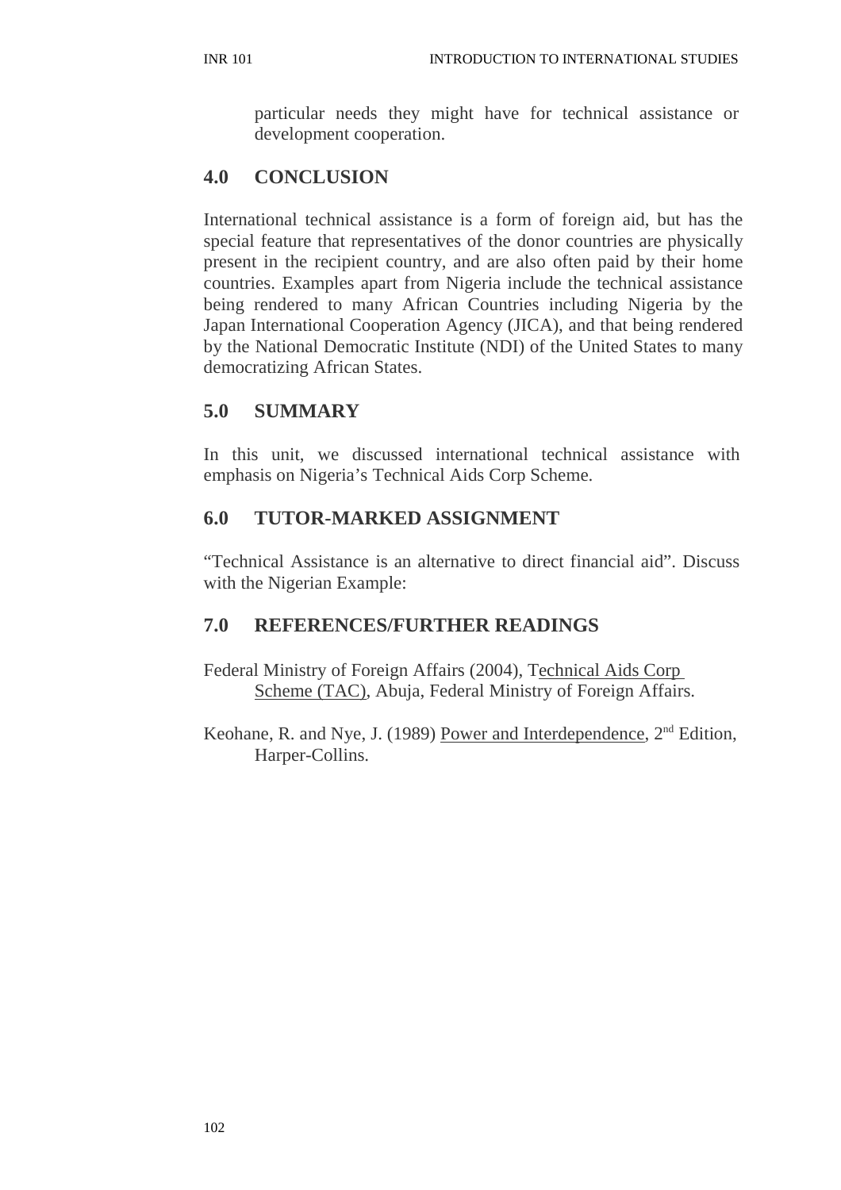particular needs they might have for technical assistance or development cooperation.

# **4.0 CONCLUSION**

International technical assistance is a form of foreign aid, but has the special feature that representatives of the donor countries are physically present in the recipient country, and are also often paid by their home countries. Examples apart from Nigeria include the technical assistance being rendered to many African Countries including Nigeria by the Japan International Cooperation Agency (JICA), and that being rendered by the National Democratic Institute (NDI) of the United States to many democratizing African States.

# **5.0 SUMMARY**

In this unit, we discussed international technical assistance with emphasis on Nigeria's Technical Aids Corp Scheme.

# **6.0 TUTOR-MARKED ASSIGNMENT**

"Technical Assistance is an alternative to direct financial aid". Discuss with the Nigerian Example:

# **7.0 REFERENCES/FURTHER READINGS**

- Federal Ministry of Foreign Affairs (2004), Technical Aids Corp Scheme (TAC), Abuja, Federal Ministry of Foreign Affairs.
- Keohane, R. and Nye, J. (1989) Power and Interdependence,  $2<sup>nd</sup>$  Edition, Harper-Collins.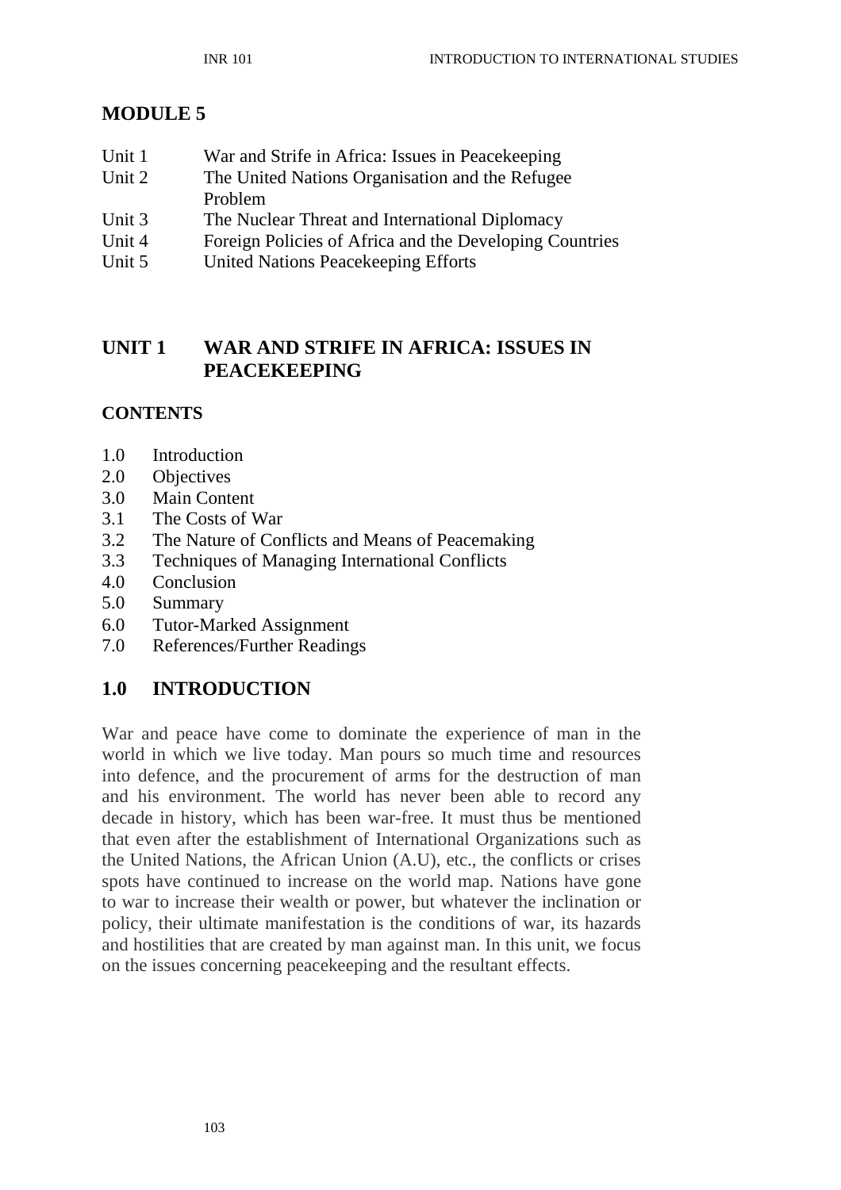## **MODULE 5**

| Unit 1 | War and Strife in Africa: Issues in Peacekeeping        |
|--------|---------------------------------------------------------|
| Unit 2 | The United Nations Organisation and the Refugee         |
|        | Problem                                                 |
| Unit 3 | The Nuclear Threat and International Diplomacy          |
| Unit 4 | Foreign Policies of Africa and the Developing Countries |
| Unit 5 | United Nations Peacekeeping Efforts                     |

## **UNIT 1 WAR AND STRIFE IN AFRICA: ISSUES IN PEACEKEEPING**

#### **CONTENTS**

- 1.0 Introduction
- 2.0 Objectives
- 3.0 Main Content
- 3.1 The Costs of War
- 3.2 The Nature of Conflicts and Means of Peacemaking
- 3.3 Techniques of Managing International Conflicts
- 4.0 Conclusion
- 5.0 Summary
- 6.0 Tutor-Marked Assignment
- 7.0 References/Further Readings

## **1.0 INTRODUCTION**

War and peace have come to dominate the experience of man in the world in which we live today. Man pours so much time and resources into defence, and the procurement of arms for the destruction of man and his environment. The world has never been able to record any decade in history, which has been war-free. It must thus be mentioned that even after the establishment of International Organizations such as the United Nations, the African Union (A.U), etc., the conflicts or crises spots have continued to increase on the world map. Nations have gone to war to increase their wealth or power, but whatever the inclination or policy, their ultimate manifestation is the conditions of war, its hazards and hostilities that are created by man against man. In this unit, we focus on the issues concerning peacekeeping and the resultant effects.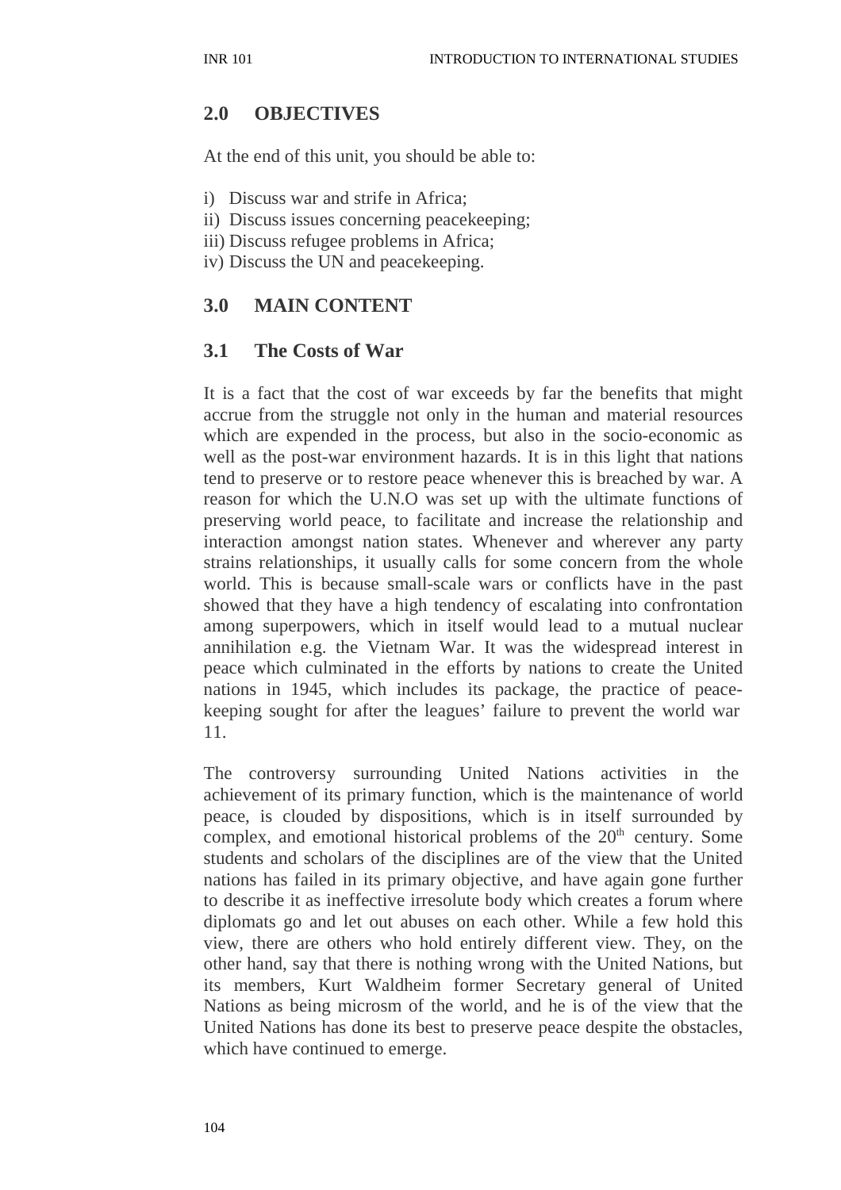#### **2.0 OBJECTIVES**

At the end of this unit, you should be able to:

- i) Discuss war and strife in Africa;
- ii) Discuss issues concerning peacekeeping;
- iii) Discuss refugee problems in Africa;
- iv) Discuss the UN and peacekeeping.

## **3.0 MAIN CONTENT**

#### **3.1 The Costs of War**

It is a fact that the cost of war exceeds by far the benefits that might accrue from the struggle not only in the human and material resources which are expended in the process, but also in the socio-economic as well as the post-war environment hazards. It is in this light that nations tend to preserve or to restore peace whenever this is breached by war. A reason for which the U.N.O was set up with the ultimate functions of preserving world peace, to facilitate and increase the relationship and interaction amongst nation states. Whenever and wherever any party strains relationships, it usually calls for some concern from the whole world. This is because small-scale wars or conflicts have in the past showed that they have a high tendency of escalating into confrontation among superpowers, which in itself would lead to a mutual nuclear annihilation e.g. the Vietnam War. It was the widespread interest in peace which culminated in the efforts by nations to create the United nations in 1945, which includes its package, the practice of peacekeeping sought for after the leagues' failure to prevent the world war 11.

The controversy surrounding United Nations activities in the achievement of its primary function, which is the maintenance of world peace, is clouded by dispositions, which is in itself surrounded by complex, and emotional historical problems of the  $20<sup>th</sup>$  century. Some students and scholars of the disciplines are of the view that the United nations has failed in its primary objective, and have again gone further to describe it as ineffective irresolute body which creates a forum where diplomats go and let out abuses on each other. While a few hold this view, there are others who hold entirely different view. They, on the other hand, say that there is nothing wrong with the United Nations, but its members, Kurt Waldheim former Secretary general of United Nations as being microsm of the world, and he is of the view that the United Nations has done its best to preserve peace despite the obstacles, which have continued to emerge.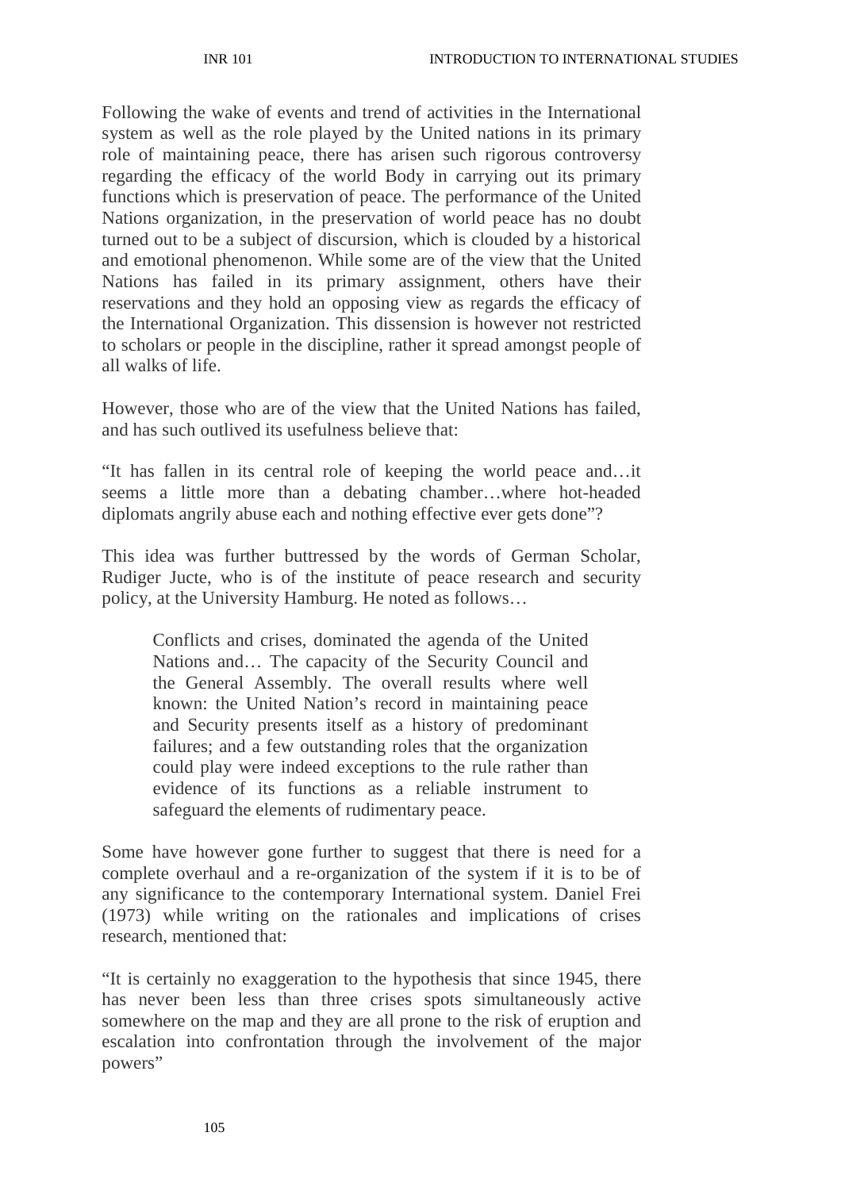Following the wake of events and trend of activities in the International system as well as the role played by the United nations in its primary role of maintaining peace, there has arisen such rigorous controversy regarding the efficacy of the world Body in carrying out its primary functions which is preservation of peace. The performance of the United Nations organization, in the preservation of world peace has no doubt turned out to be a subject of discursion, which is clouded by a historical and emotional phenomenon. While some are of the view that the United Nations has failed in its primary assignment, others have their reservations and they hold an opposing view as regards the efficacy of the International Organization. This dissension is however not restricted to scholars or people in the discipline, rather it spread amongst people of all walks of life.

However, those who are of the view that the United Nations has failed, and has such outlived its usefulness believe that:

"It has fallen in its central role of keeping the world peace and…it seems a little more than a debating chamber…where hot-headed diplomats angrily abuse each and nothing effective ever gets done"?

This idea was further buttressed by the words of German Scholar, Rudiger Jucte, who is of the institute of peace research and security policy, at the University Hamburg. He noted as follows…

Conflicts and crises, dominated the agenda of the United Nations and… The capacity of the Security Council and the General Assembly. The overall results where well known: the United Nation's record in maintaining peace and Security presents itself as a history of predominant failures; and a few outstanding roles that the organization could play were indeed exceptions to the rule rather than evidence of its functions as a reliable instrument to safeguard the elements of rudimentary peace.

Some have however gone further to suggest that there is need for a complete overhaul and a re-organization of the system if it is to be of any significance to the contemporary International system. Daniel Frei (1973) while writing on the rationales and implications of crises research, mentioned that:

"It is certainly no exaggeration to the hypothesis that since 1945, there has never been less than three crises spots simultaneously active somewhere on the map and they are all prone to the risk of eruption and escalation into confrontation through the involvement of the major powers"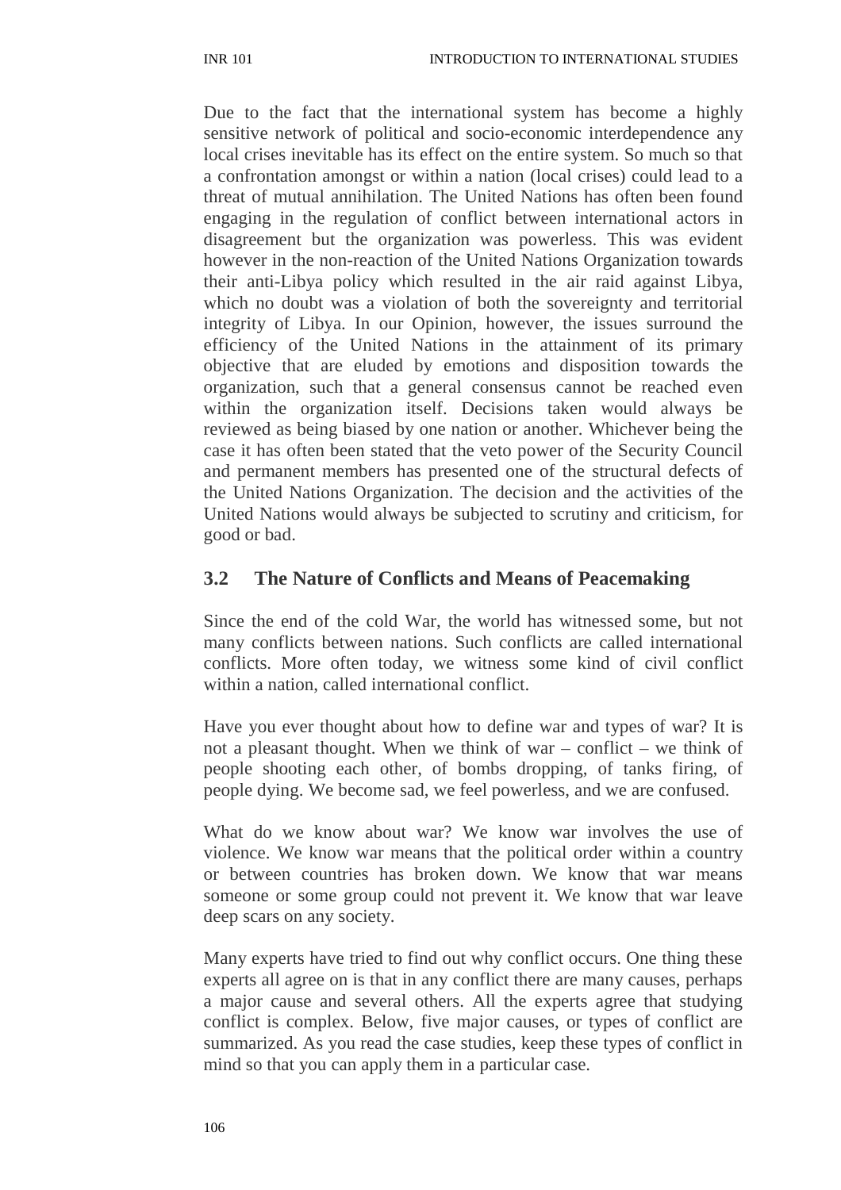Due to the fact that the international system has become a highly sensitive network of political and socio-economic interdependence any local crises inevitable has its effect on the entire system. So much so that a confrontation amongst or within a nation (local crises) could lead to a threat of mutual annihilation. The United Nations has often been found engaging in the regulation of conflict between international actors in disagreement but the organization was powerless. This was evident however in the non-reaction of the United Nations Organization towards their anti-Libya policy which resulted in the air raid against Libya, which no doubt was a violation of both the sovereignty and territorial integrity of Libya. In our Opinion, however, the issues surround the efficiency of the United Nations in the attainment of its primary objective that are eluded by emotions and disposition towards the organization, such that a general consensus cannot be reached even within the organization itself. Decisions taken would always be reviewed as being biased by one nation or another. Whichever being the case it has often been stated that the veto power of the Security Council and permanent members has presented one of the structural defects of the United Nations Organization. The decision and the activities of the United Nations would always be subjected to scrutiny and criticism, for good or bad.

## **3.2 The Nature of Conflicts and Means of Peacemaking**

Since the end of the cold War, the world has witnessed some, but not many conflicts between nations. Such conflicts are called international conflicts. More often today, we witness some kind of civil conflict within a nation, called international conflict.

Have you ever thought about how to define war and types of war? It is not a pleasant thought. When we think of war – conflict – we think of people shooting each other, of bombs dropping, of tanks firing, of people dying. We become sad, we feel powerless, and we are confused.

What do we know about war? We know war involves the use of violence. We know war means that the political order within a country or between countries has broken down. We know that war means someone or some group could not prevent it. We know that war leave deep scars on any society.

Many experts have tried to find out why conflict occurs. One thing these experts all agree on is that in any conflict there are many causes, perhaps a major cause and several others. All the experts agree that studying conflict is complex. Below, five major causes, or types of conflict are summarized. As you read the case studies, keep these types of conflict in mind so that you can apply them in a particular case.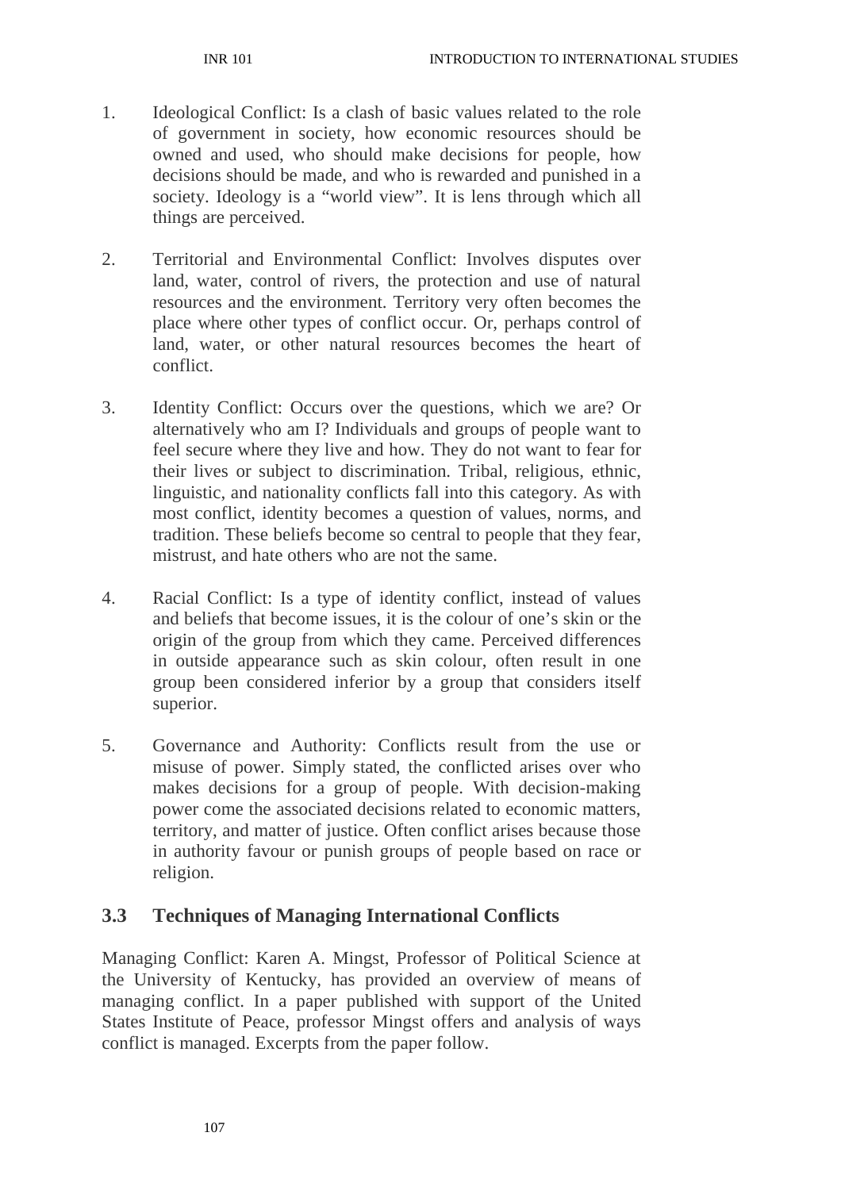- 1. Ideological Conflict: Is a clash of basic values related to the role of government in society, how economic resources should be owned and used, who should make decisions for people, how decisions should be made, and who is rewarded and punished in a society. Ideology is a "world view". It is lens through which all things are perceived.
- 2. Territorial and Environmental Conflict: Involves disputes over land, water, control of rivers, the protection and use of natural resources and the environment. Territory very often becomes the place where other types of conflict occur. Or, perhaps control of land, water, or other natural resources becomes the heart of conflict.
- 3. Identity Conflict: Occurs over the questions, which we are? Or alternatively who am I? Individuals and groups of people want to feel secure where they live and how. They do not want to fear for their lives or subject to discrimination. Tribal, religious, ethnic, linguistic, and nationality conflicts fall into this category. As with most conflict, identity becomes a question of values, norms, and tradition. These beliefs become so central to people that they fear, mistrust, and hate others who are not the same.
- 4. Racial Conflict: Is a type of identity conflict, instead of values and beliefs that become issues, it is the colour of one's skin or the origin of the group from which they came. Perceived differences in outside appearance such as skin colour, often result in one group been considered inferior by a group that considers itself superior.
- 5. Governance and Authority: Conflicts result from the use or misuse of power. Simply stated, the conflicted arises over who makes decisions for a group of people. With decision-making power come the associated decisions related to economic matters, territory, and matter of justice. Often conflict arises because those in authority favour or punish groups of people based on race or religion.

# **3.3 Techniques of Managing International Conflicts**

Managing Conflict: Karen A. Mingst, Professor of Political Science at the University of Kentucky, has provided an overview of means of managing conflict. In a paper published with support of the United States Institute of Peace, professor Mingst offers and analysis of ways conflict is managed. Excerpts from the paper follow.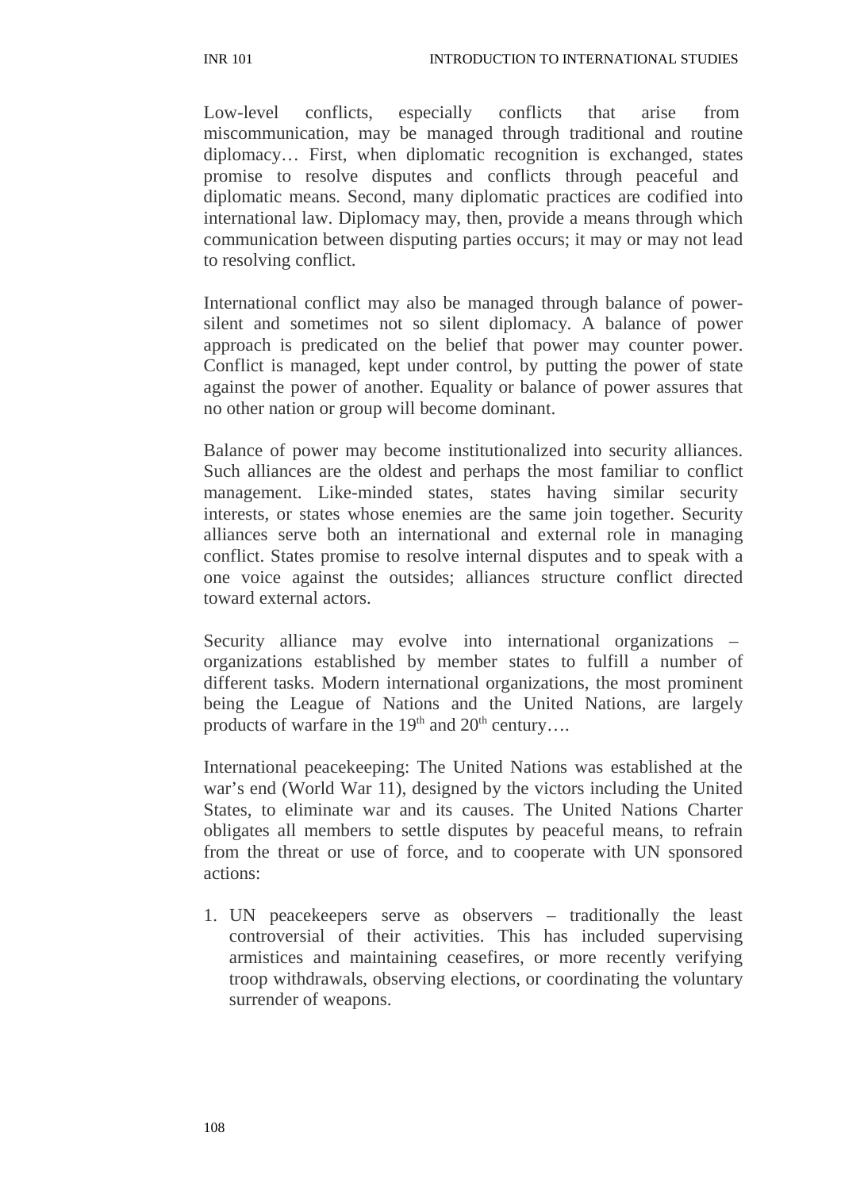Low-level conflicts, especially conflicts that arise from miscommunication, may be managed through traditional and routine diplomacy… First, when diplomatic recognition is exchanged, states promise to resolve disputes and conflicts through peaceful and diplomatic means. Second, many diplomatic practices are codified into international law. Diplomacy may, then, provide a means through which communication between disputing parties occurs; it may or may not lead to resolving conflict.

International conflict may also be managed through balance of powersilent and sometimes not so silent diplomacy. A balance of power approach is predicated on the belief that power may counter power. Conflict is managed, kept under control, by putting the power of state against the power of another. Equality or balance of power assures that no other nation or group will become dominant.

Balance of power may become institutionalized into security alliances. Such alliances are the oldest and perhaps the most familiar to conflict management. Like-minded states, states having similar security interests, or states whose enemies are the same join together. Security alliances serve both an international and external role in managing conflict. States promise to resolve internal disputes and to speak with a one voice against the outsides; alliances structure conflict directed toward external actors.

Security alliance may evolve into international organizations – organizations established by member states to fulfill a number of different tasks. Modern international organizations, the most prominent being the League of Nations and the United Nations, are largely products of warfare in the  $19<sup>th</sup>$  and  $20<sup>th</sup>$  century....

International peacekeeping: The United Nations was established at the war's end (World War 11), designed by the victors including the United States, to eliminate war and its causes. The United Nations Charter obligates all members to settle disputes by peaceful means, to refrain from the threat or use of force, and to cooperate with UN sponsored actions:

1. UN peacekeepers serve as observers – traditionally the least controversial of their activities. This has included supervising armistices and maintaining ceasefires, or more recently verifying troop withdrawals, observing elections, or coordinating the voluntary surrender of weapons.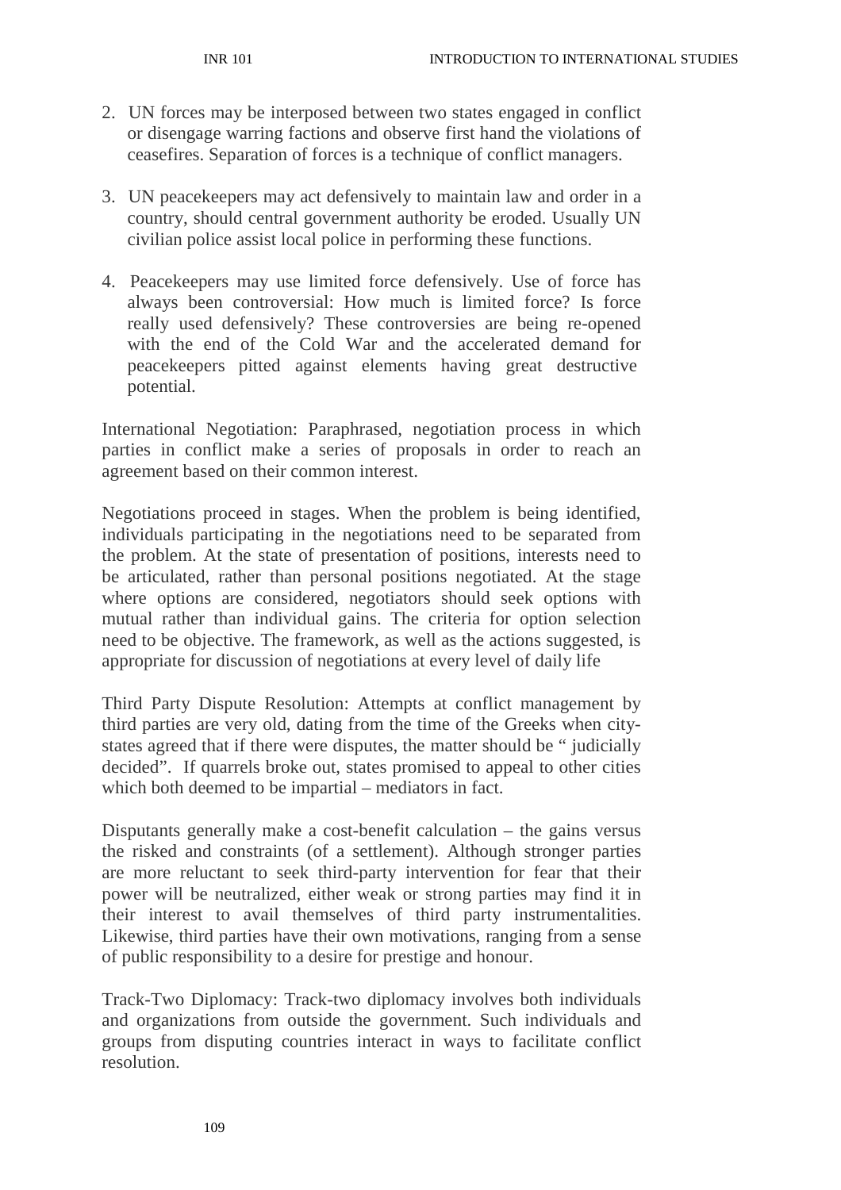- 2. UN forces may be interposed between two states engaged in conflict or disengage warring factions and observe first hand the violations of ceasefires. Separation of forces is a technique of conflict managers.
- 3. UN peacekeepers may act defensively to maintain law and order in a country, should central government authority be eroded. Usually UN civilian police assist local police in performing these functions.
- 4. Peacekeepers may use limited force defensively. Use of force has always been controversial: How much is limited force? Is force really used defensively? These controversies are being re-opened with the end of the Cold War and the accelerated demand for peacekeepers pitted against elements having great destructive potential.

International Negotiation: Paraphrased, negotiation process in which parties in conflict make a series of proposals in order to reach an agreement based on their common interest.

Negotiations proceed in stages. When the problem is being identified, individuals participating in the negotiations need to be separated from the problem. At the state of presentation of positions, interests need to be articulated, rather than personal positions negotiated. At the stage where options are considered, negotiators should seek options with mutual rather than individual gains. The criteria for option selection need to be objective. The framework, as well as the actions suggested, is appropriate for discussion of negotiations at every level of daily life

Third Party Dispute Resolution: Attempts at conflict management by third parties are very old, dating from the time of the Greeks when citystates agreed that if there were disputes, the matter should be " judicially decided". If quarrels broke out, states promised to appeal to other cities which both deemed to be impartial – mediators in fact.

Disputants generally make a cost-benefit calculation – the gains versus the risked and constraints (of a settlement). Although stronger parties are more reluctant to seek third-party intervention for fear that their power will be neutralized, either weak or strong parties may find it in their interest to avail themselves of third party instrumentalities. Likewise, third parties have their own motivations, ranging from a sense of public responsibility to a desire for prestige and honour.

Track-Two Diplomacy: Track-two diplomacy involves both individuals and organizations from outside the government. Such individuals and groups from disputing countries interact in ways to facilitate conflict resolution.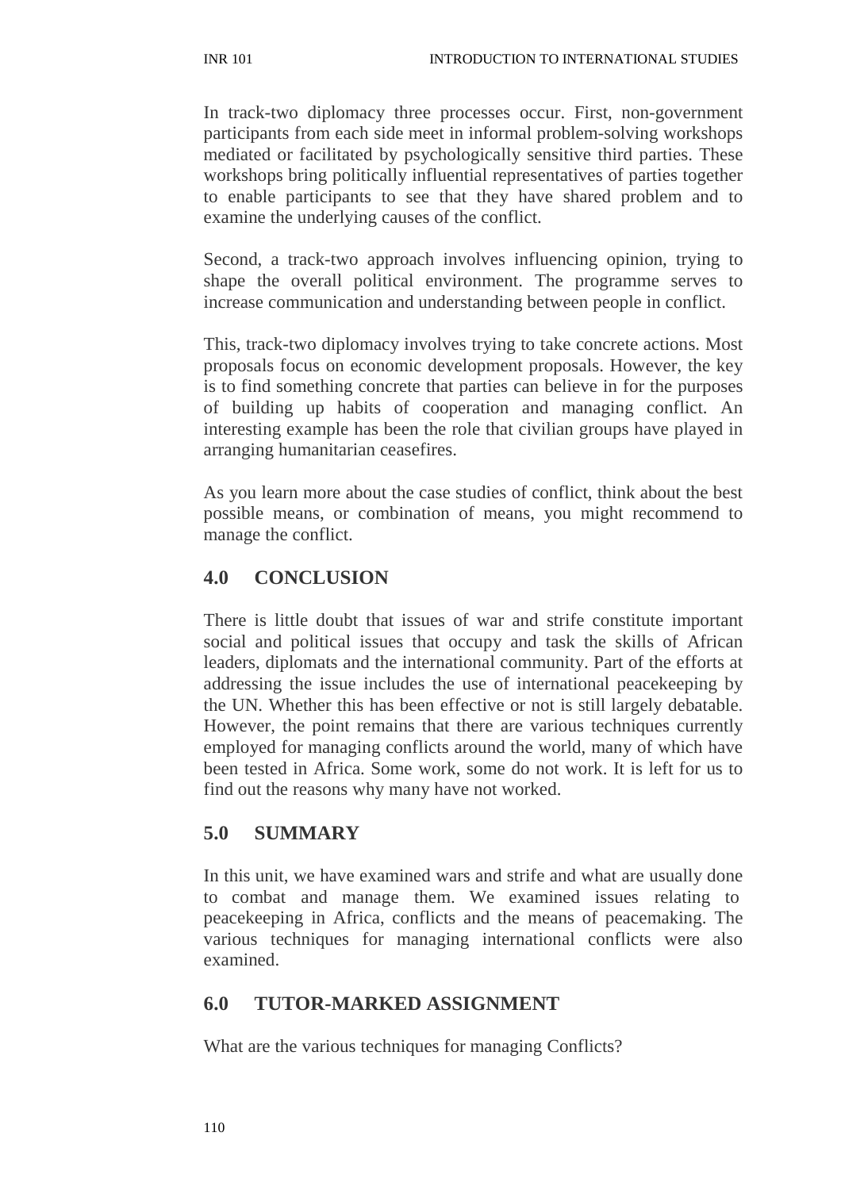In track-two diplomacy three processes occur. First, non-government participants from each side meet in informal problem-solving workshops mediated or facilitated by psychologically sensitive third parties. These workshops bring politically influential representatives of parties together to enable participants to see that they have shared problem and to examine the underlying causes of the conflict.

Second, a track-two approach involves influencing opinion, trying to shape the overall political environment. The programme serves to increase communication and understanding between people in conflict.

This, track-two diplomacy involves trying to take concrete actions. Most proposals focus on economic development proposals. However, the key is to find something concrete that parties can believe in for the purposes of building up habits of cooperation and managing conflict. An interesting example has been the role that civilian groups have played in arranging humanitarian ceasefires.

As you learn more about the case studies of conflict, think about the best possible means, or combination of means, you might recommend to manage the conflict.

#### **4.0 CONCLUSION**

There is little doubt that issues of war and strife constitute important social and political issues that occupy and task the skills of African leaders, diplomats and the international community. Part of the efforts at addressing the issue includes the use of international peacekeeping by the UN. Whether this has been effective or not is still largely debatable. However, the point remains that there are various techniques currently employed for managing conflicts around the world, many of which have been tested in Africa. Some work, some do not work. It is left for us to find out the reasons why many have not worked.

#### **5.0 SUMMARY**

In this unit, we have examined wars and strife and what are usually done to combat and manage them. We examined issues relating to peacekeeping in Africa, conflicts and the means of peacemaking. The various techniques for managing international conflicts were also examined.

#### **6.0 TUTOR-MARKED ASSIGNMENT**

What are the various techniques for managing Conflicts?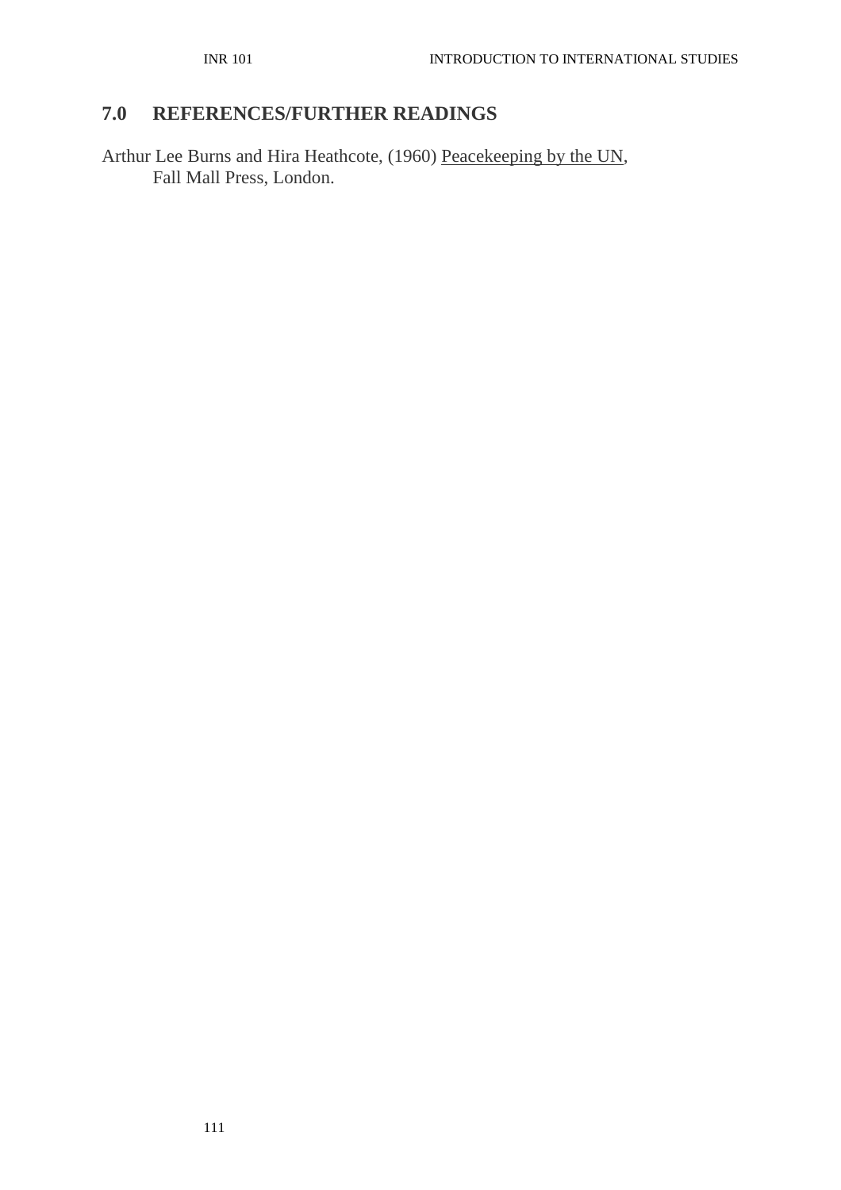# **7.0 REFERENCES/FURTHER READINGS**

Arthur Lee Burns and Hira Heathcote, (1960) Peacekeeping by the UN, Fall Mall Press, London.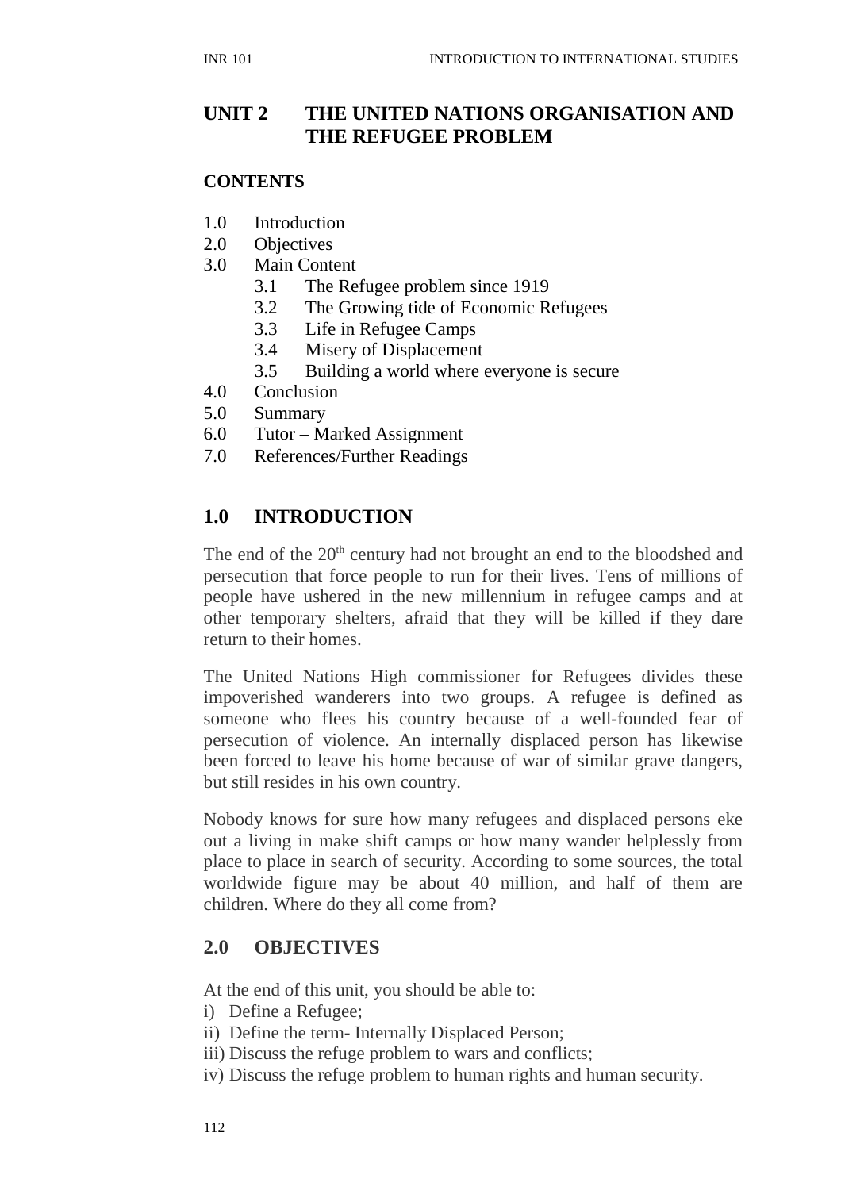#### **UNIT 2 THE UNITED NATIONS ORGANISATION AND THE REFUGEE PROBLEM**

#### **CONTENTS**

- 1.0 Introduction
- 2.0 Objectives
- 3.0 Main Content
	- 3.1 The Refugee problem since 1919
	- 3.2 The Growing tide of Economic Refugees
	- 3.3 Life in Refugee Camps
	- 3.4 Misery of Displacement
	- 3.5 Building a world where everyone is secure
- 4.0 Conclusion
- 5.0 Summary
- 6.0 Tutor Marked Assignment
- 7.0 References/Further Readings

#### **1.0 INTRODUCTION**

The end of the  $20<sup>th</sup>$  century had not brought an end to the bloodshed and persecution that force people to run for their lives. Tens of millions of people have ushered in the new millennium in refugee camps and at other temporary shelters, afraid that they will be killed if they dare return to their homes.

The United Nations High commissioner for Refugees divides these impoverished wanderers into two groups. A refugee is defined as someone who flees his country because of a well-founded fear of persecution of violence. An internally displaced person has likewise been forced to leave his home because of war of similar grave dangers, but still resides in his own country.

Nobody knows for sure how many refugees and displaced persons eke out a living in make shift camps or how many wander helplessly from place to place in search of security. According to some sources, the total worldwide figure may be about 40 million, and half of them are children. Where do they all come from?

#### **2.0 OBJECTIVES**

At the end of this unit, you should be able to:

- i) Define a Refugee;
- ii) Define the term- Internally Displaced Person;
- iii) Discuss the refuge problem to wars and conflicts;
- iv) Discuss the refuge problem to human rights and human security.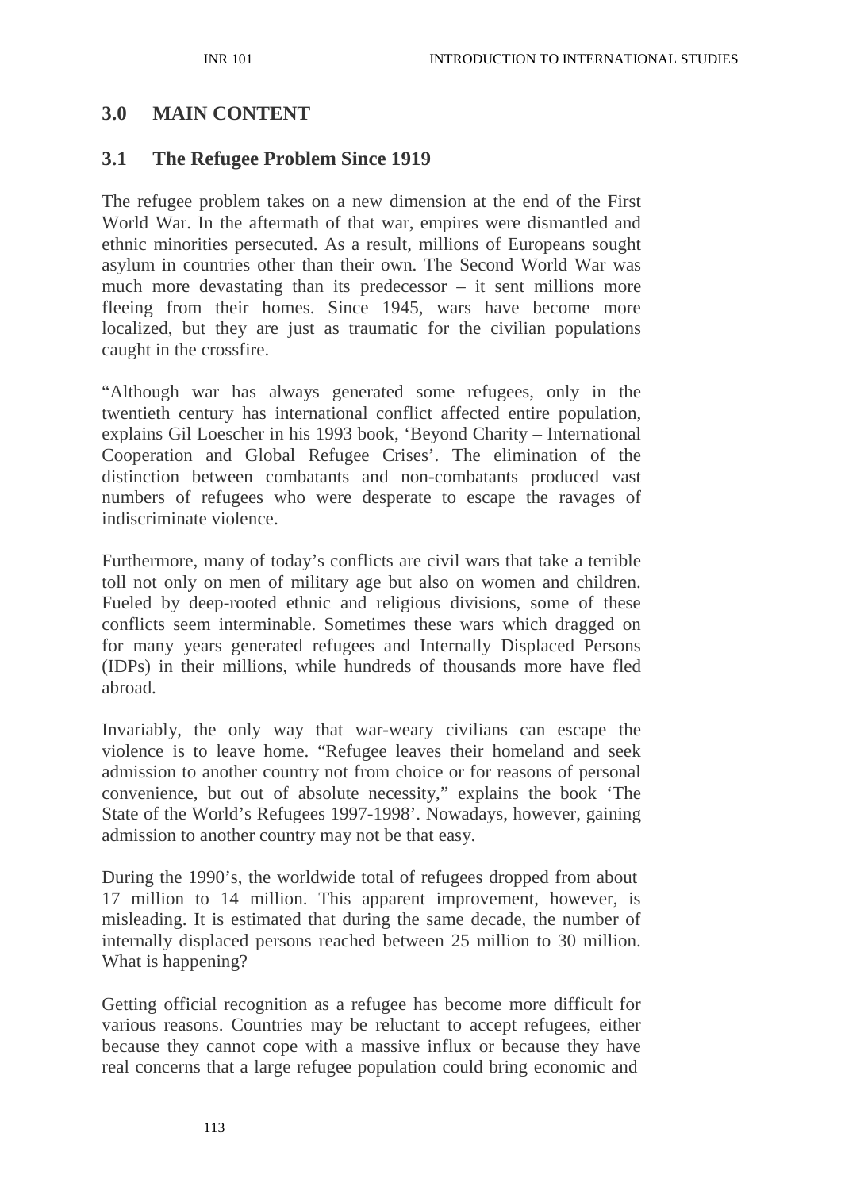#### **3.0 MAIN CONTENT**

#### **3.1 The Refugee Problem Since 1919**

The refugee problem takes on a new dimension at the end of the First World War. In the aftermath of that war, empires were dismantled and ethnic minorities persecuted. As a result, millions of Europeans sought asylum in countries other than their own. The Second World War was much more devastating than its predecessor – it sent millions more fleeing from their homes. Since 1945, wars have become more localized, but they are just as traumatic for the civilian populations caught in the crossfire.

"Although war has always generated some refugees, only in the twentieth century has international conflict affected entire population, explains Gil Loescher in his 1993 book, 'Beyond Charity – International Cooperation and Global Refugee Crises'. The elimination of the distinction between combatants and non-combatants produced vast numbers of refugees who were desperate to escape the ravages of indiscriminate violence.

Furthermore, many of today's conflicts are civil wars that take a terrible toll not only on men of military age but also on women and children. Fueled by deep-rooted ethnic and religious divisions, some of these conflicts seem interminable. Sometimes these wars which dragged on for many years generated refugees and Internally Displaced Persons (IDPs) in their millions, while hundreds of thousands more have fled abroad.

Invariably, the only way that war-weary civilians can escape the violence is to leave home. "Refugee leaves their homeland and seek admission to another country not from choice or for reasons of personal convenience, but out of absolute necessity," explains the book 'The State of the World's Refugees 1997-1998'. Nowadays, however, gaining admission to another country may not be that easy.

During the 1990's, the worldwide total of refugees dropped from about 17 million to 14 million. This apparent improvement, however, is misleading. It is estimated that during the same decade, the number of internally displaced persons reached between 25 million to 30 million. What is happening?

Getting official recognition as a refugee has become more difficult for various reasons. Countries may be reluctant to accept refugees, either because they cannot cope with a massive influx or because they have real concerns that a large refugee population could bring economic and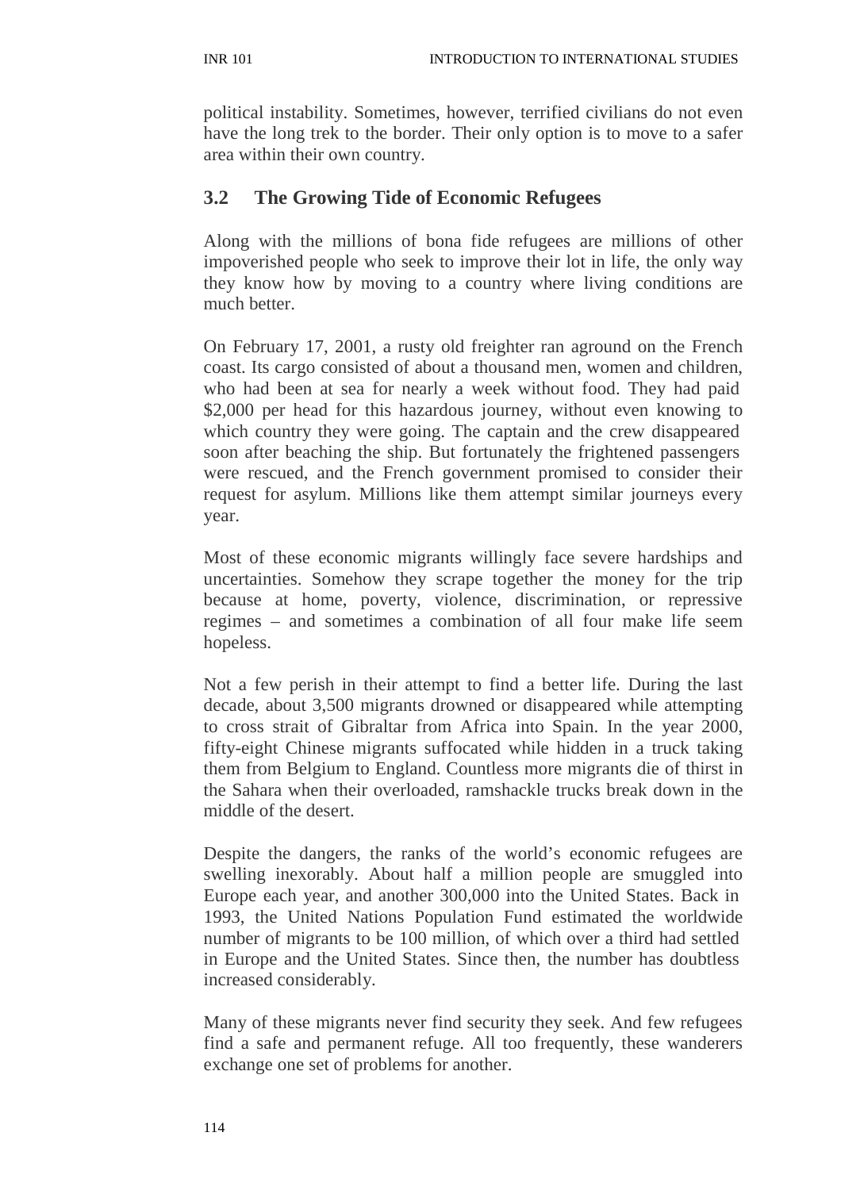political instability. Sometimes, however, terrified civilians do not even have the long trek to the border. Their only option is to move to a safer area within their own country.

## **3.2 The Growing Tide of Economic Refugees**

Along with the millions of bona fide refugees are millions of other impoverished people who seek to improve their lot in life, the only way they know how by moving to a country where living conditions are much better.

On February 17, 2001, a rusty old freighter ran aground on the French coast. Its cargo consisted of about a thousand men, women and children, who had been at sea for nearly a week without food. They had paid \$2,000 per head for this hazardous journey, without even knowing to which country they were going. The captain and the crew disappeared soon after beaching the ship. But fortunately the frightened passengers were rescued, and the French government promised to consider their request for asylum. Millions like them attempt similar journeys every year.

Most of these economic migrants willingly face severe hardships and uncertainties. Somehow they scrape together the money for the trip because at home, poverty, violence, discrimination, or repressive regimes – and sometimes a combination of all four make life seem hopeless.

Not a few perish in their attempt to find a better life. During the last decade, about 3,500 migrants drowned or disappeared while attempting to cross strait of Gibraltar from Africa into Spain. In the year 2000, fifty-eight Chinese migrants suffocated while hidden in a truck taking them from Belgium to England. Countless more migrants die of thirst in the Sahara when their overloaded, ramshackle trucks break down in the middle of the desert.

Despite the dangers, the ranks of the world's economic refugees are swelling inexorably. About half a million people are smuggled into Europe each year, and another 300,000 into the United States. Back in 1993, the United Nations Population Fund estimated the worldwide number of migrants to be 100 million, of which over a third had settled in Europe and the United States. Since then, the number has doubtless increased considerably.

Many of these migrants never find security they seek. And few refugees find a safe and permanent refuge. All too frequently, these wanderers exchange one set of problems for another.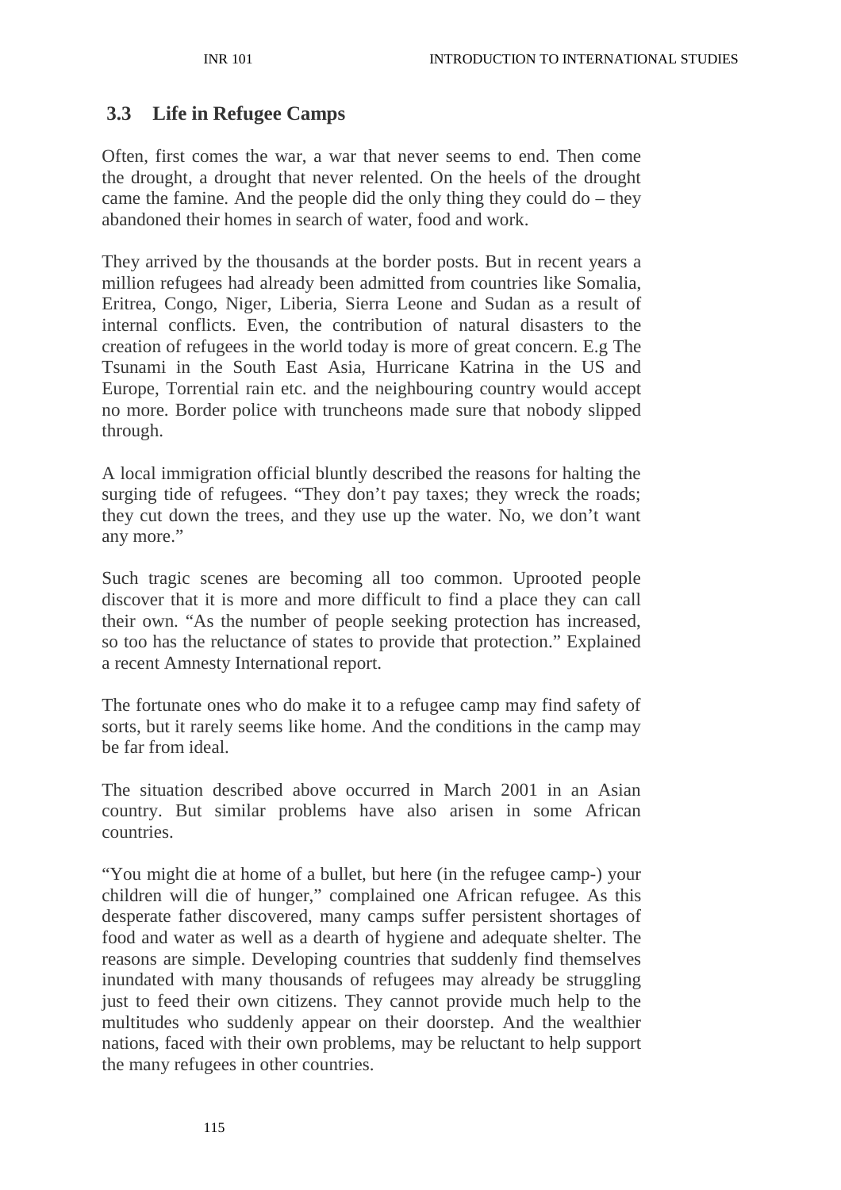## **3.3 Life in Refugee Camps**

Often, first comes the war, a war that never seems to end. Then come the drought, a drought that never relented. On the heels of the drought came the famine. And the people did the only thing they could do – they abandoned their homes in search of water, food and work.

They arrived by the thousands at the border posts. But in recent years a million refugees had already been admitted from countries like Somalia, Eritrea, Congo, Niger, Liberia, Sierra Leone and Sudan as a result of internal conflicts. Even, the contribution of natural disasters to the creation of refugees in the world today is more of great concern. E.g The Tsunami in the South East Asia, Hurricane Katrina in the US and Europe, Torrential rain etc. and the neighbouring country would accept no more. Border police with truncheons made sure that nobody slipped through.

A local immigration official bluntly described the reasons for halting the surging tide of refugees. "They don't pay taxes; they wreck the roads; they cut down the trees, and they use up the water. No, we don't want any more."

Such tragic scenes are becoming all too common. Uprooted people discover that it is more and more difficult to find a place they can call their own. "As the number of people seeking protection has increased, so too has the reluctance of states to provide that protection." Explained a recent Amnesty International report.

The fortunate ones who do make it to a refugee camp may find safety of sorts, but it rarely seems like home. And the conditions in the camp may be far from ideal.

The situation described above occurred in March 2001 in an Asian country. But similar problems have also arisen in some African countries.

"You might die at home of a bullet, but here (in the refugee camp-) your children will die of hunger," complained one African refugee. As this desperate father discovered, many camps suffer persistent shortages of food and water as well as a dearth of hygiene and adequate shelter. The reasons are simple. Developing countries that suddenly find themselves inundated with many thousands of refugees may already be struggling just to feed their own citizens. They cannot provide much help to the multitudes who suddenly appear on their doorstep. And the wealthier nations, faced with their own problems, may be reluctant to help support the many refugees in other countries.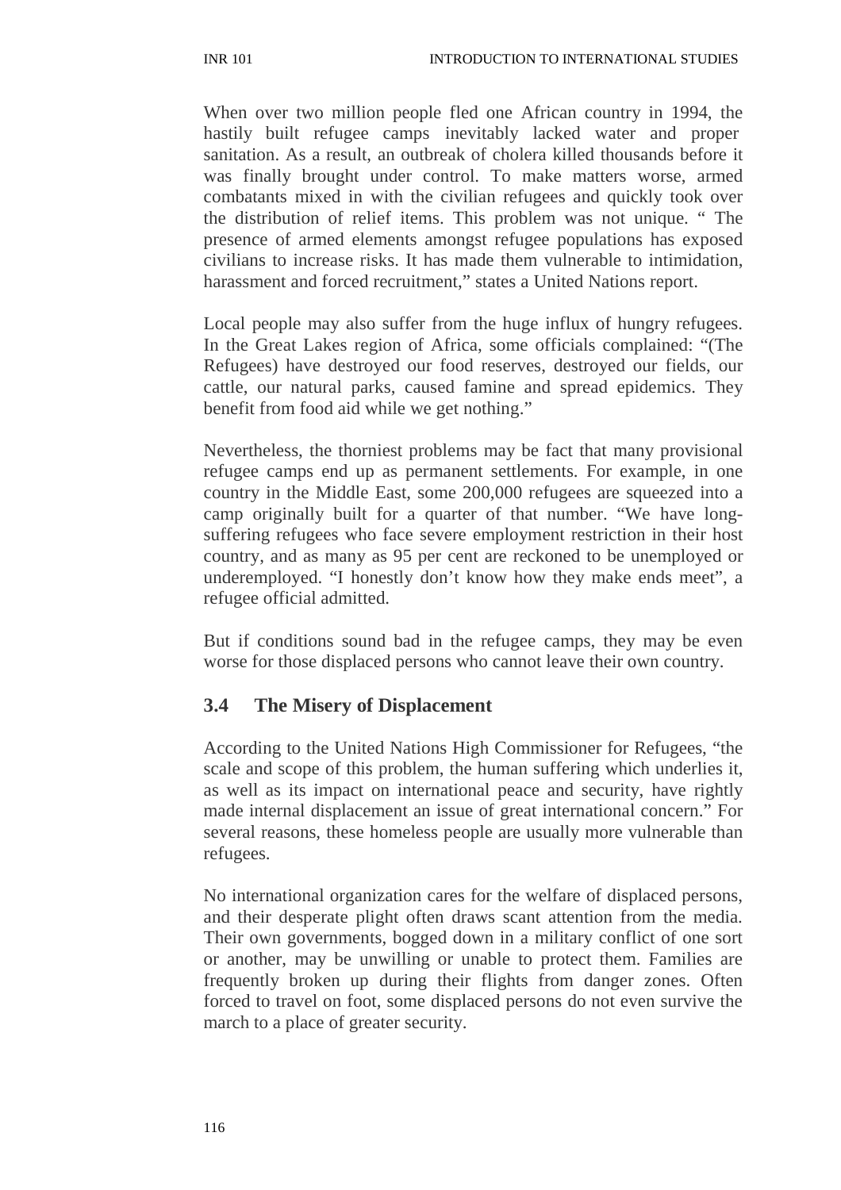When over two million people fled one African country in 1994, the hastily built refugee camps inevitably lacked water and proper sanitation. As a result, an outbreak of cholera killed thousands before it was finally brought under control. To make matters worse, armed combatants mixed in with the civilian refugees and quickly took over the distribution of relief items. This problem was not unique. " The presence of armed elements amongst refugee populations has exposed civilians to increase risks. It has made them vulnerable to intimidation, harassment and forced recruitment," states a United Nations report.

Local people may also suffer from the huge influx of hungry refugees. In the Great Lakes region of Africa, some officials complained: "(The Refugees) have destroyed our food reserves, destroyed our fields, our cattle, our natural parks, caused famine and spread epidemics. They benefit from food aid while we get nothing."

Nevertheless, the thorniest problems may be fact that many provisional refugee camps end up as permanent settlements. For example, in one country in the Middle East, some 200,000 refugees are squeezed into a camp originally built for a quarter of that number. "We have longsuffering refugees who face severe employment restriction in their host country, and as many as 95 per cent are reckoned to be unemployed or underemployed. "I honestly don't know how they make ends meet", a refugee official admitted.

But if conditions sound bad in the refugee camps, they may be even worse for those displaced persons who cannot leave their own country.

## **3.4 The Misery of Displacement**

According to the United Nations High Commissioner for Refugees, "the scale and scope of this problem, the human suffering which underlies it, as well as its impact on international peace and security, have rightly made internal displacement an issue of great international concern." For several reasons, these homeless people are usually more vulnerable than refugees.

No international organization cares for the welfare of displaced persons, and their desperate plight often draws scant attention from the media. Their own governments, bogged down in a military conflict of one sort or another, may be unwilling or unable to protect them. Families are frequently broken up during their flights from danger zones. Often forced to travel on foot, some displaced persons do not even survive the march to a place of greater security.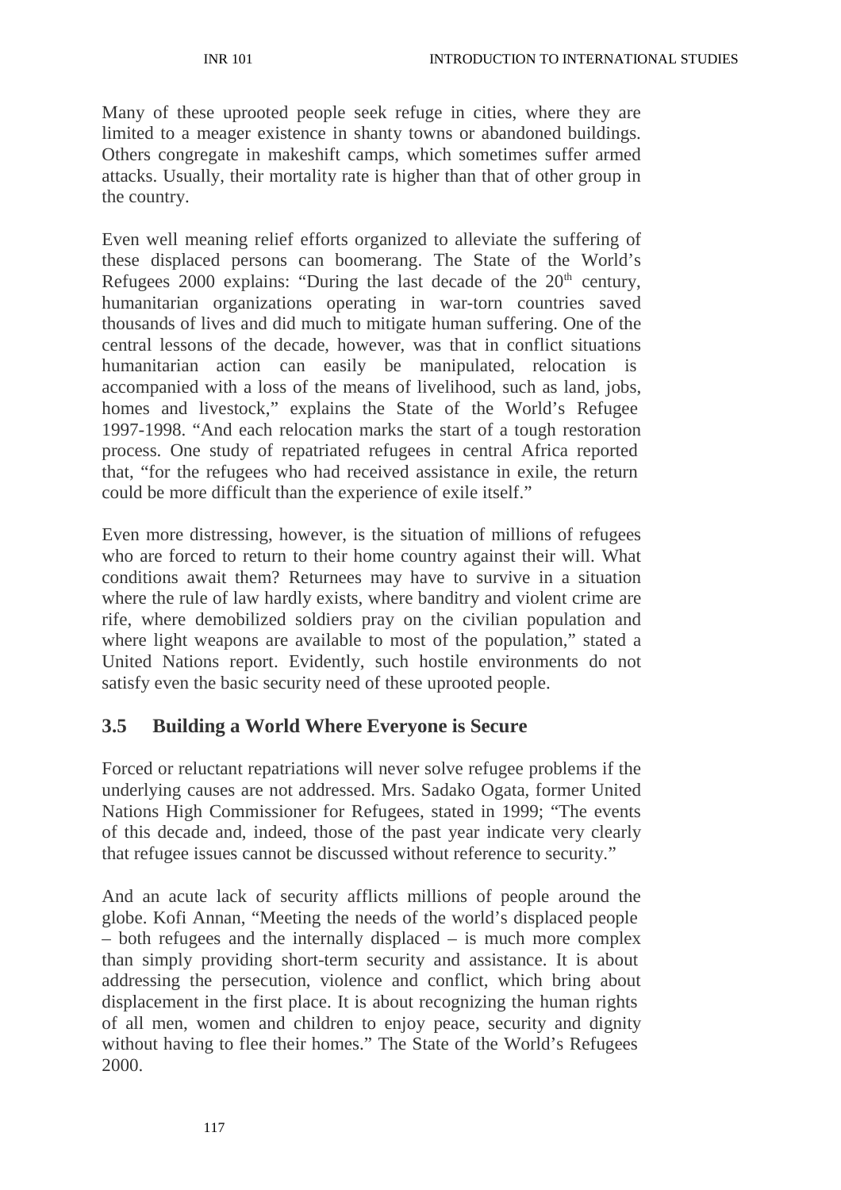Many of these uprooted people seek refuge in cities, where they are limited to a meager existence in shanty towns or abandoned buildings. Others congregate in makeshift camps, which sometimes suffer armed attacks. Usually, their mortality rate is higher than that of other group in the country.

Even well meaning relief efforts organized to alleviate the suffering of these displaced persons can boomerang. The State of the World's Refugees 2000 explains: "During the last decade of the  $20<sup>th</sup>$  century, humanitarian organizations operating in war-torn countries saved thousands of lives and did much to mitigate human suffering. One of the central lessons of the decade, however, was that in conflict situations humanitarian action can easily be manipulated, relocation is accompanied with a loss of the means of livelihood, such as land, jobs, homes and livestock," explains the State of the World's Refugee 1997-1998. "And each relocation marks the start of a tough restoration process. One study of repatriated refugees in central Africa reported that, "for the refugees who had received assistance in exile, the return could be more difficult than the experience of exile itself."

Even more distressing, however, is the situation of millions of refugees who are forced to return to their home country against their will. What conditions await them? Returnees may have to survive in a situation where the rule of law hardly exists, where banditry and violent crime are rife, where demobilized soldiers pray on the civilian population and where light weapons are available to most of the population," stated a United Nations report. Evidently, such hostile environments do not satisfy even the basic security need of these uprooted people.

# **3.5 Building a World Where Everyone is Secure**

Forced or reluctant repatriations will never solve refugee problems if the underlying causes are not addressed. Mrs. Sadako Ogata, former United Nations High Commissioner for Refugees, stated in 1999; "The events of this decade and, indeed, those of the past year indicate very clearly that refugee issues cannot be discussed without reference to security."

And an acute lack of security afflicts millions of people around the globe. Kofi Annan, "Meeting the needs of the world's displaced people – both refugees and the internally displaced – is much more complex than simply providing short-term security and assistance. It is about addressing the persecution, violence and conflict, which bring about displacement in the first place. It is about recognizing the human rights of all men, women and children to enjoy peace, security and dignity without having to flee their homes." The State of the World's Refugees 2000.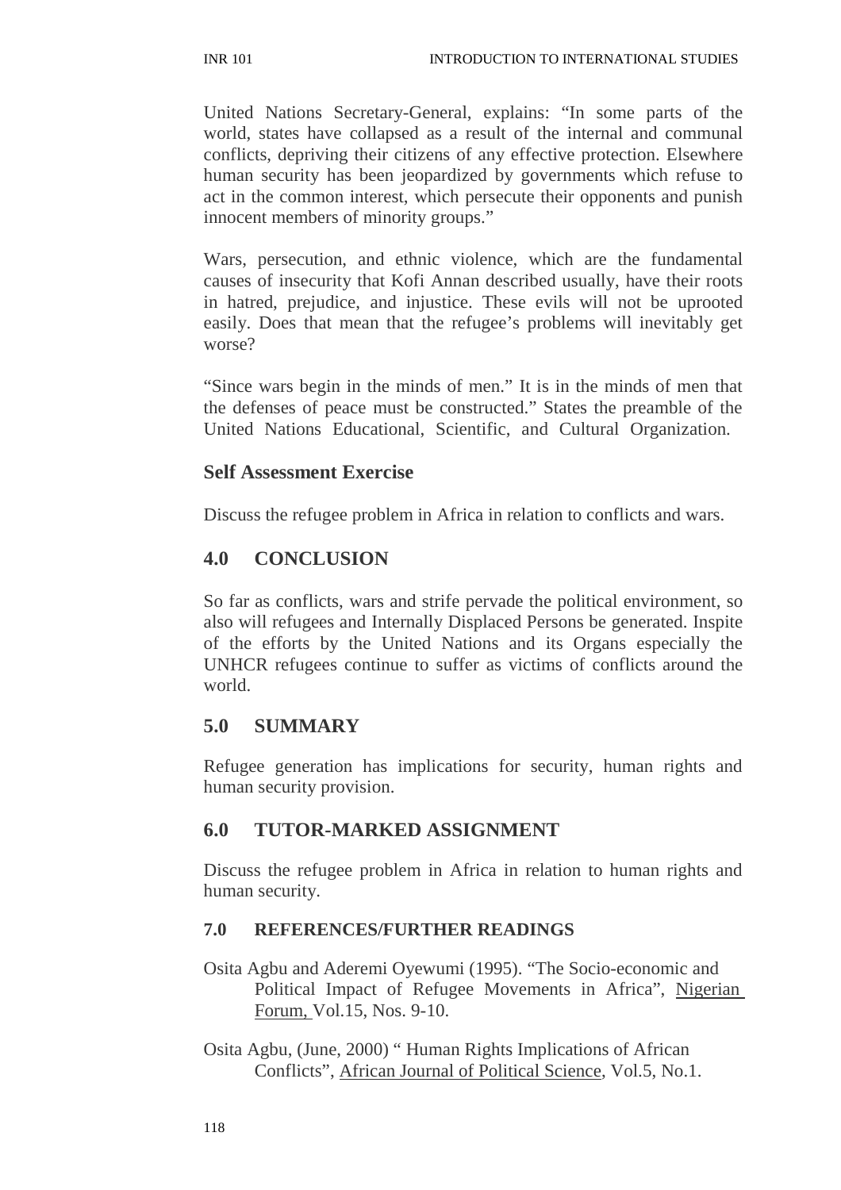United Nations Secretary-General, explains: "In some parts of the world, states have collapsed as a result of the internal and communal conflicts, depriving their citizens of any effective protection. Elsewhere human security has been jeopardized by governments which refuse to act in the common interest, which persecute their opponents and punish innocent members of minority groups."

Wars, persecution, and ethnic violence, which are the fundamental causes of insecurity that Kofi Annan described usually, have their roots in hatred, prejudice, and injustice. These evils will not be uprooted easily. Does that mean that the refugee's problems will inevitably get worse?

"Since wars begin in the minds of men." It is in the minds of men that the defenses of peace must be constructed." States the preamble of the United Nations Educational, Scientific, and Cultural Organization.

#### **Self Assessment Exercise**

Discuss the refugee problem in Africa in relation to conflicts and wars.

## **4.0 CONCLUSION**

So far as conflicts, wars and strife pervade the political environment, so also will refugees and Internally Displaced Persons be generated. Inspite of the efforts by the United Nations and its Organs especially the UNHCR refugees continue to suffer as victims of conflicts around the world.

## **5.0 SUMMARY**

Refugee generation has implications for security, human rights and human security provision.

## **6.0 TUTOR-MARKED ASSIGNMENT**

Discuss the refugee problem in Africa in relation to human rights and human security.

## **7.0 REFERENCES/FURTHER READINGS**

- Osita Agbu and Aderemi Oyewumi (1995). "The Socio-economic and Political Impact of Refugee Movements in Africa", Nigerian Forum, Vol.15, Nos. 9-10.
- Osita Agbu, (June, 2000) " Human Rights Implications of African Conflicts", African Journal of Political Science, Vol.5, No.1.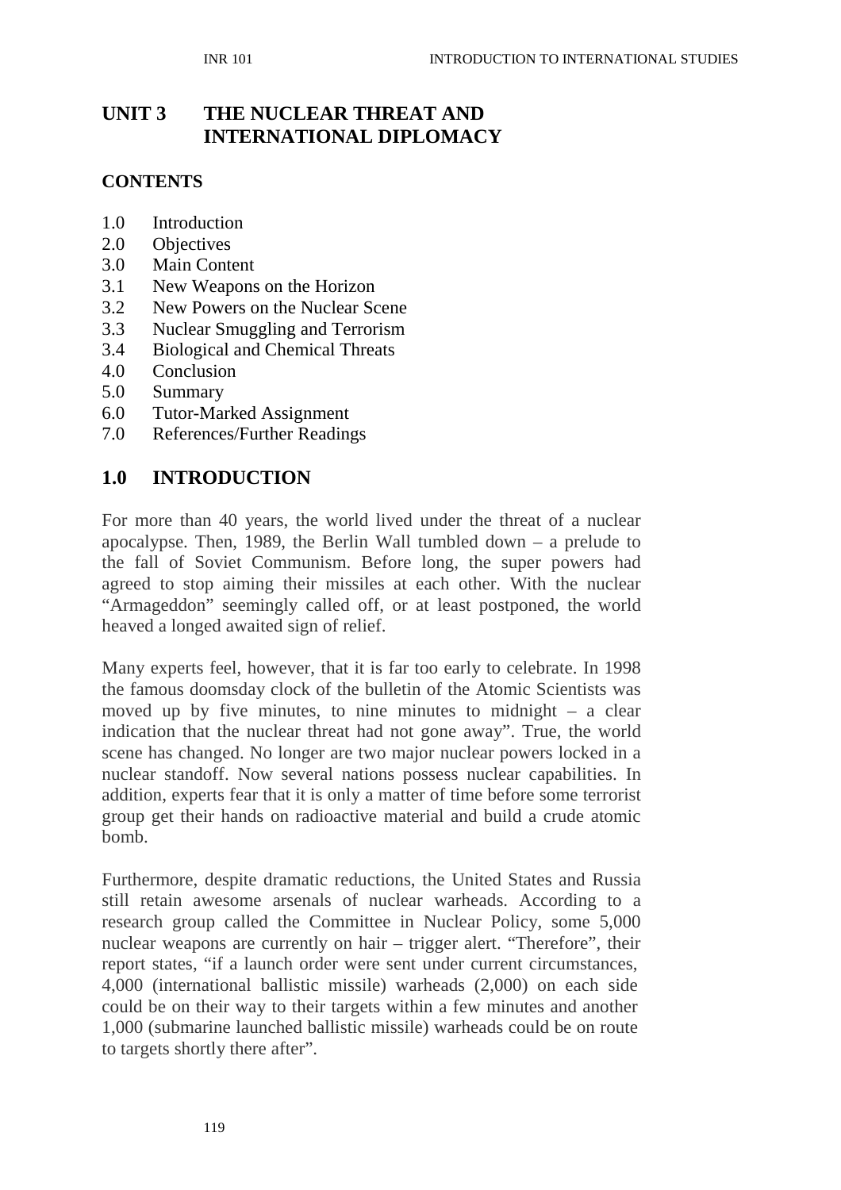# **UNIT 3 THE NUCLEAR THREAT AND INTERNATIONAL DIPLOMACY**

#### **CONTENTS**

- 1.0 Introduction
- 2.0 Objectives
- 3.0 Main Content
- 3.1 New Weapons on the Horizon
- 3.2 New Powers on the Nuclear Scene
- 3.3 Nuclear Smuggling and Terrorism
- 3.4 Biological and Chemical Threats
- 4.0 Conclusion
- 5.0 Summary
- 6.0 Tutor-Marked Assignment
- 7.0 References/Further Readings

#### **1.0 INTRODUCTION**

For more than 40 years, the world lived under the threat of a nuclear apocalypse. Then, 1989, the Berlin Wall tumbled down – a prelude to the fall of Soviet Communism. Before long, the super powers had agreed to stop aiming their missiles at each other. With the nuclear "Armageddon" seemingly called off, or at least postponed, the world heaved a longed awaited sign of relief.

Many experts feel, however, that it is far too early to celebrate. In 1998 the famous doomsday clock of the bulletin of the Atomic Scientists was moved up by five minutes, to nine minutes to midnight  $-$  a clear indication that the nuclear threat had not gone away". True, the world scene has changed. No longer are two major nuclear powers locked in a nuclear standoff. Now several nations possess nuclear capabilities. In addition, experts fear that it is only a matter of time before some terrorist group get their hands on radioactive material and build a crude atomic bomb.

Furthermore, despite dramatic reductions, the United States and Russia still retain awesome arsenals of nuclear warheads. According to a research group called the Committee in Nuclear Policy, some 5,000 nuclear weapons are currently on hair – trigger alert. "Therefore", their report states, "if a launch order were sent under current circumstances, 4,000 (international ballistic missile) warheads (2,000) on each side could be on their way to their targets within a few minutes and another 1,000 (submarine launched ballistic missile) warheads could be on route to targets shortly there after".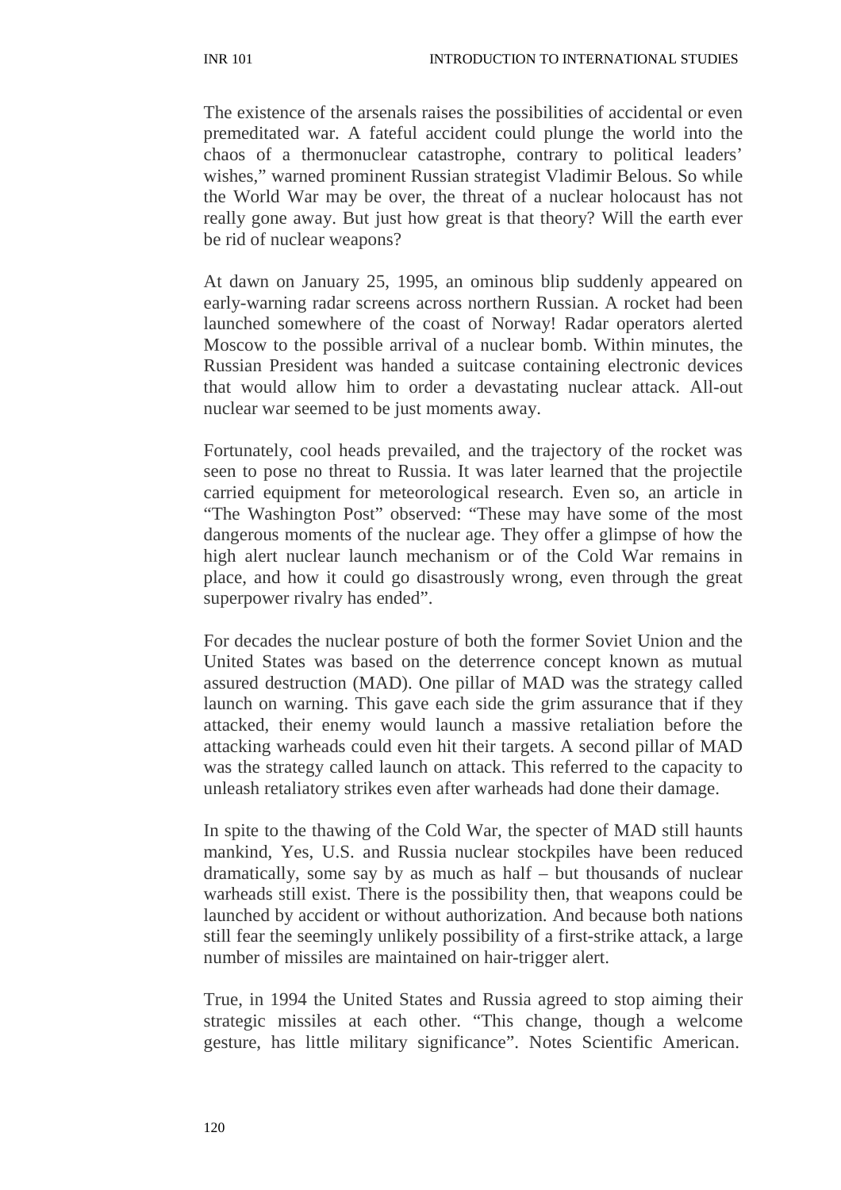The existence of the arsenals raises the possibilities of accidental or even premeditated war. A fateful accident could plunge the world into the chaos of a thermonuclear catastrophe, contrary to political leaders' wishes," warned prominent Russian strategist Vladimir Belous. So while the World War may be over, the threat of a nuclear holocaust has not really gone away. But just how great is that theory? Will the earth ever be rid of nuclear weapons?

At dawn on January 25, 1995, an ominous blip suddenly appeared on early-warning radar screens across northern Russian. A rocket had been launched somewhere of the coast of Norway! Radar operators alerted Moscow to the possible arrival of a nuclear bomb. Within minutes, the Russian President was handed a suitcase containing electronic devices that would allow him to order a devastating nuclear attack. All-out nuclear war seemed to be just moments away.

Fortunately, cool heads prevailed, and the trajectory of the rocket was seen to pose no threat to Russia. It was later learned that the projectile carried equipment for meteorological research. Even so, an article in "The Washington Post" observed: "These may have some of the most dangerous moments of the nuclear age. They offer a glimpse of how the high alert nuclear launch mechanism or of the Cold War remains in place, and how it could go disastrously wrong, even through the great superpower rivalry has ended".

For decades the nuclear posture of both the former Soviet Union and the United States was based on the deterrence concept known as mutual assured destruction (MAD). One pillar of MAD was the strategy called launch on warning. This gave each side the grim assurance that if they attacked, their enemy would launch a massive retaliation before the attacking warheads could even hit their targets. A second pillar of MAD was the strategy called launch on attack. This referred to the capacity to unleash retaliatory strikes even after warheads had done their damage.

In spite to the thawing of the Cold War, the specter of MAD still haunts mankind, Yes, U.S. and Russia nuclear stockpiles have been reduced dramatically, some say by as much as half – but thousands of nuclear warheads still exist. There is the possibility then, that weapons could be launched by accident or without authorization. And because both nations still fear the seemingly unlikely possibility of a first-strike attack, a large number of missiles are maintained on hair-trigger alert.

True, in 1994 the United States and Russia agreed to stop aiming their strategic missiles at each other. "This change, though a welcome gesture, has little military significance". Notes Scientific American.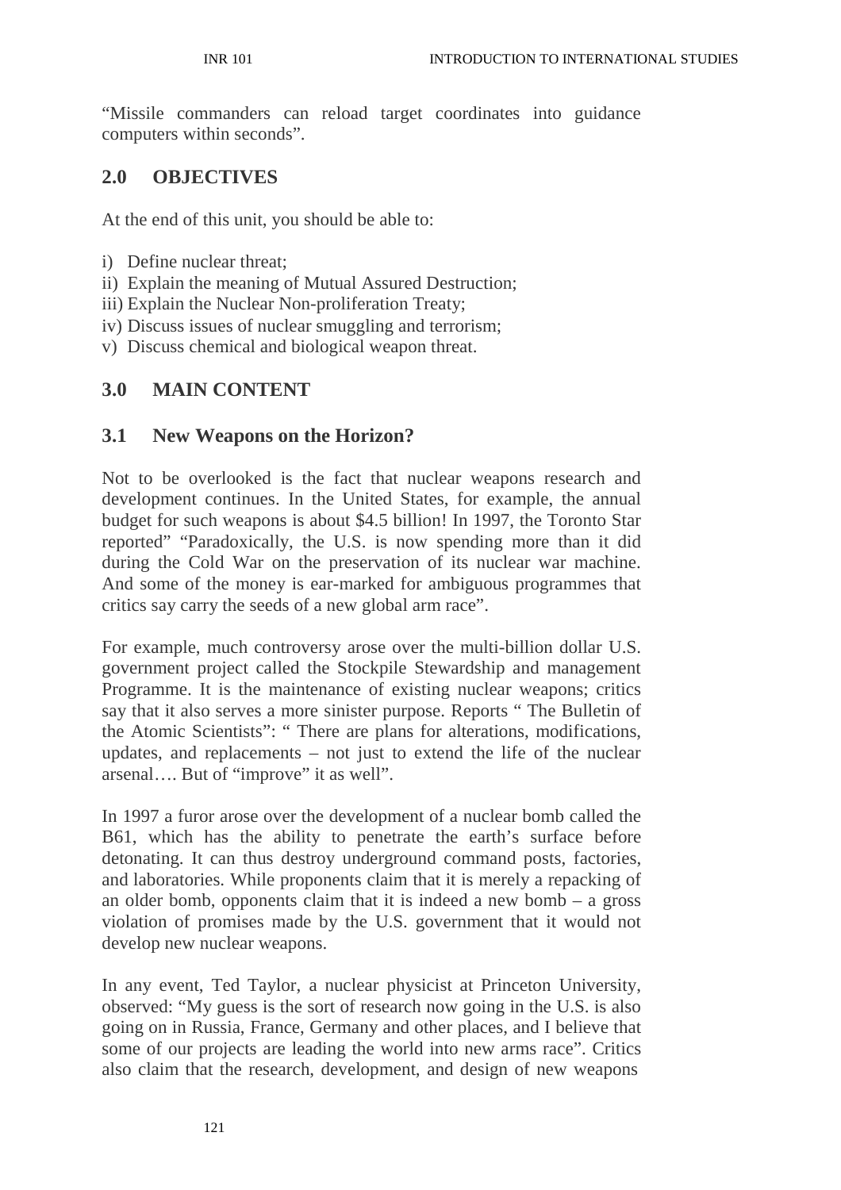"Missile commanders can reload target coordinates into guidance computers within seconds".

## **2.0 OBJECTIVES**

At the end of this unit, you should be able to:

- i) Define nuclear threat;
- ii) Explain the meaning of Mutual Assured Destruction;
- iii) Explain the Nuclear Non-proliferation Treaty;
- iv) Discuss issues of nuclear smuggling and terrorism;
- v) Discuss chemical and biological weapon threat.

#### **3.0 MAIN CONTENT**

#### **3.1 New Weapons on the Horizon?**

Not to be overlooked is the fact that nuclear weapons research and development continues. In the United States, for example, the annual budget for such weapons is about \$4.5 billion! In 1997, the Toronto Star reported" "Paradoxically, the U.S. is now spending more than it did during the Cold War on the preservation of its nuclear war machine. And some of the money is ear-marked for ambiguous programmes that critics say carry the seeds of a new global arm race".

For example, much controversy arose over the multi-billion dollar U.S. government project called the Stockpile Stewardship and management Programme. It is the maintenance of existing nuclear weapons; critics say that it also serves a more sinister purpose. Reports " The Bulletin of the Atomic Scientists": " There are plans for alterations, modifications, updates, and replacements – not just to extend the life of the nuclear arsenal…. But of "improve" it as well".

In 1997 a furor arose over the development of a nuclear bomb called the B61, which has the ability to penetrate the earth's surface before detonating. It can thus destroy underground command posts, factories, and laboratories. While proponents claim that it is merely a repacking of an older bomb, opponents claim that it is indeed a new bomb – a gross violation of promises made by the U.S. government that it would not develop new nuclear weapons.

In any event, Ted Taylor, a nuclear physicist at Princeton University, observed: "My guess is the sort of research now going in the U.S. is also going on in Russia, France, Germany and other places, and I believe that some of our projects are leading the world into new arms race". Critics also claim that the research, development, and design of new weapons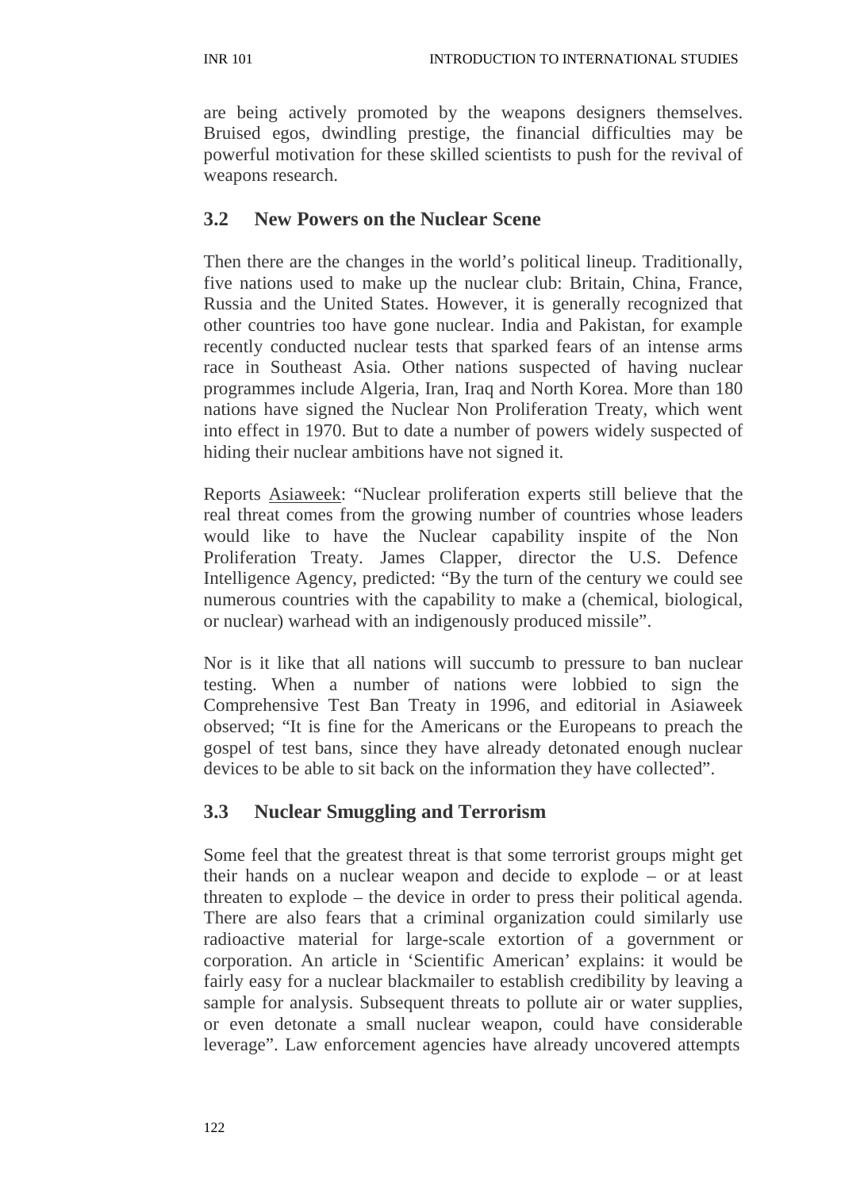are being actively promoted by the weapons designers themselves. Bruised egos, dwindling prestige, the financial difficulties may be powerful motivation for these skilled scientists to push for the revival of weapons research.

## **3.2 New Powers on the Nuclear Scene**

Then there are the changes in the world's political lineup. Traditionally, five nations used to make up the nuclear club: Britain, China, France, Russia and the United States. However, it is generally recognized that other countries too have gone nuclear. India and Pakistan, for example recently conducted nuclear tests that sparked fears of an intense arms race in Southeast Asia. Other nations suspected of having nuclear programmes include Algeria, Iran, Iraq and North Korea. More than 180 nations have signed the Nuclear Non Proliferation Treaty, which went into effect in 1970. But to date a number of powers widely suspected of hiding their nuclear ambitions have not signed it.

Reports Asiaweek: "Nuclear proliferation experts still believe that the real threat comes from the growing number of countries whose leaders would like to have the Nuclear capability inspite of the Non Proliferation Treaty. James Clapper, director the U.S. Defence Intelligence Agency, predicted: "By the turn of the century we could see numerous countries with the capability to make a (chemical, biological, or nuclear) warhead with an indigenously produced missile".

Nor is it like that all nations will succumb to pressure to ban nuclear testing. When a number of nations were lobbied to sign the Comprehensive Test Ban Treaty in 1996, and editorial in Asiaweek observed; "It is fine for the Americans or the Europeans to preach the gospel of test bans, since they have already detonated enough nuclear devices to be able to sit back on the information they have collected".

# **3.3 Nuclear Smuggling and Terrorism**

Some feel that the greatest threat is that some terrorist groups might get their hands on a nuclear weapon and decide to explode – or at least threaten to explode – the device in order to press their political agenda. There are also fears that a criminal organization could similarly use radioactive material for large-scale extortion of a government or corporation. An article in 'Scientific American' explains: it would be fairly easy for a nuclear blackmailer to establish credibility by leaving a sample for analysis. Subsequent threats to pollute air or water supplies, or even detonate a small nuclear weapon, could have considerable leverage". Law enforcement agencies have already uncovered attempts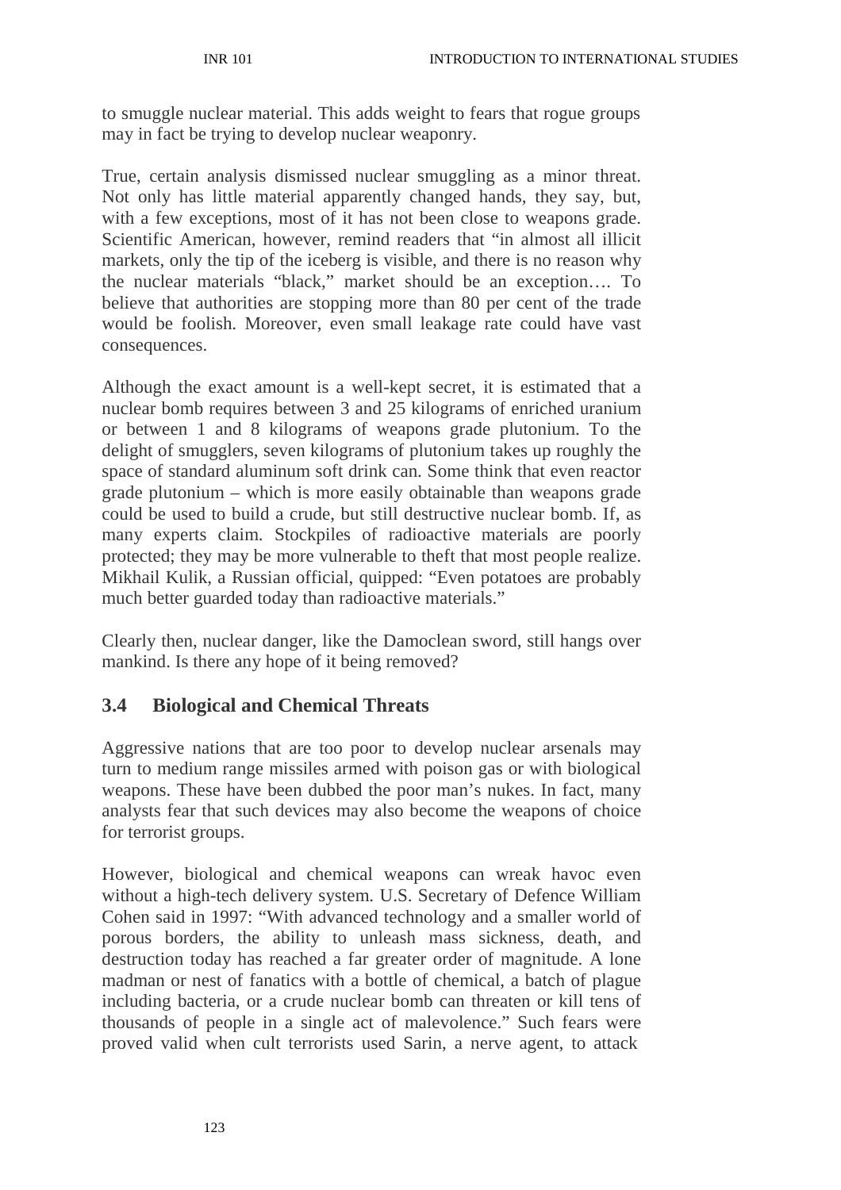to smuggle nuclear material. This adds weight to fears that rogue groups may in fact be trying to develop nuclear weaponry.

True, certain analysis dismissed nuclear smuggling as a minor threat. Not only has little material apparently changed hands, they say, but, with a few exceptions, most of it has not been close to weapons grade. Scientific American, however, remind readers that "in almost all illicit markets, only the tip of the iceberg is visible, and there is no reason why the nuclear materials "black," market should be an exception…. To believe that authorities are stopping more than 80 per cent of the trade would be foolish. Moreover, even small leakage rate could have vast consequences.

Although the exact amount is a well-kept secret, it is estimated that a nuclear bomb requires between 3 and 25 kilograms of enriched uranium or between 1 and 8 kilograms of weapons grade plutonium. To the delight of smugglers, seven kilograms of plutonium takes up roughly the space of standard aluminum soft drink can. Some think that even reactor grade plutonium – which is more easily obtainable than weapons grade could be used to build a crude, but still destructive nuclear bomb. If, as many experts claim. Stockpiles of radioactive materials are poorly protected; they may be more vulnerable to theft that most people realize. Mikhail Kulik, a Russian official, quipped: "Even potatoes are probably much better guarded today than radioactive materials."

Clearly then, nuclear danger, like the Damoclean sword, still hangs over mankind. Is there any hope of it being removed?

# **3.4 Biological and Chemical Threats**

Aggressive nations that are too poor to develop nuclear arsenals may turn to medium range missiles armed with poison gas or with biological weapons. These have been dubbed the poor man's nukes. In fact, many analysts fear that such devices may also become the weapons of choice for terrorist groups.

However, biological and chemical weapons can wreak havoc even without a high-tech delivery system. U.S. Secretary of Defence William Cohen said in 1997: "With advanced technology and a smaller world of porous borders, the ability to unleash mass sickness, death, and destruction today has reached a far greater order of magnitude. A lone madman or nest of fanatics with a bottle of chemical, a batch of plague including bacteria, or a crude nuclear bomb can threaten or kill tens of thousands of people in a single act of malevolence." Such fears were proved valid when cult terrorists used Sarin, a nerve agent, to attack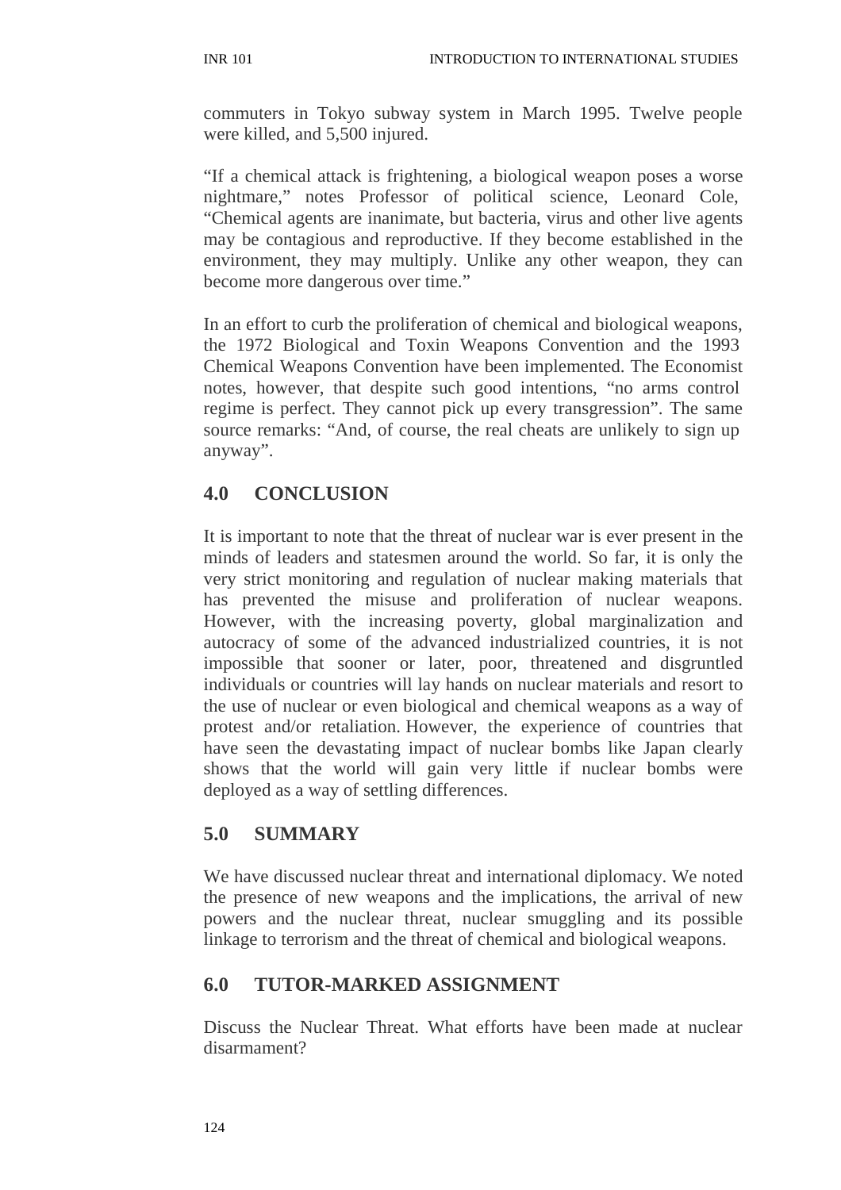commuters in Tokyo subway system in March 1995. Twelve people were killed, and 5,500 injured.

"If a chemical attack is frightening, a biological weapon poses a worse nightmare," notes Professor of political science, Leonard Cole, "Chemical agents are inanimate, but bacteria, virus and other live agents may be contagious and reproductive. If they become established in the environment, they may multiply. Unlike any other weapon, they can become more dangerous over time."

In an effort to curb the proliferation of chemical and biological weapons, the 1972 Biological and Toxin Weapons Convention and the 1993 Chemical Weapons Convention have been implemented. The Economist notes, however, that despite such good intentions, "no arms control regime is perfect. They cannot pick up every transgression". The same source remarks: "And, of course, the real cheats are unlikely to sign up anyway".

# **4.0 CONCLUSION**

It is important to note that the threat of nuclear war is ever present in the minds of leaders and statesmen around the world. So far, it is only the very strict monitoring and regulation of nuclear making materials that has prevented the misuse and proliferation of nuclear weapons. However, with the increasing poverty, global marginalization and autocracy of some of the advanced industrialized countries, it is not impossible that sooner or later, poor, threatened and disgruntled individuals or countries will lay hands on nuclear materials and resort to the use of nuclear or even biological and chemical weapons as a way of protest and/or retaliation. However, the experience of countries that have seen the devastating impact of nuclear bombs like Japan clearly shows that the world will gain very little if nuclear bombs were deployed as a way of settling differences.

# **5.0 SUMMARY**

We have discussed nuclear threat and international diplomacy. We noted the presence of new weapons and the implications, the arrival of new powers and the nuclear threat, nuclear smuggling and its possible linkage to terrorism and the threat of chemical and biological weapons.

# **6.0 TUTOR-MARKED ASSIGNMENT**

Discuss the Nuclear Threat. What efforts have been made at nuclear disarmament?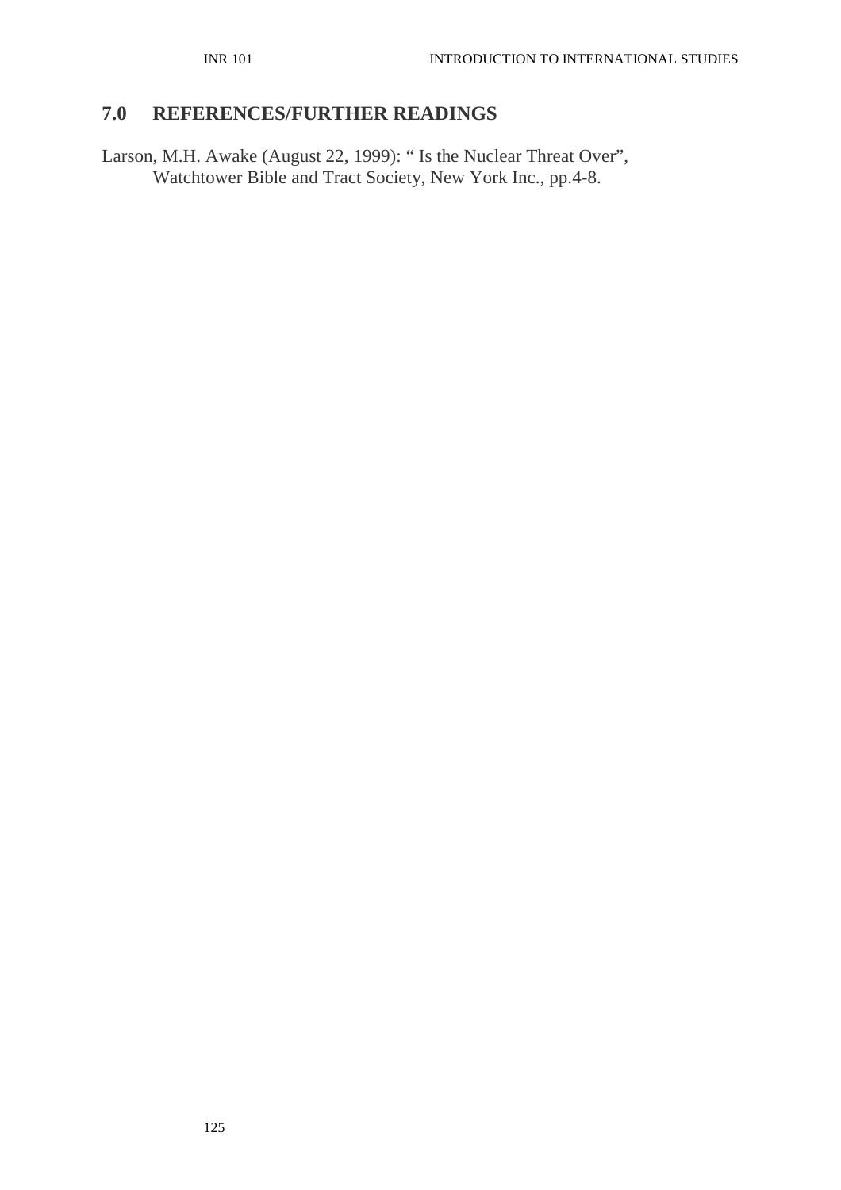## **7.0 REFERENCES/FURTHER READINGS**

Larson, M.H. Awake (August 22, 1999): " Is the Nuclear Threat Over", Watchtower Bible and Tract Society, New York Inc., pp.4-8.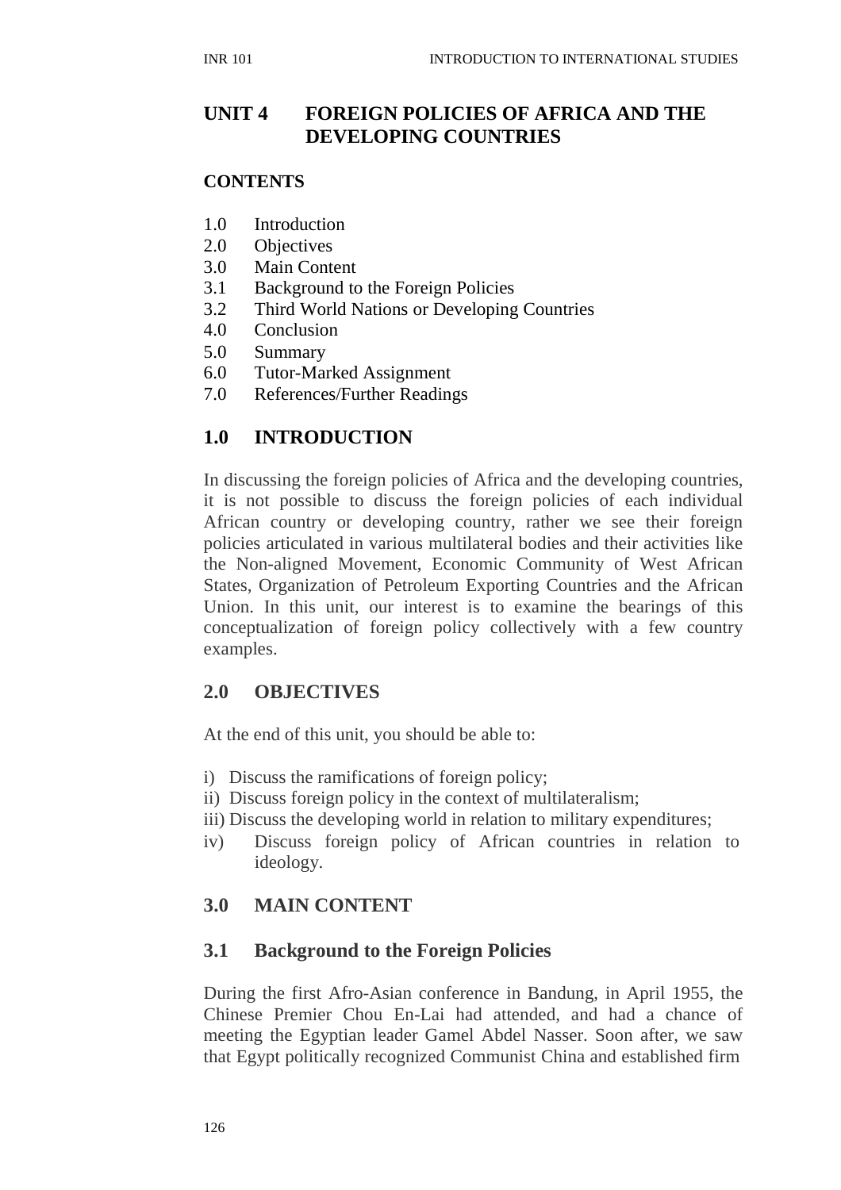## **UNIT 4 FOREIGN POLICIES OF AFRICA AND THE DEVELOPING COUNTRIES**

#### **CONTENTS**

- 1.0 Introduction
- 2.0 Objectives
- 3.0 Main Content
- 3.1 Background to the Foreign Policies
- 3.2 Third World Nations or Developing Countries
- 4.0 Conclusion
- 5.0 Summary
- 6.0 Tutor-Marked Assignment
- 7.0 References/Further Readings

## **1.0 INTRODUCTION**

In discussing the foreign policies of Africa and the developing countries, it is not possible to discuss the foreign policies of each individual African country or developing country, rather we see their foreign policies articulated in various multilateral bodies and their activities like the Non-aligned Movement, Economic Community of West African States, Organization of Petroleum Exporting Countries and the African Union. In this unit, our interest is to examine the bearings of this conceptualization of foreign policy collectively with a few country examples.

## **2.0 OBJECTIVES**

At the end of this unit, you should be able to:

- i) Discuss the ramifications of foreign policy;
- ii) Discuss foreign policy in the context of multilateralism;
- iii) Discuss the developing world in relation to military expenditures;
- iv) Discuss foreign policy of African countries in relation to ideology.

## **3.0 MAIN CONTENT**

#### **3.1 Background to the Foreign Policies**

During the first Afro-Asian conference in Bandung, in April 1955, the Chinese Premier Chou En-Lai had attended, and had a chance of meeting the Egyptian leader Gamel Abdel Nasser. Soon after, we saw that Egypt politically recognized Communist China and established firm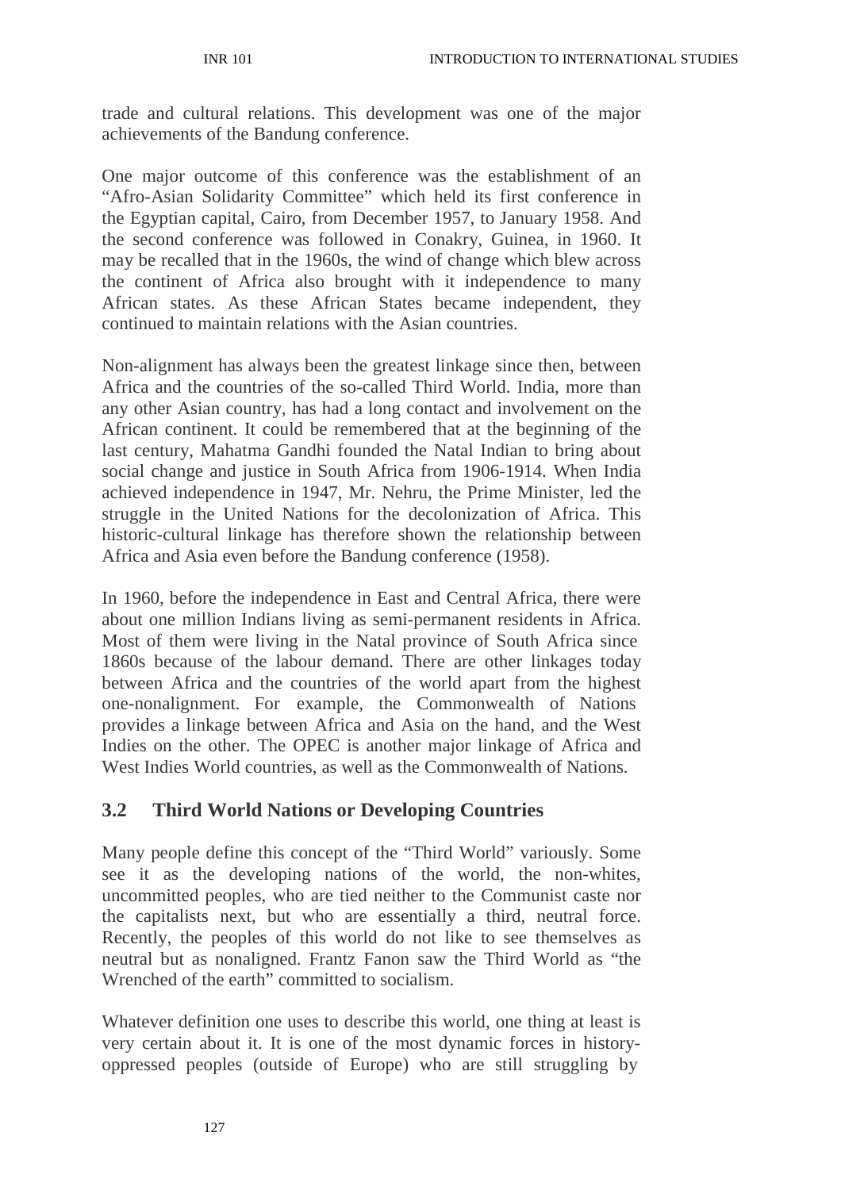trade and cultural relations. This development was one of the major achievements of the Bandung conference.

One major outcome of this conference was the establishment of an "Afro-Asian Solidarity Committee" which held its first conference in the Egyptian capital, Cairo, from December 1957, to January 1958. And the second conference was followed in Conakry, Guinea, in 1960. It may be recalled that in the 1960s, the wind of change which blew across the continent of Africa also brought with it independence to many African states. As these African States became independent, they continued to maintain relations with the Asian countries.

Non-alignment has always been the greatest linkage since then, between Africa and the countries of the so-called Third World. India, more than any other Asian country, has had a long contact and involvement on the African continent. It could be remembered that at the beginning of the last century, Mahatma Gandhi founded the Natal Indian to bring about social change and justice in South Africa from 1906-1914. When India achieved independence in 1947, Mr. Nehru, the Prime Minister, led the struggle in the United Nations for the decolonization of Africa. This historic-cultural linkage has therefore shown the relationship between Africa and Asia even before the Bandung conference (1958).

In 1960, before the independence in East and Central Africa, there were about one million Indians living as semi-permanent residents in Africa. Most of them were living in the Natal province of South Africa since 1860s because of the labour demand. There are other linkages today between Africa and the countries of the world apart from the highest one-nonalignment. For example, the Commonwealth of Nations provides a linkage between Africa and Asia on the hand, and the West Indies on the other. The OPEC is another major linkage of Africa and West Indies World countries, as well as the Commonwealth of Nations.

## **3.2 Third World Nations or Developing Countries**

Many people define this concept of the "Third World" variously. Some see it as the developing nations of the world, the non-whites, uncommitted peoples, who are tied neither to the Communist caste nor the capitalists next, but who are essentially a third, neutral force. Recently, the peoples of this world do not like to see themselves as neutral but as nonaligned. Frantz Fanon saw the Third World as "the Wrenched of the earth" committed to socialism.

Whatever definition one uses to describe this world, one thing at least is very certain about it. It is one of the most dynamic forces in historyoppressed peoples (outside of Europe) who are still struggling by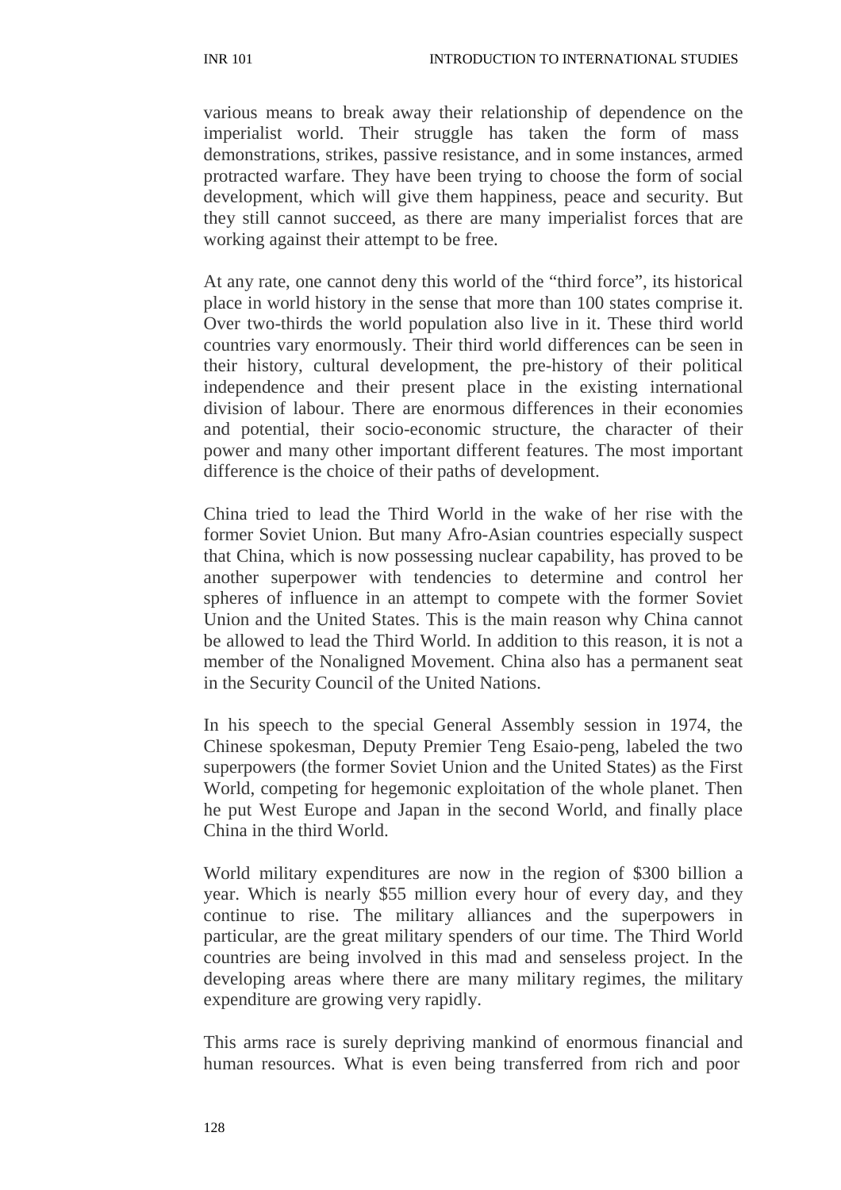various means to break away their relationship of dependence on the imperialist world. Their struggle has taken the form of mass demonstrations, strikes, passive resistance, and in some instances, armed protracted warfare. They have been trying to choose the form of social development, which will give them happiness, peace and security. But they still cannot succeed, as there are many imperialist forces that are working against their attempt to be free.

At any rate, one cannot deny this world of the "third force", its historical place in world history in the sense that more than 100 states comprise it. Over two-thirds the world population also live in it. These third world countries vary enormously. Their third world differences can be seen in their history, cultural development, the pre-history of their political independence and their present place in the existing international division of labour. There are enormous differences in their economies and potential, their socio-economic structure, the character of their power and many other important different features. The most important difference is the choice of their paths of development.

China tried to lead the Third World in the wake of her rise with the former Soviet Union. But many Afro-Asian countries especially suspect that China, which is now possessing nuclear capability, has proved to be another superpower with tendencies to determine and control her spheres of influence in an attempt to compete with the former Soviet Union and the United States. This is the main reason why China cannot be allowed to lead the Third World. In addition to this reason, it is not a member of the Nonaligned Movement. China also has a permanent seat in the Security Council of the United Nations.

In his speech to the special General Assembly session in 1974, the Chinese spokesman, Deputy Premier Teng Esaio-peng, labeled the two superpowers (the former Soviet Union and the United States) as the First World, competing for hegemonic exploitation of the whole planet. Then he put West Europe and Japan in the second World, and finally place China in the third World.

World military expenditures are now in the region of \$300 billion a year. Which is nearly \$55 million every hour of every day, and they continue to rise. The military alliances and the superpowers in particular, are the great military spenders of our time. The Third World countries are being involved in this mad and senseless project. In the developing areas where there are many military regimes, the military expenditure are growing very rapidly.

This arms race is surely depriving mankind of enormous financial and human resources. What is even being transferred from rich and poor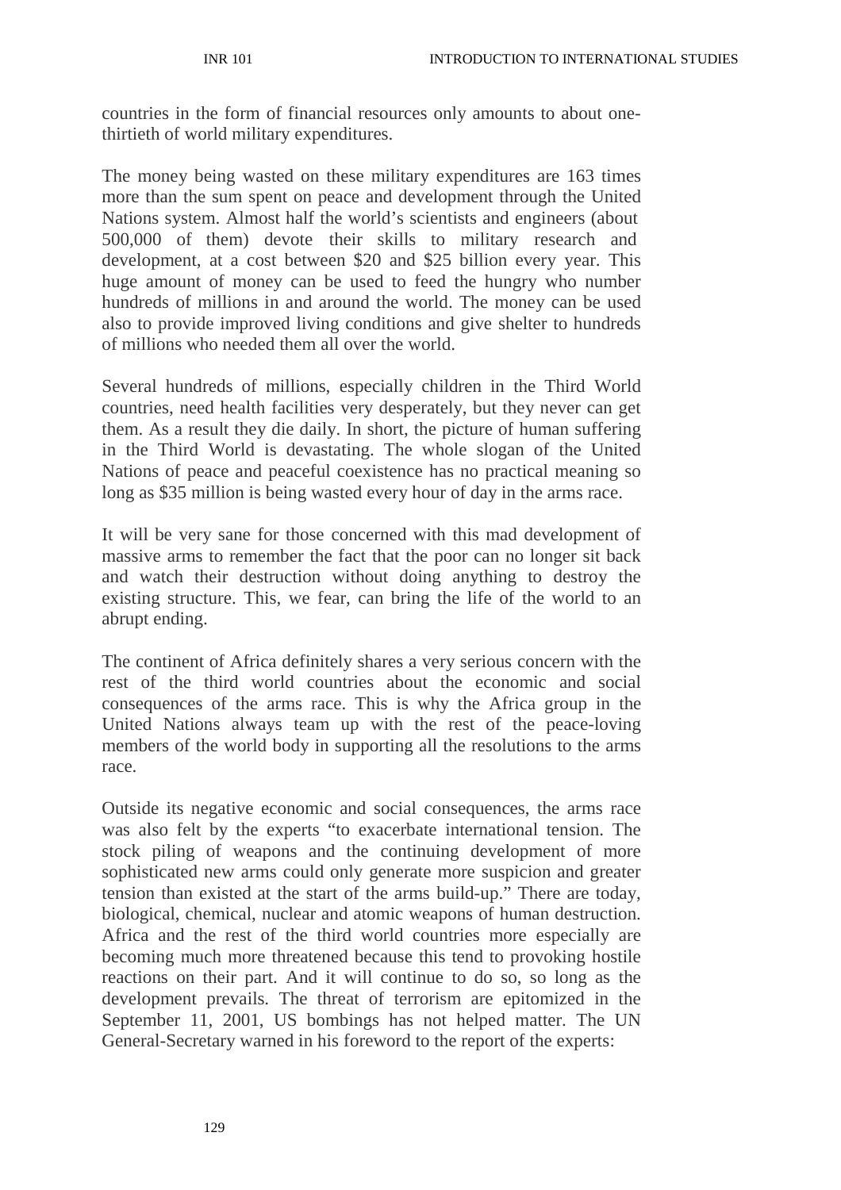countries in the form of financial resources only amounts to about onethirtieth of world military expenditures.

The money being wasted on these military expenditures are 163 times more than the sum spent on peace and development through the United Nations system. Almost half the world's scientists and engineers (about 500,000 of them) devote their skills to military research and development, at a cost between \$20 and \$25 billion every year. This huge amount of money can be used to feed the hungry who number hundreds of millions in and around the world. The money can be used also to provide improved living conditions and give shelter to hundreds of millions who needed them all over the world.

Several hundreds of millions, especially children in the Third World countries, need health facilities very desperately, but they never can get them. As a result they die daily. In short, the picture of human suffering in the Third World is devastating. The whole slogan of the United Nations of peace and peaceful coexistence has no practical meaning so long as \$35 million is being wasted every hour of day in the arms race.

It will be very sane for those concerned with this mad development of massive arms to remember the fact that the poor can no longer sit back and watch their destruction without doing anything to destroy the existing structure. This, we fear, can bring the life of the world to an abrupt ending.

The continent of Africa definitely shares a very serious concern with the rest of the third world countries about the economic and social consequences of the arms race. This is why the Africa group in the United Nations always team up with the rest of the peace-loving members of the world body in supporting all the resolutions to the arms race.

Outside its negative economic and social consequences, the arms race was also felt by the experts "to exacerbate international tension. The stock piling of weapons and the continuing development of more sophisticated new arms could only generate more suspicion and greater tension than existed at the start of the arms build-up." There are today, biological, chemical, nuclear and atomic weapons of human destruction. Africa and the rest of the third world countries more especially are becoming much more threatened because this tend to provoking hostile reactions on their part. And it will continue to do so, so long as the development prevails. The threat of terrorism are epitomized in the September 11, 2001, US bombings has not helped matter. The UN General-Secretary warned in his foreword to the report of the experts: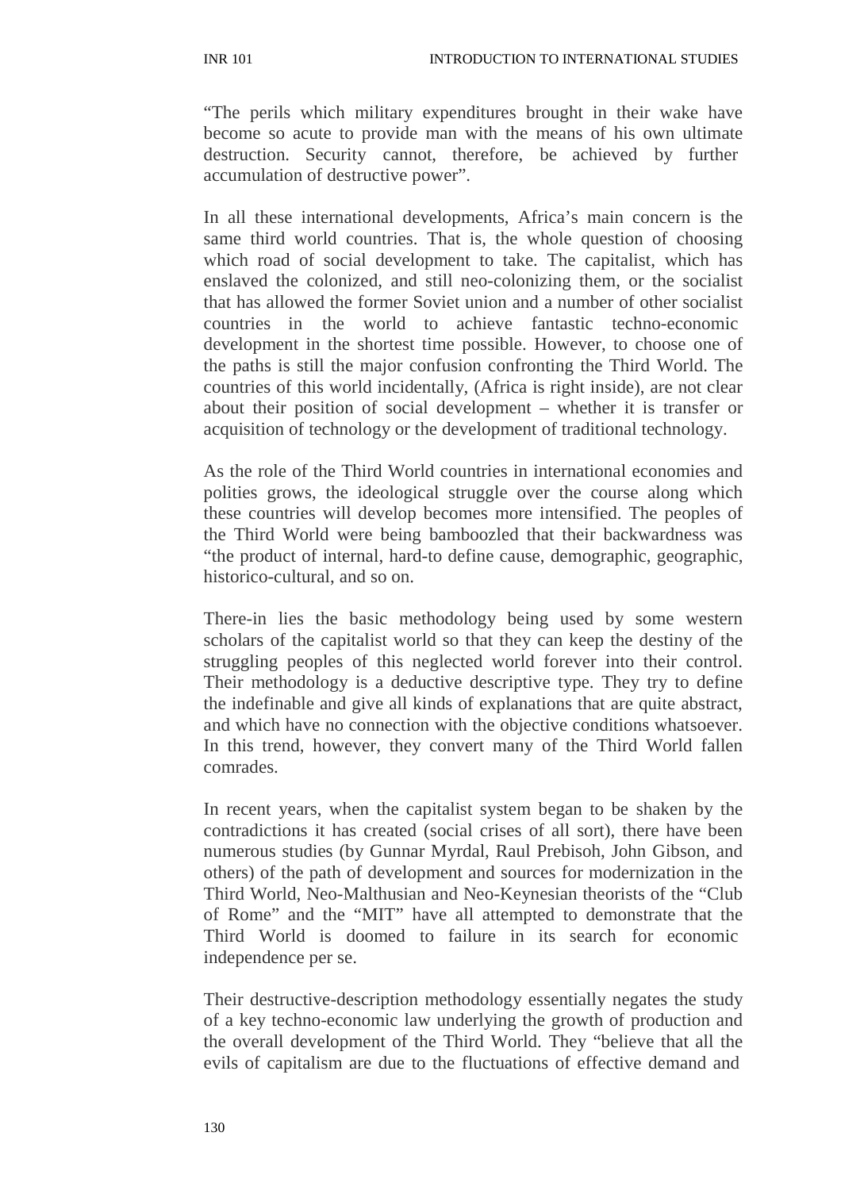"The perils which military expenditures brought in their wake have become so acute to provide man with the means of his own ultimate destruction. Security cannot, therefore, be achieved by further accumulation of destructive power".

In all these international developments, Africa's main concern is the same third world countries. That is, the whole question of choosing which road of social development to take. The capitalist, which has enslaved the colonized, and still neo-colonizing them, or the socialist that has allowed the former Soviet union and a number of other socialist countries in the world to achieve fantastic techno-economic development in the shortest time possible. However, to choose one of the paths is still the major confusion confronting the Third World. The countries of this world incidentally, (Africa is right inside), are not clear about their position of social development – whether it is transfer or acquisition of technology or the development of traditional technology.

As the role of the Third World countries in international economies and polities grows, the ideological struggle over the course along which these countries will develop becomes more intensified. The peoples of the Third World were being bamboozled that their backwardness was "the product of internal, hard-to define cause, demographic, geographic, historico-cultural, and so on.

There-in lies the basic methodology being used by some western scholars of the capitalist world so that they can keep the destiny of the struggling peoples of this neglected world forever into their control. Their methodology is a deductive descriptive type. They try to define the indefinable and give all kinds of explanations that are quite abstract, and which have no connection with the objective conditions whatsoever. In this trend, however, they convert many of the Third World fallen comrades.

In recent years, when the capitalist system began to be shaken by the contradictions it has created (social crises of all sort), there have been numerous studies (by Gunnar Myrdal, Raul Prebisoh, John Gibson, and others) of the path of development and sources for modernization in the Third World, Neo-Malthusian and Neo-Keynesian theorists of the "Club of Rome" and the "MIT" have all attempted to demonstrate that the Third World is doomed to failure in its search for economic independence per se.

Their destructive-description methodology essentially negates the study of a key techno-economic law underlying the growth of production and the overall development of the Third World. They "believe that all the evils of capitalism are due to the fluctuations of effective demand and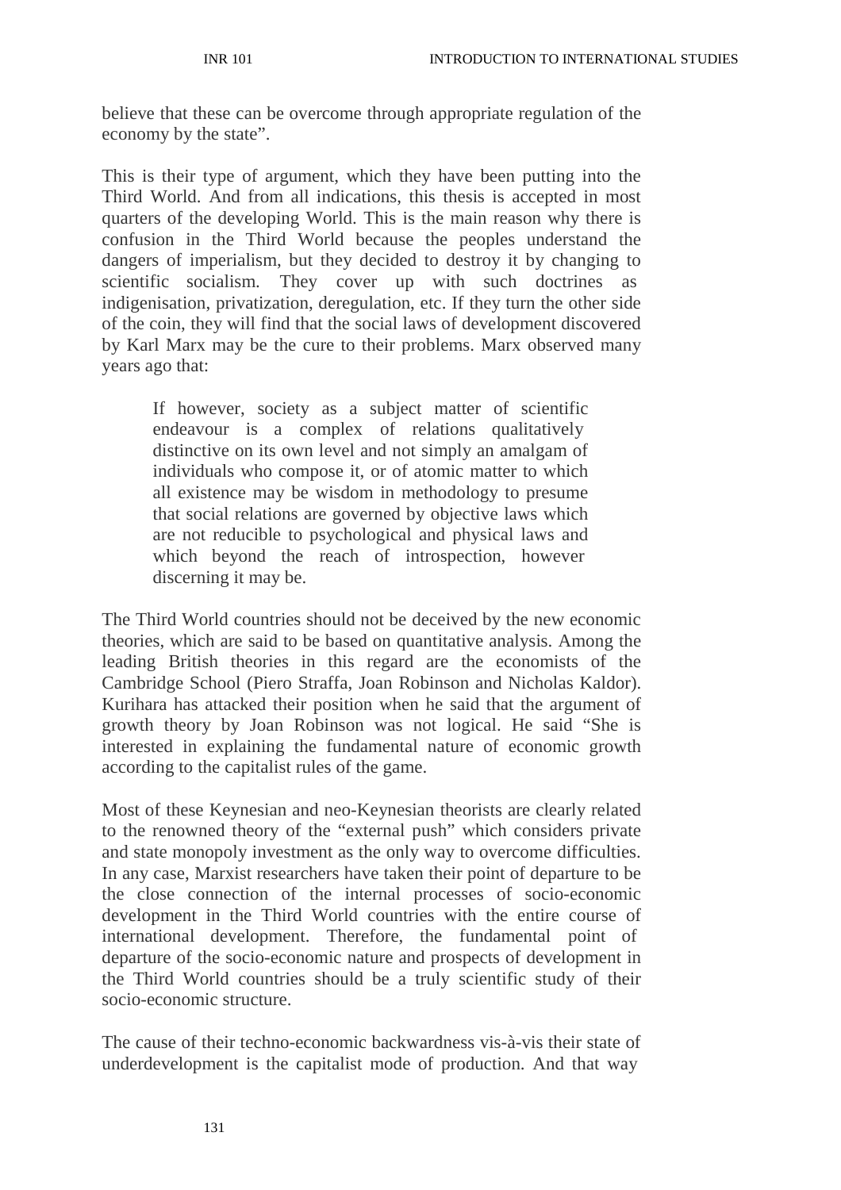believe that these can be overcome through appropriate regulation of the economy by the state".

This is their type of argument, which they have been putting into the Third World. And from all indications, this thesis is accepted in most quarters of the developing World. This is the main reason why there is confusion in the Third World because the peoples understand the dangers of imperialism, but they decided to destroy it by changing to scientific socialism. They cover up with such doctrines as indigenisation, privatization, deregulation, etc. If they turn the other side of the coin, they will find that the social laws of development discovered by Karl Marx may be the cure to their problems. Marx observed many years ago that:

If however, society as a subject matter of scientific endeavour is a complex of relations qualitatively distinctive on its own level and not simply an amalgam of individuals who compose it, or of atomic matter to which all existence may be wisdom in methodology to presume that social relations are governed by objective laws which are not reducible to psychological and physical laws and which beyond the reach of introspection, however discerning it may be.

The Third World countries should not be deceived by the new economic theories, which are said to be based on quantitative analysis. Among the leading British theories in this regard are the economists of the Cambridge School (Piero Straffa, Joan Robinson and Nicholas Kaldor). Kurihara has attacked their position when he said that the argument of growth theory by Joan Robinson was not logical. He said "She is interested in explaining the fundamental nature of economic growth according to the capitalist rules of the game.

Most of these Keynesian and neo-Keynesian theorists are clearly related to the renowned theory of the "external push" which considers private and state monopoly investment as the only way to overcome difficulties. In any case, Marxist researchers have taken their point of departure to be the close connection of the internal processes of socio-economic development in the Third World countries with the entire course of international development. Therefore, the fundamental point of departure of the socio-economic nature and prospects of development in the Third World countries should be a truly scientific study of their socio-economic structure.

The cause of their techno-economic backwardness vis-à-vis their state of underdevelopment is the capitalist mode of production. And that way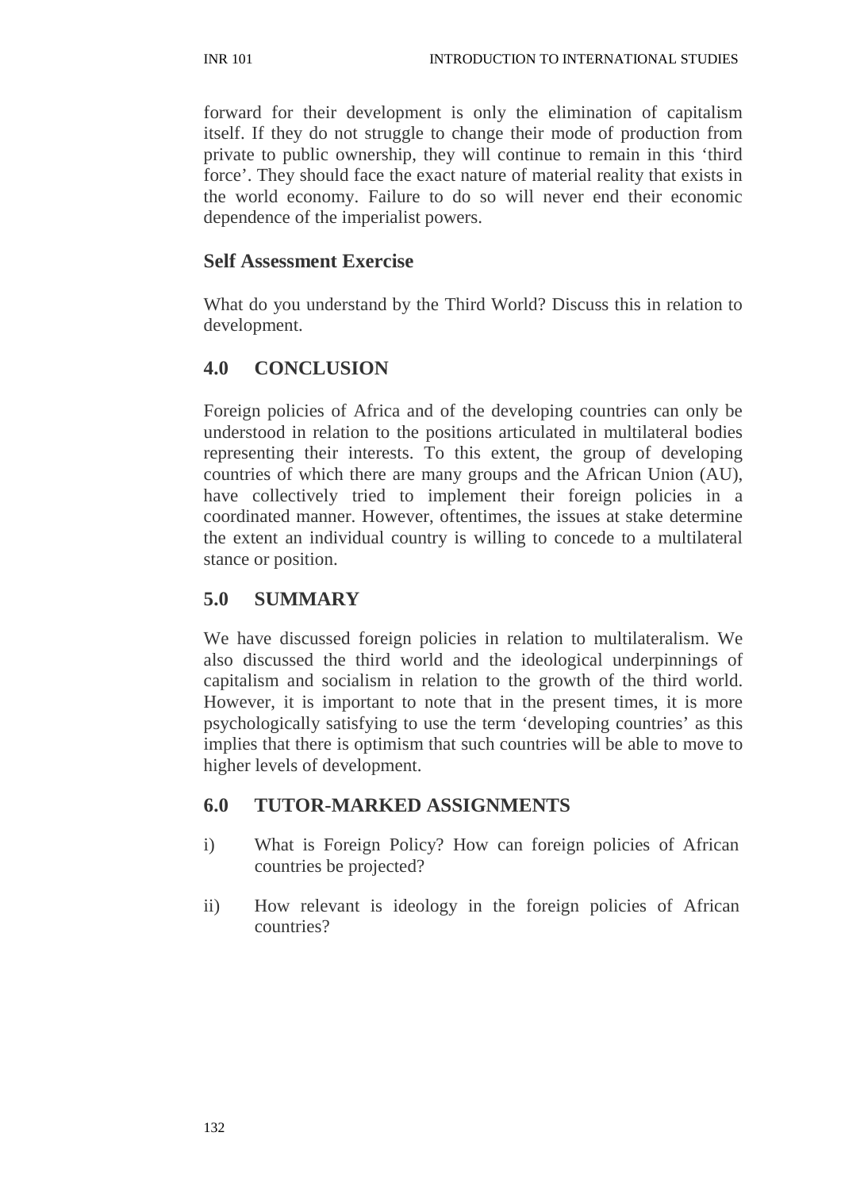forward for their development is only the elimination of capitalism itself. If they do not struggle to change their mode of production from private to public ownership, they will continue to remain in this 'third force'. They should face the exact nature of material reality that exists in the world economy. Failure to do so will never end their economic dependence of the imperialist powers.

#### **Self Assessment Exercise**

What do you understand by the Third World? Discuss this in relation to development.

# **4.0 CONCLUSION**

Foreign policies of Africa and of the developing countries can only be understood in relation to the positions articulated in multilateral bodies representing their interests. To this extent, the group of developing countries of which there are many groups and the African Union (AU), have collectively tried to implement their foreign policies in a coordinated manner. However, oftentimes, the issues at stake determine the extent an individual country is willing to concede to a multilateral stance or position.

## **5.0 SUMMARY**

We have discussed foreign policies in relation to multilateralism. We also discussed the third world and the ideological underpinnings of capitalism and socialism in relation to the growth of the third world. However, it is important to note that in the present times, it is more psychologically satisfying to use the term 'developing countries' as this implies that there is optimism that such countries will be able to move to higher levels of development.

## **6.0 TUTOR-MARKED ASSIGNMENTS**

- i) What is Foreign Policy? How can foreign policies of African countries be projected?
- ii) How relevant is ideology in the foreign policies of African countries?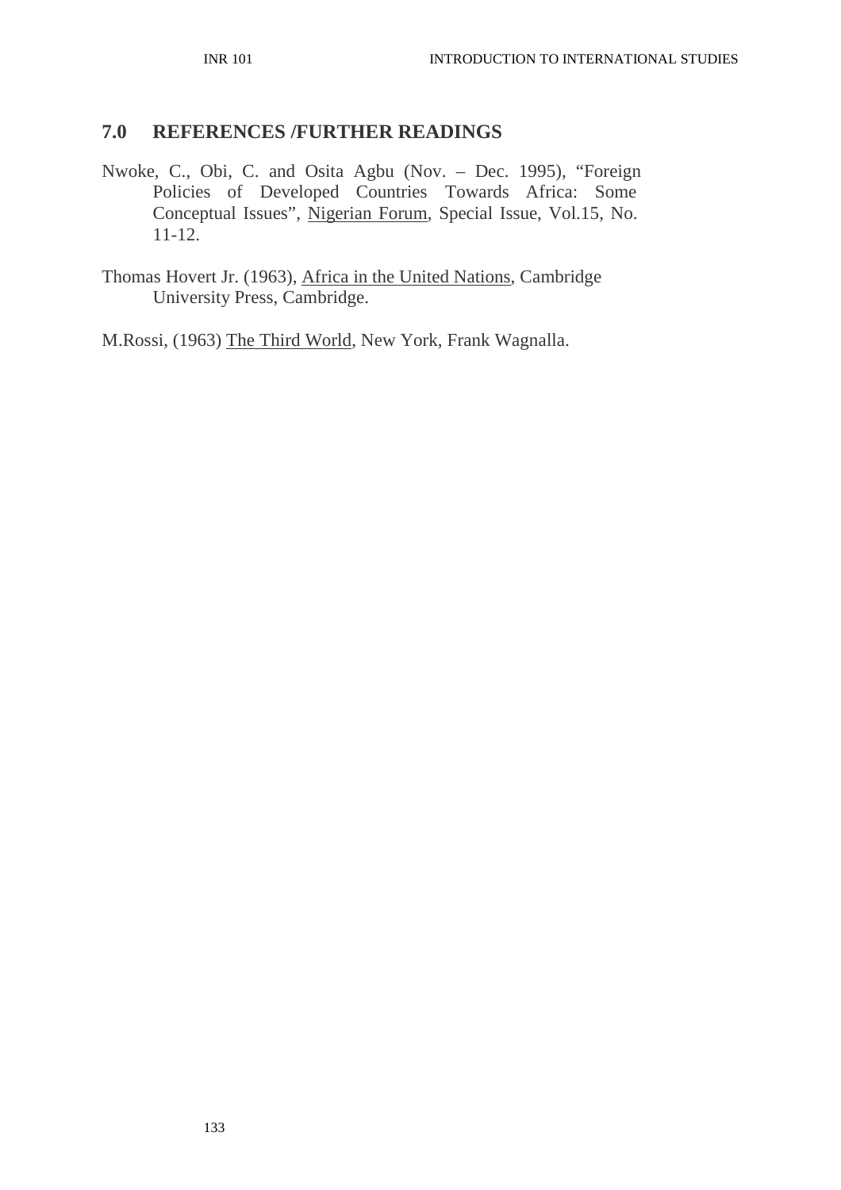#### **7.0 REFERENCES /FURTHER READINGS**

- Nwoke, C., Obi, C. and Osita Agbu (Nov. Dec. 1995), "Foreign Policies of Developed Countries Towards Africa: Some Conceptual Issues", Nigerian Forum, Special Issue, Vol.15, No. 11-12.
- Thomas Hovert Jr. (1963), Africa in the United Nations, Cambridge University Press, Cambridge.

M.Rossi, (1963) The Third World, New York, Frank Wagnalla.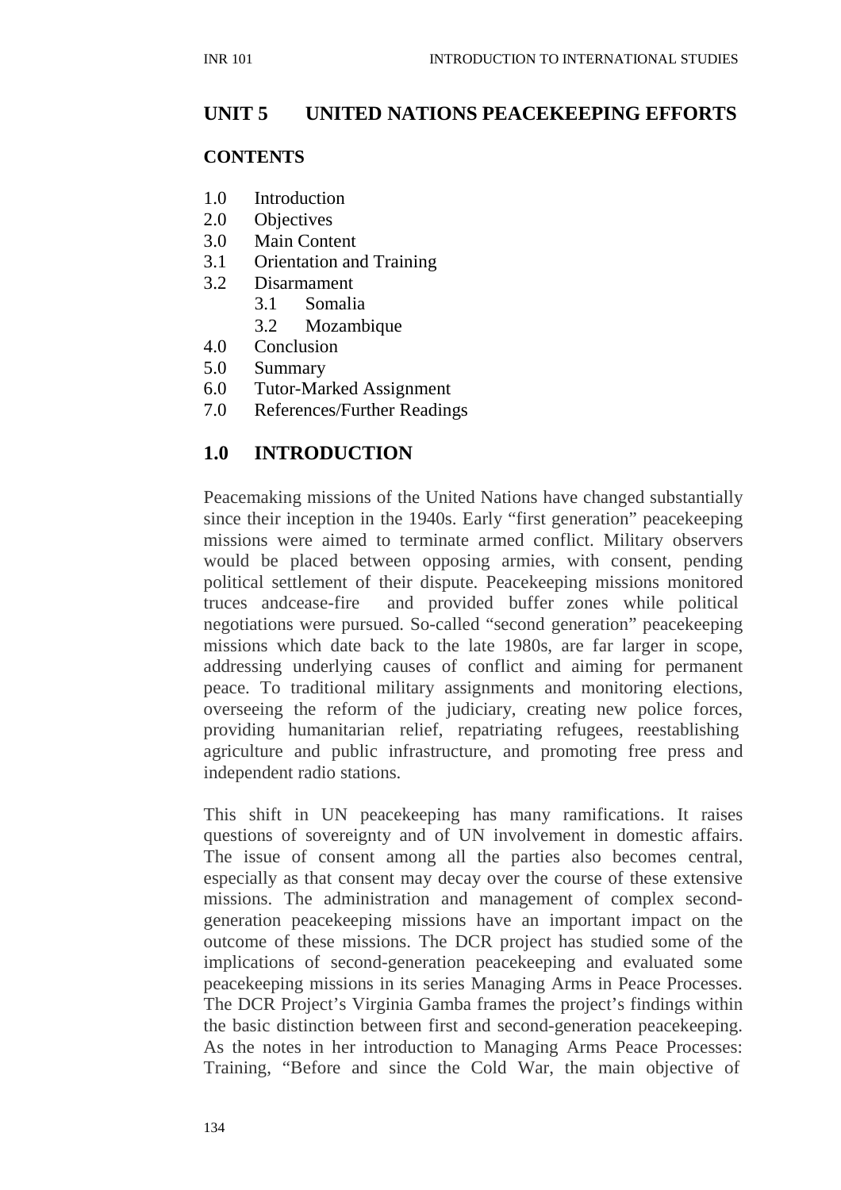#### **UNIT 5 UNITED NATIONS PEACEKEEPING EFFORTS**

#### **CONTENTS**

- 1.0 Introduction
- 2.0 Objectives
- 3.0 Main Content
- 3.1 Orientation and Training
- 3.2 Disarmament
	- 3.1 Somalia
	- 3.2 Mozambique
- 4.0 Conclusion
- 5.0 Summary
- 6.0 Tutor-Marked Assignment
- 7.0 References/Further Readings

#### **1.0 INTRODUCTION**

Peacemaking missions of the United Nations have changed substantially since their inception in the 1940s. Early "first generation" peacekeeping missions were aimed to terminate armed conflict. Military observers would be placed between opposing armies, with consent, pending political settlement of their dispute. Peacekeeping missions monitored truces and cease-fire and provided buffer zones while political negotiations were pursued. So-called "second generation" peacekeeping missions which date back to the late 1980s, are far larger in scope, addressing underlying causes of conflict and aiming for permanent peace. To traditional military assignments and monitoring elections, overseeing the reform of the judiciary, creating new police forces, providing humanitarian relief, repatriating refugees, reestablishing agriculture and public infrastructure, and promoting free press and independent radio stations.

This shift in UN peacekeeping has many ramifications. It raises questions of sovereignty and of UN involvement in domestic affairs. The issue of consent among all the parties also becomes central, especially as that consent may decay over the course of these extensive missions. The administration and management of complex secondgeneration peacekeeping missions have an important impact on the outcome of these missions. The DCR project has studied some of the implications of second-generation peacekeeping and evaluated some peacekeeping missions in its series Managing Arms in Peace Processes. The DCR Project's Virginia Gamba frames the project's findings within the basic distinction between first and second-generation peacekeeping. As the notes in her introduction to Managing Arms Peace Processes: Training, "Before and since the Cold War, the main objective of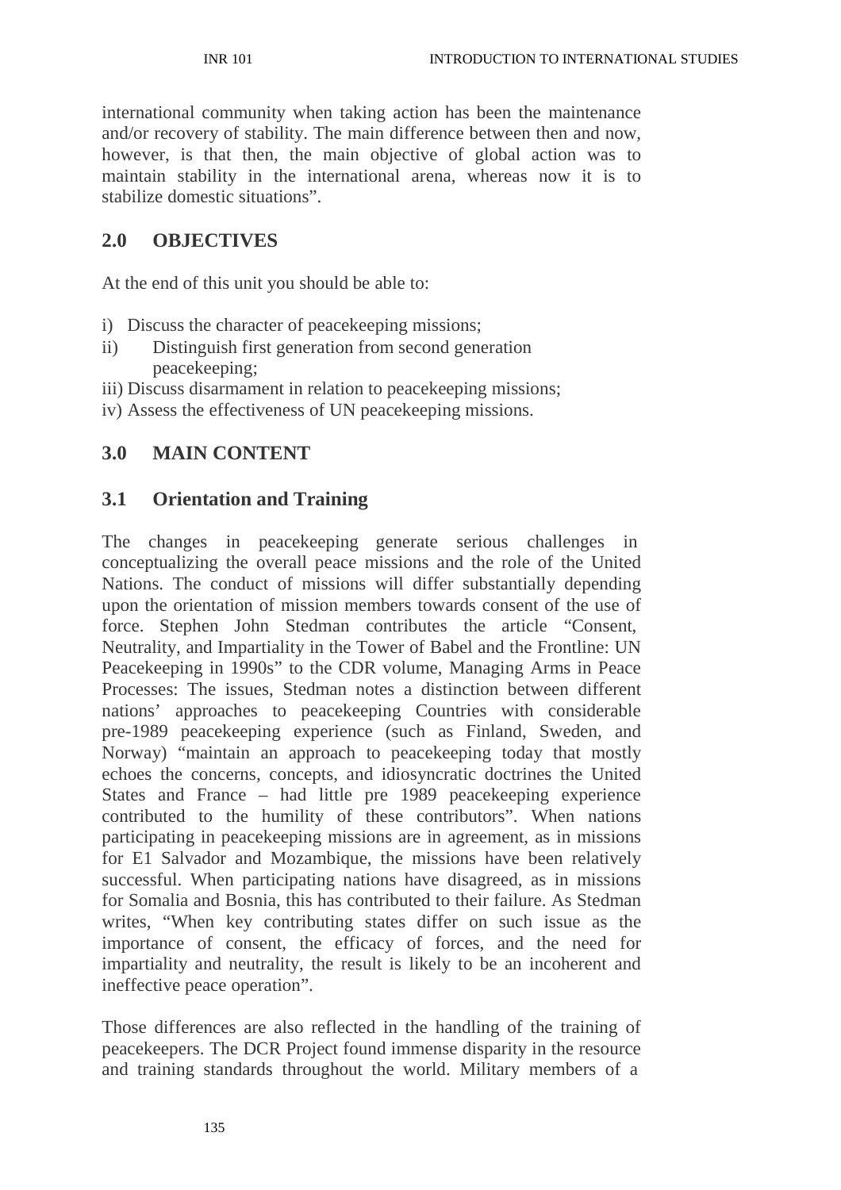international community when taking action has been the maintenance and/or recovery of stability. The main difference between then and now, however, is that then, the main objective of global action was to maintain stability in the international arena, whereas now it is to stabilize domestic situations".

# **2.0 OBJECTIVES**

At the end of this unit you should be able to:

- i) Discuss the character of peacekeeping missions;
- ii) Distinguish first generation from second generation peacekeeping;
- iii) Discuss disarmament in relation to peacekeeping missions;
- iv) Assess the effectiveness of UN peacekeeping missions.

# **3.0 MAIN CONTENT**

## **3.1 Orientation and Training**

The changes in peacekeeping generate serious challenges in conceptualizing the overall peace missions and the role of the United Nations. The conduct of missions will differ substantially depending upon the orientation of mission members towards consent of the use of force. Stephen John Stedman contributes the article "Consent, Neutrality, and Impartiality in the Tower of Babel and the Frontline: UN Peacekeeping in 1990s" to the CDR volume, Managing Arms in Peace Processes: The issues, Stedman notes a distinction between different nations' approaches to peacekeeping Countries with considerable pre-1989 peacekeeping experience (such as Finland, Sweden, and Norway) "maintain an approach to peacekeeping today that mostly echoes the concerns, concepts, and idiosyncratic doctrines the United States and France – had little pre 1989 peacekeeping experience contributed to the humility of these contributors". When nations participating in peacekeeping missions are in agreement, as in missions for E1 Salvador and Mozambique, the missions have been relatively successful. When participating nations have disagreed, as in missions for Somalia and Bosnia, this has contributed to their failure. As Stedman writes, "When key contributing states differ on such issue as the importance of consent, the efficacy of forces, and the need for impartiality and neutrality, the result is likely to be an incoherent and ineffective peace operation".

Those differences are also reflected in the handling of the training of peacekeepers. The DCR Project found immense disparity in the resource and training standards throughout the world. Military members of a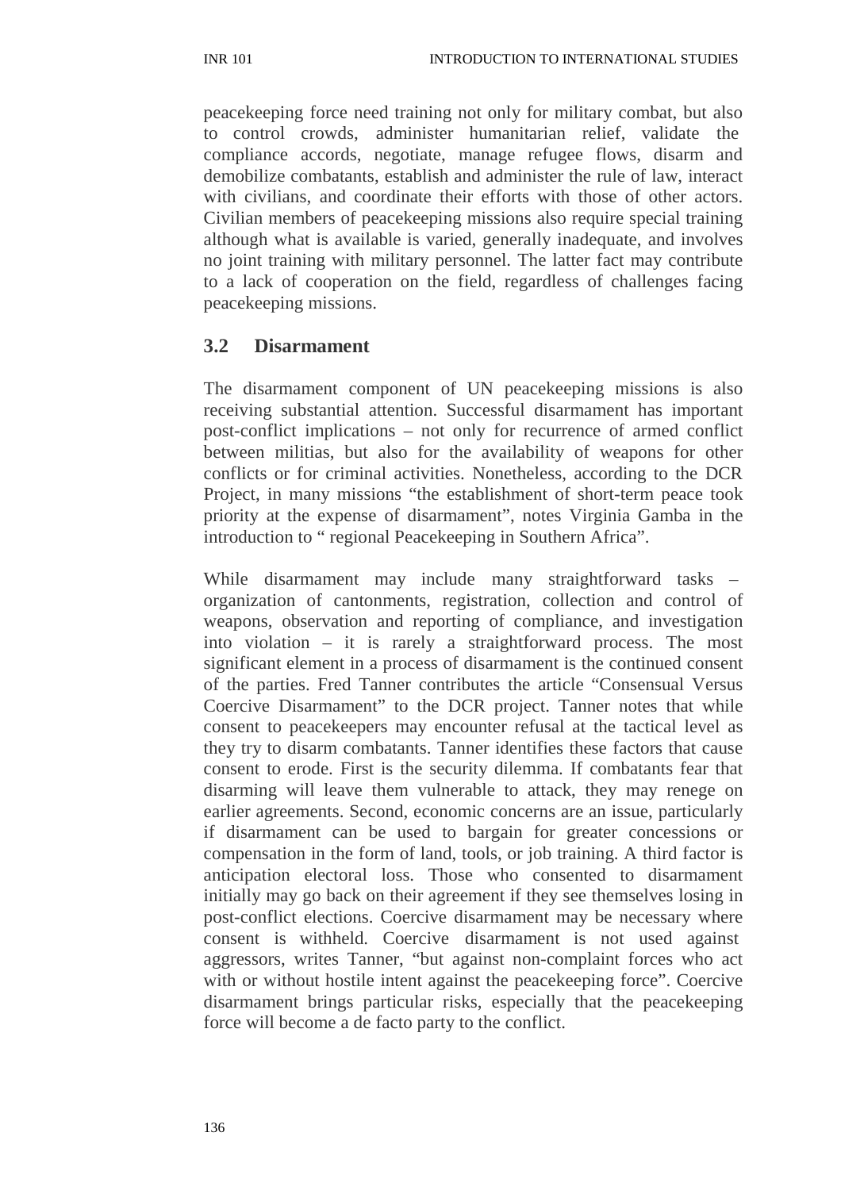peacekeeping force need training not only for military combat, but also to control crowds, administer humanitarian relief, validate the compliance accords, negotiate, manage refugee flows, disarm and demobilize combatants, establish and administer the rule of law, interact with civilians, and coordinate their efforts with those of other actors. Civilian members of peacekeeping missions also require special training although what is available is varied, generally inadequate, and involves no joint training with military personnel. The latter fact may contribute to a lack of cooperation on the field, regardless of challenges facing peacekeeping missions.

#### **3.2 Disarmament**

The disarmament component of UN peacekeeping missions is also receiving substantial attention. Successful disarmament has important post-conflict implications – not only for recurrence of armed conflict between militias, but also for the availability of weapons for other conflicts or for criminal activities. Nonetheless, according to the DCR Project, in many missions "the establishment of short-term peace took priority at the expense of disarmament", notes Virginia Gamba in the introduction to " regional Peacekeeping in Southern Africa".

While disarmament may include many straightforward tasks – organization of cantonments, registration, collection and control of weapons, observation and reporting of compliance, and investigation into violation – it is rarely a straightforward process. The most significant element in a process of disarmament is the continued consent of the parties. Fred Tanner contributes the article "Consensual Versus Coercive Disarmament" to the DCR project. Tanner notes that while consent to peacekeepers may encounter refusal at the tactical level as they try to disarm combatants. Tanner identifies these factors that cause consent to erode. First is the security dilemma. If combatants fear that disarming will leave them vulnerable to attack, they may renege on earlier agreements. Second, economic concerns are an issue, particularly if disarmament can be used to bargain for greater concessions or compensation in the form of land, tools, or job training. A third factor is anticipation electoral loss. Those who consented to disarmament initially may go back on their agreement if they see themselves losing in post-conflict elections. Coercive disarmament may be necessary where consent is withheld. Coercive disarmament is not used against aggressors, writes Tanner, "but against non-complaint forces who act with or without hostile intent against the peacekeeping force". Coercive disarmament brings particular risks, especially that the peacekeeping force will become a de facto party to the conflict.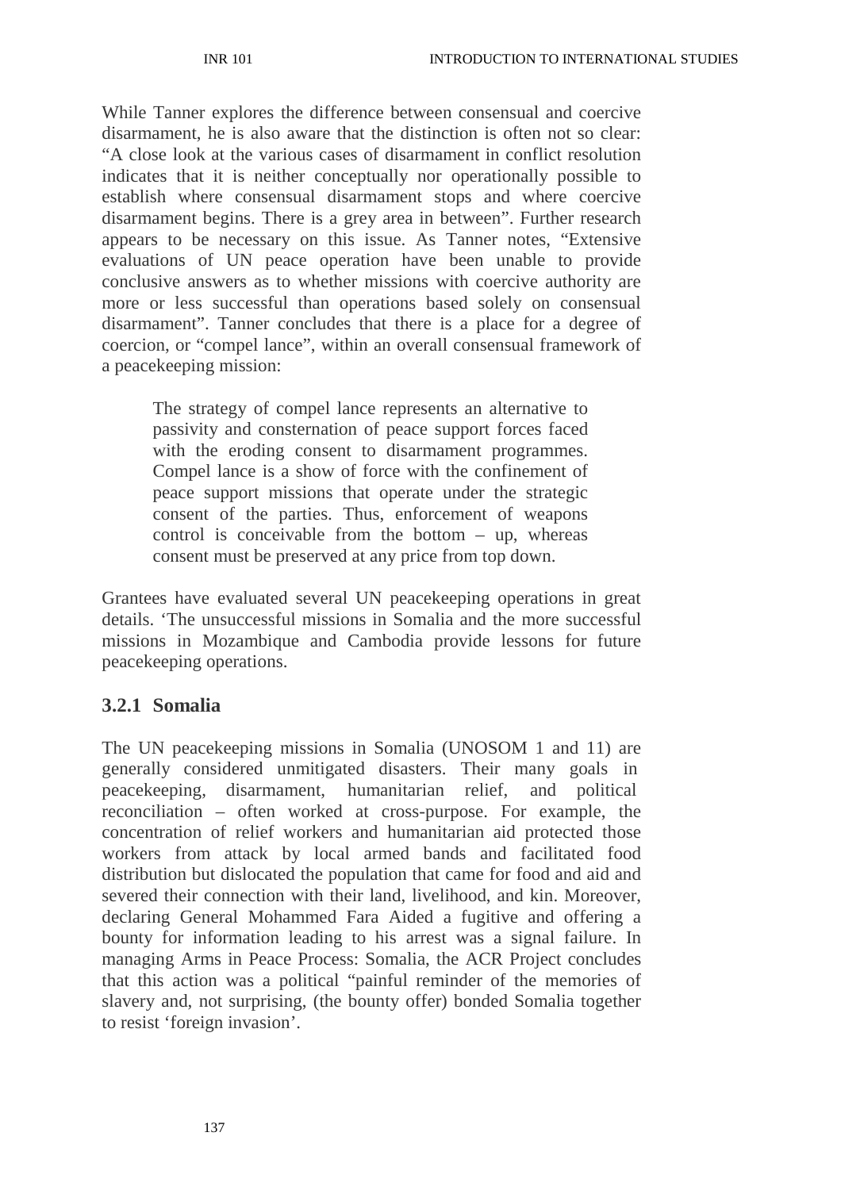While Tanner explores the difference between consensual and coercive disarmament, he is also aware that the distinction is often not so clear: "A close look at the various cases of disarmament in conflict resolution indicates that it is neither conceptually nor operationally possible to establish where consensual disarmament stops and where coercive disarmament begins. There is a grey area in between". Further research appears to be necessary on this issue. As Tanner notes, "Extensive evaluations of UN peace operation have been unable to provide conclusive answers as to whether missions with coercive authority are more or less successful than operations based solely on consensual disarmament". Tanner concludes that there is a place for a degree of coercion, or "compel lance", within an overall consensual framework of a peacekeeping mission:

The strategy of compel lance represents an alternative to passivity and consternation of peace support forces faced with the eroding consent to disarmament programmes. Compel lance is a show of force with the confinement of peace support missions that operate under the strategic consent of the parties. Thus, enforcement of weapons control is conceivable from the bottom – up, whereas consent must be preserved at any price from top down.

Grantees have evaluated several UN peacekeeping operations in great details. 'The unsuccessful missions in Somalia and the more successful missions in Mozambique and Cambodia provide lessons for future peacekeeping operations.

# **3.2.1 Somalia**

The UN peacekeeping missions in Somalia (UNOSOM 1 and 11) are generally considered unmitigated disasters. Their many goals in peacekeeping, disarmament, humanitarian relief, and political reconciliation – often worked at cross-purpose. For example, the concentration of relief workers and humanitarian aid protected those workers from attack by local armed bands and facilitated food distribution but dislocated the population that came for food and aid and severed their connection with their land, livelihood, and kin. Moreover, declaring General Mohammed Fara Aided a fugitive and offering a bounty for information leading to his arrest was a signal failure. In managing Arms in Peace Process: Somalia, the ACR Project concludes that this action was a political "painful reminder of the memories of slavery and, not surprising, (the bounty offer) bonded Somalia together to resist 'foreign invasion'.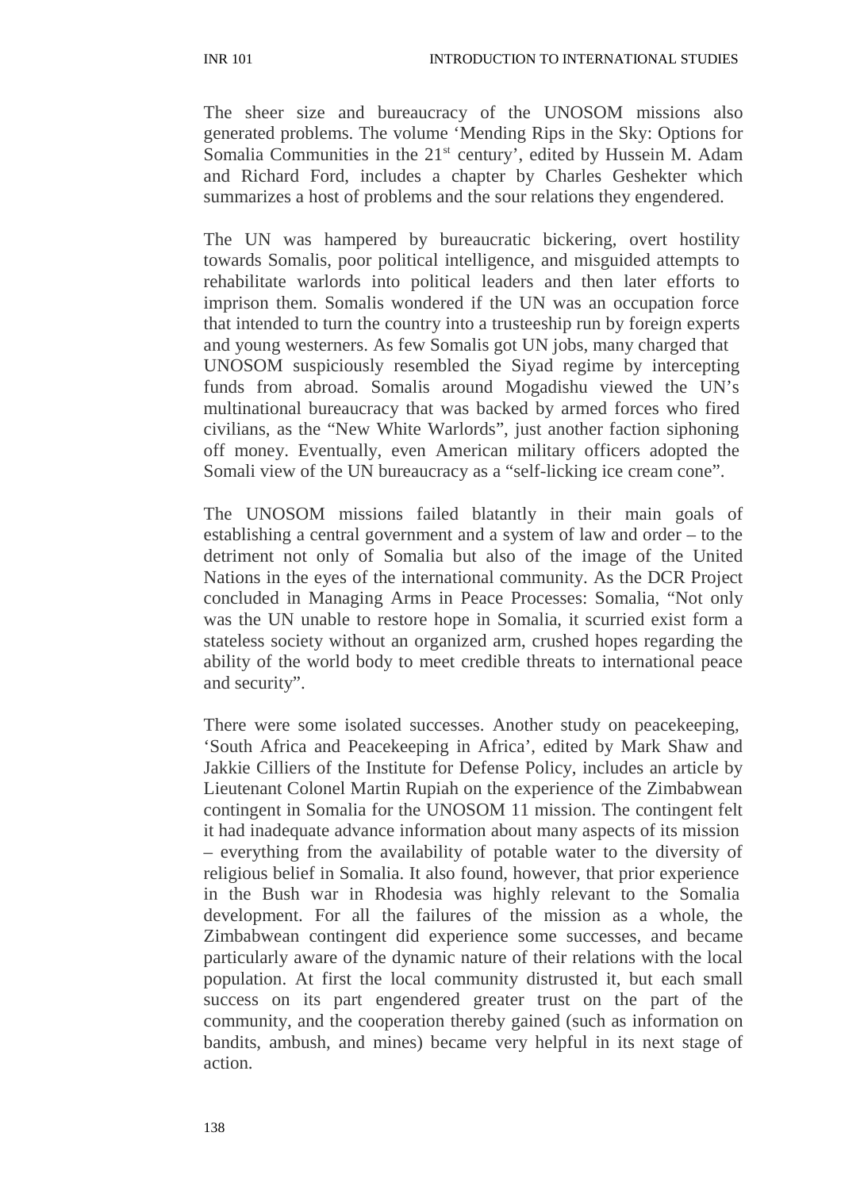The sheer size and bureaucracy of the UNOSOM missions also generated problems. The volume 'Mending Rips in the Sky: Options for Somalia Communities in the 21<sup>st</sup> century', edited by Hussein M. Adam and Richard Ford, includes a chapter by Charles Geshekter which summarizes a host of problems and the sour relations they engendered.

The UN was hampered by bureaucratic bickering, overt hostility towards Somalis, poor political intelligence, and misguided attempts to rehabilitate warlords into political leaders and then later efforts to imprison them. Somalis wondered if the UN was an occupation force that intended to turn the country into a trusteeship run by foreign experts and young westerners. As few Somalis got UN jobs, many charged that UNOSOM suspiciously resembled the Siyad regime by intercepting funds from abroad. Somalis around Mogadishu viewed the UN's multinational bureaucracy that was backed by armed forces who fired civilians, as the "New White Warlords", just another faction siphoning off money. Eventually, even American military officers adopted the Somali view of the UN bureaucracy as a "self-licking ice cream cone".

The UNOSOM missions failed blatantly in their main goals of establishing a central government and a system of law and order – to the detriment not only of Somalia but also of the image of the United Nations in the eyes of the international community. As the DCR Project concluded in Managing Arms in Peace Processes: Somalia, "Not only was the UN unable to restore hope in Somalia, it scurried exist form a stateless society without an organized arm, crushed hopes regarding the ability of the world body to meet credible threats to international peace and security".

There were some isolated successes. Another study on peacekeeping, 'South Africa and Peacekeeping in Africa', edited by Mark Shaw and Jakkie Cilliers of the Institute for Defense Policy, includes an article by Lieutenant Colonel Martin Rupiah on the experience of the Zimbabwean contingent in Somalia for the UNOSOM 11 mission. The contingent felt it had inadequate advance information about many aspects of its mission – everything from the availability of potable water to the diversity of religious belief in Somalia. It also found, however, that prior experience in the Bush war in Rhodesia was highly relevant to the Somalia development. For all the failures of the mission as a whole, the Zimbabwean contingent did experience some successes, and became particularly aware of the dynamic nature of their relations with the local population. At first the local community distrusted it, but each small success on its part engendered greater trust on the part of the community, and the cooperation thereby gained (such as information on bandits, ambush, and mines) became very helpful in its next stage of action.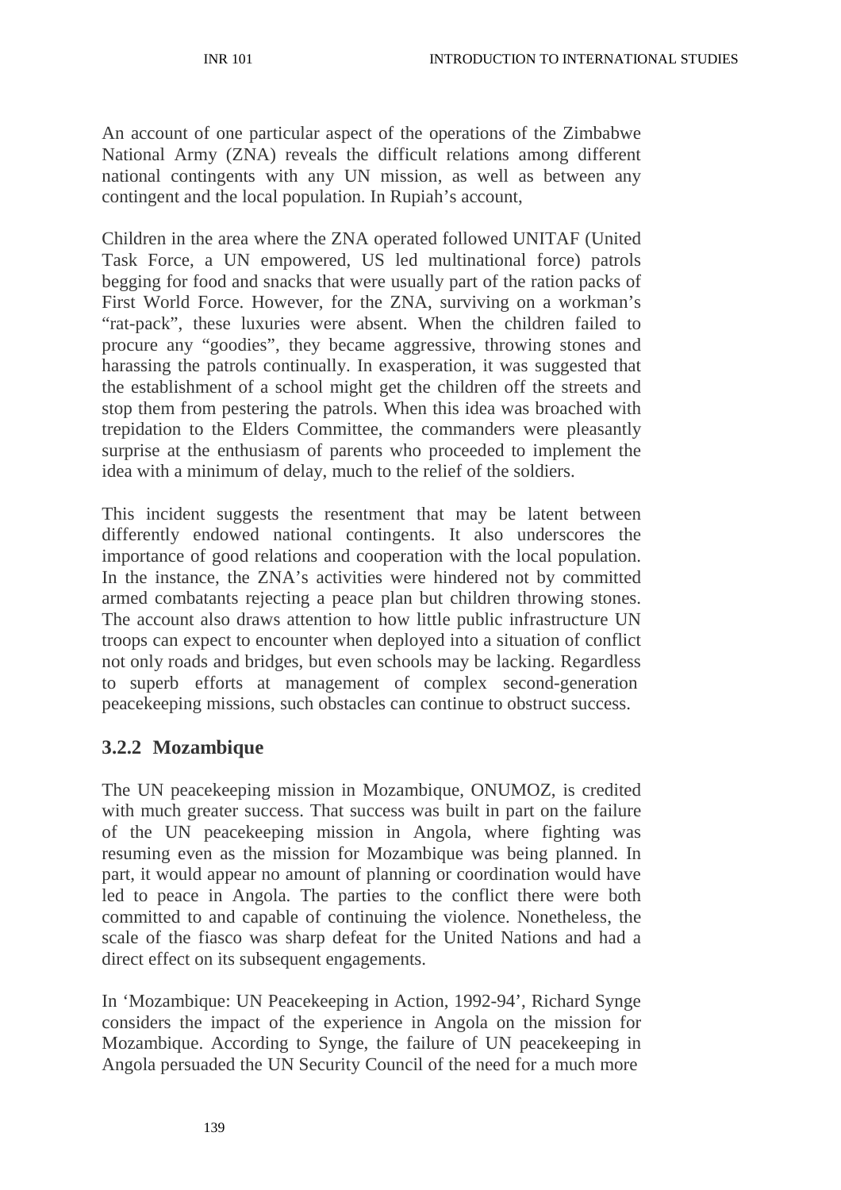An account of one particular aspect of the operations of the Zimbabwe National Army (ZNA) reveals the difficult relations among different national contingents with any UN mission, as well as between any contingent and the local population. In Rupiah's account,

Children in the area where the ZNA operated followed UNITAF (United Task Force, a UN empowered, US led multinational force) patrols begging for food and snacks that were usually part of the ration packs of First World Force. However, for the ZNA, surviving on a workman's "rat-pack", these luxuries were absent. When the children failed to procure any "goodies", they became aggressive, throwing stones and harassing the patrols continually. In exasperation, it was suggested that the establishment of a school might get the children off the streets and stop them from pestering the patrols. When this idea was broached with trepidation to the Elders Committee, the commanders were pleasantly surprise at the enthusiasm of parents who proceeded to implement the idea with a minimum of delay, much to the relief of the soldiers.

This incident suggests the resentment that may be latent between differently endowed national contingents. It also underscores the importance of good relations and cooperation with the local population. In the instance, the ZNA's activities were hindered not by committed armed combatants rejecting a peace plan but children throwing stones. The account also draws attention to how little public infrastructure UN troops can expect to encounter when deployed into a situation of conflict not only roads and bridges, but even schools may be lacking. Regardless to superb efforts at management of complex second-generation peacekeeping missions, such obstacles can continue to obstruct success.

# **3.2.2 Mozambique**

The UN peacekeeping mission in Mozambique, ONUMOZ, is credited with much greater success. That success was built in part on the failure of the UN peacekeeping mission in Angola, where fighting was resuming even as the mission for Mozambique was being planned. In part, it would appear no amount of planning or coordination would have led to peace in Angola. The parties to the conflict there were both committed to and capable of continuing the violence. Nonetheless, the scale of the fiasco was sharp defeat for the United Nations and had a direct effect on its subsequent engagements.

In 'Mozambique: UN Peacekeeping in Action, 1992-94', Richard Synge considers the impact of the experience in Angola on the mission for Mozambique. According to Synge, the failure of UN peacekeeping in Angola persuaded the UN Security Council of the need for a much more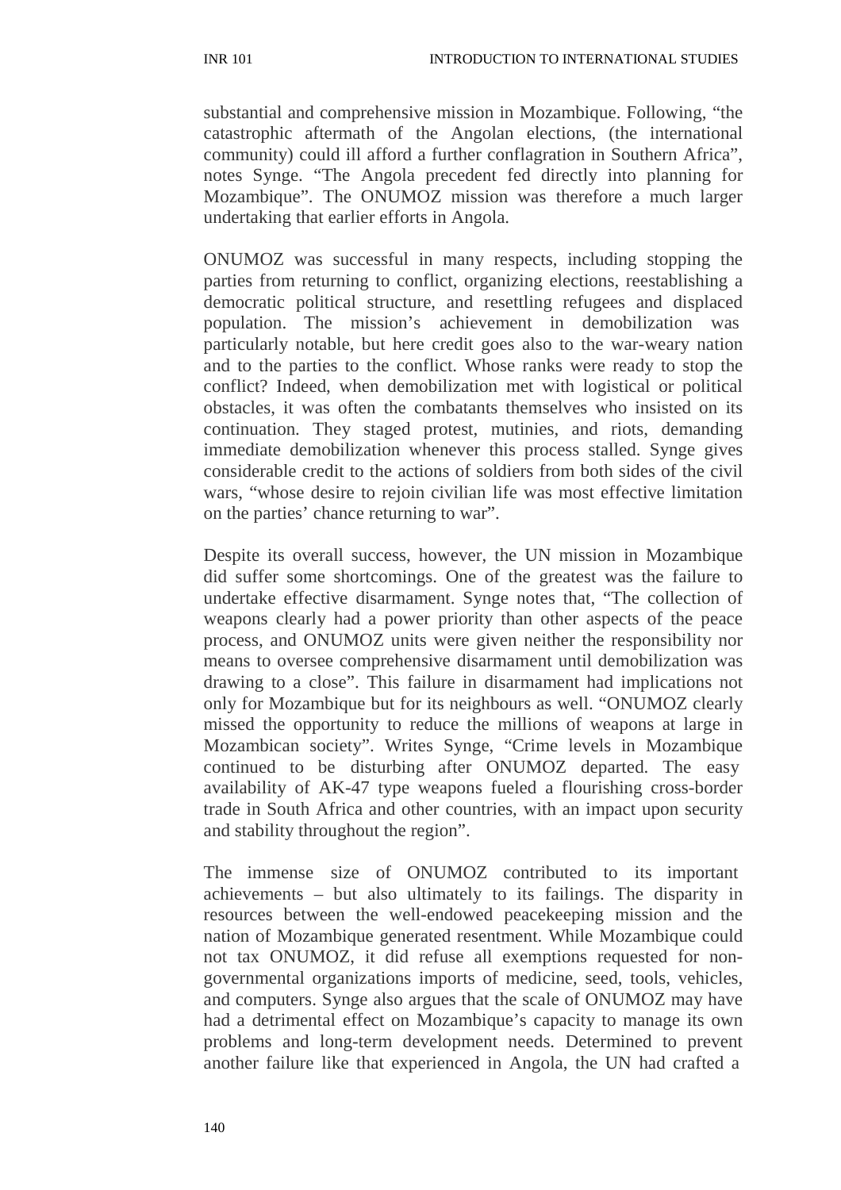substantial and comprehensive mission in Mozambique. Following, "the catastrophic aftermath of the Angolan elections, (the international community) could ill afford a further conflagration in Southern Africa", notes Synge. "The Angola precedent fed directly into planning for Mozambique". The ONUMOZ mission was therefore a much larger undertaking that earlier efforts in Angola.

ONUMOZ was successful in many respects, including stopping the parties from returning to conflict, organizing elections, reestablishing a democratic political structure, and resettling refugees and displaced population. The mission's achievement in demobilization was particularly notable, but here credit goes also to the war-weary nation and to the parties to the conflict. Whose ranks were ready to stop the conflict? Indeed, when demobilization met with logistical or political obstacles, it was often the combatants themselves who insisted on its continuation. They staged protest, mutinies, and riots, demanding immediate demobilization whenever this process stalled. Synge gives considerable credit to the actions of soldiers from both sides of the civil wars, "whose desire to rejoin civilian life was most effective limitation on the parties' chance returning to war".

Despite its overall success, however, the UN mission in Mozambique did suffer some shortcomings. One of the greatest was the failure to undertake effective disarmament. Synge notes that, "The collection of weapons clearly had a power priority than other aspects of the peace process, and ONUMOZ units were given neither the responsibility nor means to oversee comprehensive disarmament until demobilization was drawing to a close". This failure in disarmament had implications not only for Mozambique but for its neighbours as well. "ONUMOZ clearly missed the opportunity to reduce the millions of weapons at large in Mozambican society". Writes Synge, "Crime levels in Mozambique continued to be disturbing after ONUMOZ departed. The easy availability of AK-47 type weapons fueled a flourishing cross-border trade in South Africa and other countries, with an impact upon security and stability throughout the region".

The immense size of ONUMOZ contributed to its important achievements – but also ultimately to its failings. The disparity in resources between the well-endowed peacekeeping mission and the nation of Mozambique generated resentment. While Mozambique could not tax ONUMOZ, it did refuse all exemptions requested for nongovernmental organizations imports of medicine, seed, tools, vehicles, and computers. Synge also argues that the scale of ONUMOZ may have had a detrimental effect on Mozambique's capacity to manage its own problems and long-term development needs. Determined to prevent another failure like that experienced in Angola, the UN had crafted a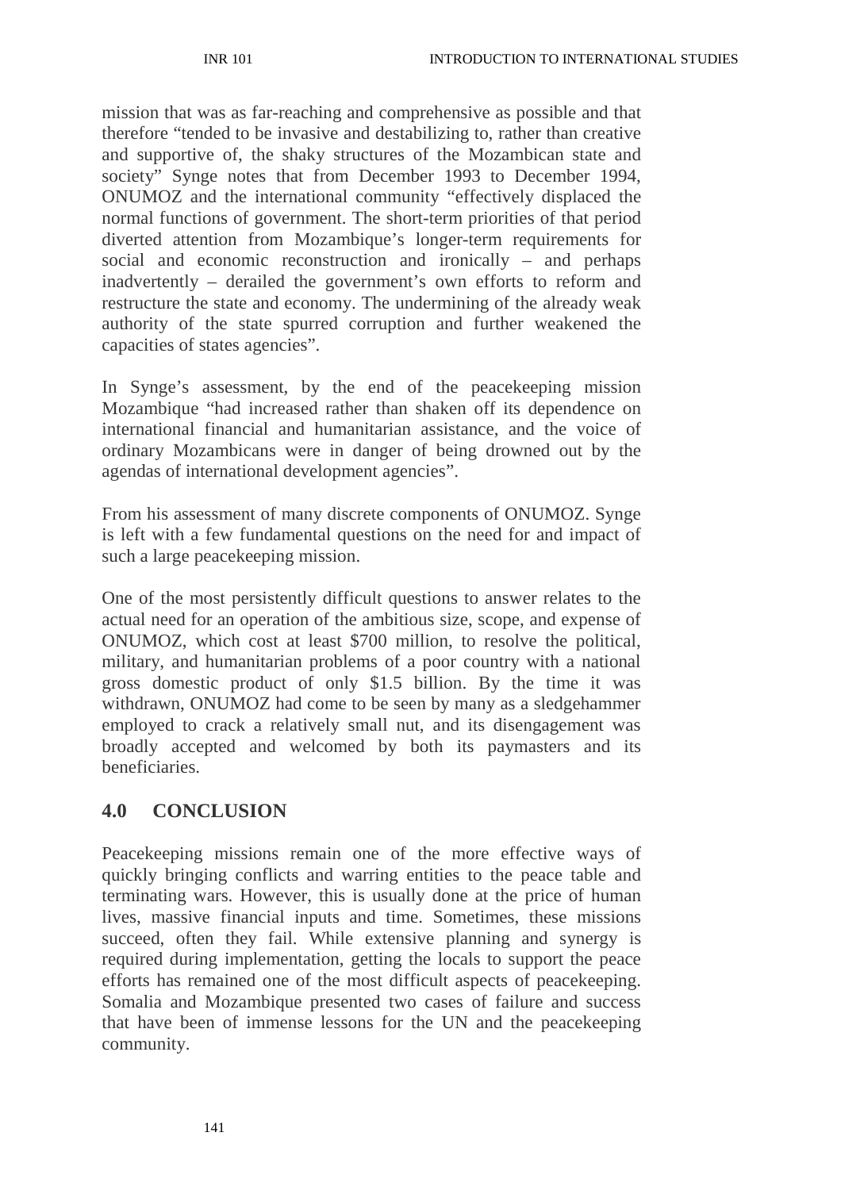mission that was as far-reaching and comprehensive as possible and that therefore "tended to be invasive and destabilizing to, rather than creative and supportive of, the shaky structures of the Mozambican state and society" Synge notes that from December 1993 to December 1994, ONUMOZ and the international community "effectively displaced the normal functions of government. The short-term priorities of that period diverted attention from Mozambique's longer-term requirements for social and economic reconstruction and ironically – and perhaps inadvertently – derailed the government's own efforts to reform and restructure the state and economy. The undermining of the already weak authority of the state spurred corruption and further weakened the capacities of states agencies".

In Synge's assessment, by the end of the peacekeeping mission Mozambique "had increased rather than shaken off its dependence on international financial and humanitarian assistance, and the voice of ordinary Mozambicans were in danger of being drowned out by the agendas of international development agencies".

From his assessment of many discrete components of ONUMOZ. Synge is left with a few fundamental questions on the need for and impact of such a large peacekeeping mission.

One of the most persistently difficult questions to answer relates to the actual need for an operation of the ambitious size, scope, and expense of ONUMOZ, which cost at least \$700 million, to resolve the political, military, and humanitarian problems of a poor country with a national gross domestic product of only \$1.5 billion. By the time it was withdrawn, ONUMOZ had come to be seen by many as a sledgehammer employed to crack a relatively small nut, and its disengagement was broadly accepted and welcomed by both its paymasters and its beneficiaries.

## **4.0 CONCLUSION**

Peacekeeping missions remain one of the more effective ways of quickly bringing conflicts and warring entities to the peace table and terminating wars. However, this is usually done at the price of human lives, massive financial inputs and time. Sometimes, these missions succeed, often they fail. While extensive planning and synergy is required during implementation, getting the locals to support the peace efforts has remained one of the most difficult aspects of peacekeeping. Somalia and Mozambique presented two cases of failure and success that have been of immense lessons for the UN and the peacekeeping community.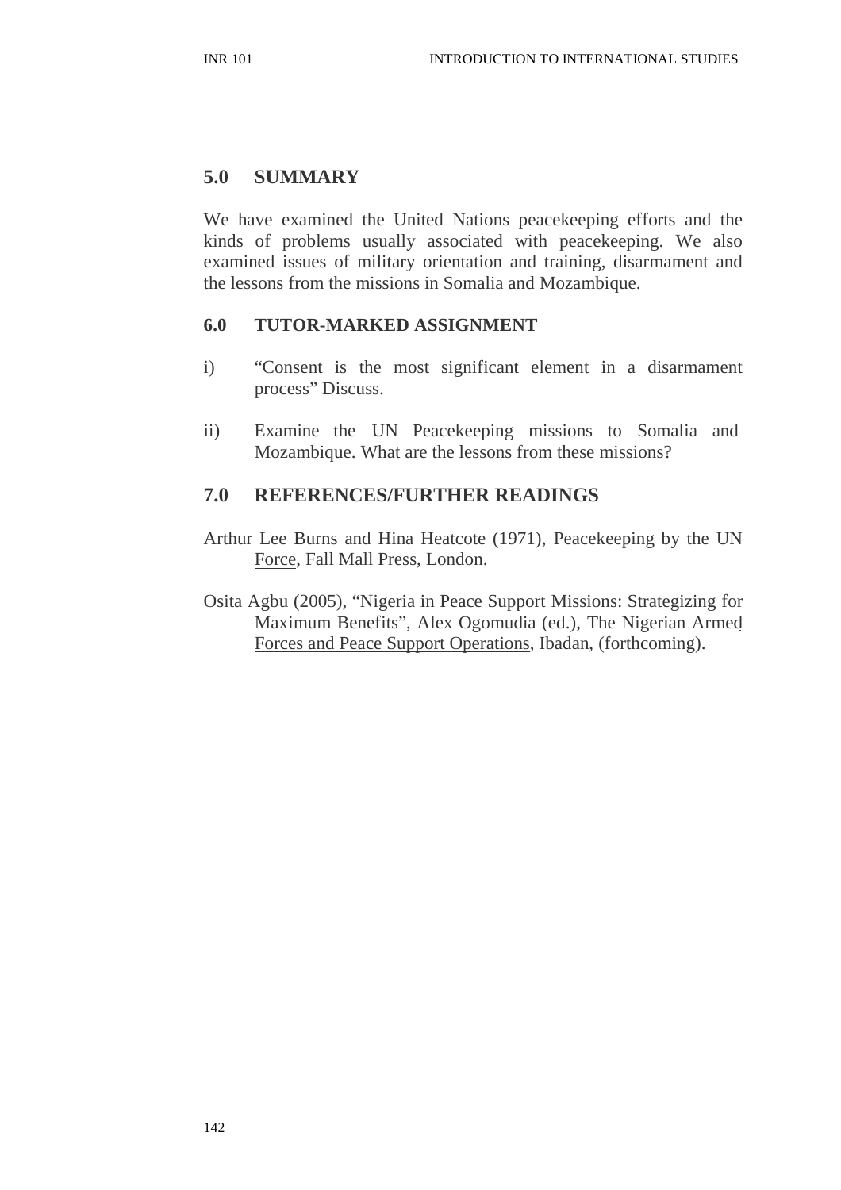# **5.0 SUMMARY**

We have examined the United Nations peacekeeping efforts and the kinds of problems usually associated with peacekeeping. We also examined issues of military orientation and training, disarmament and the lessons from the missions in Somalia and Mozambique.

#### **6.0 TUTOR-MARKED ASSIGNMENT**

- i) "Consent is the most significant element in a disarmament process" Discuss.
- ii) Examine the UN Peacekeeping missions to Somalia and Mozambique. What are the lessons from these missions?

## **7.0 REFERENCES/FURTHER READINGS**

- Arthur Lee Burns and Hina Heatcote (1971), Peacekeeping by the UN Force, Fall Mall Press, London.
- Osita Agbu (2005), "Nigeria in Peace Support Missions: Strategizing for Maximum Benefits", Alex Ogomudia (ed.), The Nigerian Armed Forces and Peace Support Operations, Ibadan, (forthcoming).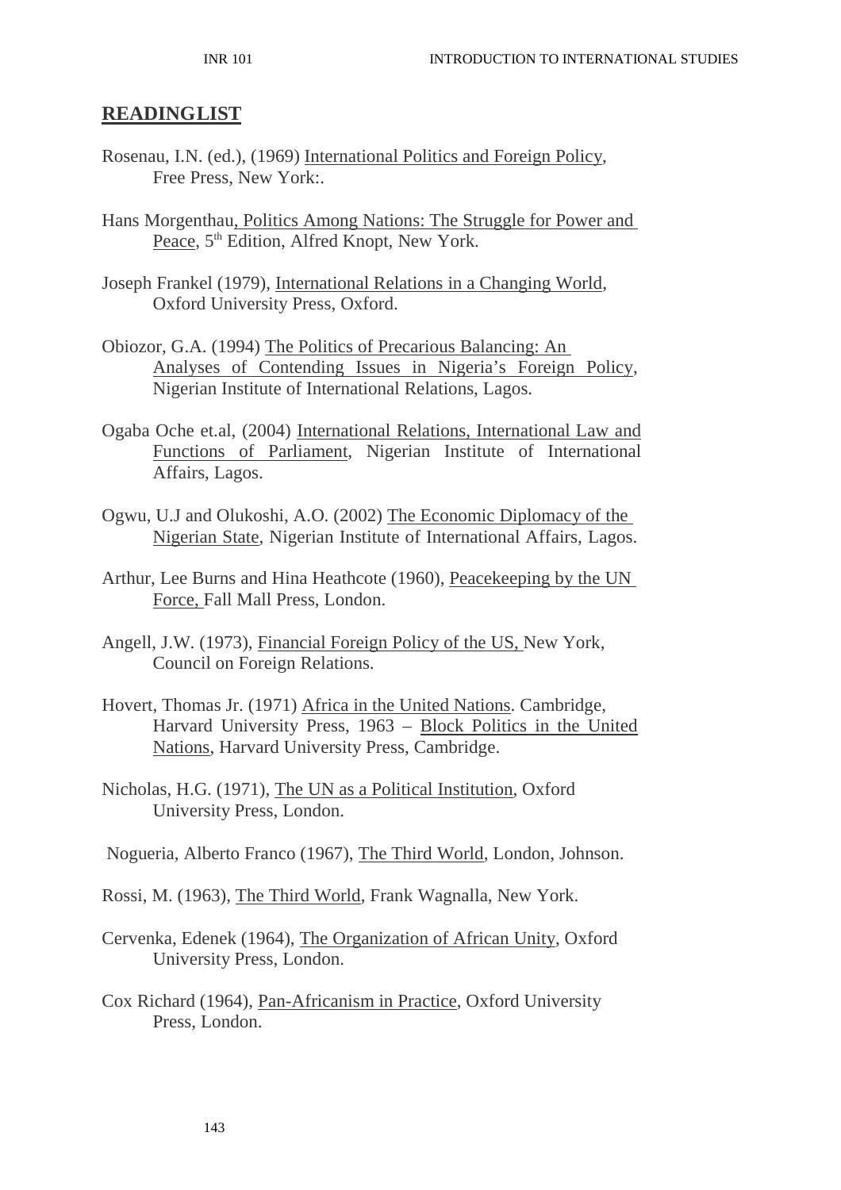#### **READING LIST**

- Rosenau, I.N. (ed.), (1969) International Politics and Foreign Policy, Free Press, New York:.
- Hans Morgenthau, Politics Among Nations: The Struggle for Power and Peace,  $5<sup>th</sup>$  Edition, Alfred Knopt, New York.
- Joseph Frankel (1979), International Relations in a Changing World, Oxford University Press, Oxford.
- Obiozor, G.A. (1994) The Politics of Precarious Balancing: An Analyses of Contending Issues in Nigeria's Foreign Policy, Nigerian Institute of International Relations, Lagos.
- Ogaba Oche et.al, (2004) International Relations, International Law and Functions of Parliament, Nigerian Institute of International Affairs, Lagos.
- Ogwu, U.J and Olukoshi, A.O. (2002) The Economic Diplomacy of the Nigerian State, Nigerian Institute of International Affairs, Lagos.
- Arthur, Lee Burns and Hina Heathcote (1960), Peacekeeping by the UN Force, Fall Mall Press, London.
- Angell, J.W. (1973), Financial Foreign Policy of the US, New York, Council on Foreign Relations.
- Hovert, Thomas Jr. (1971) Africa in the United Nations. Cambridge, Harvard University Press, 1963 – Block Politics in the United Nations, Harvard University Press, Cambridge.
- Nicholas, H.G. (1971), The UN as a Political Institution, Oxford University Press, London.

Nogueria, Alberto Franco (1967), The Third World, London, Johnson.

- Rossi, M. (1963), The Third World, Frank Wagnalla, New York.
- Cervenka, Edenek (1964), The Organization of African Unity, Oxford University Press, London.
- Cox Richard (1964), Pan-Africanism in Practice, Oxford University Press, London.